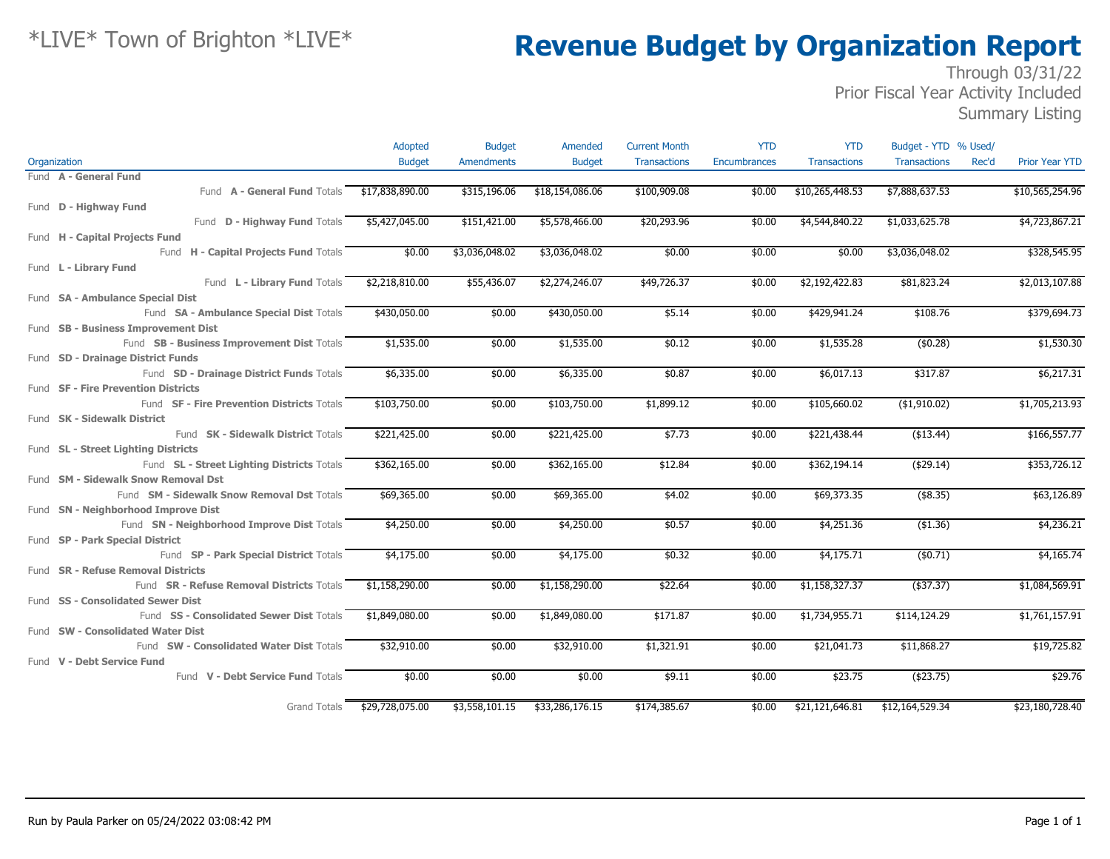### Through 03/31/22 Prior Fiscal Year Activity Included

Summary Listing

|                                              | Adopted         | <b>Budget</b>     | Amended         | <b>Current Month</b> | <b>YTD</b>          | <b>YTD</b>          | Budget - YTD % Used/         |                       |
|----------------------------------------------|-----------------|-------------------|-----------------|----------------------|---------------------|---------------------|------------------------------|-----------------------|
| Organization                                 | <b>Budget</b>   | <b>Amendments</b> | <b>Budget</b>   | <b>Transactions</b>  | <b>Encumbrances</b> | <b>Transactions</b> | <b>Transactions</b><br>Rec'd | <b>Prior Year YTD</b> |
| Fund A - General Fund                        |                 |                   |                 |                      |                     |                     |                              |                       |
| Fund A - General Fund Totals \$17,838,890.00 |                 | \$315,196.06      | \$18,154,086.06 | \$100,909.08         | \$0.00              | \$10,265,448.53     | \$7,888,637.53               | \$10,565,254.96       |
| Fund D - Highway Fund                        |                 |                   |                 |                      |                     |                     |                              |                       |
| Fund D - Highway Fund Totals \$5,427,045.00  |                 | \$151,421.00      | \$5,578,466.00  | \$20,293.96          | \$0.00              | \$4,544,840.22      | \$1,033,625.78               | \$4,723,867.21        |
| Fund H - Capital Projects Fund               |                 |                   |                 |                      |                     |                     |                              |                       |
| Fund H - Capital Projects Fund Totals        | \$0.00          | \$3,036,048.02    | \$3,036,048.02  | \$0.00               | \$0.00              | \$0.00              | \$3,036,048.02               | \$328,545.95          |
| Fund L - Library Fund                        |                 |                   |                 |                      |                     |                     |                              |                       |
| Fund L - Library Fund Totals                 | \$2,218,810.00  | \$55,436.07       | \$2,274,246.07  | \$49,726.37          | \$0.00              | \$2,192,422.83      | \$81,823.24                  | \$2,013,107.88        |
| Fund SA - Ambulance Special Dist             |                 |                   |                 |                      |                     |                     |                              |                       |
| Fund SA - Ambulance Special Dist Totals      | \$430,050.00    | \$0.00            | \$430,050.00    | \$5.14               | \$0.00              | \$429,941.24        | \$108.76                     | \$379,694.73          |
| Fund SB - Business Improvement Dist          |                 |                   |                 |                      |                     |                     |                              |                       |
| Fund SB - Business Improvement Dist Totals   | \$1,535.00      | \$0.00            | \$1,535.00      | \$0.12               | \$0.00              | \$1,535.28          | (\$0.28)                     | \$1,530.30            |
| Fund SD - Drainage District Funds            |                 |                   |                 |                      |                     |                     |                              |                       |
| Fund SD - Drainage District Funds Totals     | \$6,335.00      | \$0.00            | \$6,335.00      | \$0.87               | \$0.00              | \$6,017.13          | \$317.87                     | \$6,217.31            |
| Fund SF - Fire Prevention Districts          |                 |                   |                 |                      |                     |                     |                              |                       |
| Fund SF - Fire Prevention Districts Totals   | \$103,750.00    | \$0.00            | \$103,750.00    | \$1,899.12           | \$0.00              | \$105,660.02        | $($ \$1,910.02)              | \$1,705,213.93        |
| Fund <b>SK - Sidewalk District</b>           |                 |                   |                 |                      |                     |                     |                              |                       |
| Fund SK - Sidewalk District Totals           | \$221,425.00    | \$0.00            | \$221,425.00    | \$7.73               | \$0.00              | \$221,438.44        | ( \$13.44)                   | \$166,557.77          |
| Fund SL - Street Lighting Districts          |                 |                   |                 |                      |                     |                     |                              |                       |
| Fund SL - Street Lighting Districts Totals   | \$362,165.00    | \$0.00            | \$362,165.00    | \$12.84              | \$0.00              | \$362,194.14        | ( \$29.14)                   | \$353,726.12          |
| Fund SM - Sidewalk Snow Removal Dst          |                 |                   |                 |                      |                     |                     |                              |                       |
| Fund SM - Sidewalk Snow Removal Dst Totals   | \$69,365.00     | \$0.00            | \$69,365.00     | \$4.02               | \$0.00              | \$69,373.35         | (\$8.35)                     | \$63,126.89           |
| Fund SN - Neighborhood Improve Dist          |                 |                   |                 |                      |                     |                     |                              |                       |
| Fund SN - Neighborhood Improve Dist Totals   | \$4,250.00      | \$0.00            | \$4,250.00      | \$0.57               | \$0.00              | \$4,251.36          | ( \$1.36)                    | \$4,236.21            |
| Fund SP - Park Special District              |                 |                   |                 |                      |                     |                     |                              |                       |
| Fund SP - Park Special District Totals       | \$4,175.00      | \$0.00            | \$4,175.00      | \$0.32               | \$0.00              | \$4,175.71          | (\$0.71)                     | \$4,165.74            |
| Fund SR - Refuse Removal Districts           |                 |                   |                 |                      |                     |                     |                              |                       |
| Fund SR - Refuse Removal Districts Totals    | \$1,158,290.00  | \$0.00            | \$1,158,290.00  | \$22.64              | \$0.00              | \$1,158,327.37      | $($ \$37.37)                 | \$1,084,569.91        |
| Fund SS - Consolidated Sewer Dist            |                 |                   |                 |                      |                     |                     |                              |                       |
| Fund SS - Consolidated Sewer Dist Totals     | \$1,849,080,00  | \$0.00            | \$1,849,080.00  | \$171.87             | \$0.00              | \$1,734,955.71      | \$114,124.29                 | \$1,761,157.91        |
| Fund SW - Consolidated Water Dist            |                 |                   |                 |                      |                     |                     |                              |                       |
| Fund SW - Consolidated Water Dist Totals     | \$32,910.00     | \$0.00            | \$32,910.00     | \$1,321.91           | \$0.00              | \$21,041.73         | \$11,868.27                  | \$19,725.82           |
| Fund V - Debt Service Fund                   |                 |                   |                 |                      |                     |                     |                              |                       |
| Fund V - Debt Service Fund Totals            | \$0.00          | \$0.00            | \$0.00          | \$9.11               | \$0.00              | \$23.75             | (423.75)                     | \$29.76               |
|                                              |                 |                   |                 |                      |                     |                     |                              |                       |
| Grand Totals                                 | \$29,728,075.00 | \$3,558,101.15    | \$33,286,176.15 | \$174,385.67         | \$0.00              | \$21,121,646.81     | \$12,164,529.34              | \$23,180,728.40       |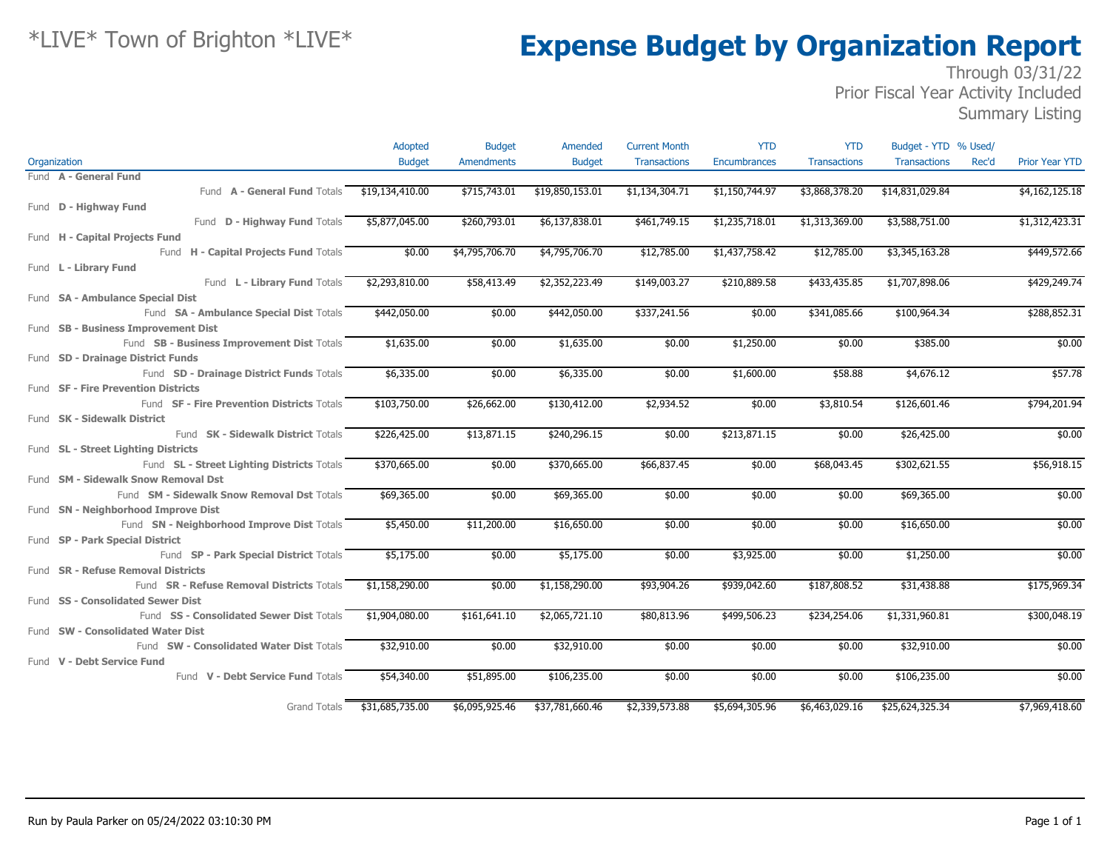### Through 03/31/22 Prior Fiscal Year Activity Included

Summary Listing

|                                            | Adopted         | <b>Budget</b>     | Amended         | <b>Current Month</b> | <b>YTD</b>                | <b>YTD</b>          | Budget - YTD % Used/ |                                |
|--------------------------------------------|-----------------|-------------------|-----------------|----------------------|---------------------------|---------------------|----------------------|--------------------------------|
| Organization                               | <b>Budget</b>   | <b>Amendments</b> | <b>Budget</b>   | <b>Transactions</b>  | Encumbrances              | <b>Transactions</b> | <b>Transactions</b>  | Rec'd<br><b>Prior Year YTD</b> |
| Fund A - General Fund                      |                 |                   |                 |                      |                           |                     |                      |                                |
| Fund A - General Fund Totals               | \$19,134,410.00 | \$715,743.01      | \$19,850,153.01 | \$1,134,304.71       | \$1,150,744.97            | \$3,868,378.20      | \$14,831,029.84      | \$4,162,125.18                 |
| Fund D - Highway Fund                      |                 |                   |                 |                      |                           |                     |                      |                                |
| Fund <b>D - Highway Fund</b> Totals        | \$5,877,045.00  | \$260,793.01      | \$6,137,838.01  | \$461,749.15         | \$1,235,718.01            | \$1,313,369.00      | \$3,588,751.00       | \$1,312,423.31                 |
| Fund H - Capital Projects Fund             |                 |                   |                 |                      |                           |                     |                      |                                |
| Fund H - Capital Projects Fund Totals      | \$0.00          | \$4,795,706.70    | \$4,795,706.70  | \$12,785.00          | $\overline{1,437,758.42}$ | \$12,785.00         | \$3,345,163.28       | \$449,572.66                   |
| Fund L - Library Fund                      |                 |                   |                 |                      |                           |                     |                      |                                |
| Fund L - Library Fund Totals               | \$2,293,810.00  | \$58,413.49       | \$2,352,223.49  | \$149,003.27         | \$210,889.58              | \$433,435.85        | \$1,707,898.06       | \$429,249.74                   |
| Fund SA - Ambulance Special Dist           |                 |                   |                 |                      |                           |                     |                      |                                |
| Fund SA - Ambulance Special Dist Totals    | \$442,050.00    | \$0.00            | \$442,050.00    | \$337,241.56         | \$0.00                    | \$341,085.66        | \$100,964.34         | \$288,852.31                   |
| Fund SB - Business Improvement Dist        |                 |                   |                 |                      |                           |                     |                      |                                |
| Fund SB - Business Improvement Dist Totals | \$1,635.00      | \$0.00            | \$1,635.00      | \$0.00               | \$1,250.00                | \$0.00              | \$385.00             | \$0.00                         |
| Fund SD - Drainage District Funds          |                 |                   |                 |                      |                           |                     |                      |                                |
| Fund SD - Drainage District Funds Totals   | \$6,335.00      | \$0.00            | \$6,335.00      | \$0.00               | \$1,600.00                | \$58.88             | \$4,676.12           | \$57.78                        |
| Fund SF - Fire Prevention Districts        |                 |                   |                 |                      |                           |                     |                      |                                |
| Fund SF - Fire Prevention Districts Totals | \$103,750.00    | \$26,662.00       | \$130,412.00    | \$2,934.52           | \$0.00                    | \$3,810.54          | \$126,601.46         | \$794,201.94                   |
| Fund SK - Sidewalk District                |                 |                   |                 |                      |                           |                     |                      |                                |
| Fund SK - Sidewalk District Totals         | \$226,425.00    | \$13,871.15       | \$240,296.15    | \$0.00               | \$213,871.15              | \$0.00              | \$26,425.00          | \$0.00                         |
| Fund SL - Street Lighting Districts        |                 |                   |                 |                      |                           |                     |                      |                                |
| Fund SL - Street Lighting Districts Totals | \$370,665.00    | \$0.00            | \$370,665.00    | \$66,837.45          | \$0.00                    | \$68,043.45         | \$302,621.55         | \$56,918.15                    |
| Fund SM - Sidewalk Snow Removal Dst        |                 |                   |                 |                      |                           |                     |                      |                                |
| Fund SM - Sidewalk Snow Removal Dst Totals | \$69,365.00     | \$0.00            | \$69,365.00     | \$0.00               | \$0.00                    | \$0.00              | \$69,365.00          | \$0.00                         |
| Fund SN - Neighborhood Improve Dist        |                 |                   |                 |                      |                           |                     |                      |                                |
| Fund SN - Neighborhood Improve Dist Totals | \$5,450.00      | \$11,200.00       | \$16,650.00     | \$0.00               | \$0.00                    | \$0.00              | \$16,650.00          | \$0.00                         |
| Fund SP - Park Special District            |                 |                   |                 |                      |                           |                     |                      |                                |
| Fund SP - Park Special District Totals     | \$5,175.00      | \$0.00            | \$5,175.00      | \$0.00               | \$3,925.00                | \$0.00              | \$1,250.00           | \$0.00                         |
| Fund SR - Refuse Removal Districts         |                 |                   |                 |                      |                           |                     |                      |                                |
| Fund SR - Refuse Removal Districts Totals  | \$1,158,290.00  | \$0.00            | \$1,158,290.00  | \$93,904.26          | \$939,042.60              | \$187,808.52        | \$31,438.88          | \$175,969.34                   |
| Fund SS - Consolidated Sewer Dist          |                 |                   |                 |                      |                           |                     |                      |                                |
| Fund SS - Consolidated Sewer Dist Totals   | \$1,904,080.00  | \$161,641.10      | \$2,065,721.10  | \$80,813.96          | \$499,506.23              | \$234,254.06        | \$1,331,960.81       | \$300,048.19                   |
| Fund SW - Consolidated Water Dist          |                 |                   |                 |                      |                           |                     |                      |                                |
| Fund SW - Consolidated Water Dist Totals   | \$32,910.00     | \$0.00            | \$32,910.00     | \$0.00               | \$0.00                    | \$0.00              | \$32,910.00          | \$0.00                         |
| Fund V - Debt Service Fund                 |                 |                   |                 |                      |                           |                     |                      |                                |
| Fund V - Debt Service Fund Totals          | \$54,340.00     | \$51,895.00       | \$106,235.00    | \$0.00               | \$0.00                    | \$0.00              | \$106,235.00         | \$0.00                         |
| <b>Grand Totals</b>                        | \$31,685,735.00 | \$6,095,925.46    | \$37,781,660.46 | \$2,339,573.88       | \$5,694,305.96            | \$6,463,029.16      | \$25,624,325.34      | \$7,969,418.60                 |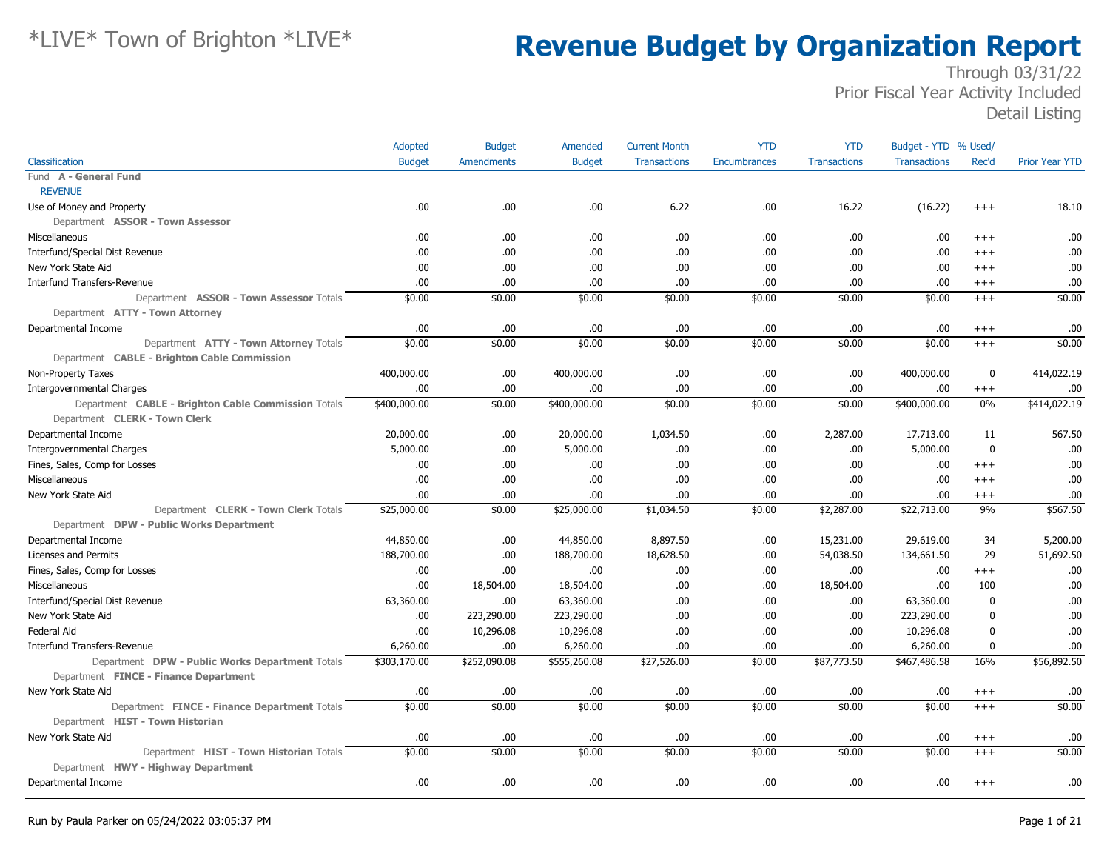|                                                     | Adopted       | <b>Budget</b>     | Amended       | <b>Current Month</b> | <b>YTD</b>   | <b>YTD</b>          | Budget - YTD % Used/ |                  |                       |
|-----------------------------------------------------|---------------|-------------------|---------------|----------------------|--------------|---------------------|----------------------|------------------|-----------------------|
| Classification                                      | <b>Budget</b> | <b>Amendments</b> | <b>Budget</b> | <b>Transactions</b>  | Encumbrances | <b>Transactions</b> | <b>Transactions</b>  | Rec'd            | <b>Prior Year YTD</b> |
| Fund A - General Fund                               |               |                   |               |                      |              |                     |                      |                  |                       |
| <b>REVENUE</b>                                      |               |                   |               |                      |              |                     |                      |                  |                       |
| Use of Money and Property                           | .00           | .00.              | .00           | 6.22                 | .00          | 16.22               | (16.22)              | $+++$            | 18.10                 |
| Department ASSOR - Town Assessor                    |               |                   |               |                      |              |                     |                      |                  |                       |
| Miscellaneous                                       | .00.          | .00               | .00           | .00.                 | .00          | .00                 | .00                  | $^{+++}$         | .00                   |
| Interfund/Special Dist Revenue                      | .00           | .00.              | .00           | .00.                 | .00          | .00.                | .00                  | $+++$            | .00                   |
| New York State Aid                                  | .00           | .00.              | .00           | .00.                 | .00          | .00.                | .00                  | $+++$            | .00                   |
| <b>Interfund Transfers-Revenue</b>                  | .00           | .00.              | .00           | .00.                 | .00          | .00.                | .00                  | $^{+++}$         | .00                   |
| Department ASSOR - Town Assessor Totals             | \$0.00        | \$0.00            | \$0.00        | \$0.00               | \$0.00       | \$0.00              | \$0.00               | $+++$            | \$0.00                |
| Department ATTY - Town Attorney                     |               |                   |               |                      |              |                     |                      |                  |                       |
| Departmental Income                                 | .00           | .00               | .00           | .00                  | .00          | .00.                | .00                  | $^{+++}$         | .00                   |
| Department ATTY - Town Attorney Totals              | \$0.00        | \$0.00            | \$0.00        | \$0.00               | \$0.00       | \$0.00              | \$0.00               | $^{+++}$         | \$0.00                |
| Department CABLE - Brighton Cable Commission        |               |                   |               |                      |              |                     |                      |                  |                       |
| Non-Property Taxes                                  | 400,000.00    | .00.              | 400,000.00    | .00.                 | .00          | .00.                | 400,000.00           | $\mathbf 0$      | 414,022.19            |
| <b>Intergovernmental Charges</b>                    | .00           | .00.              | .00           | .00.                 | .00          | .00                 | .00                  | $^{+++}$         | .00                   |
| Department CABLE - Brighton Cable Commission Totals | \$400,000.00  | \$0.00            | \$400,000.00  | \$0.00               | \$0.00       | \$0.00              | \$400,000.00         | $0\%$            | \$414,022.19          |
| Department CLERK - Town Clerk                       |               |                   |               |                      |              |                     |                      |                  |                       |
| Departmental Income                                 | 20,000.00     | .00.              | 20,000.00     | 1,034.50             | .00          | 2,287.00            | 17,713.00            | 11               | 567.50                |
| <b>Intergovernmental Charges</b>                    | 5,000.00      | .00.              | 5,000.00      | .00.                 | .00          | .00.                | 5,000.00             | $\mathbf 0$      | .00                   |
| Fines, Sales, Comp for Losses                       | .00           | .00.              | .00           | .00.                 | .00          | .00.                | .00                  | $^{+++}$         | .00                   |
| Miscellaneous                                       | .00           | .00.              | .00           | .00                  | .00          | .00.                | .00                  | $+++$            | .00                   |
| New York State Aid                                  | .00           | .00.              | .00           | .00.                 | .00          | .00.                | .00                  | $^{+++}$         | .00                   |
| Department CLERK - Town Clerk Totals                | \$25,000.00   | \$0.00            | \$25,000.00   | \$1,034.50           | \$0.00       | \$2,287.00          | \$22,713.00          | 9%               | \$567.50              |
| Department DPW - Public Works Department            |               |                   |               |                      |              |                     |                      |                  |                       |
| Departmental Income                                 | 44,850.00     | .00.              | 44,850.00     | 8,897.50             | .00          | 15,231.00           | 29,619.00            | 34               | 5,200.00              |
| Licenses and Permits                                | 188,700.00    | .00.              | 188,700.00    | 18,628.50            | .00          | 54,038.50           | 134,661.50           | 29               | 51,692.50             |
| Fines, Sales, Comp for Losses                       | .00.          | .00.              | .00           | .00.                 | .00          | .00.                | .00                  | $^{+++}$         | .00                   |
| Miscellaneous                                       | .00           | 18,504.00         | 18,504.00     | .00                  | .00          | 18,504.00           | .00                  | 100              | .00                   |
| Interfund/Special Dist Revenue                      | 63,360.00     | .00.              | 63,360.00     | .00                  | .00          | .00.                | 63,360.00            | $\mathbf 0$      | .00                   |
| New York State Aid                                  | .00           | 223,290.00        | 223,290.00    | .00.                 | .00          | .00.                | 223,290.00           | $\boldsymbol{0}$ | .00                   |
| Federal Aid                                         | .00           | 10,296.08         | 10,296.08     | .00.                 | .00          | .00                 | 10,296.08            | $\mathbf{0}$     | .00                   |
| <b>Interfund Transfers-Revenue</b>                  | 6,260.00      | .00.              | 6,260.00      | .00.                 | .00          | .00.                | 6,260.00             | $\mathbf 0$      | .00                   |
| Department DPW - Public Works Department Totals     | \$303,170.00  | \$252,090.08      | \$555,260.08  | \$27,526.00          | \$0.00       | \$87,773.50         | \$467,486.58         | 16%              | \$56,892.50           |
| Department FINCE - Finance Department               |               |                   |               |                      |              |                     |                      |                  |                       |
| New York State Aid                                  | .00           | .00               | .00           | .00.                 | .00          | .00.                | .00                  | $^{+++}$         | .00                   |
| Department FINCE - Finance Department Totals        | \$0.00        | \$0.00            | \$0.00        | \$0.00               | \$0.00       | \$0.00              | \$0.00               | $+++$            | \$0.00                |
| Department HIST - Town Historian                    |               |                   |               |                      |              |                     |                      |                  |                       |
| New York State Aid                                  | .00           | .00.              | .00           | .00.                 | .00          | .00.                | .00                  | $^{+++}$         | .00                   |
| Department HIST - Town Historian Totals             | \$0.00        | \$0.00            | \$0.00        | \$0.00               | \$0.00       | \$0.00              | \$0.00               | $+++$            | \$0.00                |
| Department HWY - Highway Department                 |               |                   |               |                      |              |                     |                      |                  |                       |
| Departmental Income                                 | .00           | .00.              | .00           | .00.                 | .00          | .00.                | .00                  | $^{+++}$         | .00                   |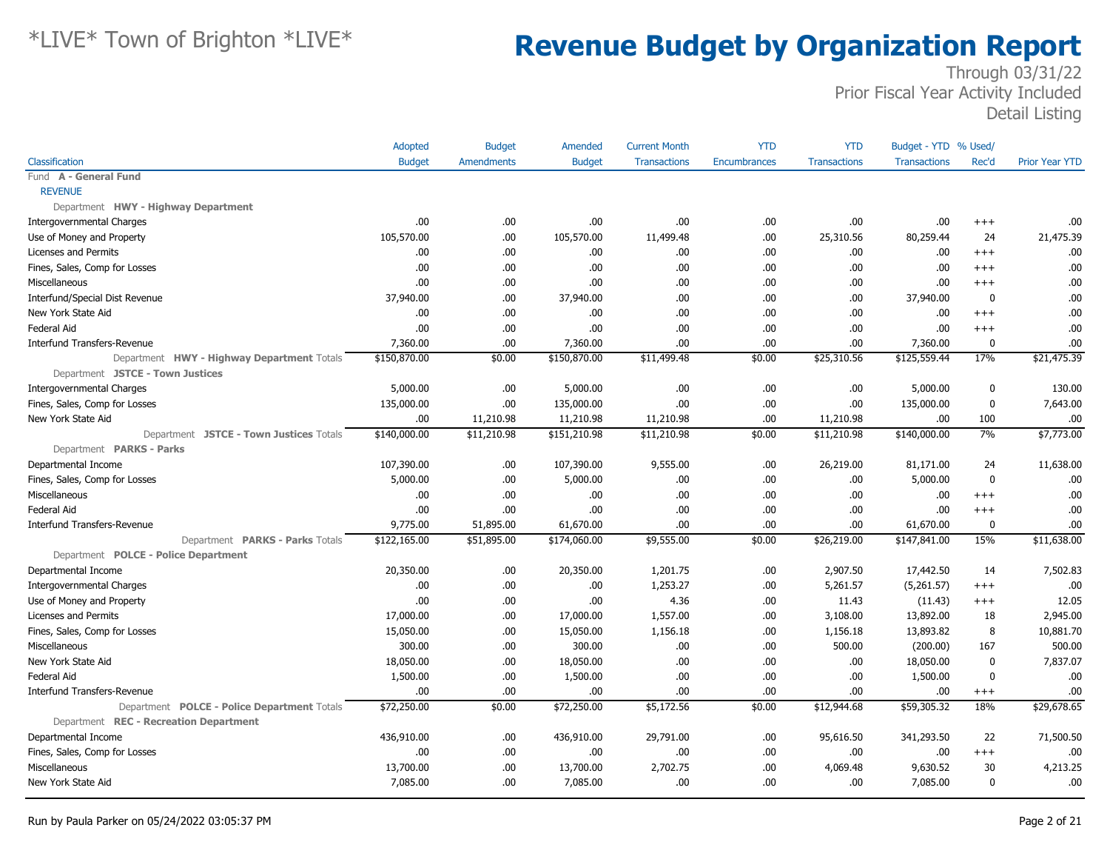|                                             | Adopted       | <b>Budget</b>     | Amended       | <b>Current Month</b> | <b>YTD</b>          | <b>YTD</b>          | Budget - YTD % Used/ |             |                       |
|---------------------------------------------|---------------|-------------------|---------------|----------------------|---------------------|---------------------|----------------------|-------------|-----------------------|
| Classification                              | <b>Budget</b> | <b>Amendments</b> | <b>Budget</b> | <b>Transactions</b>  | <b>Encumbrances</b> | <b>Transactions</b> | <b>Transactions</b>  | Rec'd       | <b>Prior Year YTD</b> |
| Fund A - General Fund                       |               |                   |               |                      |                     |                     |                      |             |                       |
| <b>REVENUE</b>                              |               |                   |               |                      |                     |                     |                      |             |                       |
| Department HWY - Highway Department         |               |                   |               |                      |                     |                     |                      |             |                       |
| Intergovernmental Charges                   | .00           | .00               | .00.          | .00                  | .00                 | .00                 | .00                  | $^{+++}$    | .00                   |
| Use of Money and Property                   | 105,570.00    | .00.              | 105,570.00    | 11,499.48            | .00                 | 25,310.56           | 80,259.44            | 24          | 21,475.39             |
| Licenses and Permits                        | .00.          | .00               | .00.          | .00                  | .00                 | .00                 | .00                  | $^{+++}$    | .00                   |
| Fines, Sales, Comp for Losses               | .00.          | .00.              | .00.          | .00                  | .00                 | .00                 | .00                  | $^{++}$     | .00                   |
| Miscellaneous                               | .00           | .00.              | .00           | .00.                 | .00                 | .00                 | .00                  | $^{++}$     | .00.                  |
| Interfund/Special Dist Revenue              | 37,940.00     | .00.              | 37,940.00     | .00                  | .00                 | .00                 | 37,940.00            | 0           | .00                   |
| New York State Aid                          | .00.          | .00.              | .00.          | .00.                 | .00                 | .00.                | .00                  | $^{+++}$    | .00                   |
| <b>Federal Aid</b>                          | .00           | .00               | .00           | .00                  | .00                 | .00                 | .00                  | $+++$       | .00                   |
| Interfund Transfers-Revenue                 | 7,360.00      | .00               | 7,360.00      | .00                  | .00                 | .00                 | 7,360.00             | $\mathbf 0$ | .00                   |
| Department HWY - Highway Department Totals  | \$150,870.00  | \$0.00            | \$150,870.00  | \$11,499.48          | \$0.00              | \$25,310.56         | \$125,559.44         | 17%         | \$21,475.39           |
| Department JSTCE - Town Justices            |               |                   |               |                      |                     |                     |                      |             |                       |
| <b>Intergovernmental Charges</b>            | 5,000.00      | .00.              | 5,000.00      | .00                  | .00                 | .00                 | 5,000.00             | 0           | 130.00                |
| Fines, Sales, Comp for Losses               | 135,000.00    | .00               | 135,000.00    | .00                  | .00                 | .00                 | 135,000.00           | $\mathbf 0$ | 7,643.00              |
| New York State Aid                          | .00           | 11,210.98         | 11,210.98     | 11,210.98            | .00                 | 11,210.98           | .00.                 | 100         | .00                   |
| Department JSTCE - Town Justices Totals     | \$140,000.00  | \$11,210.98       | \$151,210.98  | \$11,210.98          | \$0.00              | \$11,210.98         | \$140,000.00         | 7%          | \$7,773.00            |
| Department PARKS - Parks                    |               |                   |               |                      |                     |                     |                      |             |                       |
| Departmental Income                         | 107,390.00    | .00.              | 107,390.00    | 9,555.00             | .00                 | 26,219.00           | 81,171.00            | 24          | 11,638.00             |
| Fines, Sales, Comp for Losses               | 5,000.00      | .00.              | 5,000.00      | .00                  | .00                 | .00                 | 5,000.00             | $\mathbf 0$ | .00                   |
| Miscellaneous                               | .00.          | .00.              | .00.          | .00                  | .00                 | .00                 | .00                  | $^{+++}$    | .00                   |
| <b>Federal Aid</b>                          | .00           | .00.              | .00           | .00                  | .00                 | .00                 | .00                  | $^{+++}$    | .00                   |
| <b>Interfund Transfers-Revenue</b>          | 9,775.00      | 51,895.00         | 61,670.00     | .00.                 | .00                 | .00.                | 61,670.00            | 0           | .00                   |
| Department PARKS - Parks Totals             | \$122,165.00  | \$51,895.00       | \$174,060.00  | \$9,555.00           | \$0.00              | \$26,219.00         | \$147,841.00         | 15%         | \$11,638.00           |
| Department POLCE - Police Department        |               |                   |               |                      |                     |                     |                      |             |                       |
| Departmental Income                         | 20,350.00     | .00               | 20,350.00     | 1,201.75             | .00                 | 2,907.50            | 17,442.50            | 14          | 7,502.83              |
| <b>Intergovernmental Charges</b>            | .00.          | .00.              | .00.          | 1,253.27             | .00                 | 5,261.57            | (5,261.57)           | $^{+++}$    | .00                   |
| Use of Money and Property                   | .00.          | .00.              | .00           | 4.36                 | .00                 | 11.43               | (11.43)              | $^{+++}$    | 12.05                 |
| <b>Licenses and Permits</b>                 | 17,000.00     | .00.              | 17,000.00     | 1,557.00             | .00                 | 3,108.00            | 13,892.00            | 18          | 2,945.00              |
| Fines, Sales, Comp for Losses               | 15,050.00     | .00.              | 15,050.00     | 1,156.18             | .00                 | 1,156.18            | 13,893.82            | 8           | 10,881.70             |
| Miscellaneous                               | 300.00        | .00.              | 300.00        | .00                  | .00                 | 500.00              | (200.00)             | 167         | 500.00                |
| New York State Aid                          | 18,050.00     | .00.              | 18,050.00     | .00                  | .00                 | .00                 | 18,050.00            | $\mathbf 0$ | 7,837.07              |
| <b>Federal Aid</b>                          | 1,500.00      | .00.              | 1,500.00      | .00                  | .00                 | .00                 | 1,500.00             | $\mathbf 0$ | .00                   |
| <b>Interfund Transfers-Revenue</b>          | .00.          | .00.              | .00.          | .00.                 | .00                 | .00                 | .00                  | $^{+++}$    | .00                   |
| Department POLCE - Police Department Totals | \$72,250.00   | \$0.00            | \$72,250.00   | \$5,172.56           | \$0.00              | \$12,944.68         | \$59,305.32          | 18%         | \$29,678.65           |
| Department REC - Recreation Department      |               |                   |               |                      |                     |                     |                      |             |                       |
| Departmental Income                         | 436,910.00    | .00.              | 436,910.00    | 29,791.00            | .00.                | 95,616.50           | 341,293.50           | 22          | 71,500.50             |
| Fines, Sales, Comp for Losses               | .00.          | .00.              | .00.          | .00                  | .00                 | .00                 | .00                  | $^{+++}$    | .00                   |
| Miscellaneous                               | 13,700.00     | .00               | 13,700.00     | 2,702.75             | .00                 | 4,069.48            | 9,630.52             | 30          | 4,213.25              |
| New York State Aid                          | 7,085.00      | .00               | 7,085.00      | .00                  | .00                 | .00                 | 7,085.00             | $\mathbf 0$ | .00.                  |
|                                             |               |                   |               |                      |                     |                     |                      |             |                       |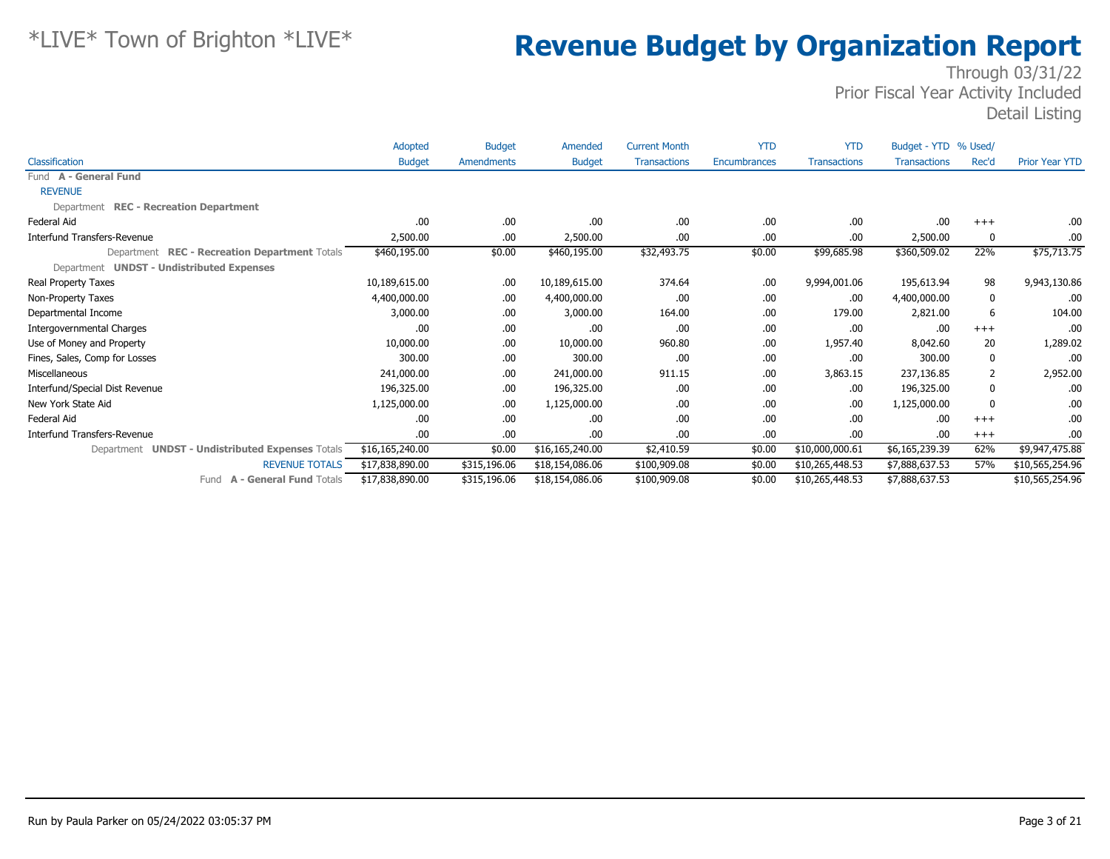|                                                  | Adopted         | <b>Budget</b> | Amended         | <b>Current Month</b> | <b>YTD</b>          | <b>YTD</b>          | Budget - YTD % Used/ |       |                       |
|--------------------------------------------------|-----------------|---------------|-----------------|----------------------|---------------------|---------------------|----------------------|-------|-----------------------|
| Classification                                   | <b>Budget</b>   | Amendments    | <b>Budget</b>   | <b>Transactions</b>  | <b>Encumbrances</b> | <b>Transactions</b> | <b>Transactions</b>  | Rec'd | <b>Prior Year YTD</b> |
| Fund A - General Fund                            |                 |               |                 |                      |                     |                     |                      |       |                       |
| <b>REVENUE</b>                                   |                 |               |                 |                      |                     |                     |                      |       |                       |
| Department REC - Recreation Department           |                 |               |                 |                      |                     |                     |                      |       |                       |
| Federal Aid                                      | .00             | .00           | .00.            | .00                  | .00                 | .00                 | .00                  | $+++$ | .00.                  |
| <b>Interfund Transfers-Revenue</b>               | 2,500.00        | .00.          | 2,500.00        | .00                  | .00                 | .00                 | 2,500.00             | 0     | .00.                  |
| Department REC - Recreation Department Totals    | \$460,195.00    | \$0.00        | \$460,195.00    | \$32,493.75          | \$0.00              | \$99,685.98         | \$360,509.02         | 22%   | \$75,713.75           |
| Department UNDST - Undistributed Expenses        |                 |               |                 |                      |                     |                     |                      |       |                       |
| Real Property Taxes                              | 10,189,615.00   | .00.          | 10,189,615.00   | 374.64               | .00                 | 9,994,001.06        | 195,613.94           | 98    | 9,943,130.86          |
| Non-Property Taxes                               | 4,400,000.00    | .00.          | 4,400,000.00    | .00                  | .00                 | .00                 | 4,400,000.00         | 0     | .00                   |
| Departmental Income                              | 3,000.00        | .00.          | 3,000.00        | 164.00               | .00                 | 179.00              | 2,821.00             | 6     | 104.00                |
| <b>Intergovernmental Charges</b>                 | .00             | .00.          | .00.            | .00                  | .00                 | .00                 | .00                  | $+++$ | .00                   |
| Use of Money and Property                        | 10,000.00       | .00.          | 10,000.00       | 960.80               | .00                 | 1,957.40            | 8,042.60             | 20    | 1,289.02              |
| Fines, Sales, Comp for Losses                    | 300.00          | .00.          | 300.00          | .00                  | .00                 | .00                 | 300.00               | 0     | .00                   |
| Miscellaneous                                    | 241,000.00      | .00.          | 241,000.00      | 911.15               | .00                 | 3,863.15            | 237,136.85           | 2     | 2,952.00              |
| Interfund/Special Dist Revenue                   | 196,325.00      | .00.          | 196,325.00      | .00                  | .00                 | .00                 | 196,325.00           | 0     | .00                   |
| New York State Aid                               | 1,125,000.00    | .00.          | 1,125,000.00    | .00                  | .00                 | .00                 | 1,125,000.00         | 0     | .00                   |
| Federal Aid                                      | .00             | .00.          | .00.            | .00                  | .00                 | .00                 | .00                  | $+++$ | .00                   |
| <b>Interfund Transfers-Revenue</b>               | .00             | .00.          | .00.            | .00                  | .00                 | .00                 | .00                  | $+++$ | .00.                  |
| Department UNDST - Undistributed Expenses Totals | \$16,165,240.00 | \$0.00        | \$16,165,240.00 | \$2,410.59           | \$0.00              | \$10,000,000.61     | \$6,165,239.39       | 62%   | \$9,947,475.88        |
| <b>REVENUE TOTALS</b>                            | \$17,838,890.00 | \$315,196.06  | \$18,154,086.06 | \$100,909.08         | \$0.00              | \$10,265,448.53     | \$7,888,637.53       | 57%   | \$10,565,254.96       |
| <b>A - General Fund Totals</b><br>Fund           | \$17,838,890.00 | \$315,196.06  | \$18,154,086.06 | \$100,909.08         | \$0.00              | \$10,265,448.53     | \$7,888,637.53       |       | \$10,565,254.96       |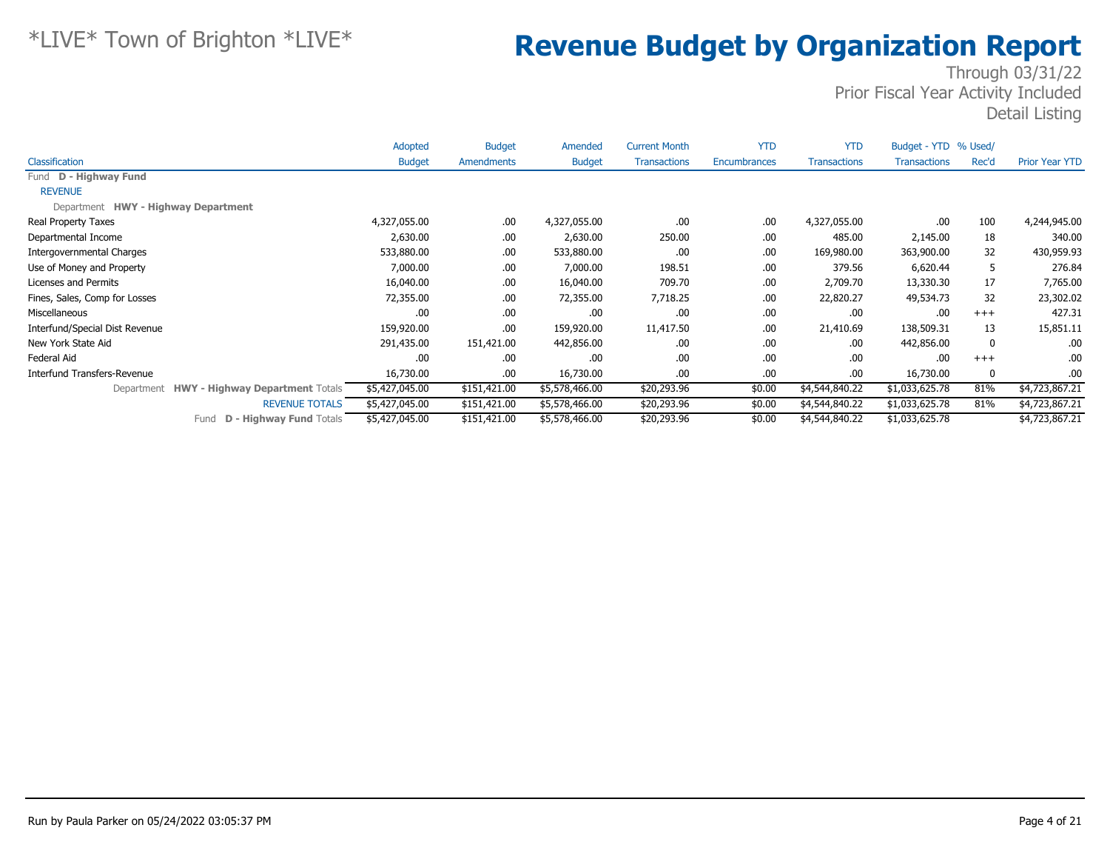|                                                      | Adopted        | <b>Budget</b> | Amended        | <b>Current Month</b> | <b>YTD</b>   | <b>YTD</b>          | Budget - YTD % Used/ |       |                       |
|------------------------------------------------------|----------------|---------------|----------------|----------------------|--------------|---------------------|----------------------|-------|-----------------------|
| Classification                                       | <b>Budget</b>  | Amendments    | <b>Budget</b>  | <b>Transactions</b>  | Encumbrances | <b>Transactions</b> | <b>Transactions</b>  | Rec'd | <b>Prior Year YTD</b> |
| Fund D - Highway Fund                                |                |               |                |                      |              |                     |                      |       |                       |
| <b>REVENUE</b>                                       |                |               |                |                      |              |                     |                      |       |                       |
| Department HWY - Highway Department                  |                |               |                |                      |              |                     |                      |       |                       |
| Real Property Taxes                                  | 4,327,055.00   | .00.          | 4,327,055.00   | .00.                 | .00          | 4,327,055.00        | .00                  | 100   | 4,244,945.00          |
| Departmental Income                                  | 2,630.00       | .00.          | 2,630.00       | 250.00               | .00.         | 485.00              | 2,145.00             | 18    | 340.00                |
| Intergovernmental Charges                            | 533,880.00     | .00.          | 533,880.00     | .00.                 | .00          | 169,980.00          | 363,900.00           | 32    | 430,959.93            |
| Use of Money and Property                            | 7,000.00       | .00.          | 7,000.00       | 198.51               | .00          | 379.56              | 6,620.44             | 5     | 276.84                |
| Licenses and Permits                                 | 16,040.00      | .00.          | 16,040.00      | 709.70               | .00          | 2,709.70            | 13,330.30            | 17    | 7,765.00              |
| Fines, Sales, Comp for Losses                        | 72,355.00      | .00.          | 72,355.00      | 7,718.25             | .00          | 22,820.27           | 49,534.73            | 32    | 23,302.02             |
| Miscellaneous                                        | .00            | .00.          | .00.           | .00.                 | .00          | .00.                | .00                  | $+++$ | 427.31                |
| Interfund/Special Dist Revenue                       | 159,920.00     | .00.          | 159,920.00     | 11,417.50            | .00          | 21,410.69           | 138,509.31           | 13    | 15,851.11             |
| New York State Aid                                   | 291,435.00     | 151,421.00    | 442,856.00     | .00.                 | .00          | .00.                | 442,856.00           | 0     | .00                   |
| Federal Aid                                          | .00            | .00.          | .00.           | .00.                 | .00          | .00.                | .00                  | $+++$ | .00                   |
| Interfund Transfers-Revenue                          | 16,730.00      | .00.          | 16,730.00      | .00.                 | .00          | .00.                | 16,730.00            | 0     | .00                   |
| <b>HWY - Highway Department Totals</b><br>Department | \$5,427,045.00 | \$151,421.00  | \$5,578,466.00 | \$20,293.96          | \$0.00       | \$4,544,840.22      | \$1,033,625.78       | 81%   | \$4,723,867.21        |
| <b>REVENUE TOTALS</b>                                | \$5,427,045.00 | \$151,421.00  | \$5,578,466.00 | \$20,293.96          | \$0.00       | \$4,544,840.22      | \$1,033,625.78       | 81%   | \$4,723,867.21        |
| <b>D - Highway Fund Totals</b><br>Fund               | \$5,427,045.00 | \$151,421.00  | \$5,578,466.00 | \$20,293.96          | \$0.00       | \$4,544,840.22      | \$1,033,625.78       |       | \$4,723,867.21        |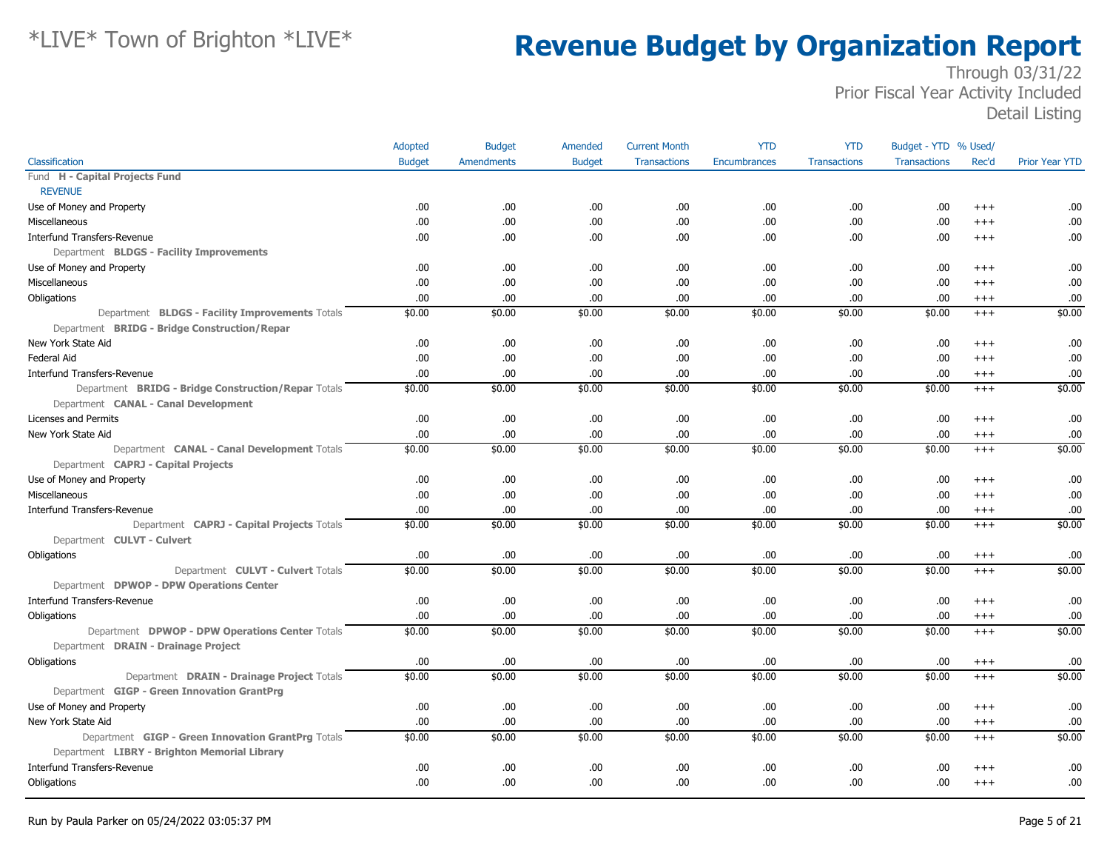|                                                     | Adopted       | <b>Budget</b>     | Amended       | <b>Current Month</b> | <b>YTD</b>   | <b>YTD</b>          | Budget - YTD % Used/ |          |                       |
|-----------------------------------------------------|---------------|-------------------|---------------|----------------------|--------------|---------------------|----------------------|----------|-----------------------|
| Classification                                      | <b>Budget</b> | <b>Amendments</b> | <b>Budget</b> | <b>Transactions</b>  | Encumbrances | <b>Transactions</b> | <b>Transactions</b>  | Rec'd    | <b>Prior Year YTD</b> |
| Fund H - Capital Projects Fund                      |               |                   |               |                      |              |                     |                      |          |                       |
| <b>REVENUE</b>                                      |               |                   |               |                      |              |                     |                      |          |                       |
| Use of Money and Property                           | .00.          | .00.              | .00           | .00                  | .00.         | .00.                | .00.                 | $+++$    | .00                   |
| Miscellaneous                                       | .00.          | .00.              | .00.          | .00                  | .00.         | .00                 | .00.                 | $^{+++}$ | .00                   |
| Interfund Transfers-Revenue                         | .00           | .00.              | .00.          | .00                  | .00.         | .00                 | .00.                 | $^{+++}$ | .00                   |
| Department BLDGS - Facility Improvements            |               |                   |               |                      |              |                     |                      |          |                       |
| Use of Money and Property                           | .00           | .00.              | .00.          | .00.                 | .00.         | .00                 | .00                  | $+++$    | .00                   |
| Miscellaneous                                       | .00           | .00.              | .00           | .00.                 | .00.         | .00.                | .00.                 | $+++$    | .00                   |
| Obligations                                         | .00.          | .00.              | .00           | .00                  | .00.         | .00.                | .00.                 | $+++$    | .00                   |
| Department BLDGS - Facility Improvements Totals     | \$0.00        | \$0.00            | \$0.00        | \$0.00               | \$0.00       | \$0.00              | \$0.00               | $^{+++}$ | \$0.00                |
| Department BRIDG - Bridge Construction/Repar        |               |                   |               |                      |              |                     |                      |          |                       |
| New York State Aid                                  | .00           | .00.              | .00.          | .00                  | .00.         | .00                 | .00.                 | $^{+++}$ | .00                   |
| Federal Aid                                         | .00.          | .00               | .00           | .00                  | .00.         | .00.                | .00.                 | $+++$    | .00                   |
| <b>Interfund Transfers-Revenue</b>                  | .00           | .00.              | .00.          | .00                  | .00.         | .00.                | .00.                 | $+++$    | .00                   |
| Department BRIDG - Bridge Construction/Repar Totals | \$0.00        | \$0.00            | \$0.00        | \$0.00               | \$0.00       | \$0.00              | \$0.00               | $^{+++}$ | \$0.00                |
| Department CANAL - Canal Development                |               |                   |               |                      |              |                     |                      |          |                       |
| Licenses and Permits                                | .00.          | .00.              | .00.          | .00.                 | .00.         | .00                 | .00.                 | $+++$    | .00                   |
| New York State Aid                                  | .00           | .00               | .00           | .00                  | .00.         | .00.                | .00.                 | $^{+++}$ | .00                   |
| Department CANAL - Canal Development Totals         | \$0.00        | \$0.00            | \$0.00        | \$0.00               | \$0.00       | \$0.00              | \$0.00               | $+++$    | \$0.00                |
| Department CAPRJ - Capital Projects                 |               |                   |               |                      |              |                     |                      |          |                       |
| Use of Money and Property                           | .00           | .00.              | .00.          | .00.                 | .00.         | .00                 | .00.                 | $+++$    | .00                   |
| Miscellaneous                                       | .00           | .00               | .00           | .00                  | .00          | .00                 | .00.                 | $+++$    | .00                   |
| <b>Interfund Transfers-Revenue</b>                  | .00.          | .00.              | .00.          | .00                  | .00.         | .00.                | .00.                 | $^{+++}$ | .00                   |
| Department CAPRJ - Capital Projects Totals          | \$0.00        | \$0.00            | \$0.00        | \$0.00               | \$0.00       | \$0.00              | \$0.00               | $+++$    | \$0.00                |
| Department CULVT - Culvert                          |               |                   |               |                      |              |                     |                      |          |                       |
| Obligations                                         | .00           | .00               | .00           | .00                  | .00.         | .00.                | .00.                 | $^{+++}$ | .00                   |
| Department CULVT - Culvert Totals                   | \$0.00        | \$0.00            | \$0.00        | \$0.00               | \$0.00       | \$0.00              | \$0.00               | $+++$    | \$0.00                |
| Department DPWOP - DPW Operations Center            |               |                   |               |                      |              |                     |                      |          |                       |
| Interfund Transfers-Revenue                         | .00           | .00.              | .00           | .00                  | .00.         | .00                 | .00.                 | $+++$    | .00                   |
| Obligations                                         | .00           | .00.              | .00           | .00                  | .00.         | .00                 | .00.                 | $^{+++}$ | .00                   |
| Department DPWOP - DPW Operations Center Totals     | \$0.00        | \$0.00            | \$0.00        | \$0.00               | \$0.00       | \$0.00              | \$0.00               | $^{+++}$ | \$0.00                |
| Department DRAIN - Drainage Project                 |               |                   |               |                      |              |                     |                      |          |                       |
| Obligations                                         | .00           | .00               | .00           | .00                  | .00.         | .00.                | .00.                 | $^{+++}$ | .00                   |
| Department DRAIN - Drainage Project Totals          | \$0.00        | \$0.00            | \$0.00        | \$0.00               | \$0.00       | \$0.00              | \$0.00               | $+++$    | \$0.00                |
| Department GIGP - Green Innovation GrantPrg         |               |                   |               |                      |              |                     |                      |          |                       |
| Use of Money and Property                           | .00.          | .00.              | .00.          | .00                  | .00.         | .00                 | .00.                 | $^{+++}$ | .00                   |
| New York State Aid                                  | .00           | .00               | .00.          | .00                  | .00.         | .00                 | .00.                 | $^{+++}$ | .00                   |
| Department GIGP - Green Innovation GrantPrg Totals  | \$0.00        | \$0.00            | \$0.00        | \$0.00               | \$0.00       | \$0.00              | \$0.00               | $^{+++}$ | \$0.00                |
| Department LIBRY - Brighton Memorial Library        |               |                   |               |                      |              |                     |                      |          |                       |
| <b>Interfund Transfers-Revenue</b>                  | .00           | .00               | .00           | .00                  | .00          | .00                 | .00.                 | $++++$   | .00                   |
| Obligations                                         | .00           | .00               | .00.          | .00                  | .00.         | .00                 | .00.                 | $^{+++}$ | .00                   |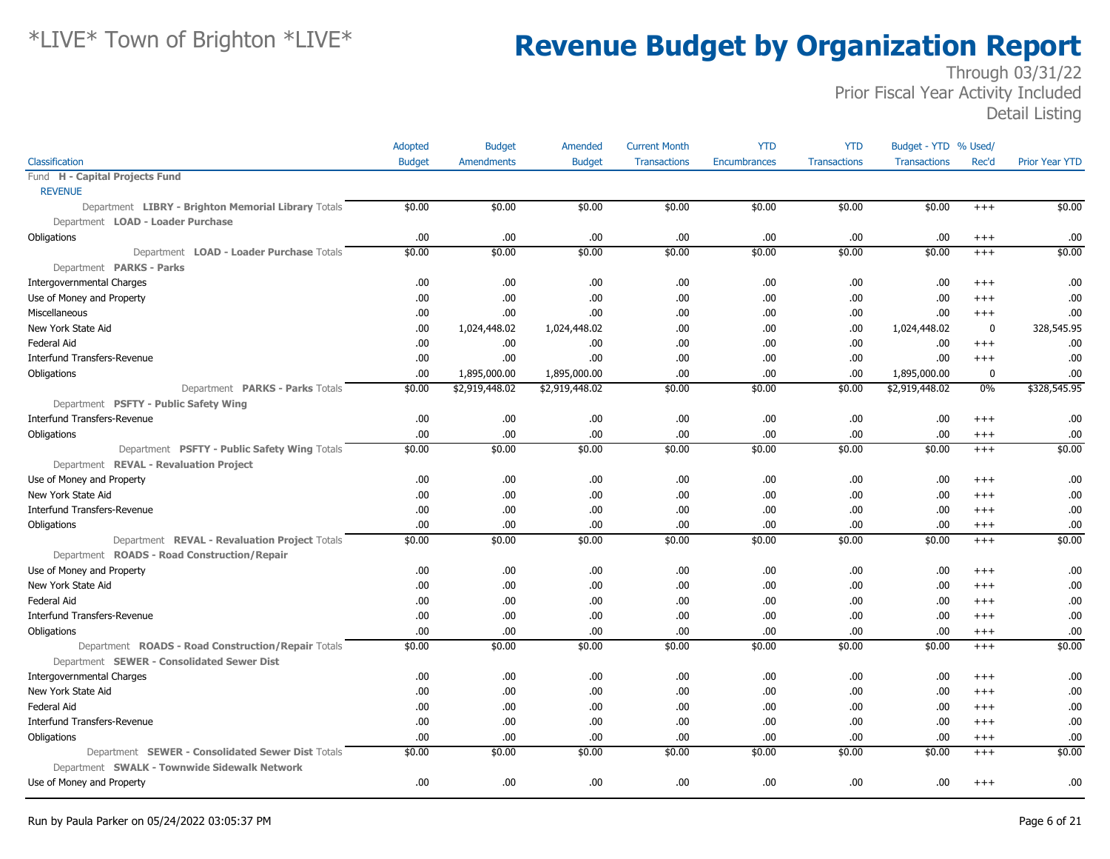|                                                     | Adopted       | <b>Budget</b>     | Amended        | <b>Current Month</b> | <b>YTD</b>          | <b>YTD</b>          | Budget - YTD % Used/ |          |                       |
|-----------------------------------------------------|---------------|-------------------|----------------|----------------------|---------------------|---------------------|----------------------|----------|-----------------------|
| Classification                                      | <b>Budget</b> | <b>Amendments</b> | <b>Budget</b>  | <b>Transactions</b>  | <b>Encumbrances</b> | <b>Transactions</b> | <b>Transactions</b>  | Rec'd    | <b>Prior Year YTD</b> |
| Fund H - Capital Projects Fund                      |               |                   |                |                      |                     |                     |                      |          |                       |
| <b>REVENUE</b>                                      |               |                   |                |                      |                     |                     |                      |          |                       |
| Department LIBRY - Brighton Memorial Library Totals | \$0.00        | \$0.00            | \$0.00         | \$0.00               | \$0.00              | \$0.00              | \$0.00               | $+++$    | \$0.00                |
| Department LOAD - Loader Purchase                   |               |                   |                |                      |                     |                     |                      |          |                       |
| Obligations                                         | .00.          | .00               | .00            | .00                  | .00                 | .00                 | .00.                 | $^{+++}$ | .00                   |
| Department LOAD - Loader Purchase Totals            | \$0.00        | \$0.00            | \$0.00         | \$0.00               | \$0.00              | \$0.00              | \$0.00               | $^{+++}$ | \$0.00                |
| Department PARKS - Parks                            |               |                   |                |                      |                     |                     |                      |          |                       |
| <b>Intergovernmental Charges</b>                    | .00.          | .00               | .00.           | .00                  | .00.                | .00                 | .00                  | $^{++}$  | .00                   |
| Use of Money and Property                           | .00.          | .00               | .00.           | .00                  | .00.                | .00                 | .00.                 | $^{+++}$ | .00                   |
| Miscellaneous                                       | .00.          | .00               | .00.           | .00                  | .00.                | .00                 | .00.                 | $^{+++}$ | .00                   |
| New York State Aid                                  | .00.          | 1,024,448.02      | 1,024,448.02   | .00                  | .00                 | .00                 | 1,024,448.02         | $\bf{0}$ | 328,545.95            |
| <b>Federal Aid</b>                                  | .00.          | .00.              | .00.           | .00                  | .00                 | .00                 | .00.                 | $^{++}$  | .00                   |
| Interfund Transfers-Revenue                         | .00.          | .00               | .00.           | .00                  | .00                 | .00                 | .00.                 | $^{+++}$ | .00                   |
| Obligations                                         | .00.          | 1,895,000.00      | 1,895,000.00   | .00                  | .00.                | .00                 | 1,895,000.00         | 0        | .00                   |
| Department PARKS - Parks Totals                     | \$0.00        | \$2,919,448.02    | \$2,919,448.02 | \$0.00               | \$0.00              | \$0.00              | \$2,919,448.02       | $0\%$    | \$328,545.95          |
| Department PSFTY - Public Safety Wing               |               |                   |                |                      |                     |                     |                      |          |                       |
| Interfund Transfers-Revenue                         | .00.          | .00               | .00.           | .00                  | .00.                | .00                 | .00.                 | $^{+++}$ | .00                   |
| Obligations                                         | .00.          | .00               | .00.           | .00                  | .00                 | .00                 | .00.                 | $^{+++}$ | .00                   |
| Department PSFTY - Public Safety Wing Totals        | \$0.00        | \$0.00            | \$0.00         | \$0.00               | \$0.00              | \$0.00              | \$0.00               | $+++$    | \$0.00                |
| Department REVAL - Revaluation Project              |               |                   |                |                      |                     |                     |                      |          |                       |
| Use of Money and Property                           | .00.          | .00               | .00.           | .00                  | .00.                | .00                 | .00.                 | $^{++}$  | .00                   |
| New York State Aid                                  | .00           | .00               | .00.           | .00                  | .00                 | .00                 | .00.                 | $^{+++}$ | .00                   |
| <b>Interfund Transfers-Revenue</b>                  | .00           | .00               | .00.           | .00                  | .00.                | .00                 | .00.                 | $^{++}$  | .00                   |
| Obligations                                         | .00.          | .00               | .00.           | .00                  | .00.                | .00                 | .00.                 | $^{+++}$ | .00                   |
| Department REVAL - Revaluation Project Totals       | \$0.00        | \$0.00            | \$0.00         | \$0.00               | \$0.00              | \$0.00              | \$0.00               | $^{+++}$ | \$0.00                |
| Department ROADS - Road Construction/Repair         |               |                   |                |                      |                     |                     |                      |          |                       |
| Use of Money and Property                           | .00           | .00               | .00.           | .00                  | .00.                | .00                 | .00.                 | $^{+++}$ | .00                   |
| New York State Aid                                  | .00.          | .00               | .00.           | .00                  | .00.                | .00                 | .00.                 | $^{++}$  | .00                   |
| <b>Federal Aid</b>                                  | 00.           | .00               | .00.           | .00                  | .00                 | .00                 | .00.                 | $^{++}$  | .00                   |
| <b>Interfund Transfers-Revenue</b>                  | .00           | .00               | .00.           | .00                  | .00                 | .00                 | .00.                 | $^{++}$  | .00                   |
| Obligations                                         | .00.          | .00               | .00.           | .00                  | .00.                | .00                 | .00.                 | $^{+++}$ | .00                   |
| Department ROADS - Road Construction/Repair Totals  | \$0.00        | \$0.00            | \$0.00         | \$0.00               | \$0.00              | \$0.00              | \$0.00               | $+++$    | \$0.00                |
| Department SEWER - Consolidated Sewer Dist          |               |                   |                |                      |                     |                     |                      |          |                       |
| <b>Intergovernmental Charges</b>                    | .00           | .00               | .00.           | .00                  | .00.                | .00                 | .00.                 | $^{+++}$ | .00                   |
| New York State Aid                                  | .00.          | .00               | .00.           | .00                  | .00.                | .00                 | .00.                 | $^{++}$  | .00                   |
| Federal Aid                                         | .00.          | .00               | .00.           | .00                  | .00.                | .00                 | .00.                 | $^{++}$  | .00                   |
| <b>Interfund Transfers-Revenue</b>                  | 00.           | .00               | .00.           | .00                  | .00                 | .00                 | .00.                 | $+++$    | .00                   |
| Obligations                                         | .00.          | .00               | .00.           | .00                  | .00                 | .00                 | .00.                 | $^{+++}$ | .00                   |
| Department SEWER - Consolidated Sewer Dist Totals   | \$0.00        | \$0.00            | \$0.00         | \$0.00               | \$0.00              | \$0.00              | \$0.00               | $^{+++}$ | \$0.00                |
| Department SWALK - Townwide Sidewalk Network        |               |                   |                |                      |                     |                     |                      |          |                       |
| Use of Money and Property                           | .00.          | .00               | .00.           | .00                  | .00.                | .00                 | .00.                 | $^{+++}$ | .00                   |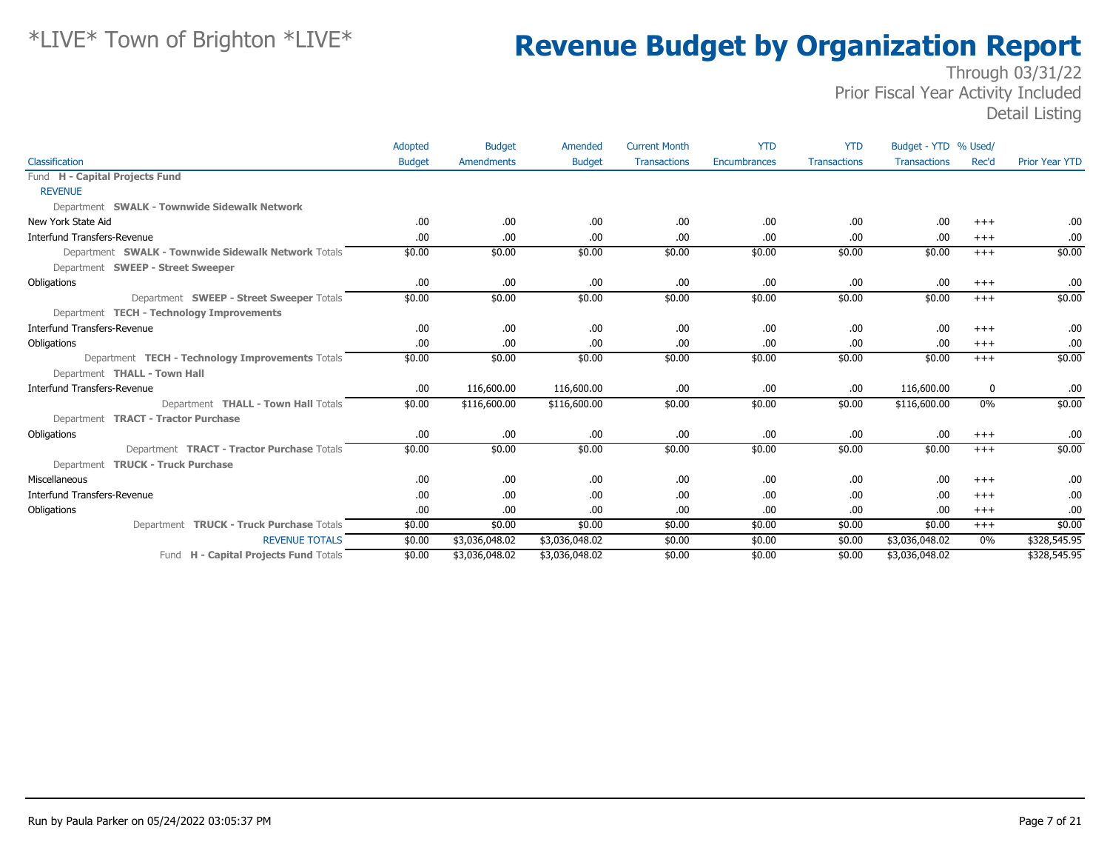|                                                     | Adopted       | <b>Budget</b>  | Amended        | <b>Current Month</b> | <b>YTD</b>   | <b>YTD</b>          | Budget - YTD % Used/ |          |                       |
|-----------------------------------------------------|---------------|----------------|----------------|----------------------|--------------|---------------------|----------------------|----------|-----------------------|
| Classification                                      | <b>Budget</b> | Amendments     | <b>Budget</b>  | <b>Transactions</b>  | Encumbrances | <b>Transactions</b> | <b>Transactions</b>  | Rec'd    | <b>Prior Year YTD</b> |
| Fund H - Capital Projects Fund                      |               |                |                |                      |              |                     |                      |          |                       |
| <b>REVENUE</b>                                      |               |                |                |                      |              |                     |                      |          |                       |
| Department SWALK - Townwide Sidewalk Network        |               |                |                |                      |              |                     |                      |          |                       |
| New York State Aid                                  | .00.          | .00            | .00.           | .00                  | .00.         | .00.                | .00                  | $+++$    | .00                   |
| Interfund Transfers-Revenue                         | .00           | .00.           | .00.           | .00                  | .00          | .00.                | .00                  | $+++$    | .00.                  |
| Department SWALK - Townwide Sidewalk Network Totals | \$0.00        | \$0.00         | \$0.00         | \$0.00               | \$0.00       | \$0.00              | \$0.00               | $+++$    | \$0.00                |
| Department SWEEP - Street Sweeper                   |               |                |                |                      |              |                     |                      |          |                       |
| Obligations                                         | .00.          | .00            | .00.           | .00                  | .00.         | .00.                | .00                  | $^{+++}$ | .00                   |
| Department SWEEP - Street Sweeper Totals            | \$0.00        | \$0.00         | \$0.00         | \$0.00               | \$0.00       | \$0.00              | \$0.00               | $+++$    | \$0.00                |
| Department TECH - Technology Improvements           |               |                |                |                      |              |                     |                      |          |                       |
| <b>Interfund Transfers-Revenue</b>                  | .00.          | .00.           | .00.           | .00                  | .00.         | .00.                | .00                  | $+++$    | .00.                  |
| Obligations                                         | .00           | .00            | .00.           | .00                  | .00.         | .00.                | .00                  | $+++$    | .00                   |
| Department TECH - Technology Improvements Totals    | \$0.00        | \$0.00         | \$0.00         | \$0.00               | \$0.00       | \$0.00              | \$0.00               | $+++$    | \$0.00                |
| Department THALL - Town Hall                        |               |                |                |                      |              |                     |                      |          |                       |
| <b>Interfund Transfers-Revenue</b>                  | .00.          | 116,600.00     | 116,600.00     | .00                  | .00.         | .00.                | 116,600.00           | 0        | .00.                  |
| Department THALL - Town Hall Totals                 | \$0.00        | \$116,600.00   | \$116,600.00   | \$0.00               | \$0.00       | \$0.00              | \$116,600.00         | 0%       | \$0.00                |
| Department TRACT - Tractor Purchase                 |               |                |                |                      |              |                     |                      |          |                       |
| Obligations                                         | .00.          | .00            | .00.           | .00                  | .00.         | .00.                | .00                  | $+++$    | .00.                  |
| Department TRACT - Tractor Purchase Totals          | \$0.00        | \$0.00         | \$0.00         | \$0.00               | \$0.00       | \$0.00              | \$0.00               | $+++$    | \$0.00                |
| Department TRUCK - Truck Purchase                   |               |                |                |                      |              |                     |                      |          |                       |
| Miscellaneous                                       | .00.          | .00.           | .00.           | .00                  | .00.         | .00                 | .00                  | $+++$    | .00                   |
| <b>Interfund Transfers-Revenue</b>                  | .00           | .00            | .00.           | .00                  | .00          | .00                 | .00                  | $+++$    | .00                   |
| Obligations                                         | .00           | .00            | .00.           | .00                  | .00.         | .00.                | .00                  | $+++$    | .00                   |
| Department TRUCK - Truck Purchase Totals            | \$0.00        | \$0.00         | \$0.00         | \$0.00               | \$0.00       | \$0.00              | \$0.00               | $^{+++}$ | \$0.00                |
| <b>REVENUE TOTALS</b>                               | \$0.00        | \$3,036,048.02 | \$3,036,048.02 | \$0.00               | \$0.00       | \$0.00              | \$3,036,048.02       | $0\%$    | \$328,545.95          |
| Fund H - Capital Projects Fund Totals               | \$0.00        | \$3,036,048.02 | \$3,036,048.02 | \$0.00               | \$0.00       | \$0.00              | \$3,036,048.02       |          | \$328,545.95          |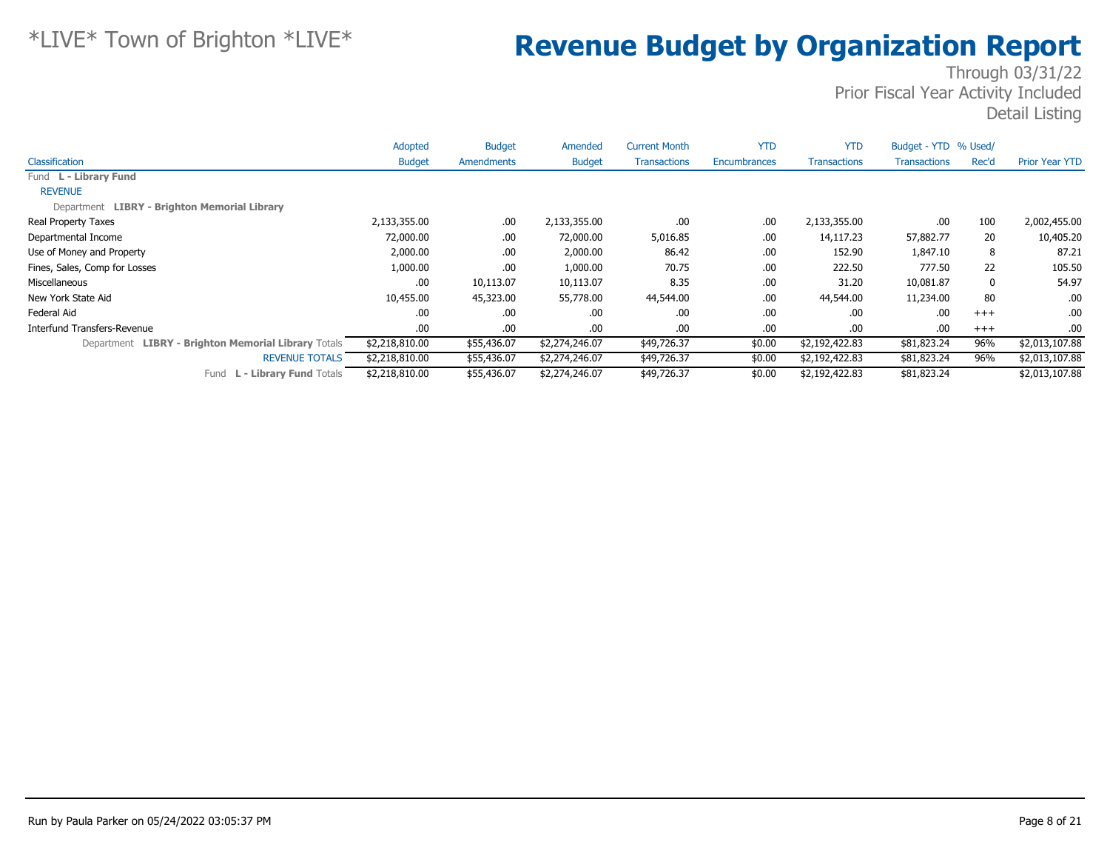|                                                     | Adopted        | <b>Budget</b> | Amended        | <b>Current Month</b> | <b>YTD</b>          | <b>YTD</b>          | Budget - YTD % Used/ |       |                       |
|-----------------------------------------------------|----------------|---------------|----------------|----------------------|---------------------|---------------------|----------------------|-------|-----------------------|
| Classification                                      | <b>Budget</b>  | Amendments    | <b>Budget</b>  | <b>Transactions</b>  | <b>Encumbrances</b> | <b>Transactions</b> | <b>Transactions</b>  | Rec'd | <b>Prior Year YTD</b> |
| Fund L - Library Fund                               |                |               |                |                      |                     |                     |                      |       |                       |
| <b>REVENUE</b>                                      |                |               |                |                      |                     |                     |                      |       |                       |
| Department LIBRY - Brighton Memorial Library        |                |               |                |                      |                     |                     |                      |       |                       |
| Real Property Taxes                                 | 2,133,355.00   | .00.          | 2,133,355.00   | .00.                 | .00                 | 2,133,355.00        | .00                  | 100   | 2,002,455.00          |
| Departmental Income                                 | 72,000.00      | .00.          | 72,000.00      | 5,016.85             | .00                 | 14,117.23           | 57,882.77            | 20    | 10,405.20             |
| Use of Money and Property                           | 2,000.00       | .00.          | 2,000.00       | 86.42                | .00                 | 152.90              | 1,847.10             | 8     | 87.21                 |
| Fines, Sales, Comp for Losses                       | 1,000.00       | .00.          | 1,000.00       | 70.75                | .00                 | 222.50              | 777.50               | 22    | 105.50                |
| Miscellaneous                                       | .00            | 10,113.07     | 10,113.07      | 8.35                 | .00                 | 31.20               | 10,081.87            | 0     | 54.97                 |
| New York State Aid                                  | 10,455.00      | 45,323.00     | 55,778.00      | 44,544.00            | .00                 | 44,544.00           | 11,234.00            | 80    | .00                   |
| Federal Aid                                         | .00            | .00.          | .00.           | .00.                 | .00                 | .00.                | .00                  | $+++$ | .00                   |
| Interfund Transfers-Revenue                         | .00.           | .00.          | .00.           | .00.                 | .00                 | .00.                | .00                  | $+++$ | .00.                  |
| Department LIBRY - Brighton Memorial Library Totals | \$2,218,810.00 | \$55,436.07   | \$2,274,246.07 | \$49,726.37          | \$0.00              | \$2,192,422.83      | \$81,823.24          | 96%   | \$2,013,107.88        |
| <b>REVENUE TOTALS</b>                               | \$2,218,810.00 | \$55,436.07   | \$2,274,246.07 | \$49,726.37          | \$0.00              | \$2,192,422.83      | \$81,823.24          | 96%   | \$2,013,107.88        |
| <b>L - Library Fund Totals</b><br>Fund              | \$2,218,810.00 | \$55,436.07   | \$2,274,246.07 | \$49,726.37          | \$0.00              | \$2,192,422.83      | \$81,823.24          |       | \$2,013,107.88        |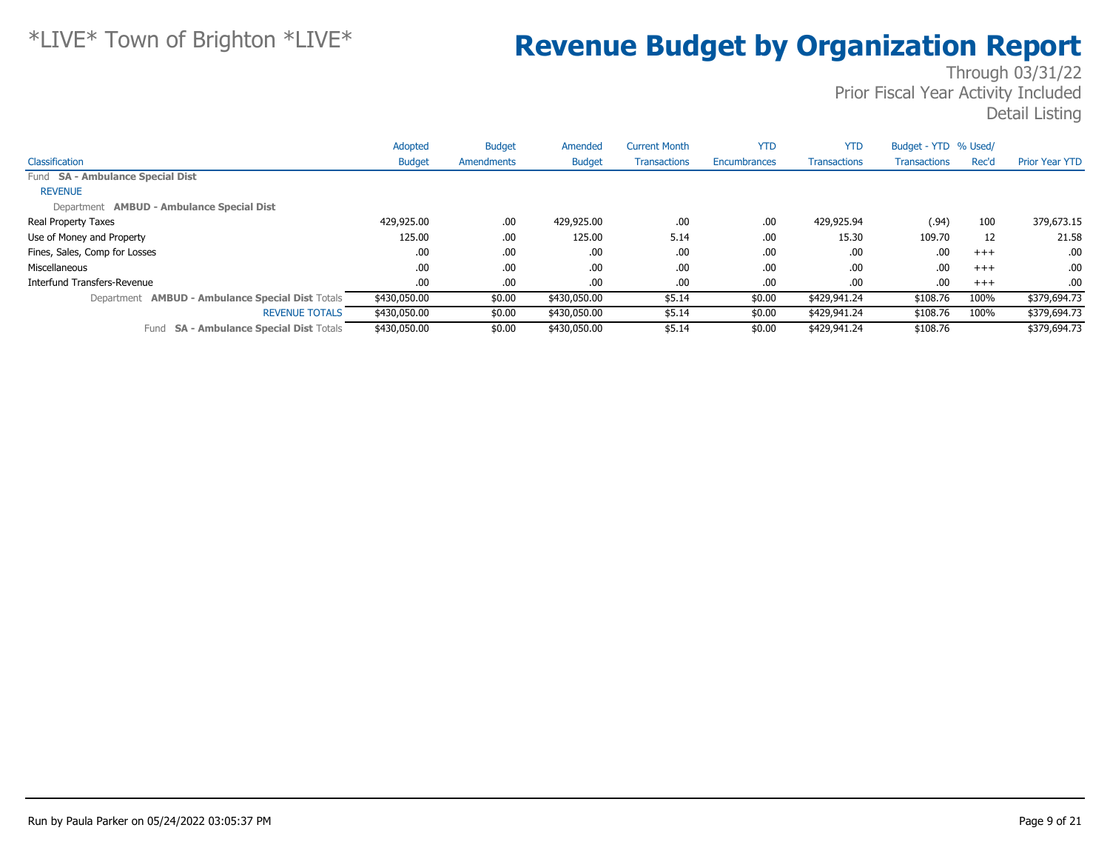|                                                         | Adopted       | <b>Budget</b> | Amended       | <b>Current Month</b> | <b>YTD</b>   | <b>YTD</b>          | Budget - YTD % Used/ |       |                       |
|---------------------------------------------------------|---------------|---------------|---------------|----------------------|--------------|---------------------|----------------------|-------|-----------------------|
| Classification                                          | <b>Budget</b> | Amendments    | <b>Budget</b> | <b>Transactions</b>  | Encumbrances | <b>Transactions</b> | <b>Transactions</b>  | Rec'd | <b>Prior Year YTD</b> |
| Fund SA - Ambulance Special Dist                        |               |               |               |                      |              |                     |                      |       |                       |
| <b>REVENUE</b>                                          |               |               |               |                      |              |                     |                      |       |                       |
| Department AMBUD - Ambulance Special Dist               |               |               |               |                      |              |                     |                      |       |                       |
| Real Property Taxes                                     | 429,925.00    | .00.          | 429,925.00    | .00                  | .00          | 429,925.94          | (.94)                | 100   | 379,673.15            |
| Use of Money and Property                               | 125.00        | .00.          | 125.00        | 5.14                 | .00.         | 15.30               | 109.70               | 12    | 21.58                 |
| Fines, Sales, Comp for Losses                           | .00           | .00.          | .00.          | .00                  | .00          | .00.                | .00                  | $+++$ | .00.                  |
| Miscellaneous                                           | .00           | .00.          | .00           | .00                  | .00          | .00.                | .00                  | $+++$ | .00.                  |
| Interfund Transfers-Revenue                             | .00.          | .00.          | .00.          | .00                  | .00          | .00.                | .00.                 | $+++$ | .00.                  |
| Department <b>AMBUD - Ambulance Special Dist Totals</b> | \$430,050.00  | \$0.00        | \$430,050.00  | \$5.14               | \$0.00       | \$429,941.24        | \$108.76             | 100%  | \$379,694.73          |
| <b>REVENUE TOTALS</b>                                   | \$430,050.00  | \$0.00        | \$430,050.00  | \$5.14               | \$0.00       | \$429,941.24        | \$108.76             | 100%  | \$379,694.73          |
| <b>SA - Ambulance Special Dist Totals</b><br>Fund       | \$430,050.00  | \$0.00        | \$430,050.00  | \$5.14               | \$0.00       | \$429,941.24        | \$108.76             |       | \$379,694.73          |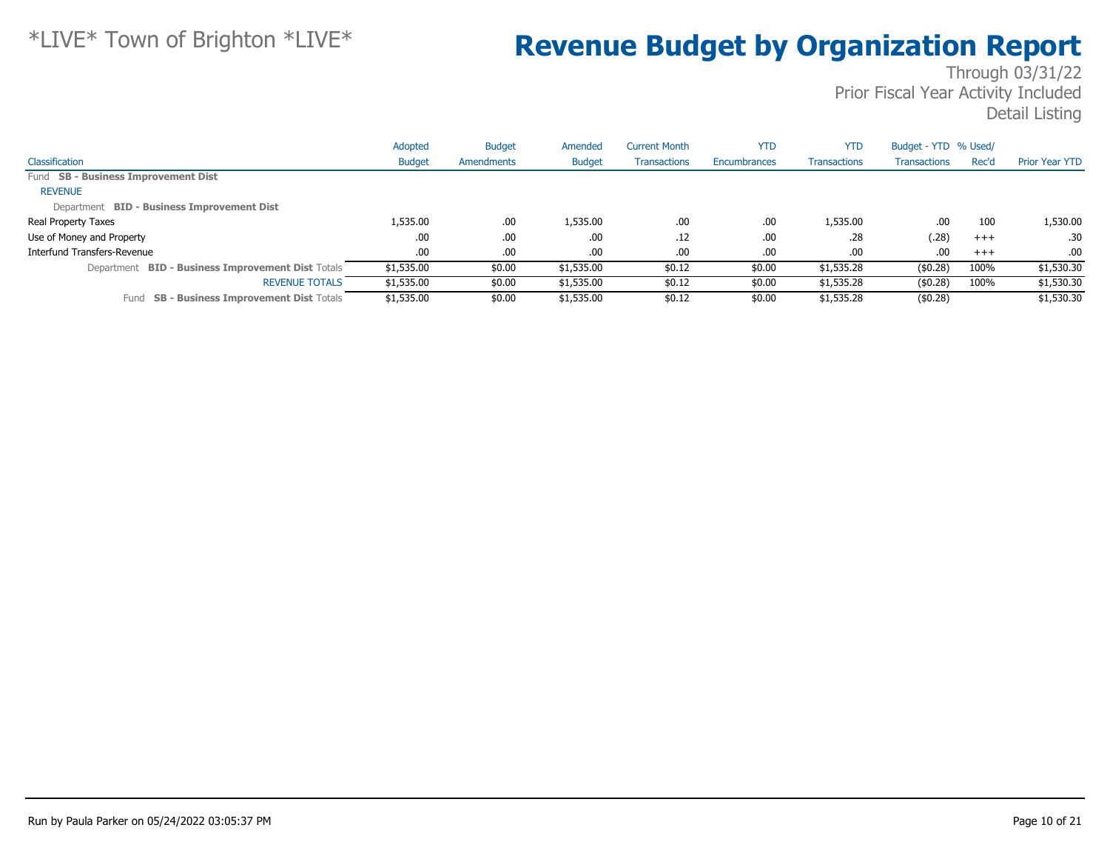|                                                             | Adopted       | <b>Budget</b> | Amended       | <b>Current Month</b> | <b>YTD</b>   | <b>YTD</b>          | Budget - YTD % Used/ |          |                       |
|-------------------------------------------------------------|---------------|---------------|---------------|----------------------|--------------|---------------------|----------------------|----------|-----------------------|
| Classification                                              | <b>Budget</b> | Amendments    | <b>Budget</b> | <b>Transactions</b>  | Encumbrances | <b>Transactions</b> | Transactions         | Rec'd    | <b>Prior Year YTD</b> |
| Fund SB - Business Improvement Dist                         |               |               |               |                      |              |                     |                      |          |                       |
| <b>REVENUE</b>                                              |               |               |               |                      |              |                     |                      |          |                       |
| Department BID - Business Improvement Dist                  |               |               |               |                      |              |                     |                      |          |                       |
| Real Property Taxes                                         | 1,535.00      | .00           | 1,535.00      | .00                  | .00          | 1,535.00            | .00                  | 100      | 1,530.00              |
| Use of Money and Property                                   | .00           | .00           | .00           | .12                  | .00          | .28                 | (.28)                | $^{+++}$ | .30                   |
| Interfund Transfers-Revenue                                 | .00.          | .00           | .00           | .00                  | .00          | .00                 | .00                  | $+++$    | .00.                  |
| <b>BID - Business Improvement Dist Totals</b><br>Department | \$1,535.00    | \$0.00        | \$1,535.00    | \$0.12               | \$0.00       | \$1,535.28          | (\$0.28)             | 100%     | \$1,530.30            |
| <b>REVENUE TOTALS</b>                                       | \$1,535.00    | \$0.00        | \$1,535.00    | \$0.12               | \$0.00       | \$1,535.28          | (\$0.28)             | 100%     | \$1,530.30            |
| <b>SB - Business Improvement Dist Totals</b><br>Fund        | \$1,535.00    | \$0.00        | \$1,535.00    | \$0.12               | \$0.00       | \$1,535.28          | (\$0.28)             |          | \$1,530.30            |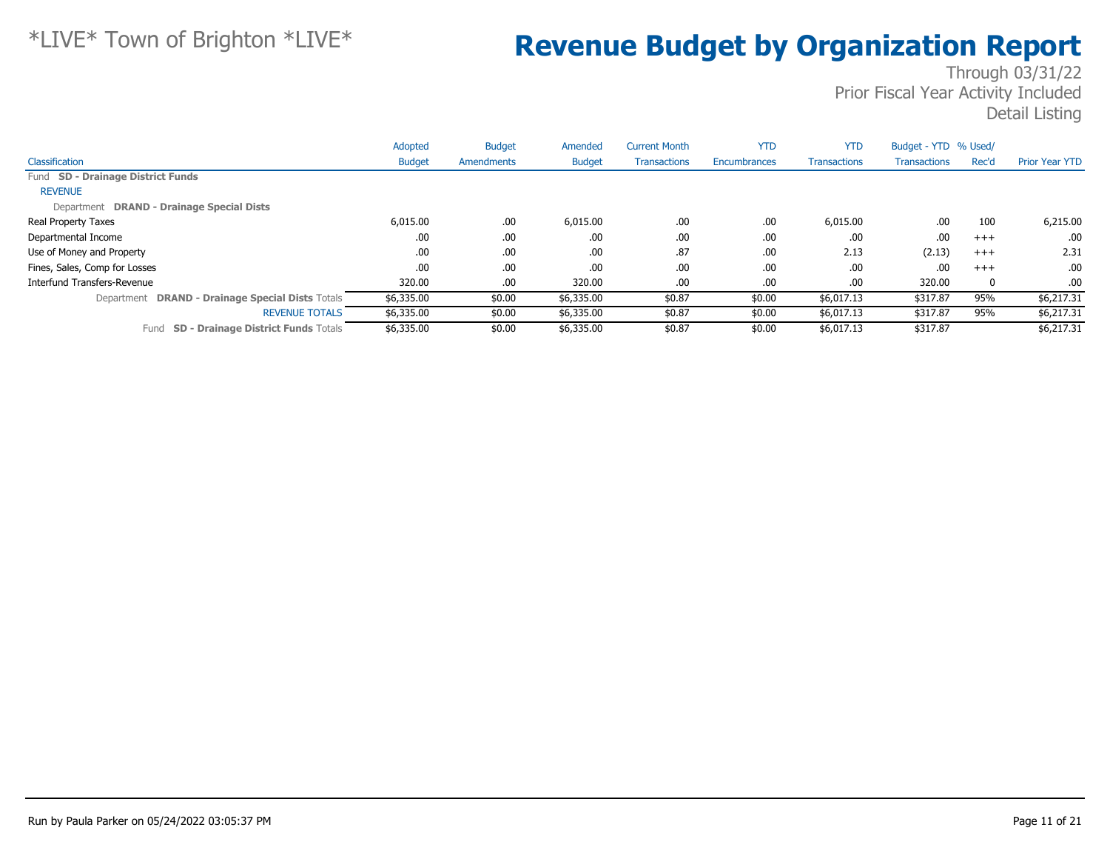|                                                    | Adopted       | <b>Budget</b> | Amended       | <b>Current Month</b> | <b>YTD</b>          | <b>YTD</b>          | Budget - YTD % Used/ |          |                       |
|----------------------------------------------------|---------------|---------------|---------------|----------------------|---------------------|---------------------|----------------------|----------|-----------------------|
| Classification                                     | <b>Budget</b> | Amendments    | <b>Budget</b> | <b>Transactions</b>  | <b>Encumbrances</b> | <b>Transactions</b> | Transactions         | Rec'd    | <b>Prior Year YTD</b> |
| Fund SD - Drainage District Funds                  |               |               |               |                      |                     |                     |                      |          |                       |
| <b>REVENUE</b>                                     |               |               |               |                      |                     |                     |                      |          |                       |
| Department DRAND - Drainage Special Dists          |               |               |               |                      |                     |                     |                      |          |                       |
| <b>Real Property Taxes</b>                         | 6,015.00      | .00           | 6,015.00      | .00                  | .00                 | 6,015.00            | .00                  | 100      | 6,215.00              |
| Departmental Income                                | .00           | .00           | .00           | .00                  | .00                 | .00                 | .00                  | $+++$    | .00                   |
| Use of Money and Property                          | .00           | .00           | .00           | .87                  | .00                 | 2.13                | (2.13)               | $+++$    | 2.31                  |
| Fines, Sales, Comp for Losses                      | .00           | .00           | .00           | .00                  | .00                 | .00                 | .00                  | $+++$    | .00.                  |
| Interfund Transfers-Revenue                        | 320.00        | .00           | 320.00        | .00                  | .00                 | .00                 | 320.00               | $\bf{0}$ | .00.                  |
| Department DRAND - Drainage Special Dists Totals   | \$6,335.00    | \$0.00        | \$6,335.00    | \$0.87               | \$0.00              | \$6,017.13          | \$317.87             | 95%      | \$6,217.31            |
| <b>REVENUE TOTALS</b>                              | \$6,335.00    | \$0.00        | \$6,335.00    | \$0.87               | \$0.00              | \$6,017.13          | \$317.87             | 95%      | \$6,217.31            |
| <b>SD - Drainage District Funds Totals</b><br>Fund | \$6,335.00    | \$0.00        | \$6,335.00    | \$0.87               | \$0.00              | \$6,017.13          | \$317.87             |          | \$6,217.31            |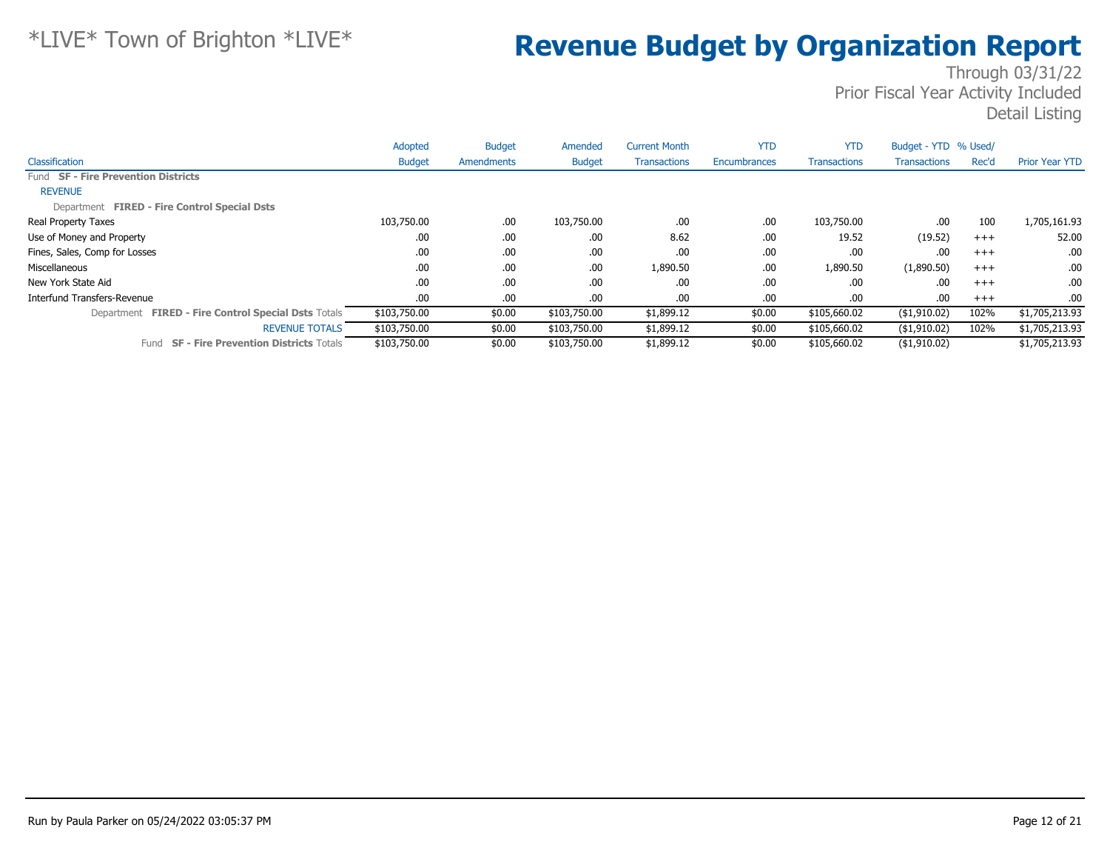|                                                      | Adopted       | <b>Budget</b> | Amended       | <b>Current Month</b> | <b>YTD</b>   | <b>YTD</b>          | Budget - YTD % Used/ |       |                       |
|------------------------------------------------------|---------------|---------------|---------------|----------------------|--------------|---------------------|----------------------|-------|-----------------------|
| Classification                                       | <b>Budget</b> | Amendments    | <b>Budget</b> | <b>Transactions</b>  | Encumbrances | <b>Transactions</b> | <b>Transactions</b>  | Rec'd | <b>Prior Year YTD</b> |
| Fund SF - Fire Prevention Districts                  |               |               |               |                      |              |                     |                      |       |                       |
| <b>REVENUE</b>                                       |               |               |               |                      |              |                     |                      |       |                       |
| Department FIRED - Fire Control Special Dsts         |               |               |               |                      |              |                     |                      |       |                       |
| Real Property Taxes                                  | 103,750.00    | .00.          | 103,750.00    | .00                  | .00          | 103,750.00          | .00                  | 100   | 1,705,161.93          |
| Use of Money and Property                            | .00           | .00.          | .00.          | 8.62                 | .00          | 19.52               | (19.52)              | $+++$ | 52.00                 |
| Fines, Sales, Comp for Losses                        | .00           | .00.          | .00           | .00                  | .00          | .00                 | .00                  | $+++$ | .00.                  |
| Miscellaneous                                        | .00           | .00.          | .00.          | 1,890.50             | .00          | 1,890.50            | (1,890.50)           | $+++$ | .00.                  |
| New York State Aid                                   | .00           | .00.          | .00.          | .00.                 | .00          | .00                 | .00                  | $+++$ | .00.                  |
| Interfund Transfers-Revenue                          | .00           | .00.          | .00.          | .00                  | .00          | .00                 | .00                  | $+++$ | .00.                  |
| Department FIRED - Fire Control Special Dsts Totals  | \$103,750.00  | \$0.00        | \$103,750.00  | \$1,899.12           | \$0.00       | \$105,660.02        | (\$1,910.02)         | 102%  | \$1,705,213.93        |
| <b>REVENUE TOTALS</b>                                | \$103,750.00  | \$0.00        | \$103,750.00  | \$1,899.12           | \$0.00       | \$105,660.02        | $($ \$1,910.02)      | 102%  | \$1,705,213.93        |
| <b>SF - Fire Prevention Districts Totals</b><br>Fund | \$103,750.00  | \$0.00        | \$103,750.00  | \$1,899.12           | \$0.00       | \$105,660.02        | $($ \$1,910.02)      |       | \$1,705,213.93        |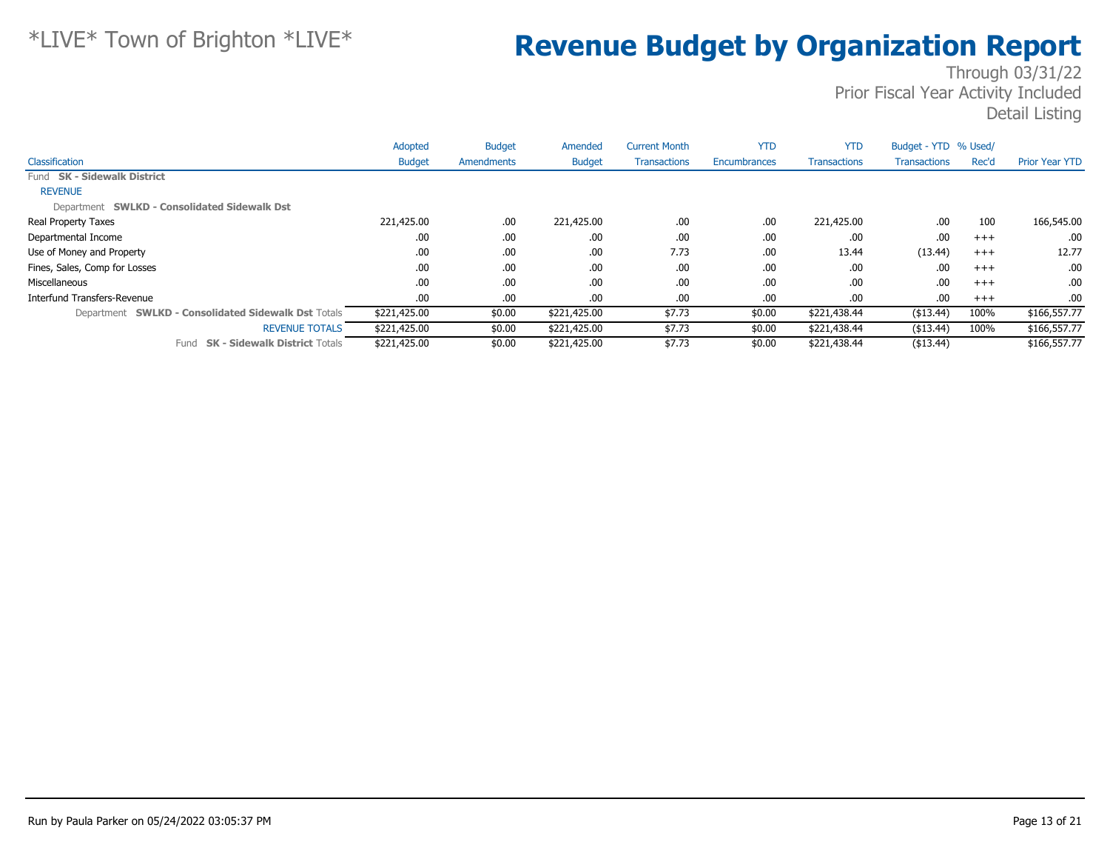|                                                     | Adopted       | <b>Budget</b> | Amended       | <b>Current Month</b> | <b>YTD</b>   | <b>YTD</b>          | Budget - YTD % Used/ |       |                       |
|-----------------------------------------------------|---------------|---------------|---------------|----------------------|--------------|---------------------|----------------------|-------|-----------------------|
| Classification                                      | <b>Budget</b> | Amendments    | <b>Budget</b> | <b>Transactions</b>  | Encumbrances | <b>Transactions</b> | <b>Transactions</b>  | Rec'd | <b>Prior Year YTD</b> |
| Fund SK - Sidewalk District                         |               |               |               |                      |              |                     |                      |       |                       |
| <b>REVENUE</b>                                      |               |               |               |                      |              |                     |                      |       |                       |
| Department SWLKD - Consolidated Sidewalk Dst        |               |               |               |                      |              |                     |                      |       |                       |
| Real Property Taxes                                 | 221,425.00    | .00.          | 221,425.00    | .00                  | .00          | 221,425.00          | .00                  | 100   | 166,545.00            |
| Departmental Income                                 | .00           | .00.          | .00           | .00                  | .00          | .00                 | .00                  | $+++$ | .00.                  |
| Use of Money and Property                           | .00           | .00.          | .00.          | 7.73                 | .00          | 13.44               | (13.44)              | $+++$ | 12.77                 |
| Fines, Sales, Comp for Losses                       | .00           | .00.          | .00.          | .00                  | .00          | .00                 | .00                  | $+++$ | .00.                  |
| Miscellaneous                                       | .00           | .00.          | .00           | .00                  | .00          | .00                 | .00                  | $+++$ | .00.                  |
| <b>Interfund Transfers-Revenue</b>                  | .00           | .00.          | .00.          | .00                  | .00          | .00                 | .00                  | $+++$ | $.00 \cdot$           |
| Department SWLKD - Consolidated Sidewalk Dst Totals | \$221,425.00  | \$0.00        | \$221,425.00  | \$7.73               | \$0.00       | \$221,438.44        | ( \$13.44)           | 100%  | \$166,557.77          |
| <b>REVENUE TOTALS</b>                               | \$221,425.00  | \$0.00        | \$221,425.00  | \$7.73               | \$0.00       | \$221,438.44        | ( \$13.44)           | 100%  | \$166,557.77          |
| <b>SK - Sidewalk District Totals</b><br>Fund        | \$221,425.00  | \$0.00        | \$221,425.00  | \$7.73               | \$0.00       | \$221,438.44        | ( \$13.44)           |       | \$166,557.77          |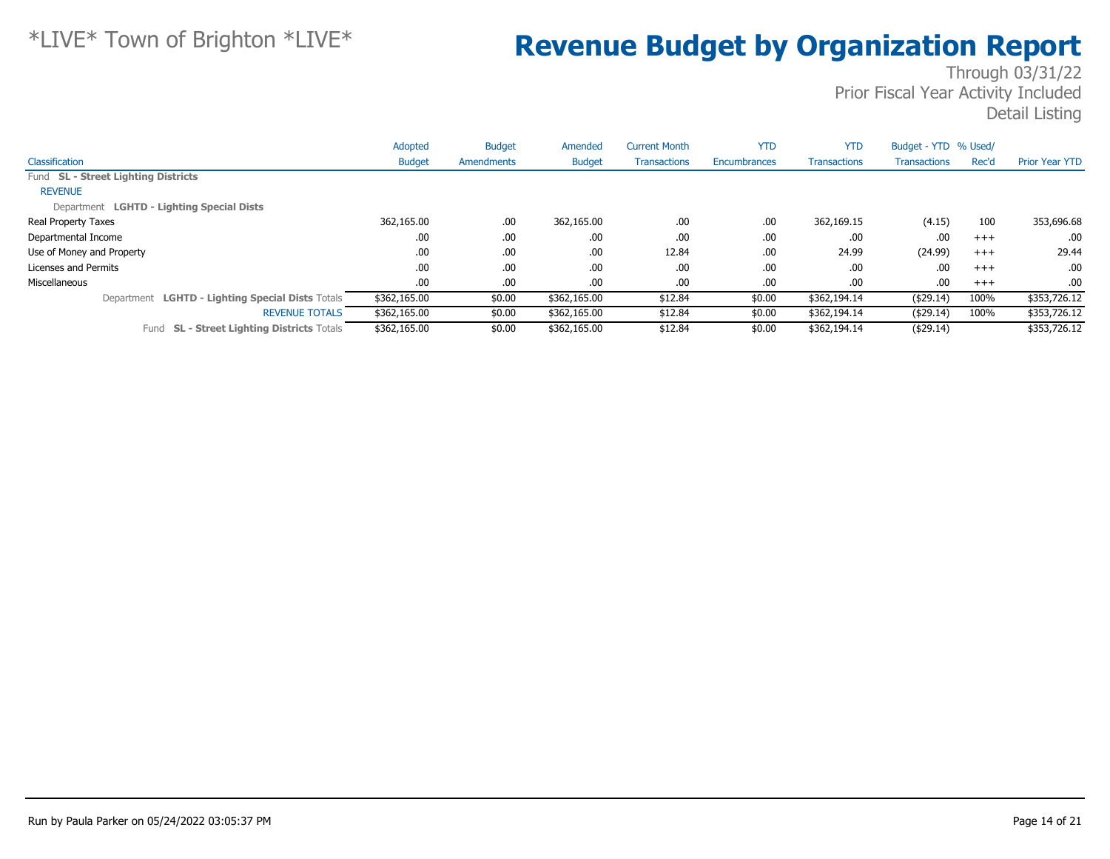|                                                      | Adopted       | <b>Budget</b> | Amended       | <b>Current Month</b> | <b>YTD</b>          | <b>YTD</b>          | Budget - YTD % Used/ |          |                       |
|------------------------------------------------------|---------------|---------------|---------------|----------------------|---------------------|---------------------|----------------------|----------|-----------------------|
| Classification                                       | <b>Budget</b> | Amendments    | <b>Budget</b> | <b>Transactions</b>  | <b>Encumbrances</b> | <b>Transactions</b> | Transactions         | Rec'd    | <b>Prior Year YTD</b> |
| Fund SL - Street Lighting Districts                  |               |               |               |                      |                     |                     |                      |          |                       |
| <b>REVENUE</b>                                       |               |               |               |                      |                     |                     |                      |          |                       |
| Department LGHTD - Lighting Special Dists            |               |               |               |                      |                     |                     |                      |          |                       |
| Real Property Taxes                                  | 362,165.00    | .00           | 362,165.00    | .00                  | .00                 | 362,169.15          | (4.15)               | 100      | 353,696.68            |
| Departmental Income                                  | .00.          | .00           | .00           | .00                  | .00                 | .00                 | .00                  | $^{+++}$ | .00.                  |
| Use of Money and Property                            | .00.          | .00           | .00           | 12.84                | .00                 | 24.99               | (24.99)              | $^{+++}$ | 29.44                 |
| Licenses and Permits                                 | .00           | .00           | .00           | .00                  | .00                 | .00                 | .00                  | $+++$    | .00.                  |
| Miscellaneous                                        | .00.          | .00           | .00           | .00                  | .00                 | .00                 | .00                  | $+++$    | .00.                  |
| Department LGHTD - Lighting Special Dists Totals     | \$362,165.00  | \$0.00        | \$362,165.00  | \$12.84              | \$0.00              | \$362,194.14        | ( \$29.14)           | 100%     | \$353,726.12          |
| <b>REVENUE TOTALS</b>                                | \$362,165.00  | \$0.00        | \$362,165.00  | \$12.84              | \$0.00              | \$362,194.14        | ( \$29.14)           | 100%     | \$353,726.12          |
| <b>SL - Street Lighting Districts Totals</b><br>Fund | \$362,165.00  | \$0.00        | \$362,165.00  | \$12.84              | \$0.00              | \$362,194.14        | ( \$29.14)           |          | \$353,726.12          |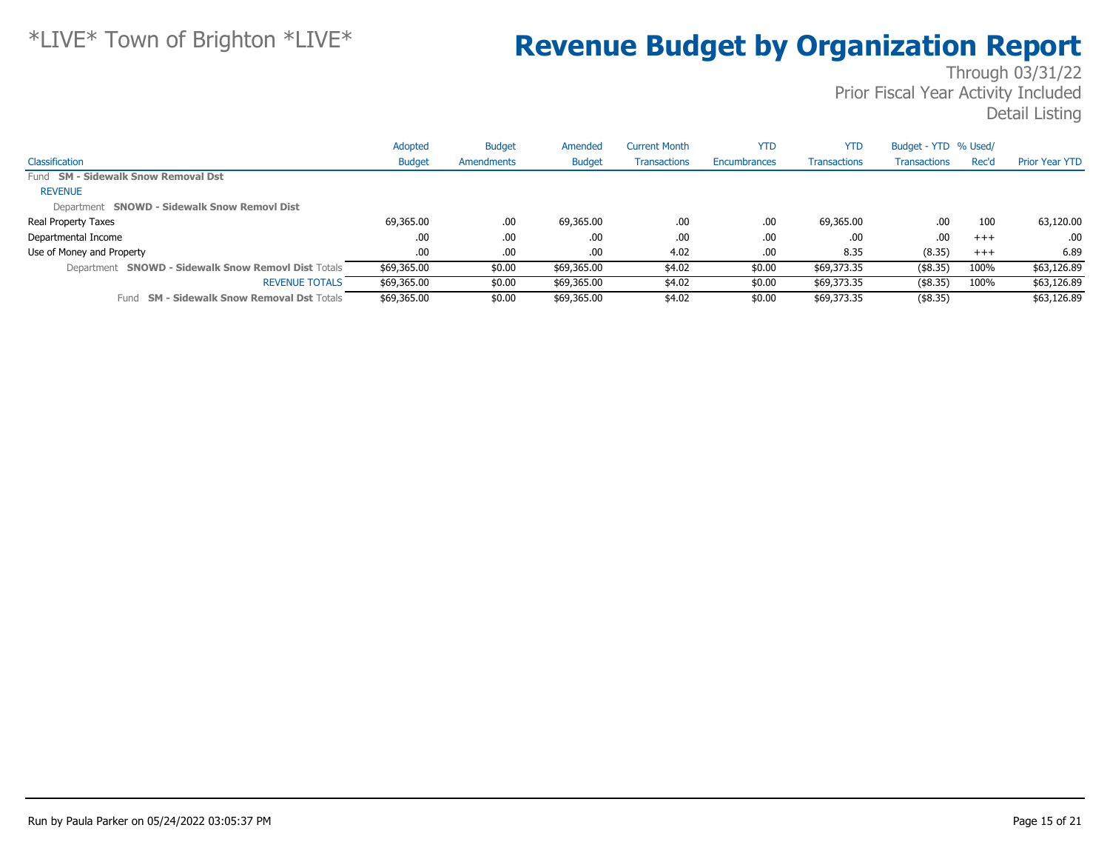|                                                      | Adopted       | <b>Budget</b> | Amended       | <b>Current Month</b> | <b>YTD</b>   | <b>YTD</b>          | Budget - YTD % Used/ |       |                       |
|------------------------------------------------------|---------------|---------------|---------------|----------------------|--------------|---------------------|----------------------|-------|-----------------------|
| Classification                                       | <b>Budget</b> | Amendments    | <b>Budget</b> | <b>Transactions</b>  | Encumbrances | <b>Transactions</b> | <b>Transactions</b>  | Rec'd | <b>Prior Year YTD</b> |
| Fund SM - Sidewalk Snow Removal Dst                  |               |               |               |                      |              |                     |                      |       |                       |
| <b>REVENUE</b>                                       |               |               |               |                      |              |                     |                      |       |                       |
| Department SNOWD - Sidewalk Snow Removl Dist         |               |               |               |                      |              |                     |                      |       |                       |
| Real Property Taxes                                  | 69,365.00     | .00.          | 69,365.00     | .00                  | .00          | 69,365.00           | .00                  | 100   | 63,120.00             |
| Departmental Income                                  | .00           | .00           | .00           | .00                  | .00          | .00                 | .00                  | $+++$ | .00                   |
| Use of Money and Property                            | .00.          | .00.          | .00           | 4.02                 | .00          | 8.35                | (8.35)               | $+++$ | 6.89                  |
| Department SNOWD - Sidewalk Snow Removl Dist Totals  | \$69,365.00   | \$0.00        | \$69,365.00   | \$4.02               | \$0.00       | \$69,373.35         | $($ \$8.35)          | 100%  | \$63,126.89           |
| <b>REVENUE TOTALS</b>                                | \$69,365.00   | \$0.00        | \$69,365.00   | \$4.02               | \$0.00       | \$69,373.35         | (\$8.35)             | 100%  | \$63,126.89           |
| <b>SM - Sidewalk Snow Removal Dst Totals</b><br>Fund | \$69,365.00   | \$0.00        | \$69,365.00   | \$4.02               | \$0.00       | \$69,373.35         | $($ \$8.35)          |       | \$63,126.89           |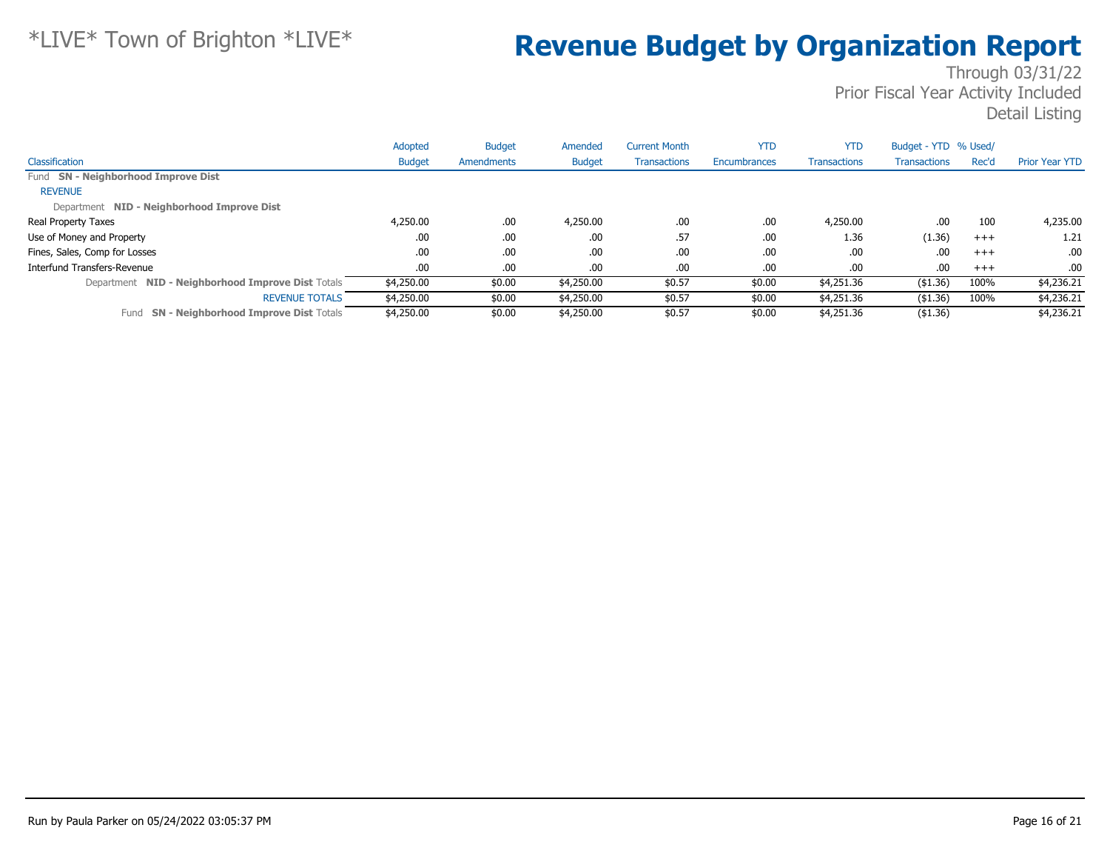|                                                      | Adopted       | <b>Budget</b> | Amended       | <b>Current Month</b> | <b>YTD</b>          | <b>YTD</b>          | Budget - YTD % Used/ |       |                       |
|------------------------------------------------------|---------------|---------------|---------------|----------------------|---------------------|---------------------|----------------------|-------|-----------------------|
| Classification                                       | <b>Budget</b> | Amendments    | <b>Budget</b> | <b>Transactions</b>  | <b>Encumbrances</b> | <b>Transactions</b> | <b>Transactions</b>  | Rec'd | <b>Prior Year YTD</b> |
| Fund SN - Neighborhood Improve Dist                  |               |               |               |                      |                     |                     |                      |       |                       |
| <b>REVENUE</b>                                       |               |               |               |                      |                     |                     |                      |       |                       |
| Department NID - Neighborhood Improve Dist           |               |               |               |                      |                     |                     |                      |       |                       |
| Real Property Taxes                                  | 4,250.00      | .00           | 4,250.00      | .00                  | .00                 | 4,250.00            | .00                  | 100   | 4,235.00              |
| Use of Money and Property                            | .00           | .00           | .00           | .57                  | .00                 | 1.36                | (1.36)               | $+++$ | 1.21                  |
| Fines, Sales, Comp for Losses                        | .00.          | .00           | .00           | .00                  | .00                 | .00                 | .00                  | $+++$ | .00.                  |
| Interfund Transfers-Revenue                          | .00.          | .00           | .00           | .00                  | .00                 | .00                 | .00                  | $+++$ | .00.                  |
| Department NID - Neighborhood Improve Dist Totals    | \$4,250.00    | \$0.00        | \$4,250.00    | \$0.57               | \$0.00              | \$4,251.36          | ( \$1.36)            | 100%  | \$4,236.21            |
| <b>REVENUE TOTALS</b>                                | \$4,250.00    | \$0.00        | \$4,250.00    | \$0.57               | \$0.00              | \$4,251.36          | ( \$1.36)            | 100%  | \$4,236.21            |
| <b>SN - Neighborhood Improve Dist Totals</b><br>Fund | \$4,250.00    | \$0.00        | \$4,250.00    | \$0.57               | \$0.00              | \$4,251.36          | ( \$1.36)            |       | \$4,236.21            |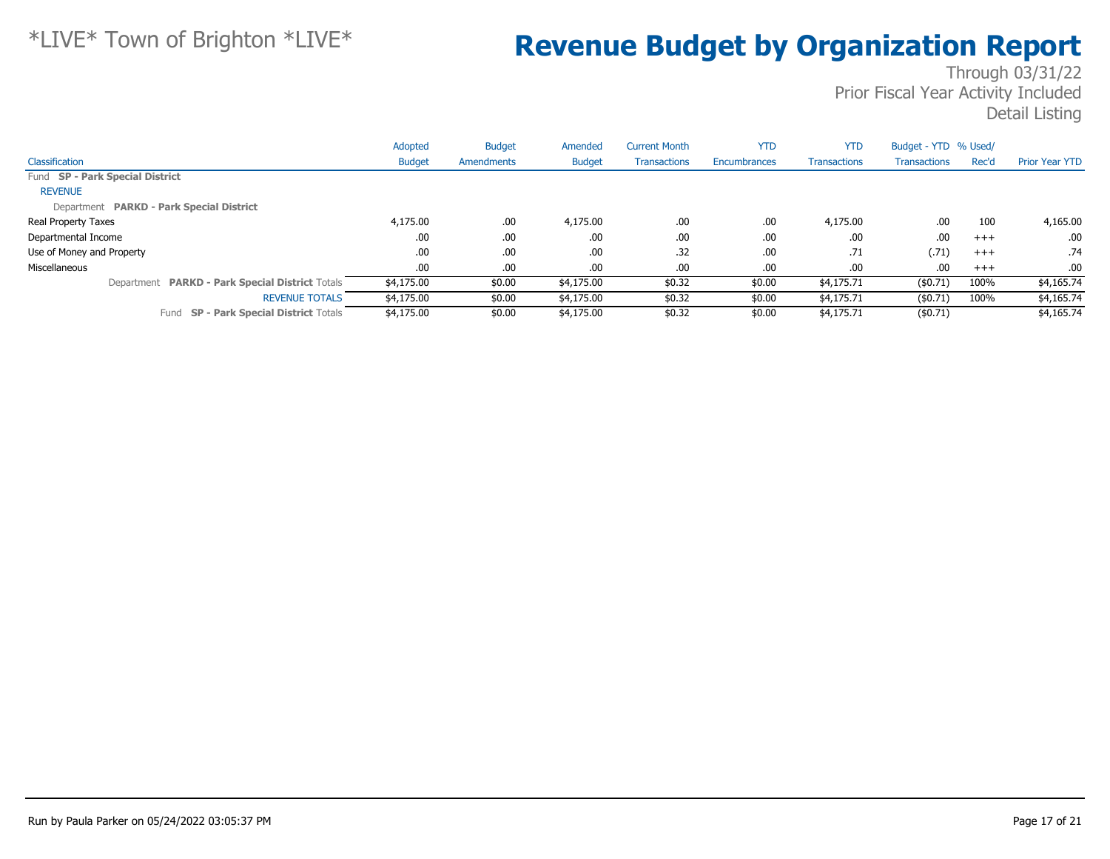|                                                  | Adopted       | <b>Budget</b> | Amended       | <b>Current Month</b> | <b>YTD</b>   | <b>YTD</b>          | Budget - YTD % Used/ |       |                       |
|--------------------------------------------------|---------------|---------------|---------------|----------------------|--------------|---------------------|----------------------|-------|-----------------------|
| Classification                                   | <b>Budget</b> | Amendments    | <b>Budget</b> | <b>Transactions</b>  | Encumbrances | <b>Transactions</b> | Transactions         | Rec'd | <b>Prior Year YTD</b> |
| Fund SP - Park Special District                  |               |               |               |                      |              |                     |                      |       |                       |
| <b>REVENUE</b>                                   |               |               |               |                      |              |                     |                      |       |                       |
| Department PARKD - Park Special District         |               |               |               |                      |              |                     |                      |       |                       |
| Real Property Taxes                              | 4,175.00      | .00           | 4,175.00      | .00                  | .00          | 4,175.00            | .00                  | 100   | 4,165.00              |
| Departmental Income                              | .00           | .00           | .00           | .00                  | .00          | .00                 | .00                  | $+++$ | $.00 \cdot$           |
| Use of Money and Property                        | .00.          | .00           | .00           | .32                  | .00          | .71                 | (.71)                | $+++$ | .74                   |
| Miscellaneous                                    | .00.          | .00           | .00           | .00                  | .00          | .00                 | .00                  | $+++$ | .00.                  |
| Department PARKD - Park Special District Totals  | \$4,175.00    | \$0.00        | \$4,175.00    | \$0.32               | \$0.00       | \$4,175.71          | (\$0.71)             | 100%  | \$4,165.74            |
| <b>REVENUE TOTALS</b>                            | \$4,175.00    | \$0.00        | \$4,175.00    | \$0.32               | \$0.00       | \$4,175.71          | (\$0.71)             | 100%  | \$4,165.74            |
| <b>SP - Park Special District Totals</b><br>Fund | \$4,175,00    | \$0.00        | \$4,175.00    | \$0.32               | \$0.00       | \$4,175.71          | (\$0.71)             |       | \$4,165.74            |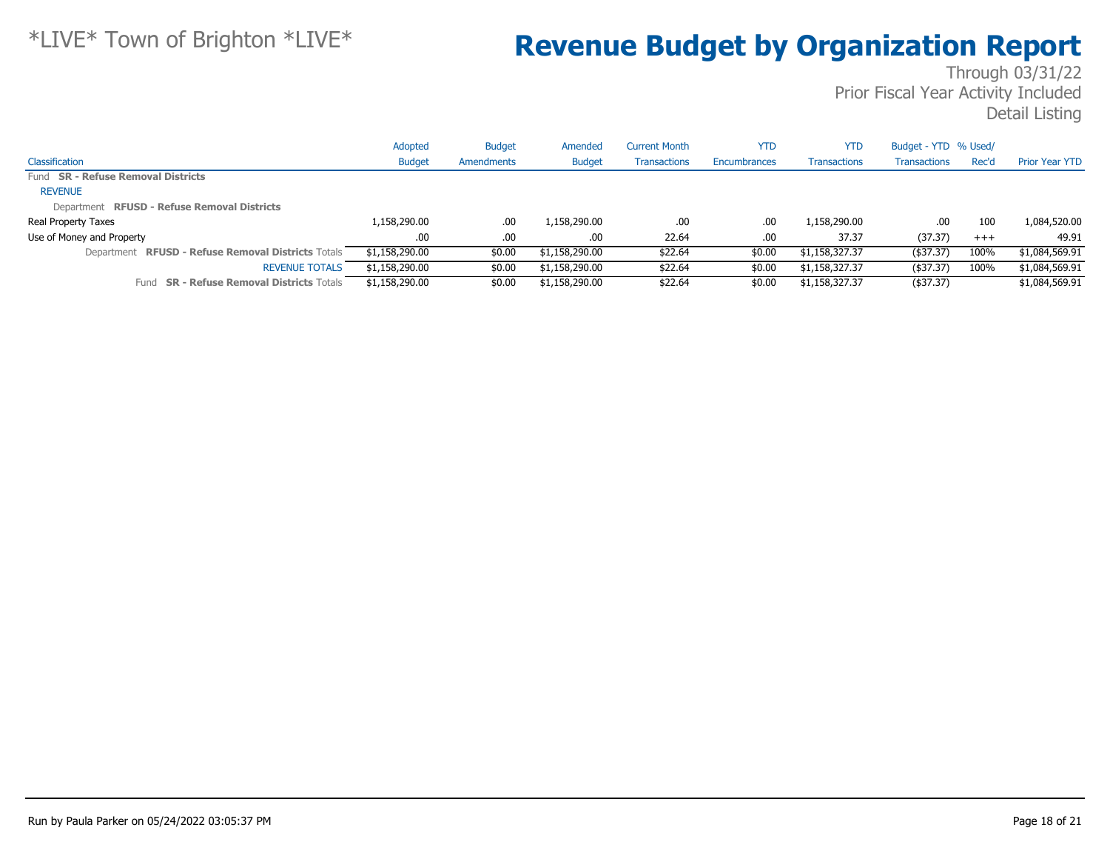|                                                     | Adopted        | <b>Budget</b> | Amended        | Current Month       | YTD          | <b>YTD</b>          | Budget - YTD % Used/ |          |                       |
|-----------------------------------------------------|----------------|---------------|----------------|---------------------|--------------|---------------------|----------------------|----------|-----------------------|
| Classification                                      | <b>Budget</b>  | Amendments    | <b>Budget</b>  | <b>Transactions</b> | Encumbrances | <b>Transactions</b> | Transactions         | Rec'd    | <b>Prior Year YTD</b> |
| Fund SR - Refuse Removal Districts                  |                |               |                |                     |              |                     |                      |          |                       |
| <b>REVENUE</b>                                      |                |               |                |                     |              |                     |                      |          |                       |
| Department RFUSD - Refuse Removal Districts         |                |               |                |                     |              |                     |                      |          |                       |
| Real Property Taxes                                 | 1,158,290.00   | .00.          | 1,158,290.00   | .00                 | .00          | 1,158,290.00        | .00                  | 100      | 1,084,520.00          |
| Use of Money and Property                           | .00.           | .00.          | .00.           | 22.64               | .00.         | 37.37               | (37.37)              | $^{+++}$ | 49.91                 |
| Department RFUSD - Refuse Removal Districts Totals  | \$1,158,290.00 | \$0.00        | \$1,158,290.00 | \$22.64             | \$0.00       | \$1,158,327.37      | $($ \$37.37)         | 100%     | \$1,084,569.91        |
| <b>REVENUE TOTALS</b>                               | \$1,158,290.00 | \$0.00        | \$1,158,290.00 | \$22.64             | \$0.00       | \$1,158,327.37      | ( \$37.37)           | 100%     | \$1,084,569.91        |
| <b>SR - Refuse Removal Districts Totals</b><br>Fund | \$1,158,290.00 | \$0.00        | \$1,158,290.00 | \$22.64             | \$0.00       | \$1,158,327.37      | $($ \$37.37)         |          | \$1,084,569.91        |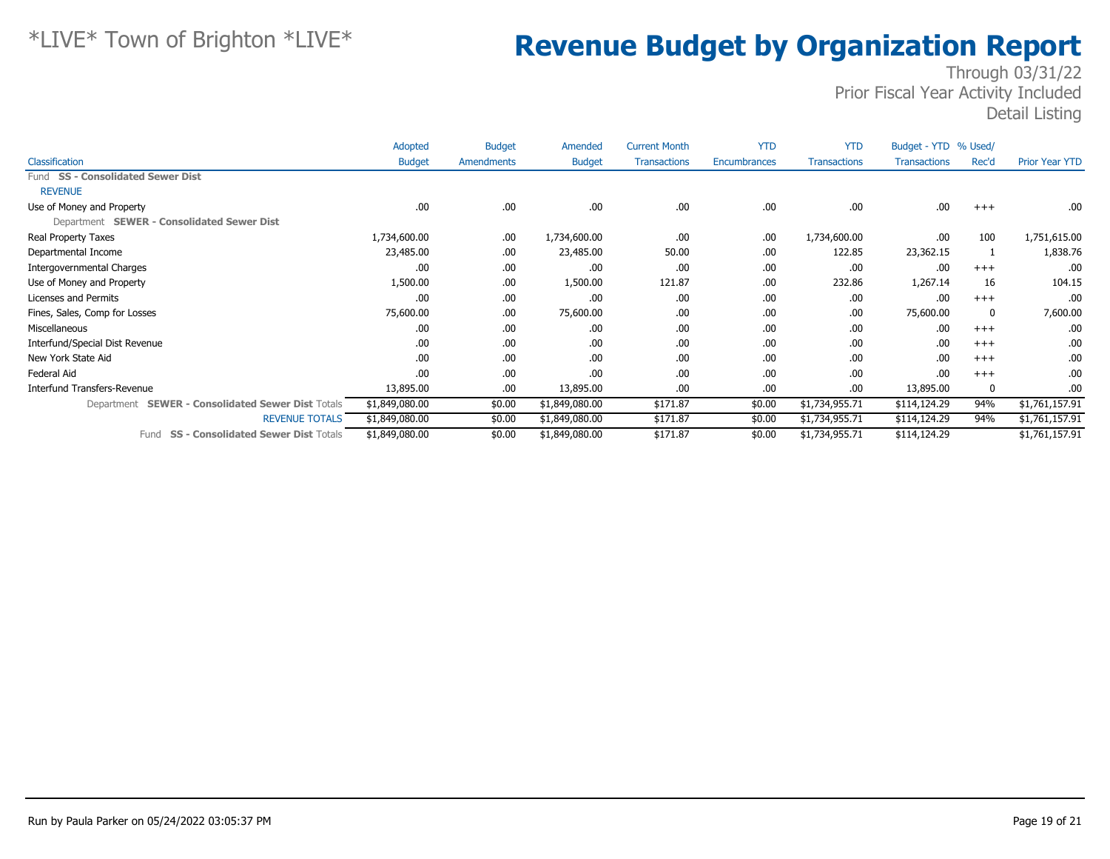|                                                             | Adopted        | <b>Budget</b> | Amended        | <b>Current Month</b> | <b>YTD</b>   | <b>YTD</b>          | Budget - YTD % Used/ |       |                       |
|-------------------------------------------------------------|----------------|---------------|----------------|----------------------|--------------|---------------------|----------------------|-------|-----------------------|
| Classification                                              | <b>Budget</b>  | Amendments    | <b>Budget</b>  | <b>Transactions</b>  | Encumbrances | <b>Transactions</b> | <b>Transactions</b>  | Rec'd | <b>Prior Year YTD</b> |
| Fund SS - Consolidated Sewer Dist                           |                |               |                |                      |              |                     |                      |       |                       |
| <b>REVENUE</b>                                              |                |               |                |                      |              |                     |                      |       |                       |
| Use of Money and Property                                   | .00            | .00           | .00.           | .00                  | .00          | .00                 | .00                  | $+++$ | .00.                  |
| Department SEWER - Consolidated Sewer Dist                  |                |               |                |                      |              |                     |                      |       |                       |
| Real Property Taxes                                         | 1,734,600.00   | .00           | 1,734,600.00   | .00                  | .00          | 1,734,600.00        | .00                  | 100   | 1,751,615.00          |
| Departmental Income                                         | 23,485.00      | .00           | 23,485.00      | 50.00                | .00          | 122.85              | 23,362.15            |       | 1,838.76              |
| Intergovernmental Charges                                   | .00            | .00           | .00            | .00                  | .00          | .00                 | .00                  | $+++$ | .00                   |
| Use of Money and Property                                   | 1,500.00       | .00           | 1,500.00       | 121.87               | .00          | 232.86              | 1,267.14             | 16    | 104.15                |
| Licenses and Permits                                        | .00            | .00           | .00            | .00                  | .00          | .00                 | .00                  | $+++$ | .00                   |
| Fines, Sales, Comp for Losses                               | 75,600.00      | .00           | 75,600.00      | .00                  | .00          | .00                 | 75,600.00            | 0     | 7,600.00              |
| Miscellaneous                                               | .00            | .00           | .00.           | .00                  | .00          | .00                 | .00                  | $+++$ | .00                   |
| Interfund/Special Dist Revenue                              | .00            | .00           | .00            | .00                  | .00          | .00                 | .00                  | $+++$ | .00.                  |
| New York State Aid                                          | .00            | .00           | .00            | .00                  | .00          | .00                 | .00                  | $+++$ | .00.                  |
| Federal Aid                                                 | .00            | .00           | .00            | .00                  | .00          | .00.                | .00                  | $+++$ | .00.                  |
| Interfund Transfers-Revenue                                 | 13,895.00      | .00           | 13,895.00      | .00                  | .00          | .00                 | 13,895.00            | 0     | .00.                  |
| <b>SEWER - Consolidated Sewer Dist Totals</b><br>Department | \$1,849,080.00 | \$0.00        | \$1,849,080.00 | \$171.87             | \$0.00       | \$1,734,955.71      | \$114,124.29         | 94%   | \$1,761,157.91        |
| <b>REVENUE TOTALS</b>                                       | \$1,849,080.00 | \$0.00        | \$1,849,080.00 | \$171.87             | \$0.00       | \$1,734,955.71      | \$114,124.29         | 94%   | \$1,761,157.91        |
| <b>SS - Consolidated Sewer Dist Totals</b><br>Fund          | \$1,849,080.00 | \$0.00        | \$1,849,080.00 | \$171.87             | \$0.00       | \$1,734,955.71      | \$114,124.29         |       | \$1,761,157.91        |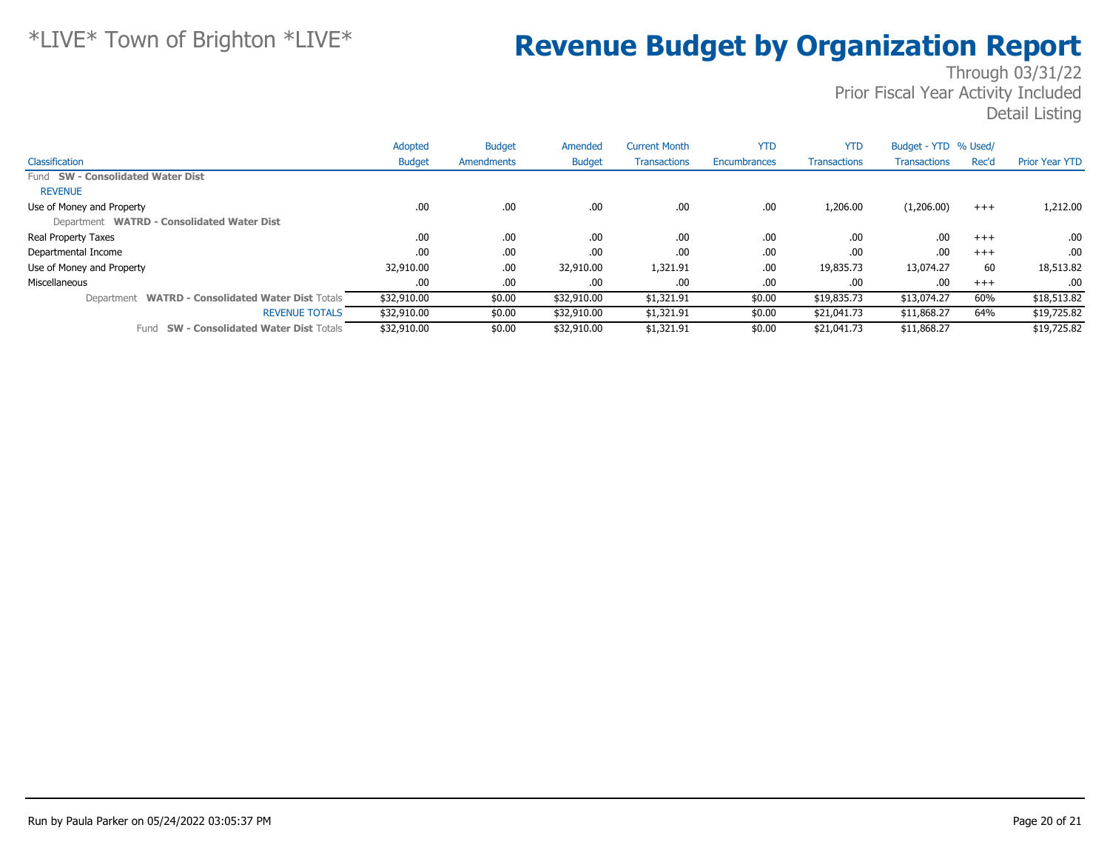|                                                             | Adopted       | <b>Budget</b> | Amended       | <b>Current Month</b> | <b>YTD</b>   | <b>YTD</b>          | Budget - YTD % Used/ |          |                       |
|-------------------------------------------------------------|---------------|---------------|---------------|----------------------|--------------|---------------------|----------------------|----------|-----------------------|
| Classification                                              | <b>Budget</b> | Amendments    | <b>Budget</b> | <b>Transactions</b>  | Encumbrances | <b>Transactions</b> | <b>Transactions</b>  | Rec'd    | <b>Prior Year YTD</b> |
| Fund SW - Consolidated Water Dist                           |               |               |               |                      |              |                     |                      |          |                       |
| <b>REVENUE</b>                                              |               |               |               |                      |              |                     |                      |          |                       |
| Use of Money and Property                                   | .00.          | .00           | .00           | .00                  | .00          | 1,206.00            | (1,206.00)           | $^{+++}$ | 1,212.00              |
| Department WATRD - Consolidated Water Dist                  |               |               |               |                      |              |                     |                      |          |                       |
| Real Property Taxes                                         | .00           | .00.          | .00.          | .00                  | .00          | .00.                | .00                  | $+++$    | .00                   |
| Departmental Income                                         | .00           | .00           | .00.          | .00                  | .00          | .00.                | .00                  | $+++$    | .00                   |
| Use of Money and Property                                   | 32,910.00     | .00           | 32,910.00     | 1,321.91             | .00          | 19,835.73           | 13,074.27            | 60       | 18,513.82             |
| Miscellaneous                                               | .00           | .00           | .00.          | .00                  | .00          | .00                 | .00                  | $+++$    | .00                   |
| <b>WATRD - Consolidated Water Dist Totals</b><br>Department | \$32,910.00   | \$0.00        | \$32,910.00   | \$1,321.91           | \$0.00       | \$19,835.73         | \$13,074.27          | 60%      | \$18,513.82           |
| <b>REVENUE TOTALS</b>                                       | \$32,910.00   | \$0.00        | \$32,910.00   | \$1,321.91           | \$0.00       | \$21,041.73         | \$11,868.27          | 64%      | \$19,725.82           |
| <b>SW - Consolidated Water Dist Totals</b><br>Fund          | \$32,910.00   | \$0.00        | \$32,910.00   | \$1,321.91           | \$0.00       | \$21,041.73         | \$11,868.27          |          | \$19,725.82           |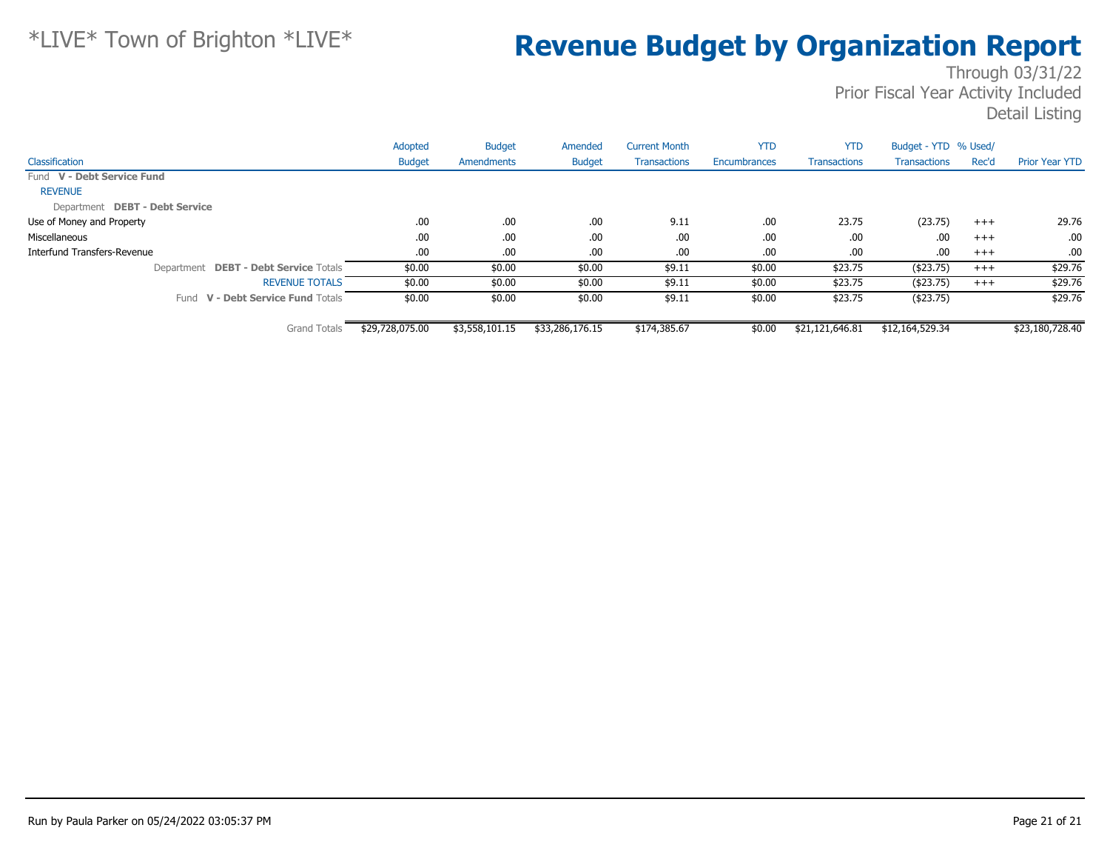|                                              | Adopted         | <b>Budget</b>  | Amended         | <b>Current Month</b> | <b>YTD</b>   | <b>YTD</b>          | Budget - YTD % Used/ |          |                       |
|----------------------------------------------|-----------------|----------------|-----------------|----------------------|--------------|---------------------|----------------------|----------|-----------------------|
| Classification                               | <b>Budget</b>   | Amendments     | <b>Budget</b>   | <b>Transactions</b>  | Encumbrances | <b>Transactions</b> | <b>Transactions</b>  | Rec'd    | <b>Prior Year YTD</b> |
| Fund V - Debt Service Fund                   |                 |                |                 |                      |              |                     |                      |          |                       |
| <b>REVENUE</b>                               |                 |                |                 |                      |              |                     |                      |          |                       |
| Department DEBT - Debt Service               |                 |                |                 |                      |              |                     |                      |          |                       |
| Use of Money and Property                    | .00.            | .00            | .00             | 9.11                 | .00          | 23.75               | (23.75)              | $^{+++}$ | 29.76                 |
| Miscellaneous                                | .00             | .00            | .00             | .00                  | .00          | .00                 | .00                  | $+++$    | .00.                  |
| Interfund Transfers-Revenue                  | .00.            | .00            | .00             | .00                  | .00          | .00                 | .00                  | $+++$    | .00.                  |
| Department <b>DEBT - Debt Service</b> Totals | \$0.00          | \$0.00         | \$0.00          | \$9.11               | \$0.00       | \$23.75             | ( \$23.75)           | $+++$    | \$29.76               |
| <b>REVENUE TOTALS</b>                        | \$0.00          | \$0.00         | \$0.00          | \$9.11               | \$0.00       | \$23.75             | ( \$23.75)           | $^{+++}$ | \$29.76               |
| Fund V - Debt Service Fund Totals            | \$0.00          | \$0.00         | \$0.00          | \$9.11               | \$0.00       | \$23.75             | ( \$23.75)           |          | \$29.76               |
| <b>Grand Totals</b>                          | \$29,728,075.00 | \$3,558,101.15 | \$33,286,176.15 | \$174,385.67         | \$0.00       | \$21,121,646.81     | \$12,164,529.34      |          | \$23,180,728.40       |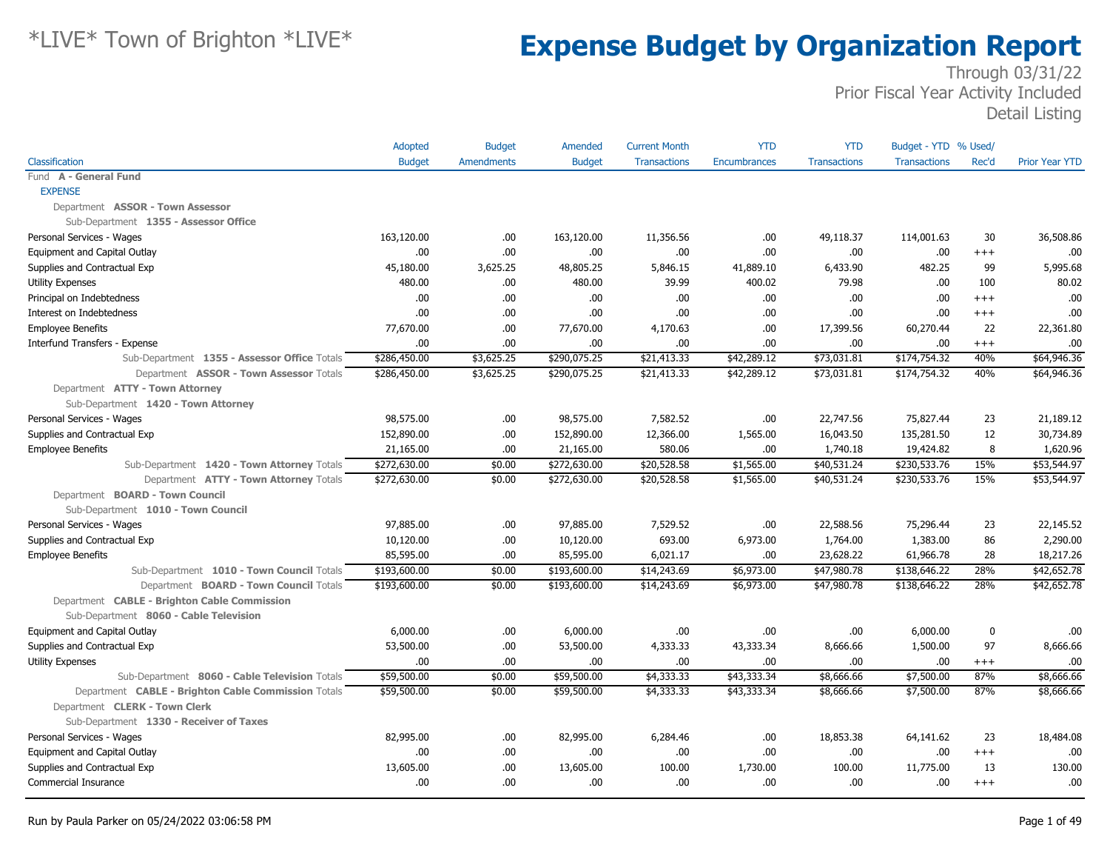|                                                     | Adopted       | <b>Budget</b>     | Amended       | <b>Current Month</b> | <b>YTD</b>          | <b>YTD</b>          | Budget - YTD % Used/ |             |                       |
|-----------------------------------------------------|---------------|-------------------|---------------|----------------------|---------------------|---------------------|----------------------|-------------|-----------------------|
| Classification                                      | <b>Budget</b> | <b>Amendments</b> | <b>Budget</b> | <b>Transactions</b>  | <b>Encumbrances</b> | <b>Transactions</b> | <b>Transactions</b>  | Rec'd       | <b>Prior Year YTD</b> |
| Fund A - General Fund                               |               |                   |               |                      |                     |                     |                      |             |                       |
| <b>EXPENSE</b>                                      |               |                   |               |                      |                     |                     |                      |             |                       |
| Department ASSOR - Town Assessor                    |               |                   |               |                      |                     |                     |                      |             |                       |
| Sub-Department 1355 - Assessor Office               |               |                   |               |                      |                     |                     |                      |             |                       |
| Personal Services - Wages                           | 163,120.00    | .00.              | 163,120.00    | 11,356.56            | .00                 | 49,118.37           | 114,001.63           | 30          | 36,508.86             |
| Equipment and Capital Outlay                        | .00           | .00.              | .00.          | .00                  | .00                 | .00                 | .00                  | $+++$       | .00                   |
| Supplies and Contractual Exp                        | 45,180.00     | 3,625.25          | 48,805.25     | 5,846.15             | 41,889.10           | 6,433.90            | 482.25               | 99          | 5,995.68              |
| <b>Utility Expenses</b>                             | 480.00        | .00.              | 480.00        | 39.99                | 400.02              | 79.98               | .00                  | 100         | 80.02                 |
| Principal on Indebtedness                           | .00.          | .00.              | .00           | .00                  | .00                 | .00                 | .00                  | $^{++}$     | .00                   |
| Interest on Indebtedness                            | .00           | .00.              | .00           | .00                  | .00                 | .00                 | .00                  | $+++$       | .00                   |
| <b>Employee Benefits</b>                            | 77,670.00     | .00               | 77,670.00     | 4,170.63             | .00                 | 17,399.56           | 60,270.44            | 22          | 22,361.80             |
| Interfund Transfers - Expense                       | .00.          | .00               | .00           | .00                  | .00                 | .00                 | .00.                 | $^{++}$     | .00                   |
| Sub-Department 1355 - Assessor Office Totals        | \$286,450.00  | \$3,625.25        | \$290,075.25  | \$21,413.33          | \$42,289.12         | \$73,031.81         | \$174,754.32         | 40%         | \$64,946.36           |
| Department ASSOR - Town Assessor Totals             | \$286,450.00  | \$3,625.25        | \$290,075.25  | \$21,413.33          | \$42,289.12         | \$73,031.81         | \$174,754.32         | 40%         | \$64,946.36           |
| Department ATTY - Town Attorney                     |               |                   |               |                      |                     |                     |                      |             |                       |
| Sub-Department 1420 - Town Attorney                 |               |                   |               |                      |                     |                     |                      |             |                       |
| Personal Services - Wages                           | 98,575.00     | .00.              | 98,575.00     | 7,582.52             | .00                 | 22,747.56           | 75,827.44            | 23          | 21,189.12             |
| Supplies and Contractual Exp                        | 152,890.00    | .00.              | 152,890.00    | 12,366.00            | 1,565.00            | 16,043.50           | 135,281.50           | 12          | 30,734.89             |
| <b>Employee Benefits</b>                            | 21,165.00     | .00               | 21,165.00     | 580.06               | .00                 | 1,740.18            | 19,424.82            | 8           | 1,620.96              |
| Sub-Department 1420 - Town Attorney Totals          | \$272,630.00  | \$0.00            | \$272,630.00  | \$20,528.58          | \$1,565.00          | \$40,531.24         | \$230,533.76         | 15%         | \$53,544.97           |
| Department ATTY - Town Attorney Totals              | \$272,630.00  | \$0.00            | \$272,630.00  | \$20,528.58          | \$1,565.00          | \$40,531.24         | \$230,533.76         | 15%         | \$53,544.97           |
| Department BOARD - Town Council                     |               |                   |               |                      |                     |                     |                      |             |                       |
| Sub-Department 1010 - Town Council                  |               |                   |               |                      |                     |                     |                      |             |                       |
| Personal Services - Wages                           | 97,885.00     | .00.              | 97,885.00     | 7,529.52             | .00                 | 22,588.56           | 75,296.44            | 23          | 22,145.52             |
| Supplies and Contractual Exp                        | 10,120.00     | .00               | 10,120.00     | 693.00               | 6,973.00            | 1,764.00            | 1,383.00             | 86          | 2,290.00              |
| <b>Employee Benefits</b>                            | 85,595.00     | .00.              | 85,595.00     | 6,021.17             | .00                 | 23,628.22           | 61,966.78            | 28          | 18,217.26             |
| Sub-Department 1010 - Town Council Totals           | \$193,600.00  | \$0.00            | \$193,600.00  | \$14,243.69          | \$6,973.00          | \$47,980.78         | \$138,646.22         | 28%         | \$42,652.78           |
| Department BOARD - Town Council Totals              | \$193,600.00  | \$0.00            | \$193,600.00  | \$14,243.69          | \$6,973.00          | \$47,980.78         | \$138,646.22         | 28%         | \$42,652.78           |
| Department CABLE - Brighton Cable Commission        |               |                   |               |                      |                     |                     |                      |             |                       |
| Sub-Department 8060 - Cable Television              |               |                   |               |                      |                     |                     |                      |             |                       |
| Equipment and Capital Outlay                        | 6,000.00      | .00               | 6,000.00      | .00                  | .00                 | .00                 | 6,000.00             | $\mathbf 0$ | .00                   |
| Supplies and Contractual Exp                        | 53,500.00     | .00.              | 53,500.00     | 4,333.33             | 43,333.34           | 8,666.66            | 1,500.00             | 97          | 8,666.66              |
| <b>Utility Expenses</b>                             | .00.          | .00               | .00.          | .00                  | .00                 | .00                 | .00                  | $^{+++}$    | .00.                  |
| Sub-Department 8060 - Cable Television Totals       | \$59,500.00   | \$0.00            | \$59,500.00   | \$4,333.33           | \$43,333.34         | \$8,666.66          | \$7,500.00           | 87%         | \$8,666.66            |
| Department CABLE - Brighton Cable Commission Totals | \$59,500.00   | \$0.00            | \$59,500.00   | \$4,333.33           | \$43,333.34         | \$8,666.66          | \$7,500.00           | 87%         | \$8,666.66            |
| Department CLERK - Town Clerk                       |               |                   |               |                      |                     |                     |                      |             |                       |
| Sub-Department 1330 - Receiver of Taxes             |               |                   |               |                      |                     |                     |                      |             |                       |
| Personal Services - Wages                           | 82,995.00     | .00.              | 82,995.00     | 6,284.46             | .00                 | 18,853.38           | 64,141.62            | 23          | 18,484.08             |
| Equipment and Capital Outlay                        | .00           | .00.              | .00.          | .00                  | .00                 | .00                 | .00                  | $+++$       | .00                   |
| Supplies and Contractual Exp                        | 13,605.00     | .00.              | 13,605.00     | 100.00               | 1,730.00            | 100.00              | 11,775.00            | 13          | 130.00                |
| Commercial Insurance                                | .00.          | .00.              | .00.          | .00                  | .00                 | .00                 | .00                  | $^{++}$     | .00.                  |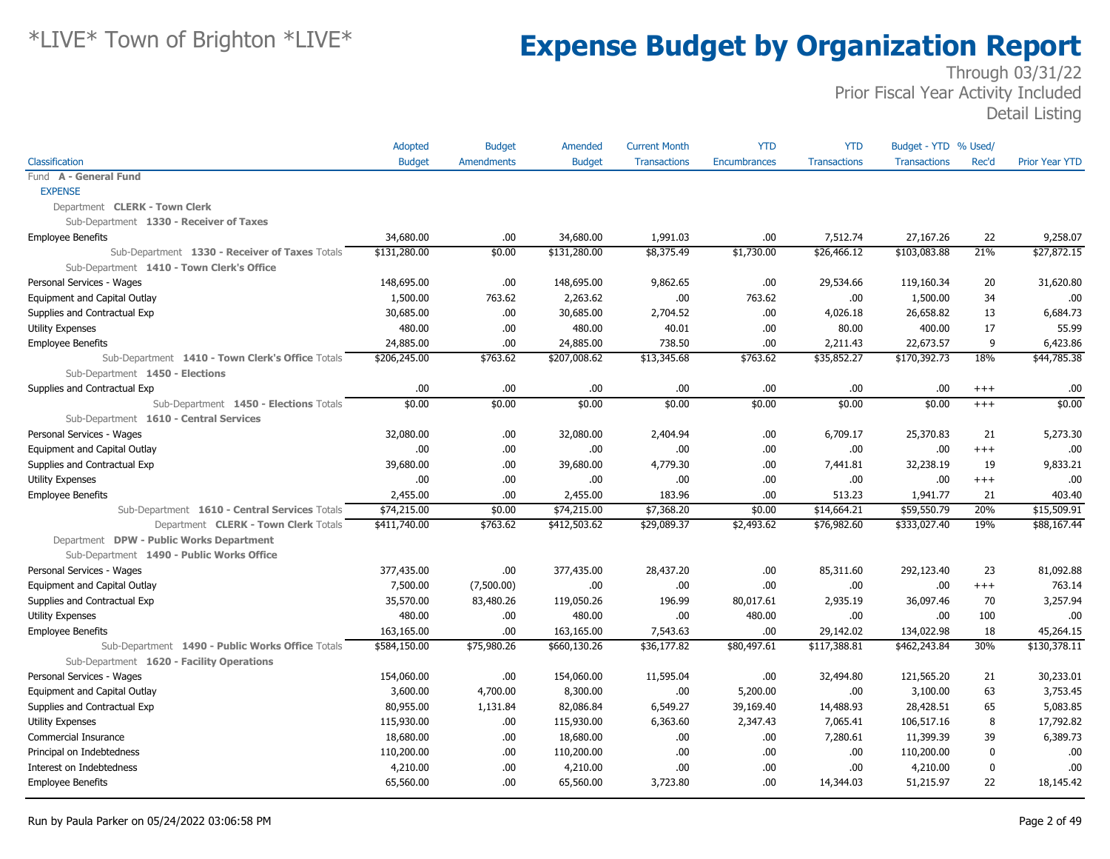|                                                  | Adopted       | <b>Budget</b> | Amended       | <b>Current Month</b> | <b>YTD</b>   | <b>YTD</b>          | Budget - YTD % Used/ |             |                       |
|--------------------------------------------------|---------------|---------------|---------------|----------------------|--------------|---------------------|----------------------|-------------|-----------------------|
| Classification                                   | <b>Budget</b> | Amendments    | <b>Budget</b> | <b>Transactions</b>  | Encumbrances | <b>Transactions</b> | <b>Transactions</b>  | Rec'd       | <b>Prior Year YTD</b> |
| Fund A - General Fund                            |               |               |               |                      |              |                     |                      |             |                       |
| <b>EXPENSE</b>                                   |               |               |               |                      |              |                     |                      |             |                       |
| Department CLERK - Town Clerk                    |               |               |               |                      |              |                     |                      |             |                       |
| Sub-Department 1330 - Receiver of Taxes          |               |               |               |                      |              |                     |                      |             |                       |
| <b>Employee Benefits</b>                         | 34,680.00     | .00           | 34,680.00     | 1,991.03             | .00          | 7,512.74            | 27,167.26            | 22          | 9,258.07              |
| Sub-Department 1330 - Receiver of Taxes Totals   | \$131,280.00  | \$0.00        | \$131,280.00  | \$8,375.49           | \$1,730.00   | \$26,466.12         | \$103,083.88         | 21%         | \$27,872.15           |
| Sub-Department 1410 - Town Clerk's Office        |               |               |               |                      |              |                     |                      |             |                       |
| Personal Services - Wages                        | 148,695.00    | .00           | 148,695.00    | 9,862.65             | .00.         | 29,534.66           | 119,160.34           | 20          | 31,620.80             |
| Equipment and Capital Outlay                     | 1,500.00      | 763.62        | 2,263.62      | .00                  | 763.62       | .00                 | 1,500.00             | 34          | .00                   |
| Supplies and Contractual Exp                     | 30,685.00     | .00.          | 30,685.00     | 2,704.52             | .00          | 4,026.18            | 26,658.82            | 13          | 6,684.73              |
| <b>Utility Expenses</b>                          | 480.00        | .00           | 480.00        | 40.01                | .00          | 80.00               | 400.00               | 17          | 55.99                 |
| <b>Employee Benefits</b>                         | 24,885.00     | .00           | 24,885.00     | 738.50               | .00          | 2,211.43            | 22,673.57            | 9           | 6,423.86              |
| Sub-Department 1410 - Town Clerk's Office Totals | \$206,245.00  | \$763.62      | \$207,008.62  | \$13,345.68          | \$763.62     | \$35,852.27         | \$170,392.73         | 18%         | \$44,785.38           |
| Sub-Department 1450 - Elections                  |               |               |               |                      |              |                     |                      |             |                       |
| Supplies and Contractual Exp                     | .00           | .00           | .00.          | .00                  | .00          | .00                 | .00                  | $^{+++}$    | .00                   |
| Sub-Department 1450 - Elections Totals           | \$0.00        | \$0.00        | \$0.00        | \$0.00               | \$0.00       | \$0.00              | \$0.00               | $+++$       | \$0.00                |
| Sub-Department 1610 - Central Services           |               |               |               |                      |              |                     |                      |             |                       |
| Personal Services - Wages                        | 32,080.00     | .00.          | 32,080.00     | 2,404.94             | .00          | 6,709.17            | 25,370.83            | 21          | 5,273.30              |
| Equipment and Capital Outlay                     | .00.          | .00.          | .00.          | .00                  | .00          | .00                 | .00                  | $+++$       | .00                   |
| Supplies and Contractual Exp                     | 39,680.00     | .00.          | 39,680.00     | 4,779.30             | .00          | 7,441.81            | 32,238.19            | 19          | 9,833.21              |
| <b>Utility Expenses</b>                          | 00.           | .00           | .00.          | .00                  | .00          | .00                 | .00                  | $+++$       | .00                   |
| <b>Employee Benefits</b>                         | 2,455.00      | .00           | 2,455.00      | 183.96               | .00          | 513.23              | 1,941,77             | 21          | 403.40                |
| Sub-Department 1610 - Central Services Totals    | \$74,215.00   | \$0.00        | \$74,215.00   | \$7,368.20           | \$0.00       | \$14,664.21         | \$59,550.79          | 20%         | \$15,509.91           |
| Department CLERK - Town Clerk Totals             | \$411,740.00  | \$763.62      | \$412,503.62  | \$29,089.37          | \$2,493.62   | \$76,982.60         | \$333,027.40         | 19%         | \$88,167.44           |
| Department DPW - Public Works Department         |               |               |               |                      |              |                     |                      |             |                       |
| Sub-Department 1490 - Public Works Office        |               |               |               |                      |              |                     |                      |             |                       |
| Personal Services - Wages                        | 377,435.00    | .00           | 377,435.00    | 28,437.20            | .00          | 85,311.60           | 292,123.40           | 23          | 81,092.88             |
| Equipment and Capital Outlay                     | 7,500.00      | (7,500.00)    | .00.          | .00                  | .00.         | .00                 | .00                  | $^{+++}$    | 763.14                |
| Supplies and Contractual Exp                     | 35,570.00     | 83,480.26     | 119,050.26    | 196.99               | 80,017.61    | 2,935.19            | 36,097.46            | 70          | 3,257.94              |
| <b>Utility Expenses</b>                          | 480.00        | .00           | 480.00        | .00                  | 480.00       | .00                 | .00                  | 100         | .00                   |
| <b>Employee Benefits</b>                         | 163,165.00    | .00           | 163,165.00    | 7,543.63             | .00          | 29,142.02           | 134,022.98           | 18          | 45,264.15             |
| Sub-Department 1490 - Public Works Office Totals | \$584,150.00  | \$75,980.26   | \$660,130.26  | \$36,177.82          | \$80,497.61  | \$117,388.81        | \$462,243.84         | 30%         | \$130,378.11          |
| Sub-Department 1620 - Facility Operations        |               |               |               |                      |              |                     |                      |             |                       |
| Personal Services - Wages                        | 154,060.00    | .00           | 154,060.00    | 11,595.04            | .00.         | 32,494.80           | 121,565.20           | 21          | 30,233.01             |
| Equipment and Capital Outlay                     | 3,600.00      | 4,700.00      | 8,300.00      | .00                  | 5,200.00     | .00                 | 3,100.00             | 63          | 3,753.45              |
| Supplies and Contractual Exp                     | 80,955.00     | 1,131.84      | 82,086.84     | 6,549.27             | 39,169.40    | 14,488.93           | 28,428.51            | 65          | 5,083.85              |
| <b>Utility Expenses</b>                          | 115,930.00    | .00           | 115,930.00    | 6,363.60             | 2,347.43     | 7,065.41            | 106,517.16           | 8           | 17,792.82             |
| Commercial Insurance                             | 18,680.00     | .00.          | 18,680.00     | .00                  | .00          | 7,280.61            | 11,399.39            | 39          | 6,389.73              |
| Principal on Indebtedness                        | 110,200.00    | .00.          | 110,200.00    | .00                  | .00          | .00                 | 110,200.00           | $\mathbf 0$ | .00                   |
| Interest on Indebtedness                         | 4,210.00      | .00.          | 4,210.00      | .00                  | .00          | .00                 | 4,210.00             | $\mathbf 0$ | .00                   |
| <b>Employee Benefits</b>                         | 65,560.00     | .00           | 65,560.00     | 3,723.80             | .00          | 14,344.03           | 51,215.97            | 22          | 18,145.42             |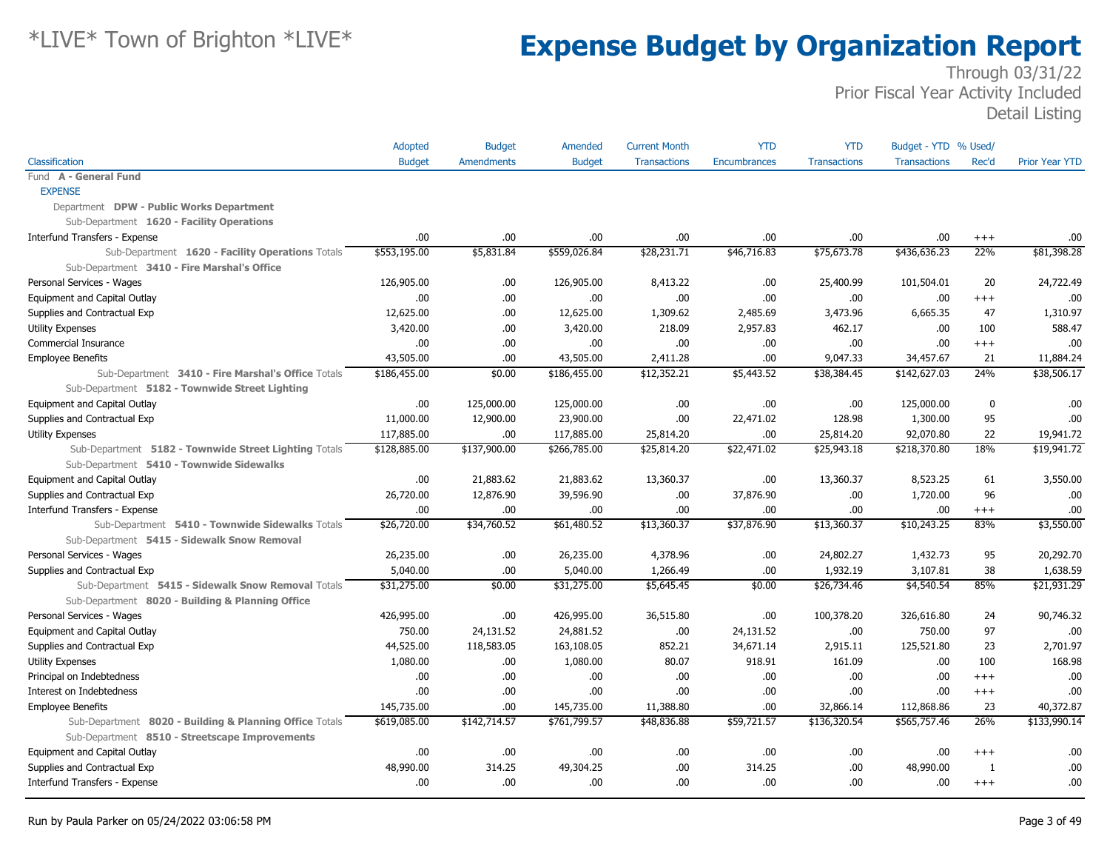|                                                         | Adopted       | <b>Budget</b>     | Amended       | <b>Current Month</b> | <b>YTD</b>          | <b>YTD</b>          | Budget - YTD % Used/ |          |                       |
|---------------------------------------------------------|---------------|-------------------|---------------|----------------------|---------------------|---------------------|----------------------|----------|-----------------------|
| Classification                                          | <b>Budget</b> | <b>Amendments</b> | <b>Budget</b> | <b>Transactions</b>  | <b>Encumbrances</b> | <b>Transactions</b> | <b>Transactions</b>  | Rec'd    | <b>Prior Year YTD</b> |
| Fund A - General Fund                                   |               |                   |               |                      |                     |                     |                      |          |                       |
| <b>EXPENSE</b>                                          |               |                   |               |                      |                     |                     |                      |          |                       |
| Department DPW - Public Works Department                |               |                   |               |                      |                     |                     |                      |          |                       |
| Sub-Department 1620 - Facility Operations               |               |                   |               |                      |                     |                     |                      |          |                       |
| Interfund Transfers - Expense                           | .00           | .00               | .00.          | .00                  | .00                 | .00                 | .00                  | $^{+++}$ | .00                   |
| Sub-Department 1620 - Facility Operations Totals        | \$553,195.00  | \$5,831.84        | \$559,026.84  | \$28,231.71          | \$46,716.83         | \$75,673.78         | \$436,636.23         | 22%      | \$81,398.28           |
| Sub-Department 3410 - Fire Marshal's Office             |               |                   |               |                      |                     |                     |                      |          |                       |
| Personal Services - Wages                               | 126,905.00    | .00.              | 126,905.00    | 8,413.22             | .00.                | 25,400.99           | 101,504.01           | 20       | 24,722.49             |
| Equipment and Capital Outlay                            | .00           | .00               | .00.          | .00                  | .00                 | .00                 | .00.                 | $+++$    | .00                   |
| Supplies and Contractual Exp                            | 12,625.00     | .00               | 12,625.00     | 1,309.62             | 2,485.69            | 3,473.96            | 6,665.35             | 47       | 1,310.97              |
| Utility Expenses                                        | 3,420.00      | .00               | 3,420.00      | 218.09               | 2,957.83            | 462.17              | .00.                 | 100      | 588.47                |
| Commercial Insurance                                    | .00           | .00               | .00.          | .00                  | .00.                | .00                 | .00.                 | $^{+++}$ | .00                   |
| <b>Employee Benefits</b>                                | 43,505.00     | .00               | 43,505.00     | 2,411.28             | .00                 | 9,047.33            | 34,457.67            | 21       | 11,884.24             |
| Sub-Department 3410 - Fire Marshal's Office Totals      | \$186,455.00  | \$0.00            | \$186,455.00  | \$12,352.21          | \$5,443.52          | \$38,384.45         | \$142,627.03         | 24%      | \$38,506.17           |
| Sub-Department 5182 - Townwide Street Lighting          |               |                   |               |                      |                     |                     |                      |          |                       |
| Equipment and Capital Outlay                            | .00           | 125,000.00        | 125,000.00    | .00                  | .00                 | .00                 | 125,000.00           | 0        | .00                   |
| Supplies and Contractual Exp                            | 11,000.00     | 12,900.00         | 23,900.00     | .00                  | 22,471.02           | 128.98              | 1,300.00             | 95       | .00                   |
| <b>Utility Expenses</b>                                 | 117,885.00    | .00               | 117,885.00    | 25,814.20            | .00.                | 25,814.20           | 92,070.80            | 22       | 19,941.72             |
| Sub-Department 5182 - Townwide Street Lighting Totals   | \$128,885.00  | \$137,900.00      | \$266,785.00  | \$25,814.20          | \$22,471.02         | \$25,943.18         | \$218,370.80         | 18%      | \$19,941.72           |
| Sub-Department 5410 - Townwide Sidewalks                |               |                   |               |                      |                     |                     |                      |          |                       |
| Equipment and Capital Outlay                            | .00           | 21,883.62         | 21,883.62     | 13,360.37            | .00.                | 13,360.37           | 8,523.25             | 61       | 3,550.00              |
| Supplies and Contractual Exp                            | 26,720.00     | 12,876.90         | 39,596.90     | .00                  | 37,876.90           | .00                 | 1,720.00             | 96       | .00                   |
| Interfund Transfers - Expense                           | .00           | .00               | .00.          | .00                  | .00                 | .00                 | .00.                 | $^{+++}$ | .00                   |
| Sub-Department 5410 - Townwide Sidewalks Totals         | \$26,720.00   | \$34,760.52       | \$61,480.52   | \$13,360.37          | \$37,876.90         | \$13,360.37         | \$10,243.25          | 83%      | \$3,550.00            |
| Sub-Department 5415 - Sidewalk Snow Removal             |               |                   |               |                      |                     |                     |                      |          |                       |
| Personal Services - Wages                               | 26,235.00     | .00.              | 26,235.00     | 4,378.96             | .00.                | 24,802.27           | 1,432.73             | 95       | 20,292.70             |
| Supplies and Contractual Exp                            | 5,040.00      | .00               | 5,040.00      | 1,266.49             | .00                 | 1,932.19            | 3,107.81             | 38       | 1,638.59              |
| Sub-Department 5415 - Sidewalk Snow Removal Totals      | \$31,275.00   | \$0.00            | \$31,275.00   | \$5,645.45           | \$0.00              | \$26,734.46         | \$4,540.54           | 85%      | \$21,931.29           |
| Sub-Department 8020 - Building & Planning Office        |               |                   |               |                      |                     |                     |                      |          |                       |
| Personal Services - Wages                               | 426,995.00    | .00               | 426,995.00    | 36,515.80            | .00.                | 100,378.20          | 326,616.80           | 24       | 90,746.32             |
| Equipment and Capital Outlay                            | 750.00        | 24,131.52         | 24,881.52     | .00                  | 24,131.52           | .00                 | 750.00               | 97       | .00                   |
| Supplies and Contractual Exp                            | 44,525.00     | 118,583.05        | 163,108.05    | 852.21               | 34,671.14           | 2,915.11            | 125,521.80           | 23       | 2,701.97              |
| <b>Utility Expenses</b>                                 | 1,080.00      | .00               | 1,080.00      | 80.07                | 918.91              | 161.09              | .00.                 | 100      | 168.98                |
| Principal on Indebtedness                               | .00           | .00               | .00.          | .00                  | .00                 | .00                 | .00.                 | $^{+++}$ | .00                   |
| Interest on Indebtedness                                | .00           | .00               | .00.          | .00                  | .00                 | .00                 | .00                  | $^{+++}$ | .00                   |
| <b>Employee Benefits</b>                                | 145,735.00    | .00               | 145,735.00    | 11,388.80            | 00.                 | 32,866.14           | 112,868.86           | 23       | 40,372.87             |
| Sub-Department 8020 - Building & Planning Office Totals | \$619,085.00  | \$142,714.57      | \$761,799.57  | \$48,836.88          | \$59,721.57         | \$136,320.54        | \$565,757.46         | 26%      | \$133,990.14          |
| Sub-Department 8510 - Streetscape Improvements          |               |                   |               |                      |                     |                     |                      |          |                       |
| Equipment and Capital Outlay                            | .00           | .00               | .00.          | .00                  | .00.                | .00                 | .00.                 | $+++$    | .00                   |
| Supplies and Contractual Exp                            | 48,990.00     | 314.25            | 49,304.25     | .00                  | 314.25              | .00                 | 48,990.00            | -1       | .00                   |
| Interfund Transfers - Expense                           | .00.          | .00               | .00.          | .00                  | 00.                 | .00                 | .00.                 | $+++$    | .00                   |
|                                                         |               |                   |               |                      |                     |                     |                      |          |                       |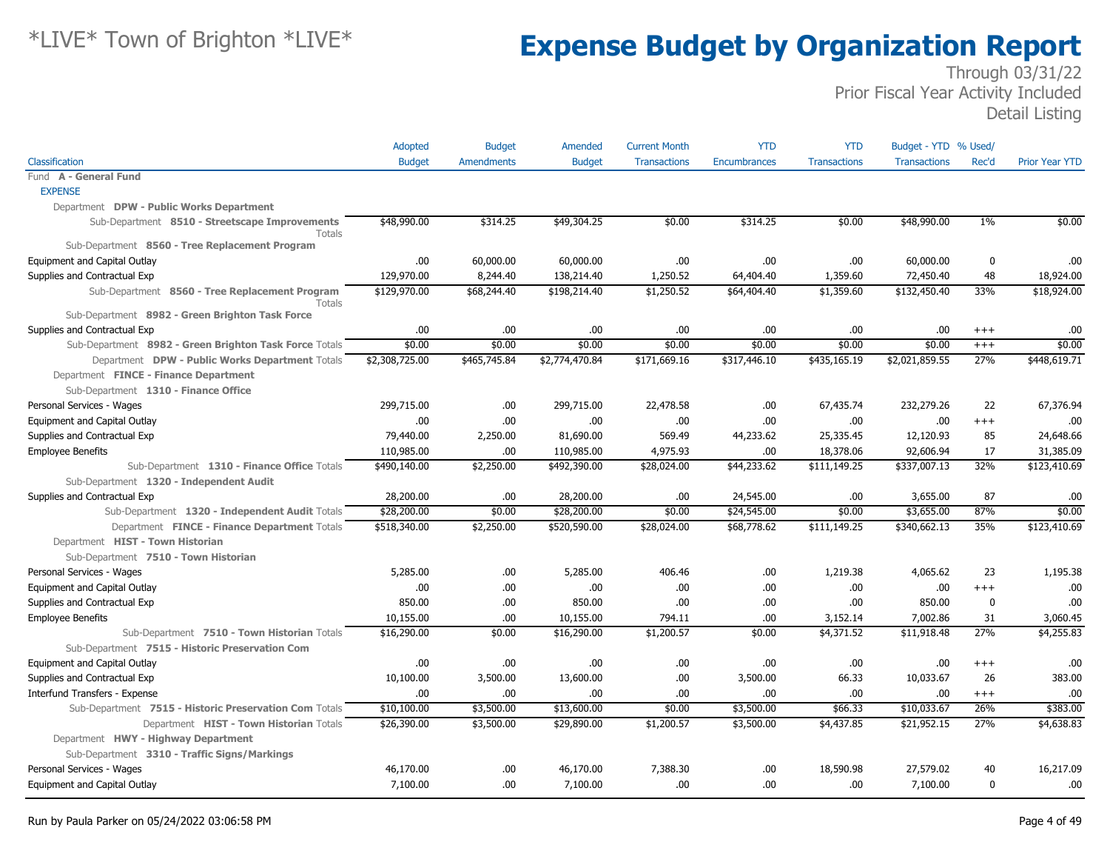|                                                                 | Adopted        | <b>Budget</b>     | Amended        | <b>Current Month</b> | <b>YTD</b>          | <b>YTD</b>          | Budget - YTD % Used/ |             |                       |
|-----------------------------------------------------------------|----------------|-------------------|----------------|----------------------|---------------------|---------------------|----------------------|-------------|-----------------------|
| Classification                                                  | <b>Budget</b>  | <b>Amendments</b> | <b>Budget</b>  | <b>Transactions</b>  | <b>Encumbrances</b> | <b>Transactions</b> | <b>Transactions</b>  | Rec'd       | <b>Prior Year YTD</b> |
| Fund A - General Fund                                           |                |                   |                |                      |                     |                     |                      |             |                       |
| <b>EXPENSE</b>                                                  |                |                   |                |                      |                     |                     |                      |             |                       |
| Department DPW - Public Works Department                        |                |                   |                |                      |                     |                     |                      |             |                       |
| Sub-Department 8510 - Streetscape Improvements<br><b>Totals</b> | \$48,990.00    | \$314.25          | \$49,304.25    | \$0.00               | \$314.25            | \$0.00              | \$48,990.00          | $1\%$       | \$0.00                |
| Sub-Department 8560 - Tree Replacement Program                  |                |                   |                |                      |                     |                     |                      |             |                       |
| Equipment and Capital Outlay                                    | .00            | 60,000.00         | 60,000.00      | .00                  | .00.                | .00                 | 60,000.00            | $\mathbf 0$ | .00                   |
| Supplies and Contractual Exp                                    | 129,970.00     | 8,244.40          | 138,214.40     | 1,250.52             | 64,404.40           | 1,359.60            | 72,450.40            | 48          | 18,924.00             |
| Sub-Department 8560 - Tree Replacement Program<br><b>Totals</b> | \$129,970.00   | \$68,244.40       | \$198,214.40   | \$1,250.52           | \$64,404.40         | \$1,359.60          | \$132,450.40         | 33%         | \$18,924.00           |
| Sub-Department 8982 - Green Brighton Task Force                 |                |                   |                |                      |                     |                     |                      |             |                       |
| Supplies and Contractual Exp                                    | .00            | .00               | .00.           | .00                  | .00                 | .00                 | .00.                 | $+++$       | .00                   |
| Sub-Department 8982 - Green Brighton Task Force Totals          | \$0.00         | \$0.00            | \$0.00         | \$0.00               | \$0.00              | \$0.00              | \$0.00               | $+++$       | \$0.00                |
| Department DPW - Public Works Department Totals                 | \$2,308,725.00 | \$465,745.84      | \$2,774,470.84 | \$171,669.16         | \$317,446.10        | \$435,165.19        | \$2,021,859.55       | 27%         | \$448,619.71          |
| Department FINCE - Finance Department                           |                |                   |                |                      |                     |                     |                      |             |                       |
| Sub-Department 1310 - Finance Office                            |                |                   |                |                      |                     |                     |                      |             |                       |
| Personal Services - Wages                                       | 299,715.00     | .00.              | 299,715.00     | 22,478.58            | .00                 | 67,435.74           | 232,279.26           | 22          | 67,376.94             |
| Equipment and Capital Outlay                                    | .00.           | .00               | 00.            | .00                  | .00                 | .00                 | .00                  | $+++$       | .00                   |
| Supplies and Contractual Exp                                    | 79,440.00      | 2,250.00          | 81,690.00      | 569.49               | 44,233.62           | 25,335.45           | 12,120.93            | 85          | 24,648.66             |
| <b>Employee Benefits</b>                                        | 110,985.00     | .00               | 110,985.00     | 4,975.93             | .00                 | 18,378.06           | 92,606.94            | 17          | 31,385.09             |
| Sub-Department 1310 - Finance Office Totals                     | \$490,140.00   | \$2,250.00        | \$492,390.00   | \$28,024.00          | \$44,233.62         | \$111,149.25        | \$337,007.13         | 32%         | \$123,410.69          |
| Sub-Department 1320 - Independent Audit                         |                |                   |                |                      |                     |                     |                      |             |                       |
| Supplies and Contractual Exp                                    | 28,200.00      | .00               | 28,200.00      | .00                  | 24,545.00           | .00                 | 3,655.00             | 87          | .00                   |
| Sub-Department 1320 - Independent Audit Totals                  | \$28,200.00    | \$0.00            | \$28,200.00    | \$0.00               | \$24,545.00         | \$0.00              | \$3,655.00           | 87%         | \$0.00                |
| Department FINCE - Finance Department Totals                    | \$518,340.00   | \$2,250.00        | \$520,590.00   | \$28,024.00          | \$68,778.62         | \$111,149.25        | \$340,662.13         | 35%         | \$123,410.69          |
| Department HIST - Town Historian                                |                |                   |                |                      |                     |                     |                      |             |                       |
| Sub-Department 7510 - Town Historian                            |                |                   |                |                      |                     |                     |                      |             |                       |
| Personal Services - Wages                                       | 5,285.00       | .00               | 5,285.00       | 406.46               | .00                 | 1,219.38            | 4,065.62             | 23          | 1,195.38              |
| Equipment and Capital Outlay                                    | .00.           | .00               | .00.           | .00                  | .00                 | .00                 | .00                  | $+++$       | .00                   |
| Supplies and Contractual Exp                                    | 850.00         | .00               | 850.00         | .00                  | .00                 | .00                 | 850.00               | $\mathbf 0$ | .00                   |
| <b>Employee Benefits</b>                                        | 10,155.00      | .00               | 10,155.00      | 794.11               | .00                 | 3,152.14            | 7,002.86             | 31          | 3,060.45              |
| Sub-Department 7510 - Town Historian Totals                     | \$16,290.00    | \$0.00            | \$16,290.00    | \$1,200.57           | \$0.00              | \$4,371.52          | \$11,918.48          | 27%         | \$4,255.83            |
| Sub-Department 7515 - Historic Preservation Com                 |                |                   |                |                      |                     |                     |                      |             |                       |
| Equipment and Capital Outlay                                    | .00            | .00               | .00.           | .00                  | .00                 | .00                 | .00.                 | $+++$       | .00                   |
| Supplies and Contractual Exp                                    | 10,100.00      | 3,500.00          | 13,600.00      | .00                  | 3,500.00            | 66.33               | 10,033.67            | 26          | 383.00                |
| Interfund Transfers - Expense                                   | .00            | .00               | .00.           | .00                  | .00.                | .00                 | .00                  | $^{+++}$    | .00                   |
| Sub-Department 7515 - Historic Preservation Com Totals          | \$10,100.00    | \$3,500.00        | \$13,600.00    | \$0.00               | \$3,500.00          | \$66.33             | \$10,033.67          | 26%         | \$383.00              |
| Department HIST - Town Historian Totals                         | \$26,390.00    | \$3,500.00        | \$29,890.00    | \$1,200.57           | \$3,500.00          | \$4,437.85          | \$21,952.15          | 27%         | \$4,638.83            |
| Department HWY - Highway Department                             |                |                   |                |                      |                     |                     |                      |             |                       |
| Sub-Department 3310 - Traffic Signs/Markings                    |                |                   |                |                      |                     |                     |                      |             |                       |
| Personal Services - Wages                                       | 46,170.00      | .00               | 46,170.00      | 7,388,30             | .00                 | 18,590.98           | 27,579.02            | 40          | 16,217.09             |
| Equipment and Capital Outlay                                    | 7,100.00       | .00               | 7,100.00       | .00                  | .00                 | .00                 | 7,100.00             | $\mathbf 0$ | .00                   |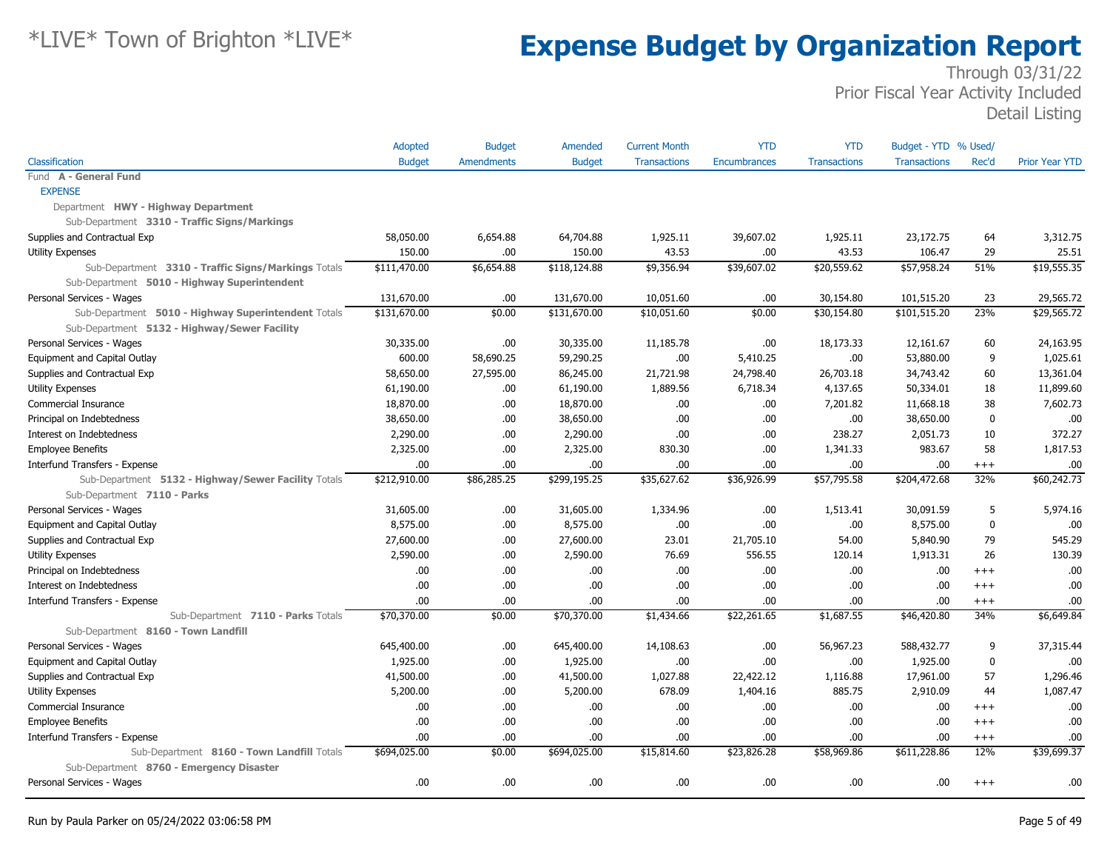|                                                     | Adopted       | <b>Budget</b>     | Amended       | <b>Current Month</b> | <b>YTD</b>   | <b>YTD</b>          | Budget - YTD % Used/ |             |                       |
|-----------------------------------------------------|---------------|-------------------|---------------|----------------------|--------------|---------------------|----------------------|-------------|-----------------------|
| Classification                                      | <b>Budget</b> | <b>Amendments</b> | <b>Budget</b> | <b>Transactions</b>  | Encumbrances | <b>Transactions</b> | <b>Transactions</b>  | Rec'd       | <b>Prior Year YTD</b> |
| Fund A - General Fund                               |               |                   |               |                      |              |                     |                      |             |                       |
| <b>EXPENSE</b>                                      |               |                   |               |                      |              |                     |                      |             |                       |
| Department HWY - Highway Department                 |               |                   |               |                      |              |                     |                      |             |                       |
| Sub-Department 3310 - Traffic Signs/Markings        |               |                   |               |                      |              |                     |                      |             |                       |
| Supplies and Contractual Exp                        | 58,050.00     | 6,654.88          | 64,704.88     | 1,925.11             | 39,607.02    | 1,925.11            | 23,172.75            | 64          | 3,312.75              |
| <b>Utility Expenses</b>                             | 150.00        | .00               | 150.00        | 43.53                | .00.         | 43.53               | 106.47               | 29          | 25.51                 |
| Sub-Department 3310 - Traffic Signs/Markings Totals | \$111,470.00  | \$6,654.88        | \$118,124.88  | \$9,356.94           | \$39,607.02  | \$20,559.62         | \$57,958.24          | 51%         | \$19,555.35           |
| Sub-Department 5010 - Highway Superintendent        |               |                   |               |                      |              |                     |                      |             |                       |
| Personal Services - Wages                           | 131,670.00    | .00               | 131,670.00    | 10,051.60            | .00.         | 30,154.80           | 101,515.20           | 23          | 29,565.72             |
| Sub-Department 5010 - Highway Superintendent Totals | \$131,670.00  | \$0.00            | \$131,670.00  | \$10,051.60          | \$0.00       | \$30,154.80         | \$101,515.20         | 23%         | \$29,565.72           |
| Sub-Department 5132 - Highway/Sewer Facility        |               |                   |               |                      |              |                     |                      |             |                       |
| Personal Services - Wages                           | 30,335.00     | .00               | 30,335.00     | 11,185.78            | .00.         | 18,173.33           | 12,161.67            | 60          | 24,163.95             |
| Equipment and Capital Outlay                        | 600.00        | 58,690.25         | 59,290.25     | .00                  | 5,410.25     | .00                 | 53,880.00            | 9           | 1,025.61              |
| Supplies and Contractual Exp                        | 58,650.00     | 27,595.00         | 86,245.00     | 21,721.98            | 24,798.40    | 26,703.18           | 34,743.42            | 60          | 13,361.04             |
| <b>Utility Expenses</b>                             | 61,190.00     | .00               | 61,190.00     | 1,889.56             | 6,718.34     | 4,137.65            | 50,334.01            | 18          | 11,899.60             |
| Commercial Insurance                                | 18,870.00     | .00               | 18,870.00     | .00.                 | .00.         | 7,201.82            | 11,668.18            | 38          | 7,602.73              |
| Principal on Indebtedness                           | 38,650.00     | .00               | 38,650.00     | .00.                 | .00.         | .00.                | 38,650.00            | 0           | .00                   |
| Interest on Indebtedness                            | 2,290.00      | .00               | 2,290.00      | .00                  | .00.         | 238.27              | 2,051.73             | 10          | 372.27                |
| <b>Employee Benefits</b>                            | 2,325.00      | .00               | 2,325.00      | 830.30               | .00.         | 1,341.33            | 983.67               | 58          | 1,817.53              |
| Interfund Transfers - Expense                       | .00.          | .00               | .00           | .00                  | .00.         | .00                 | .00.                 | $^{+++}$    | .00                   |
| Sub-Department 5132 - Highway/Sewer Facility Totals | \$212,910.00  | \$86,285.25       | \$299,195.25  | \$35,627.62          | \$36,926.99  | \$57,795.58         | \$204,472.68         | 32%         | \$60,242.73           |
| Sub-Department 7110 - Parks                         |               |                   |               |                      |              |                     |                      |             |                       |
| Personal Services - Wages                           | 31,605.00     | .00               | 31,605.00     | 1,334.96             | .00.         | 1,513.41            | 30,091.59            | 5           | 5,974.16              |
| Equipment and Capital Outlay                        | 8,575.00      | .00               | 8,575.00      | .00.                 | .00.         | .00.                | 8,575.00             | $\mathbf 0$ | .00                   |
| Supplies and Contractual Exp                        | 27,600.00     | .00               | 27,600.00     | 23.01                | 21,705.10    | 54.00               | 5,840.90             | 79          | 545.29                |
| <b>Utility Expenses</b>                             | 2,590.00      | .00               | 2,590.00      | 76.69                | 556.55       | 120.14              | 1,913.31             | 26          | 130.39                |
| Principal on Indebtedness                           | .00           | .00.              | .00.          | .00                  | .00          | .00                 | .00                  | $+++$       | .00                   |
| Interest on Indebtedness                            | .00.          | .00               | .00.          | .00.                 | .00.         | .00                 | .00.                 | $+++$       | .00                   |
| Interfund Transfers - Expense                       | .00           | .00               | .00           | .00.                 | .00.         | .00.                | .00.                 | $^{+++}$    | .00                   |
| Sub-Department 7110 - Parks Totals                  | \$70,370.00   | \$0.00            | \$70,370.00   | \$1,434.66           | \$22,261.65  | \$1,687.55          | \$46,420.80          | 34%         | \$6,649.84            |
| Sub-Department 8160 - Town Landfill                 |               |                   |               |                      |              |                     |                      |             |                       |
| Personal Services - Wages                           | 645,400.00    | .00               | 645,400.00    | 14,108.63            | .00.         | 56,967.23           | 588,432.77           | 9           | 37,315.44             |
| Equipment and Capital Outlay                        | 1,925.00      | .00               | 1,925.00      | .00.                 | .00.         | .00                 | 1,925.00             | $\mathbf 0$ | .00                   |
| Supplies and Contractual Exp                        | 41,500.00     | .00               | 41,500.00     | 1,027.88             | 22,422.12    | 1,116.88            | 17,961.00            | 57          | 1,296.46              |
| <b>Utility Expenses</b>                             | 5,200.00      | .00               | 5,200.00      | 678.09               | 1,404.16     | 885.75              | 2,910.09             | 44          | 1,087.47              |
| Commercial Insurance                                | .00.          | .00               | .00.          | .00.                 | .00          | .00                 | .00                  | $+++$       | .00                   |
| <b>Employee Benefits</b>                            | 00.           | .00               | .00           | .00                  | .00.         | .00                 | .00                  | $+++$       | .00                   |
| Interfund Transfers - Expense                       | .00.          | .00               | .00.          | .00.                 | .00.         | .00.                | .00.                 | $^{+++}$    | .00                   |
| Sub-Department 8160 - Town Landfill Totals          | \$694,025.00  | \$0.00            | \$694,025.00  | \$15,814.60          | \$23,826.28  | \$58,969.86         | \$611,228.86         | 12%         | \$39,699.37           |
| Sub-Department 8760 - Emergency Disaster            |               |                   |               |                      |              |                     |                      |             |                       |
| Personal Services - Wages                           | .00           | .00.              | .00.          | .00.                 | .00.         | .00.                | .00                  | $^{+++}$    | .00.                  |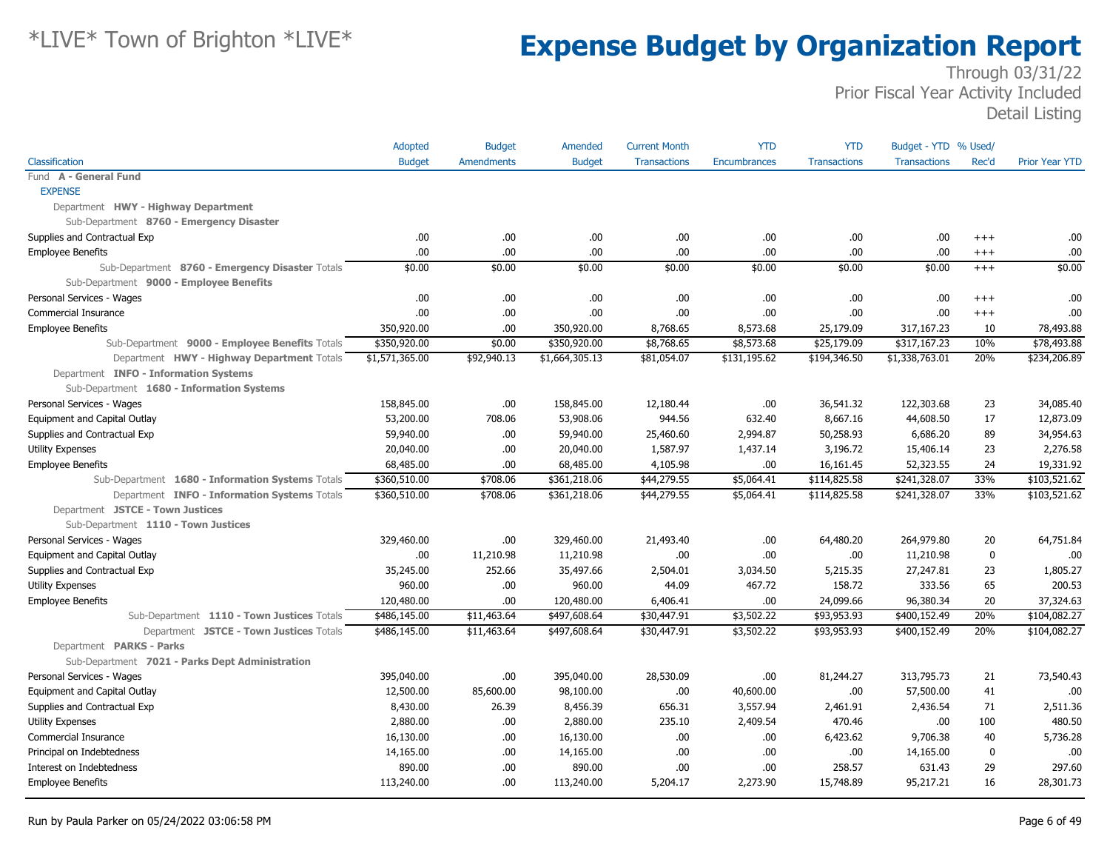|                                                  | Adopted        | <b>Budget</b>     | Amended        | <b>Current Month</b> | <b>YTD</b>          | <b>YTD</b>          | Budget - YTD % Used/ |             |                       |
|--------------------------------------------------|----------------|-------------------|----------------|----------------------|---------------------|---------------------|----------------------|-------------|-----------------------|
| Classification                                   | <b>Budget</b>  | <b>Amendments</b> | <b>Budget</b>  | <b>Transactions</b>  | <b>Encumbrances</b> | <b>Transactions</b> | <b>Transactions</b>  | Rec'd       | <b>Prior Year YTD</b> |
| Fund A - General Fund                            |                |                   |                |                      |                     |                     |                      |             |                       |
| <b>EXPENSE</b>                                   |                |                   |                |                      |                     |                     |                      |             |                       |
| Department HWY - Highway Department              |                |                   |                |                      |                     |                     |                      |             |                       |
| Sub-Department 8760 - Emergency Disaster         |                |                   |                |                      |                     |                     |                      |             |                       |
| Supplies and Contractual Exp                     | .00.           | .00               | .00.           | .00                  | .00.                | .00                 | .00.                 | $+++$       | .00                   |
| <b>Employee Benefits</b>                         | .00.           | .00.              | .00.           | .00                  | .00                 | .00                 | .00                  | $^{+++}$    | .00                   |
| Sub-Department 8760 - Emergency Disaster Totals  | \$0.00         | \$0.00            | \$0.00         | \$0.00               | \$0.00              | \$0.00              | \$0.00               | $+++$       | \$0.00                |
| Sub-Department 9000 - Employee Benefits          |                |                   |                |                      |                     |                     |                      |             |                       |
| Personal Services - Wages                        | .00.           | .00               | .00.           | .00                  | .00                 | .00                 | .00.                 | $+++$       | .00                   |
| Commercial Insurance                             | .00.           | .00.              | .00.           | .00                  | .00                 | .00                 | .00.                 | $^{+++}$    | .00                   |
| <b>Employee Benefits</b>                         | 350,920.00     | .00               | 350,920.00     | 8,768.65             | 8,573.68            | 25,179.09           | 317,167.23           | 10          | 78,493.88             |
| Sub-Department 9000 - Employee Benefits Totals   | \$350,920.00   | \$0.00            | \$350,920.00   | \$8,768.65           | \$8,573.68          | \$25,179.09         | \$317,167.23         | 10%         | \$78,493.88           |
| Department HWY - Highway Department Totals       | \$1,571,365.00 | \$92,940.13       | \$1,664,305.13 | \$81,054.07          | \$131,195.62        | \$194,346.50        | \$1,338,763.01       | 20%         | \$234,206.89          |
| Department INFO - Information Systems            |                |                   |                |                      |                     |                     |                      |             |                       |
| Sub-Department 1680 - Information Systems        |                |                   |                |                      |                     |                     |                      |             |                       |
| Personal Services - Wages                        | 158,845.00     | .00.              | 158,845.00     | 12,180.44            | .00                 | 36,541.32           | 122,303.68           | 23          | 34,085.40             |
| Equipment and Capital Outlay                     | 53,200.00      | 708.06            | 53,908.06      | 944.56               | 632.40              | 8,667.16            | 44,608.50            | 17          | 12,873.09             |
| Supplies and Contractual Exp                     | 59,940.00      | .00.              | 59,940.00      | 25,460.60            | 2,994.87            | 50,258.93           | 6,686.20             | 89          | 34,954.63             |
| <b>Utility Expenses</b>                          | 20,040.00      | .00               | 20,040.00      | 1,587.97             | 1,437.14            | 3,196.72            | 15,406.14            | 23          | 2,276.58              |
| <b>Employee Benefits</b>                         | 68,485.00      | .00.              | 68,485.00      | 4,105.98             | .00                 | 16,161.45           | 52,323.55            | 24          | 19,331.92             |
| Sub-Department 1680 - Information Systems Totals | \$360,510.00   | \$708.06          | \$361,218.06   | \$44,279.55          | \$5,064.41          | \$114,825.58        | \$241,328.07         | 33%         | \$103,521.62          |
| Department INFO - Information Systems Totals     | \$360,510.00   | \$708.06          | \$361,218.06   | \$44,279.55          | \$5,064.41          | \$114,825.58        | \$241,328.07         | 33%         | \$103,521.62          |
| Department JSTCE - Town Justices                 |                |                   |                |                      |                     |                     |                      |             |                       |
| Sub-Department 1110 - Town Justices              |                |                   |                |                      |                     |                     |                      |             |                       |
| Personal Services - Wages                        | 329,460.00     | .00.              | 329,460.00     | 21,493.40            | .00                 | 64,480.20           | 264,979.80           | 20          | 64,751.84             |
| Equipment and Capital Outlay                     | .00.           | 11,210.98         | 11,210.98      | .00                  | .00                 | .00                 | 11,210.98            | $\mathbf 0$ | .00                   |
| Supplies and Contractual Exp                     | 35,245.00      | 252.66            | 35,497.66      | 2,504.01             | 3,034.50            | 5,215.35            | 27,247.81            | 23          | 1,805.27              |
| <b>Utility Expenses</b>                          | 960.00         | .00               | 960.00         | 44.09                | 467.72              | 158.72              | 333.56               | 65          | 200.53                |
| <b>Employee Benefits</b>                         | 120,480.00     | .00               | 120,480.00     | 6,406.41             | .00.                | 24,099.66           | 96,380.34            | 20          | 37,324.63             |
| Sub-Department 1110 - Town Justices Totals       | \$486,145.00   | \$11,463.64       | \$497,608.64   | \$30,447.91          | \$3,502.22          | \$93,953.93         | \$400,152.49         | 20%         | \$104,082.27          |
| Department JSTCE - Town Justices Totals          | \$486,145.00   | \$11,463.64       | \$497,608.64   | \$30,447.91          | \$3,502.22          | \$93,953.93         | \$400,152.49         | 20%         | \$104,082.27          |
| Department PARKS - Parks                         |                |                   |                |                      |                     |                     |                      |             |                       |
| Sub-Department 7021 - Parks Dept Administration  |                |                   |                |                      |                     |                     |                      |             |                       |
| Personal Services - Wages                        | 395,040.00     | .00.              | 395,040.00     | 28,530.09            | .00                 | 81,244.27           | 313,795.73           | 21          | 73,540.43             |
| Equipment and Capital Outlay                     | 12,500.00      | 85,600.00         | 98,100.00      | .00                  | 40,600.00           | .00                 | 57,500.00            | 41          | .00                   |
| Supplies and Contractual Exp                     | 8,430.00       | 26.39             | 8,456.39       | 656.31               | 3,557.94            | 2,461.91            | 2,436.54             | 71          | 2,511.36              |
| <b>Utility Expenses</b>                          | 2,880.00       | .00.              | 2,880.00       | 235.10               | 2,409.54            | 470.46              | .00.                 | 100         | 480.50                |
| Commercial Insurance                             | 16,130.00      | .00               | 16,130.00      | .00                  | .00                 | 6,423.62            | 9,706.38             | 40          | 5,736.28              |
| Principal on Indebtedness                        | 14,165.00      | .00.              | 14,165.00      | .00                  | .00                 | .00                 | 14,165.00            | $\mathbf 0$ | .00                   |
| Interest on Indebtedness                         | 890.00         | .00               | 890.00         | .00                  | .00.                | 258.57              | 631.43               | 29          | 297.60                |
| <b>Employee Benefits</b>                         | 113,240.00     | .00.              | 113,240.00     | 5,204.17             | 2,273.90            | 15,748.89           | 95,217.21            | 16          | 28,301.73             |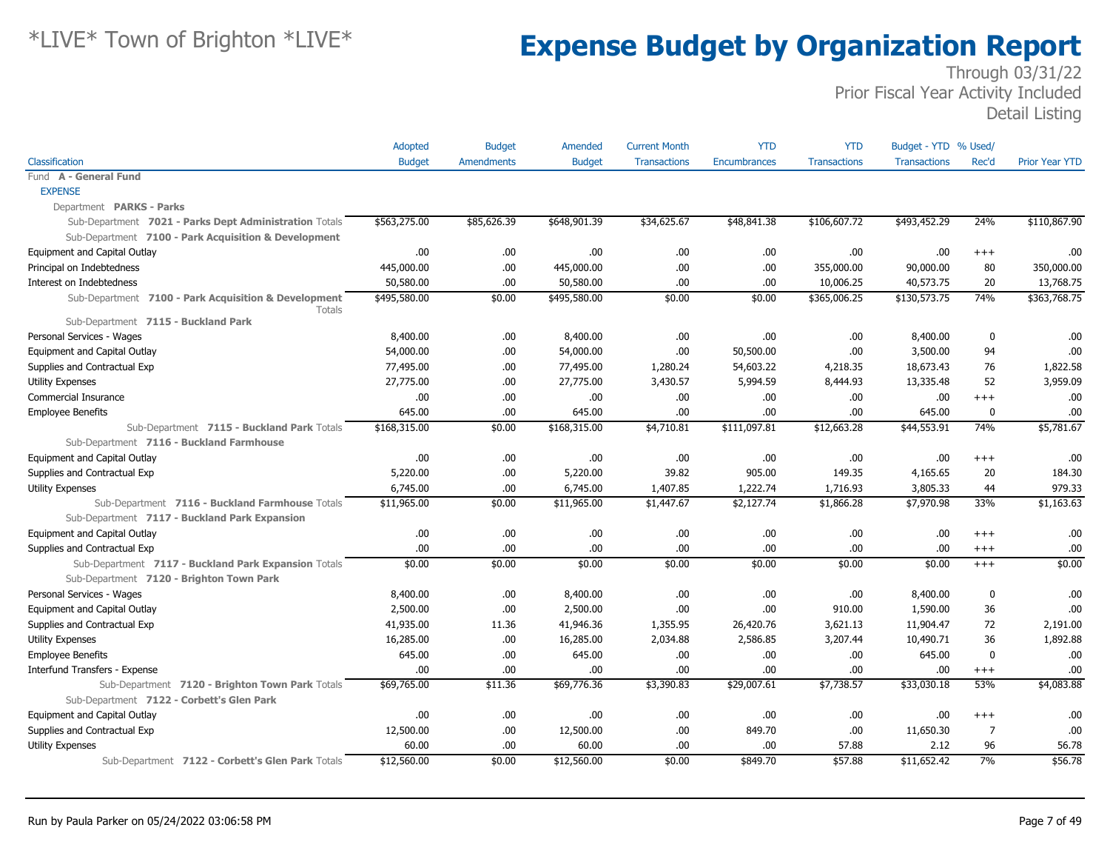|                                                                                              | Adopted       | <b>Budget</b>     | Amended       | <b>Current Month</b> | <b>YTD</b>          | <b>YTD</b>          | Budget - YTD % Used/ |                |                       |
|----------------------------------------------------------------------------------------------|---------------|-------------------|---------------|----------------------|---------------------|---------------------|----------------------|----------------|-----------------------|
| Classification                                                                               | <b>Budget</b> | <b>Amendments</b> | <b>Budget</b> | <b>Transactions</b>  | <b>Encumbrances</b> | <b>Transactions</b> | <b>Transactions</b>  | Rec'd          | <b>Prior Year YTD</b> |
| Fund A - General Fund                                                                        |               |                   |               |                      |                     |                     |                      |                |                       |
| <b>EXPENSE</b>                                                                               |               |                   |               |                      |                     |                     |                      |                |                       |
| Department PARKS - Parks                                                                     |               |                   |               |                      |                     |                     |                      |                |                       |
| Sub-Department 7021 - Parks Dept Administration Totals                                       | \$563,275.00  | \$85,626.39       | \$648,901.39  | \$34,625.67          | \$48,841.38         | \$106,607.72        | \$493,452.29         | 24%            | \$110,867.90          |
| Sub-Department 7100 - Park Acquisition & Development                                         |               |                   |               |                      |                     |                     |                      |                |                       |
| Equipment and Capital Outlay                                                                 | .00.          | .00               | .00.          | .00                  | .00.                | .00                 | .00.                 | $+++$          | .00                   |
| Principal on Indebtedness                                                                    | 445,000.00    | .00               | 445,000.00    | .00                  | .00.                | 355,000.00          | 90,000.00            | 80             | 350,000.00            |
| Interest on Indebtedness                                                                     | 50,580.00     | .00.              | 50,580.00     | .00                  | .00.                | 10,006.25           | 40,573.75            | 20             | 13,768.75             |
| Sub-Department 7100 - Park Acquisition & Development<br>Totals                               | \$495,580.00  | \$0.00            | \$495,580.00  | \$0.00               | \$0.00              | \$365,006.25        | \$130,573.75         | 74%            | \$363,768.75          |
| Sub-Department 7115 - Buckland Park                                                          |               |                   |               |                      |                     |                     |                      |                |                       |
| Personal Services - Wages                                                                    | 8,400.00      | .00.              | 8,400.00      | .00                  | .00.                | .00                 | 8,400.00             | $\bf{0}$       | .00                   |
| Equipment and Capital Outlay                                                                 | 54,000.00     | .00.              | 54,000.00     | .00                  | 50,500.00           | .00.                | 3,500.00             | 94             | .00                   |
| Supplies and Contractual Exp                                                                 | 77,495.00     | .00.              | 77,495.00     | 1,280.24             | 54,603.22           | 4,218.35            | 18,673.43            | 76             | 1,822.58              |
| Utility Expenses                                                                             | 27,775.00     | .00.              | 27,775.00     | 3,430.57             | 5,994.59            | 8,444.93            | 13,335.48            | 52             | 3,959.09              |
| Commercial Insurance                                                                         | 00.           | .00.              | .00.          | .00                  | .00                 | .00                 | .00.                 | $+++$          | .00                   |
| <b>Employee Benefits</b>                                                                     | 645.00        | .00               | 645.00        | .00                  | .00.                | .00                 | 645.00               | $\mathbf 0$    | .00                   |
| Sub-Department 7115 - Buckland Park Totals                                                   | \$168,315.00  | \$0.00            | \$168,315.00  | \$4,710.81           | \$111,097.81        | \$12,663.28         | \$44,553.91          | 74%            | \$5,781.67            |
| Sub-Department 7116 - Buckland Farmhouse                                                     |               |                   |               |                      |                     |                     |                      |                |                       |
| Equipment and Capital Outlay                                                                 | .00.          | .00.              | .00.          | .00                  | .00                 | .00                 | .00.                 | $^{+++}$       | .00                   |
| Supplies and Contractual Exp                                                                 | 5,220.00      | .00.              | 5,220.00      | 39.82                | 905.00              | 149.35              | 4,165.65             | 20             | 184.30                |
| <b>Utility Expenses</b>                                                                      | 6,745.00      | .00               | 6,745.00      | 1,407.85             | 1,222.74            | 1,716.93            | 3,805.33             | 44             | 979.33                |
| Sub-Department 7116 - Buckland Farmhouse Totals                                              | \$11,965.00   | \$0.00            | \$11,965.00   | \$1,447.67           | \$2,127.74          | \$1,866.28          | \$7,970.98           | 33%            | \$1,163.63            |
| Sub-Department 7117 - Buckland Park Expansion                                                |               |                   |               |                      |                     |                     |                      |                |                       |
| Equipment and Capital Outlay                                                                 | .00           | .00.              | .00.          | .00                  | .00.                | .00                 | .00.                 | $^{+++}$       | .00                   |
| Supplies and Contractual Exp                                                                 | .00.          | .00               | .00.          | .00                  | .00.                | .00                 | .00.                 | $^{+++}$       | .00                   |
| Sub-Department 7117 - Buckland Park Expansion Totals                                         | \$0.00        | \$0.00            | \$0.00        | \$0.00               | \$0.00              | \$0.00              | \$0.00               | $+++$          | \$0.00                |
| Sub-Department 7120 - Brighton Town Park                                                     |               |                   |               |                      |                     |                     |                      |                |                       |
| Personal Services - Wages                                                                    | 8,400.00      | .00.              | 8,400.00      | .00                  | .00.                | .00.                | 8,400.00             | 0              | .00                   |
| Equipment and Capital Outlay                                                                 | 2,500.00      | .00.              | 2,500.00      | .00                  | .00.                | 910.00              | 1,590.00             | 36             | .00                   |
| Supplies and Contractual Exp                                                                 | 41,935.00     | 11.36             | 41,946.36     | 1,355.95             | 26,420.76           | 3,621.13            | 11,904.47            | 72             | 2,191.00              |
| <b>Utility Expenses</b>                                                                      | 16,285.00     | .00.              | 16,285.00     | 2,034.88             | 2,586.85            | 3,207.44            | 10,490.71            | 36             | 1,892.88              |
| <b>Employee Benefits</b>                                                                     | 645.00        | .00               | 645.00        | .00                  | .00.                | .00                 | 645.00               | $\mathbf 0$    | .00                   |
| Interfund Transfers - Expense                                                                | 00.           | .00.              | .00.          | .00                  | .00.                | .00.                | .00.                 | $^{+++}$       | .00                   |
| Sub-Department 7120 - Brighton Town Park Totals<br>Sub-Department 7122 - Corbett's Glen Park | \$69,765.00   | \$11.36           | \$69,776.36   | \$3,390.83           | \$29,007.61         | \$7,738.57          | \$33,030.18          | 53%            | \$4,083.88            |
| Equipment and Capital Outlay                                                                 | .00.          | .00               | .00.          | .00                  | .00.                | .00                 | .00                  | $^{++}$        | .00                   |
| Supplies and Contractual Exp                                                                 | 12,500.00     | .00.              | 12,500.00     | .00                  | 849.70              | .00                 | 11,650.30            | $\overline{7}$ | .00                   |
| <b>Utility Expenses</b>                                                                      | 60.00         | .00.              | 60.00         | .00                  | .00                 | 57.88               | 2.12                 | 96             | 56.78                 |
| Sub-Department 7122 - Corbett's Glen Park Totals                                             | \$12,560.00   | \$0.00            | \$12,560.00   | \$0.00               | \$849.70            | \$57.88             | \$11,652.42          | 7%             | \$56.78               |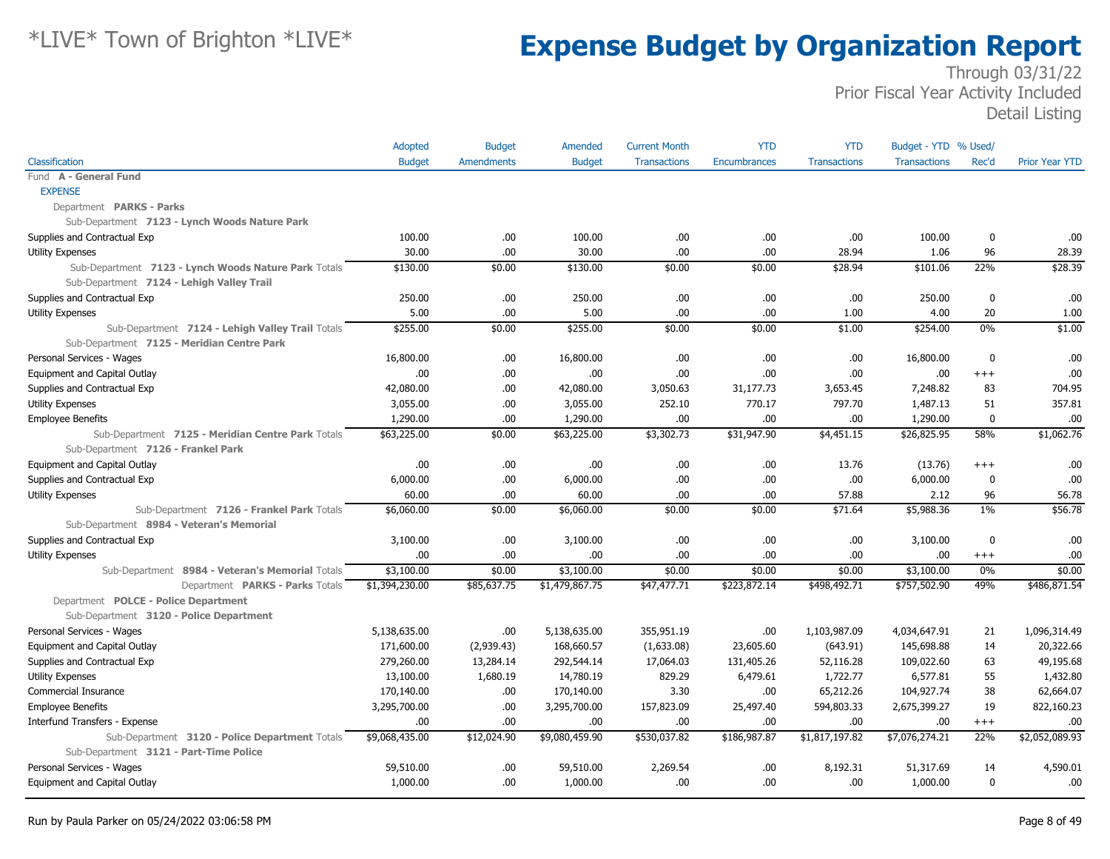|                                                      | Adopted        | <b>Budget</b>     | Amended        | <b>Current Month</b> | <b>YTD</b>   | <b>YTD</b>          | Budget - YTD % Used/ |             |                       |
|------------------------------------------------------|----------------|-------------------|----------------|----------------------|--------------|---------------------|----------------------|-------------|-----------------------|
| Classification                                       | <b>Budget</b>  | <b>Amendments</b> | <b>Budget</b>  | <b>Transactions</b>  | Encumbrances | <b>Transactions</b> | <b>Transactions</b>  | Rec'd       | <b>Prior Year YTD</b> |
| Fund A - General Fund                                |                |                   |                |                      |              |                     |                      |             |                       |
| <b>EXPENSE</b>                                       |                |                   |                |                      |              |                     |                      |             |                       |
| Department PARKS - Parks                             |                |                   |                |                      |              |                     |                      |             |                       |
| Sub-Department 7123 - Lynch Woods Nature Park        |                |                   |                |                      |              |                     |                      |             |                       |
| Supplies and Contractual Exp                         | 100.00         | .00               | 100.00         | .00.                 | .00.         | .00.                | 100.00               | 0           | .00.                  |
| <b>Utility Expenses</b>                              | 30.00          | .00               | 30.00          | .00                  | .00.         | 28.94               | 1.06                 | 96          | 28.39                 |
| Sub-Department 7123 - Lynch Woods Nature Park Totals | \$130.00       | \$0.00            | \$130.00       | \$0.00               | \$0.00       | \$28.94             | \$101.06             | 22%         | \$28.39               |
| Sub-Department 7124 - Lehigh Valley Trail            |                |                   |                |                      |              |                     |                      |             |                       |
| Supplies and Contractual Exp                         | 250.00         | .00               | 250.00         | .00                  | .00          | .00                 | 250.00               | $\mathbf 0$ | .00                   |
| Utility Expenses                                     | 5.00           | .00               | 5.00           | .00                  | .00.         | 1.00                | 4.00                 | 20          | 1.00                  |
| Sub-Department 7124 - Lehigh Valley Trail Totals     | \$255.00       | \$0.00            | \$255.00       | \$0.00               | \$0.00       | \$1.00              | \$254.00             | 0%          | \$1.00                |
| Sub-Department 7125 - Meridian Centre Park           |                |                   |                |                      |              |                     |                      |             |                       |
| Personal Services - Wages                            | 16,800.00      | .00               | 16,800.00      | .00                  | .00          | .00                 | 16,800.00            | $\mathbf 0$ | .00                   |
| Equipment and Capital Outlay                         | 00.            | .00               | .00.           | .00.                 | .00          | .00.                | .00                  | $+++$       | .00                   |
| Supplies and Contractual Exp                         | 42,080.00      | .00               | 42,080.00      | 3,050.63             | 31,177.73    | 3,653.45            | 7,248.82             | 83          | 704.95                |
| <b>Utility Expenses</b>                              | 3,055.00       | .00               | 3,055.00       | 252.10               | 770.17       | 797.70              | 1,487.13             | 51          | 357.81                |
| <b>Employee Benefits</b>                             | 1,290.00       | .00               | 1,290.00       | .00                  | .00          | .00                 | 1,290.00             | $\mathbf 0$ | .00                   |
| Sub-Department 7125 - Meridian Centre Park Totals    | \$63,225.00    | \$0.00            | \$63,225.00    | \$3,302.73           | \$31,947.90  | \$4,451.15          | \$26,825.95          | 58%         | \$1,062.76            |
| Sub-Department 7126 - Frankel Park                   |                |                   |                |                      |              |                     |                      |             |                       |
| Equipment and Capital Outlay                         | 00.            | .00               | .00.           | .00.                 | .00.         | 13.76               | (13.76)              | $^{++}$     | .00                   |
| Supplies and Contractual Exp                         | 6,000.00       | .00               | 6,000.00       | .00.                 | .00.         | .00                 | 6,000.00             | $\mathbf 0$ | .00                   |
| <b>Utility Expenses</b>                              | 60.00          | .00.              | 60.00          | .00.                 | .00.         | 57.88               | 2.12                 | 96          | 56.78                 |
| Sub-Department 7126 - Frankel Park Totals            | \$6,060.00     | \$0.00            | \$6,060.00     | \$0.00               | \$0.00       | \$71.64             | \$5,988.36           | $1\%$       | \$56.78               |
| Sub-Department 8984 - Veteran's Memorial             |                |                   |                |                      |              |                     |                      |             |                       |
| Supplies and Contractual Exp                         | 3,100.00       | .00.              | 3,100.00       | .00.                 | .00.         | .00.                | 3,100.00             | $\mathbf 0$ | .00                   |
| <b>Utility Expenses</b>                              | .00            | .00.              | .00            | .00                  | .00          | .00.                | .00                  | $^{+++}$    | .00                   |
| Sub-Department 8984 - Veteran's Memorial Totals      | \$3,100.00     | \$0.00            | \$3,100.00     | \$0.00               | \$0.00       | \$0.00              | \$3,100.00           | 0%          | \$0.00                |
| Department PARKS - Parks Totals                      | \$1,394,230.00 | \$85,637.75       | \$1,479,867.75 | \$47,477.71          | \$223,872.14 | \$498,492.71        | \$757,502.90         | 49%         | \$486,871.54          |
| Department POLCE - Police Department                 |                |                   |                |                      |              |                     |                      |             |                       |
| Sub-Department 3120 - Police Department              |                |                   |                |                      |              |                     |                      |             |                       |
| Personal Services - Wages                            | 5,138,635.00   | .00.              | 5,138,635.00   | 355,951.19           | .00          | 1,103,987.09        | 4,034,647.91         | 21          | 1,096,314.49          |
| Equipment and Capital Outlay                         | 171,600.00     | (2,939.43)        | 168,660.57     | (1,633.08)           | 23,605.60    | (643.91)            | 145,698.88           | 14          | 20,322.66             |
| Supplies and Contractual Exp                         | 279,260.00     | 13,284.14         | 292,544.14     | 17,064.03            | 131,405.26   | 52,116.28           | 109,022.60           | 63          | 49,195.68             |
| Utility Expenses                                     | 13,100.00      | 1,680.19          | 14,780.19      | 829.29               | 6,479.61     | 1,722.77            | 6,577.81             | 55          | 1,432.80              |
| Commercial Insurance                                 | 170,140.00     | .00.              | 170,140.00     | 3.30                 | .00.         | 65,212.26           | 104,927.74           | 38          | 62,664.07             |
| <b>Employee Benefits</b>                             | 3,295,700.00   | .00               | 3,295,700.00   | 157,823.09           | 25,497.40    | 594,803.33          | 2,675,399.27         | 19          | 822,160.23            |
| Interfund Transfers - Expense                        | .00.           | .00               | .00.           | .00                  | .00.         | .00                 | .00                  | $^{+++}$    | .00                   |
| Sub-Department 3120 - Police Department Totals       | \$9,068,435.00 | \$12,024.90       | \$9,080,459.90 | \$530,037.82         | \$186,987.87 | \$1,817,197.82      | \$7,076,274.21       | 22%         | \$2,052,089.93        |
| Sub-Department 3121 - Part-Time Police               |                |                   |                |                      |              |                     |                      |             |                       |
| Personal Services - Wages                            | 59,510.00      | .00               | 59,510.00      | 2,269.54             | .00.         | 8,192.31            | 51,317.69            | 14          | 4,590.01              |
| Equipment and Capital Outlay                         | 1,000.00       | .00               | 1,000.00       | .00.                 | .00.         | .00.                | 1,000.00             | $\mathbf 0$ | .00                   |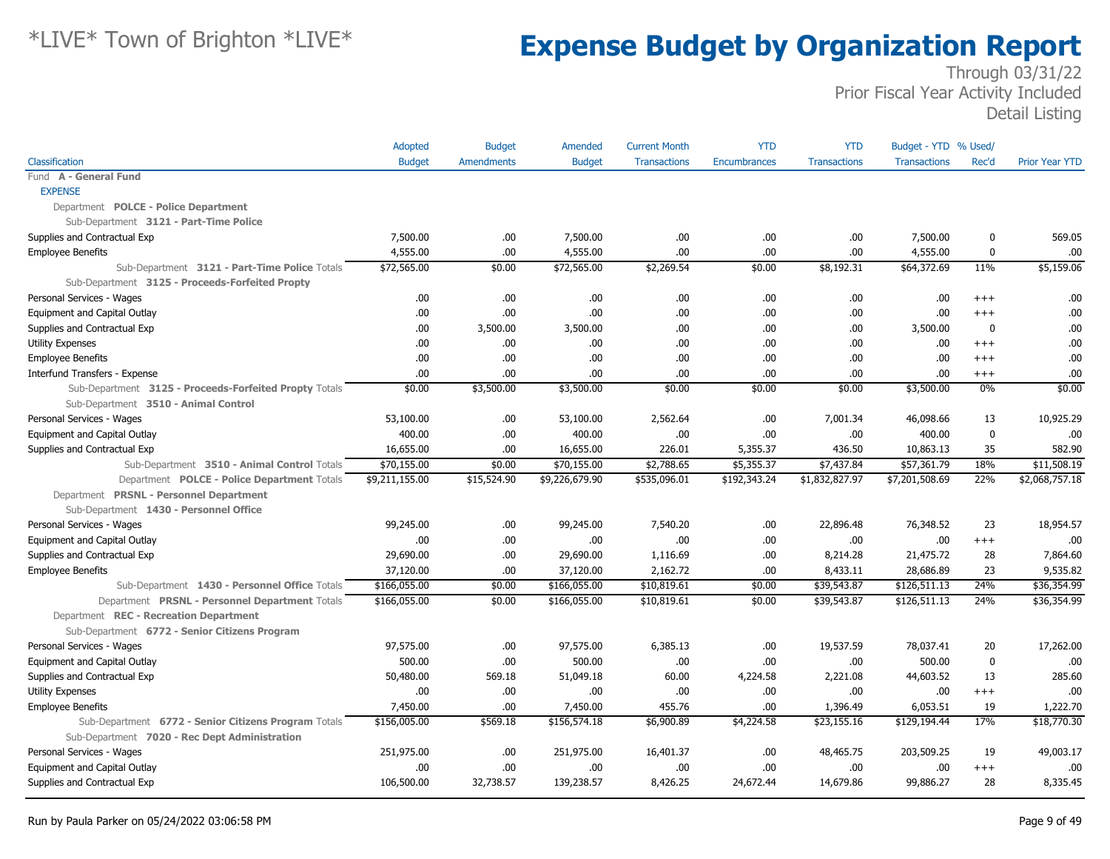|                                                                                                  | Adopted        | <b>Budget</b>     | Amended        | <b>Current Month</b> | <b>YTD</b>          | <b>YTD</b>          | Budget - YTD % Used/ |                   |                       |
|--------------------------------------------------------------------------------------------------|----------------|-------------------|----------------|----------------------|---------------------|---------------------|----------------------|-------------------|-----------------------|
| Classification                                                                                   | <b>Budget</b>  | <b>Amendments</b> | <b>Budget</b>  | <b>Transactions</b>  | <b>Encumbrances</b> | <b>Transactions</b> | <b>Transactions</b>  | Rec'd             | <b>Prior Year YTD</b> |
| Fund A - General Fund                                                                            |                |                   |                |                      |                     |                     |                      |                   |                       |
| <b>EXPENSE</b>                                                                                   |                |                   |                |                      |                     |                     |                      |                   |                       |
| Department POLCE - Police Department                                                             |                |                   |                |                      |                     |                     |                      |                   |                       |
| Sub-Department 3121 - Part-Time Police                                                           |                |                   |                |                      |                     |                     |                      |                   |                       |
| Supplies and Contractual Exp                                                                     | 7,500.00       | .00               | 7,500.00       | .00                  | .00.                | .00                 | 7,500.00             | 0                 | 569.05                |
| <b>Employee Benefits</b>                                                                         | 4,555.00       | .00               | 4,555.00       | .00                  | .00                 | .00                 | 4,555.00             | $\mathbf 0$       | .00                   |
| Sub-Department 3121 - Part-Time Police Totals<br>Sub-Department 3125 - Proceeds-Forfeited Propty | \$72,565.00    | \$0.00            | \$72,565.00    | \$2,269.54           | \$0.00              | \$8,192.31          | \$64,372.69          | 11%               | \$5,159.06            |
| Personal Services - Wages                                                                        | .00            | .00               | .00.           | .00                  | .00                 | .00                 | .00.                 | $+++$             | .00                   |
|                                                                                                  | .00.           | .00               | .00.           | .00                  | .00                 | .00                 | .00.                 | $+++$             | .00                   |
| Equipment and Capital Outlay                                                                     | .00.           | 3,500.00          | 3,500.00       | .00                  | .00                 | .00                 |                      | $\mathbf 0$       | .00                   |
| Supplies and Contractual Exp                                                                     |                |                   |                |                      |                     |                     | 3,500.00             |                   |                       |
| Utility Expenses<br><b>Employee Benefits</b>                                                     | .00<br>.00     | .00<br>.00        | .00.<br>.00.   | .00.<br>.00.         | .00<br>.00          | .00<br>.00          | .00<br>.00.          | $+++$<br>$^{+++}$ | .00<br>.00            |
| Interfund Transfers - Expense                                                                    | .00.           | .00               | .00.           | .00                  | .00                 | .00                 | .00                  |                   | .00                   |
| Sub-Department 3125 - Proceeds-Forfeited Propty Totals                                           | \$0.00         | \$3,500.00        | \$3,500.00     | \$0.00               | \$0.00              | \$0.00              | \$3,500.00           | $^{+++}$<br>0%    | \$0.00                |
| Sub-Department 3510 - Animal Control                                                             |                |                   |                |                      |                     |                     |                      |                   |                       |
| Personal Services - Wages                                                                        | 53,100.00      | .00               | 53,100.00      | 2,562.64             | .00.                | 7,001.34            | 46,098.66            | 13                | 10,925.29             |
| Equipment and Capital Outlay                                                                     | 400.00         | .00               | 400.00         | .00                  | .00                 | .00                 | 400.00               | $\mathbf 0$       | .00                   |
| Supplies and Contractual Exp                                                                     | 16,655.00      | .00               | 16,655.00      | 226.01               | 5,355.37            | 436.50              | 10,863.13            | 35                | 582.90                |
| Sub-Department 3510 - Animal Control Totals                                                      | \$70,155.00    | \$0.00            | \$70,155.00    | \$2,788.65           | \$5,355.37          | \$7,437.84          | \$57,361.79          | 18%               | \$11,508.19           |
| Department POLCE - Police Department Totals                                                      | \$9,211,155.00 | \$15,524.90       | \$9,226,679.90 | \$535,096.01         | \$192,343.24        | \$1,832,827.97      | \$7,201,508.69       | 22%               | \$2,068,757.18        |
| Department PRSNL - Personnel Department                                                          |                |                   |                |                      |                     |                     |                      |                   |                       |
| Sub-Department 1430 - Personnel Office                                                           |                |                   |                |                      |                     |                     |                      |                   |                       |
| Personal Services - Wages                                                                        | 99,245.00      | .00               | 99,245.00      | 7,540.20             | .00.                | 22,896.48           | 76,348.52            | 23                | 18,954.57             |
| Equipment and Capital Outlay                                                                     | .00.           | .00               | .00.           | .00                  | .00.                | .00                 | .00.                 | $^{+++}$          | .00                   |
| Supplies and Contractual Exp                                                                     | 29,690.00      | .00               | 29,690.00      | 1,116.69             | .00                 | 8,214.28            | 21,475.72            | 28                | 7,864.60              |
| <b>Employee Benefits</b>                                                                         | 37,120.00      | .00               | 37,120.00      | 2,162.72             | .00                 | 8,433.11            | 28,686.89            | 23                | 9,535.82              |
| Sub-Department 1430 - Personnel Office Totals                                                    | \$166,055.00   | \$0.00            | \$166,055.00   | \$10,819.61          | \$0.00              | \$39,543.87         | \$126,511.13         | 24%               | \$36,354.99           |
| Department PRSNL - Personnel Department Totals                                                   | \$166,055.00   | \$0.00            | \$166,055.00   | \$10,819.61          | \$0.00              | \$39,543.87         | \$126,511.13         | 24%               | \$36,354.99           |
| Department REC - Recreation Department                                                           |                |                   |                |                      |                     |                     |                      |                   |                       |
| Sub-Department 6772 - Senior Citizens Program                                                    |                |                   |                |                      |                     |                     |                      |                   |                       |
| Personal Services - Wages                                                                        | 97,575.00      | .00               | 97,575.00      | 6,385.13             | .00                 | 19,537.59           | 78,037.41            | 20                | 17,262.00             |
| Equipment and Capital Outlay                                                                     | 500.00         | .00               | 500.00         | .00                  | .00                 | .00                 | 500.00               | $\mathbf 0$       | .00                   |
| Supplies and Contractual Exp                                                                     | 50,480.00      | 569.18            | 51,049.18      | 60.00                | 4,224.58            | 2,221.08            | 44,603.52            | 13                | 285.60                |
| <b>Utility Expenses</b>                                                                          | .00            | .00               | .00.           | .00                  | .00                 | .00                 | .00                  | $^{+++}$          | .00                   |
| <b>Employee Benefits</b>                                                                         | 7,450.00       | .00               | 7,450.00       | 455.76               | .00                 | 1,396.49            | 6,053.51             | 19                | 1,222.70              |
| Sub-Department 6772 - Senior Citizens Program Totals                                             | \$156,005.00   | \$569.18          | \$156,574.18   | \$6,900.89           | \$4,224.58          | \$23,155.16         | \$129,194.44         | 17%               | \$18,770.30           |
| Sub-Department 7020 - Rec Dept Administration                                                    |                |                   |                |                      |                     |                     |                      |                   |                       |
| Personal Services - Wages                                                                        | 251,975.00     | .00               | 251,975.00     | 16,401.37            | .00                 | 48,465.75           | 203,509.25           | 19                | 49,003.17             |
| Equipment and Capital Outlay                                                                     | .00            | .00               | .00.           | .00                  | 00.                 | .00                 | .00.                 | $+++$             | .00                   |
| Supplies and Contractual Exp                                                                     | 106,500.00     | 32,738.57         | 139,238.57     | 8,426.25             | 24,672.44           | 14,679.86           | 99,886.27            | 28                | 8,335.45              |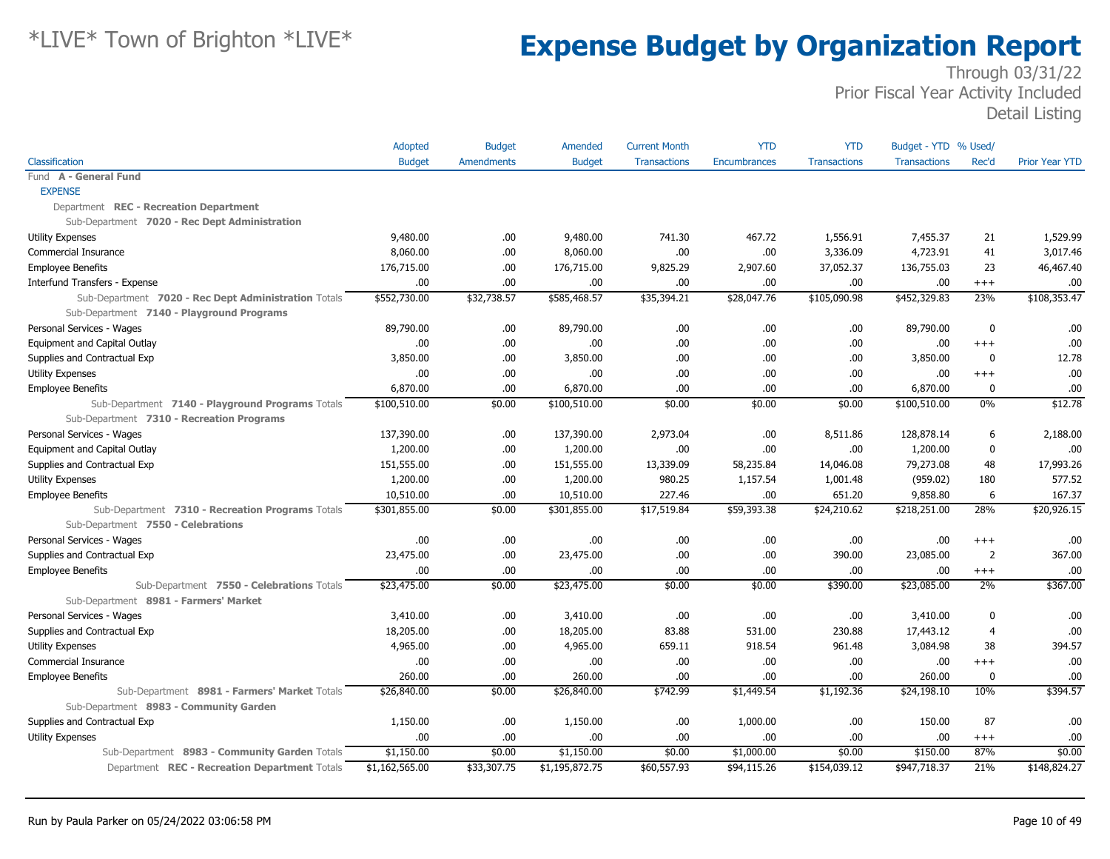|                                                      | Adopted        | <b>Budget</b>     | Amended        | <b>Current Month</b> | <b>YTD</b>          | <b>YTD</b>          | Budget - YTD % Used/ |                |                       |
|------------------------------------------------------|----------------|-------------------|----------------|----------------------|---------------------|---------------------|----------------------|----------------|-----------------------|
| Classification                                       | <b>Budget</b>  | <b>Amendments</b> | <b>Budget</b>  | <b>Transactions</b>  | <b>Encumbrances</b> | <b>Transactions</b> | <b>Transactions</b>  | Rec'd          | <b>Prior Year YTD</b> |
| Fund A - General Fund                                |                |                   |                |                      |                     |                     |                      |                |                       |
| <b>EXPENSE</b>                                       |                |                   |                |                      |                     |                     |                      |                |                       |
| Department REC - Recreation Department               |                |                   |                |                      |                     |                     |                      |                |                       |
| Sub-Department 7020 - Rec Dept Administration        |                |                   |                |                      |                     |                     |                      |                |                       |
| <b>Utility Expenses</b>                              | 9,480.00       | .00               | 9,480.00       | 741.30               | 467.72              | 1,556.91            | 7,455.37             | 21             | 1,529.99              |
| Commercial Insurance                                 | 8,060.00       | .00               | 8,060.00       | .00                  | .00.                | 3,336.09            | 4,723.91             | 41             | 3,017.46              |
| <b>Employee Benefits</b>                             | 176,715.00     | .00               | 176,715.00     | 9,825.29             | 2,907.60            | 37,052.37           | 136,755.03           | 23             | 46,467.40             |
| Interfund Transfers - Expense                        | .00            | .00.              | .00            | .00                  | .00.                | .00.                | .00.                 | $+++$          | .00                   |
| Sub-Department 7020 - Rec Dept Administration Totals | \$552,730.00   | \$32,738.57       | \$585,468.57   | \$35,394.21          | \$28,047.76         | \$105,090.98        | \$452,329.83         | 23%            | \$108,353.47          |
| Sub-Department 7140 - Playground Programs            |                |                   |                |                      |                     |                     |                      |                |                       |
| Personal Services - Wages                            | 89,790.00      | .00.              | 89,790.00      | .00                  | .00.                | .00.                | 89,790.00            | 0              | .00                   |
| Equipment and Capital Outlay                         | .00            | .00               | .00.           | .00                  | .00.                | .00                 | .00.                 | $^{+++}$       | .00                   |
| Supplies and Contractual Exp                         | 3,850.00       | .00               | 3,850.00       | .00                  | .00                 | .00.                | 3,850.00             | $\mathbf 0$    | 12.78                 |
| Utility Expenses                                     | .00            | .00               | .00            | .00                  | .00.                | .00                 | .00.                 | $^{+++}$       | .00                   |
| <b>Employee Benefits</b>                             | 6,870.00       | .00               | 6,870.00       | .00                  | .00                 | .00                 | 6,870.00             | 0              | .00                   |
| Sub-Department 7140 - Playground Programs Totals     | \$100,510.00   | \$0.00            | \$100,510.00   | \$0.00               | \$0.00              | \$0.00              | \$100,510.00         | $0\%$          | \$12.78               |
| Sub-Department 7310 - Recreation Programs            |                |                   |                |                      |                     |                     |                      |                |                       |
| Personal Services - Wages                            | 137,390.00     | .00.              | 137,390.00     | 2,973.04             | .00.                | 8,511.86            | 128,878.14           | 6              | 2,188.00              |
| Equipment and Capital Outlay                         | 1,200.00       | .00               | 1,200.00       | .00                  | .00.                | .00.                | 1,200.00             | 0              | .00                   |
| Supplies and Contractual Exp                         | 151,555.00     | .00               | 151,555.00     | 13,339.09            | 58,235.84           | 14,046.08           | 79,273.08            | 48             | 17,993.26             |
| <b>Utility Expenses</b>                              | 1,200.00       | .00.              | 1,200.00       | 980.25               | 1,157.54            | 1,001.48            | (959.02)             | 180            | 577.52                |
| <b>Employee Benefits</b>                             | 10,510.00      | .00               | 10,510.00      | 227.46               | .00.                | 651.20              | 9,858.80             | 6              | 167.37                |
| Sub-Department 7310 - Recreation Programs Totals     | \$301,855.00   | \$0.00            | \$301,855.00   | \$17,519.84          | \$59,393.38         | \$24,210.62         | \$218,251.00         | 28%            | \$20,926.15           |
| Sub-Department 7550 - Celebrations                   |                |                   |                |                      |                     |                     |                      |                |                       |
| Personal Services - Wages                            | .00            | .00.              | .00            | .00.                 | .00.                | .00.                | .00.                 | $^{++}$        | .00                   |
| Supplies and Contractual Exp                         | 23,475.00      | .00               | 23,475.00      | .00                  | .00.                | 390.00              | 23,085.00            | $\overline{2}$ | 367.00                |
| <b>Employee Benefits</b>                             | .00            | .00               | .00.           | .00                  | .00.                | .00                 | .00.                 | $++++$         | .00                   |
| Sub-Department 7550 - Celebrations Totals            | \$23,475.00    | \$0.00            | \$23,475.00    | \$0.00               | \$0.00              | \$390.00            | \$23,085.00          | 2%             | \$367.00              |
| Sub-Department 8981 - Farmers' Market                |                |                   |                |                      |                     |                     |                      |                |                       |
| Personal Services - Wages                            | 3,410.00       | .00               | 3,410.00       | .00                  | .00.                | .00                 | 3,410.00             | $\mathbf{0}$   | .00                   |
| Supplies and Contractual Exp                         | 18,205.00      | .00               | 18,205.00      | 83.88                | 531.00              | 230.88              | 17,443.12            | 4              | .00                   |
| <b>Utility Expenses</b>                              | 4,965.00       | .00.              | 4,965.00       | 659.11               | 918.54              | 961.48              | 3,084.98             | 38             | 394.57                |
| Commercial Insurance                                 | .00            | .00               | .00            | .00                  | .00.                | .00                 | .00.                 | $^{+++}$       | .00                   |
| <b>Employee Benefits</b>                             | 260.00         | .00               | 260.00         | .00                  | .00.                | .00.                | 260.00               | 0              | .00                   |
| Sub-Department 8981 - Farmers' Market Totals         | \$26,840.00    | \$0.00            | \$26,840.00    | \$742.99             | \$1,449.54          | \$1,192.36          | \$24,198.10          | 10%            | \$394.57              |
| Sub-Department 8983 - Community Garden               |                |                   |                |                      |                     |                     |                      |                |                       |
| Supplies and Contractual Exp                         | 1,150.00       | .00.              | 1,150.00       | .00                  | 1,000.00            | .00.                | 150.00               | 87             | .00                   |
| Utility Expenses                                     | .00            | .00               | .00            | .00.                 | .00.                | .00.                | .00.                 | $^{+++}$       | .00                   |
| Sub-Department 8983 - Community Garden Totals        | \$1,150.00     | \$0.00            | \$1,150.00     | \$0.00               | \$1,000.00          | \$0.00              | \$150.00             | 87%            | \$0.00                |
| Department REC - Recreation Department Totals        | \$1,162,565.00 | \$33,307.75       | \$1,195,872.75 | \$60,557.93          | \$94,115.26         | \$154,039.12        | \$947,718.37         | 21%            | \$148,824.27          |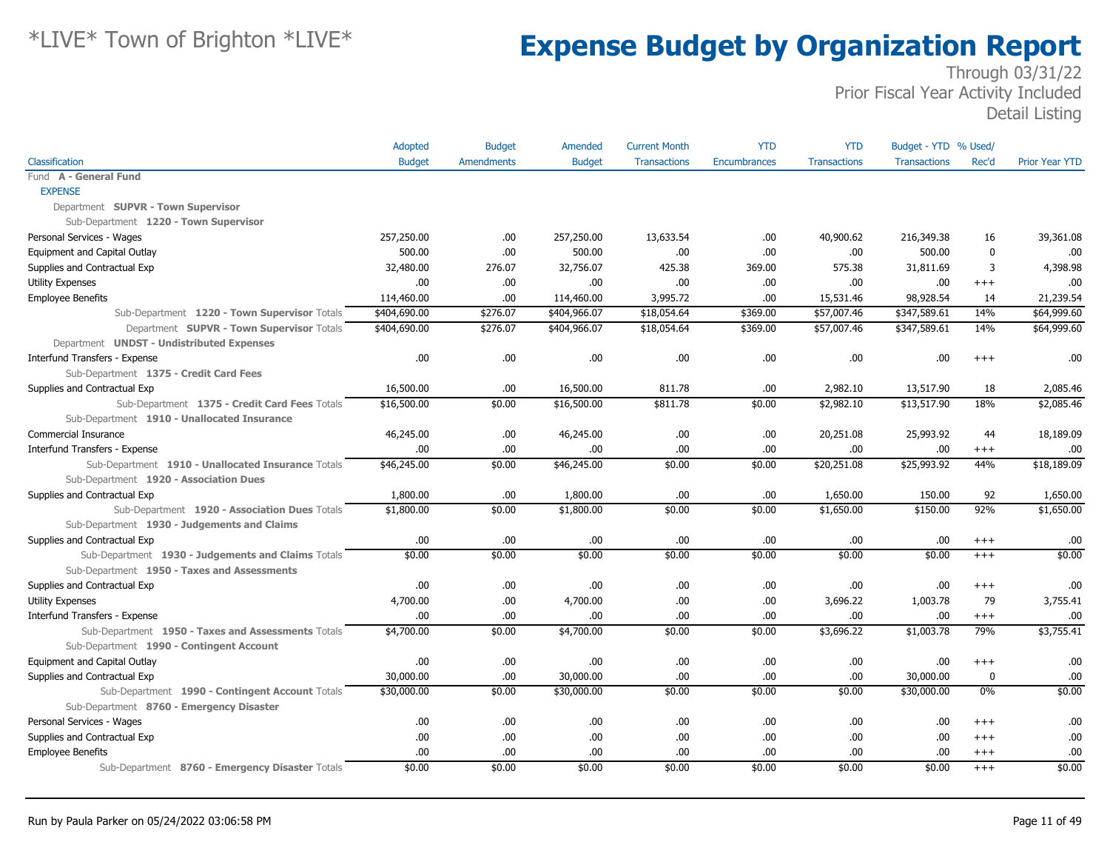|                                                    | Adopted       | <b>Budget</b>     | Amended       | <b>Current Month</b> | <b>YTD</b>          | <b>YTD</b>          | Budget - YTD % Used/ |             |                       |
|----------------------------------------------------|---------------|-------------------|---------------|----------------------|---------------------|---------------------|----------------------|-------------|-----------------------|
| Classification                                     | <b>Budget</b> | <b>Amendments</b> | <b>Budget</b> | <b>Transactions</b>  | <b>Encumbrances</b> | <b>Transactions</b> | <b>Transactions</b>  | Rec'd       | <b>Prior Year YTD</b> |
| Fund A - General Fund                              |               |                   |               |                      |                     |                     |                      |             |                       |
| <b>EXPENSE</b>                                     |               |                   |               |                      |                     |                     |                      |             |                       |
| Department SUPVR - Town Supervisor                 |               |                   |               |                      |                     |                     |                      |             |                       |
| Sub-Department 1220 - Town Supervisor              |               |                   |               |                      |                     |                     |                      |             |                       |
| Personal Services - Wages                          | 257,250.00    | .00.              | 257,250.00    | 13,633.54            | .00.                | 40,900.62           | 216,349.38           | 16          | 39,361.08             |
| Equipment and Capital Outlay                       | 500.00        | .00               | 500.00        | .00                  | .00.                | .00                 | 500.00               | $\mathbf 0$ | .00                   |
| Supplies and Contractual Exp                       | 32,480.00     | 276.07            | 32,756.07     | 425.38               | 369.00              | 575.38              | 31,811.69            | 3           | 4,398.98              |
| <b>Utility Expenses</b>                            | .00.          | .00               | .00.          | .00                  | .00.                | .00                 | .00                  | $^{+++}$    | .00                   |
| <b>Employee Benefits</b>                           | 114,460.00    | .00               | 114,460.00    | 3,995.72             | .00.                | 15,531.46           | 98,928.54            | 14          | 21,239.54             |
| Sub-Department 1220 - Town Supervisor Totals       | \$404,690.00  | \$276.07          | \$404,966.07  | \$18,054.64          | \$369.00            | \$57,007.46         | \$347,589.61         | 14%         | \$64,999.60           |
| Department SUPVR - Town Supervisor Totals          | \$404,690.00  | \$276.07          | \$404,966.07  | \$18,054.64          | \$369.00            | \$57,007.46         | \$347,589.61         | 14%         | \$64,999.60           |
| Department UNDST - Undistributed Expenses          |               |                   |               |                      |                     |                     |                      |             |                       |
| Interfund Transfers - Expense                      | .00.          | .00               | .00.          | .00                  | .00.                | .00                 | .00                  | $^{++}$     | .00                   |
| Sub-Department 1375 - Credit Card Fees             |               |                   |               |                      |                     |                     |                      |             |                       |
| Supplies and Contractual Exp                       | 16,500.00     | .00               | 16,500.00     | 811.78               | .00.                | 2,982.10            | 13,517.90            | 18          | 2,085.46              |
| Sub-Department 1375 - Credit Card Fees Totals      | \$16,500.00   | \$0.00            | \$16,500.00   | \$811.78             | \$0.00              | \$2,982.10          | \$13,517.90          | 18%         | \$2,085.46            |
| Sub-Department 1910 - Unallocated Insurance        |               |                   |               |                      |                     |                     |                      |             |                       |
| Commercial Insurance                               | 46,245.00     | .00               | 46,245.00     | .00                  | .00.                | 20,251.08           | 25,993.92            | 44          | 18,189.09             |
| Interfund Transfers - Expense                      | .00.          | .00               | .00.          | .00                  | .00.                | .00                 | .00.                 | $^{+++}$    | .00                   |
| Sub-Department 1910 - Unallocated Insurance Totals | \$46,245.00   | \$0.00            | \$46,245.00   | \$0.00               | \$0.00              | \$20,251.08         | \$25,993.92          | 44%         | \$18,189.09           |
| Sub-Department 1920 - Association Dues             |               |                   |               |                      |                     |                     |                      |             |                       |
| Supplies and Contractual Exp                       | 1,800.00      | .00.              | 1,800.00      | .00                  | .00.                | 1,650.00            | 150.00               | 92          | 1,650.00              |
| Sub-Department 1920 - Association Dues Totals      | \$1,800.00    | \$0.00            | \$1,800.00    | \$0.00               | \$0.00              | \$1,650.00          | \$150.00             | 92%         | \$1,650.00            |
| Sub-Department 1930 - Judgements and Claims        |               |                   |               |                      |                     |                     |                      |             |                       |
| Supplies and Contractual Exp                       | .00.          | .00.              | .00.          | .00                  | .00.                | .00.                | .00.                 | $^{+++}$    | .00                   |
| Sub-Department 1930 - Judgements and Claims Totals | \$0.00        | \$0.00            | \$0.00        | \$0.00               | \$0.00              | \$0.00              | \$0.00               | $+++$       | \$0.00                |
| Sub-Department 1950 - Taxes and Assessments        |               |                   |               |                      |                     |                     |                      |             |                       |
| Supplies and Contractual Exp                       | .00.          | .00               | .00.          | .00                  | .00.                | .00                 | .00.                 | $+++$       | .00                   |
| <b>Utility Expenses</b>                            | 4,700.00      | .00               | 4,700.00      | .00                  | .00.                | 3,696.22            | 1,003.78             | 79          | 3,755.41              |
| Interfund Transfers - Expense                      | .00.          | .00               | .00           | .00                  | .00.                | .00.                | .00.                 | $^{+++}$    | .00                   |
| Sub-Department 1950 - Taxes and Assessments Totals | \$4,700.00    | \$0.00            | \$4,700.00    | \$0.00               | \$0.00              | \$3,696.22          | \$1,003.78           | 79%         | \$3,755.41            |
| Sub-Department 1990 - Contingent Account           |               |                   |               |                      |                     |                     |                      |             |                       |
| Equipment and Capital Outlay                       | .00.          | .00.              | .00.          | .00                  | .00.                | .00.                | .00.                 | $^{++}$     | .00                   |
| Supplies and Contractual Exp                       | 30,000.00     | .00               | 30,000.00     | .00                  | .00.                | .00.                | 30,000.00            | 0           | .00                   |
| Sub-Department 1990 - Contingent Account Totals    | \$30,000.00   | \$0.00            | \$30,000.00   | \$0.00               | \$0.00              | \$0.00              | \$30,000.00          | 0%          | \$0.00                |
| Sub-Department 8760 - Emergency Disaster           |               |                   |               |                      |                     |                     |                      |             |                       |
| Personal Services - Wages                          | .00.          | .00               | .00.          | .00                  | .00.                | .00.                | .00                  | $^{+++}$    | .00                   |
| Supplies and Contractual Exp                       | .00.          | .00.              | .00.          | .00                  | .00.                | .00                 | .00.                 | $^{+++}$    | .00                   |
| <b>Employee Benefits</b>                           | .00.          | .00.              | .00.          | .00                  | .00.                | .00.                | .00.                 | $^{++}$     | .00                   |
| Sub-Department 8760 - Emergency Disaster Totals    | \$0.00        | \$0.00            | \$0.00        | \$0.00               | \$0.00              | \$0.00              | \$0.00               | $+++$       | \$0.00                |
|                                                    |               |                   |               |                      |                     |                     |                      |             |                       |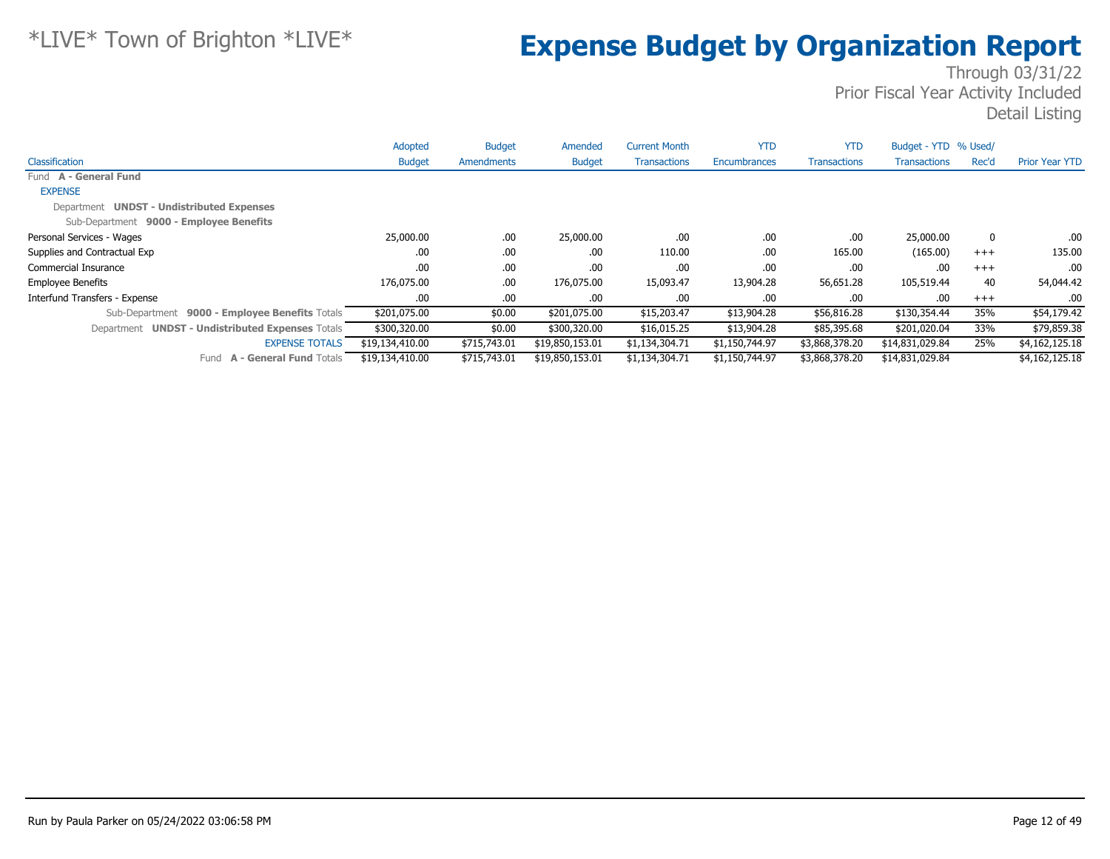|                                                            | Adopted         | <b>Budget</b> | Amended         | <b>Current Month</b> | <b>YTD</b>     | <b>YTD</b>          | Budget - YTD % Used/ |             |                       |
|------------------------------------------------------------|-----------------|---------------|-----------------|----------------------|----------------|---------------------|----------------------|-------------|-----------------------|
| Classification                                             | <b>Budget</b>   | Amendments    | <b>Budget</b>   | <b>Transactions</b>  | Encumbrances   | <b>Transactions</b> | <b>Transactions</b>  | Rec'd       | <b>Prior Year YTD</b> |
| Fund A - General Fund                                      |                 |               |                 |                      |                |                     |                      |             |                       |
| <b>EXPENSE</b>                                             |                 |               |                 |                      |                |                     |                      |             |                       |
| Department UNDST - Undistributed Expenses                  |                 |               |                 |                      |                |                     |                      |             |                       |
| Sub-Department 9000 - Employee Benefits                    |                 |               |                 |                      |                |                     |                      |             |                       |
| Personal Services - Wages                                  | 25,000.00       | .00           | 25,000.00       | .00                  | .00            | .00.                | 25,000.00            | $\mathbf 0$ | .00.                  |
| Supplies and Contractual Exp                               | .00             | .00           | .00             | 110.00               | .00            | 165.00              | (165.00)             | $+++$       | 135.00                |
| Commercial Insurance                                       | .00             | .00           | .00             | .00                  | .00            | .00                 | .00                  | $+++$       | .00                   |
| <b>Employee Benefits</b>                                   | 176,075.00      | .00           | 176,075.00      | 15,093.47            | 13,904.28      | 56,651.28           | 105,519.44           | 40          | 54,044.42             |
| Interfund Transfers - Expense                              | .00             | .00           | .00             | .00.                 | .00            | .00                 | .00.                 | $+++$       | .00                   |
| Sub-Department 9000 - Employee Benefits Totals             | \$201,075.00    | \$0.00        | \$201,075.00    | \$15,203.47          | \$13,904.28    | \$56,816.28         | \$130,354.44         | 35%         | \$54,179.42           |
| <b>UNDST - Undistributed Expenses Totals</b><br>Department | \$300,320.00    | \$0.00        | \$300,320.00    | \$16,015.25          | \$13,904.28    | \$85,395.68         | \$201,020.04         | 33%         | \$79,859.38           |
| <b>EXPENSE TOTALS</b>                                      | \$19,134,410.00 | \$715,743.01  | \$19,850,153.01 | \$1,134,304.71       | \$1,150,744.97 | \$3,868,378.20      | \$14,831,029.84      | 25%         | \$4,162,125.18        |
| <b>A - General Fund Totals</b><br>Fund                     | \$19,134,410.00 | \$715,743.01  | \$19,850,153.01 | \$1,134,304.71       | \$1,150,744.97 | \$3,868,378.20      | \$14,831,029.84      |             | \$4,162,125.18        |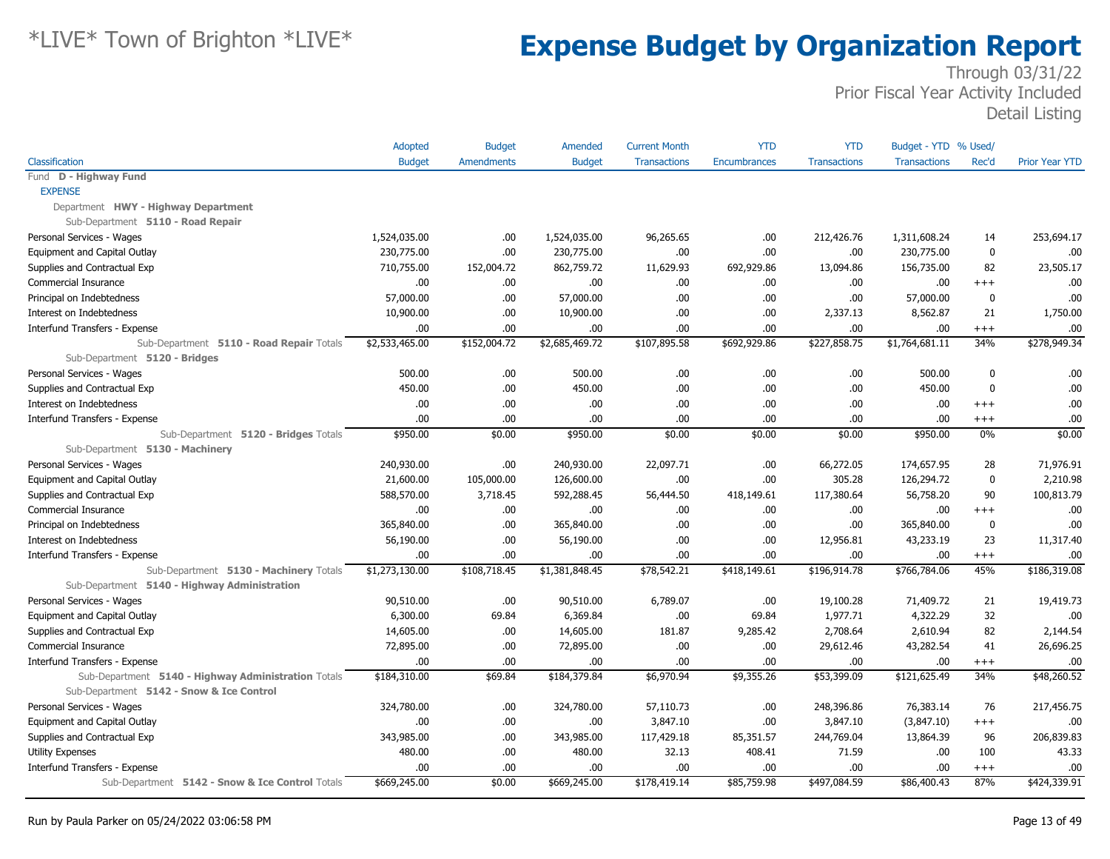|                                                                           | <b>Adopted</b> | <b>Budget</b>     | Amended        | <b>Current Month</b> | <b>YTD</b>   | <b>YTD</b>          | Budget - YTD % Used/ |             |                       |
|---------------------------------------------------------------------------|----------------|-------------------|----------------|----------------------|--------------|---------------------|----------------------|-------------|-----------------------|
| Classification                                                            | <b>Budget</b>  | <b>Amendments</b> | <b>Budget</b>  | <b>Transactions</b>  | Encumbrances | <b>Transactions</b> | <b>Transactions</b>  | Rec'd       | <b>Prior Year YTD</b> |
| Fund D - Highway Fund                                                     |                |                   |                |                      |              |                     |                      |             |                       |
| <b>EXPENSE</b>                                                            |                |                   |                |                      |              |                     |                      |             |                       |
| Department HWY - Highway Department                                       |                |                   |                |                      |              |                     |                      |             |                       |
| Sub-Department 5110 - Road Repair                                         |                |                   |                |                      |              |                     |                      |             |                       |
| Personal Services - Wages                                                 | 1,524,035.00   | .00               | 1,524,035.00   | 96,265.65            | .00.         | 212,426.76          | 1,311,608.24         | 14          | 253,694.17            |
| Equipment and Capital Outlay                                              | 230,775.00     | .00               | 230,775.00     | .00                  | .00.         | .00                 | 230,775.00           | 0           | .00                   |
| Supplies and Contractual Exp                                              | 710,755.00     | 152,004.72        | 862,759.72     | 11,629.93            | 692,929.86   | 13,094.86           | 156,735.00           | 82          | 23,505.17             |
| Commercial Insurance                                                      | .00            | .00.              | .00.           | .00                  | .00.         | .00                 | .00.                 | $^{+++}$    | .00                   |
| Principal on Indebtedness                                                 | 57,000.00      | .00               | 57,000.00      | .00                  | .00.         | .00                 | 57,000.00            | $\mathbf 0$ | .00                   |
| Interest on Indebtedness                                                  | 10,900.00      | .00               | 10,900.00      | .00                  | .00.         | 2,337.13            | 8,562.87             | 21          | 1,750.00              |
| Interfund Transfers - Expense                                             | .00            | .00               | .00.           | .00                  | .00.         | .00                 | .00.                 | $^{+++}$    | .00                   |
| Sub-Department 5110 - Road Repair Totals<br>Sub-Department 5120 - Bridges | \$2,533,465.00 | \$152,004.72      | \$2,685,469.72 | \$107,895.58         | \$692,929.86 | \$227,858.75        | \$1,764,681.11       | 34%         | \$278,949.34          |
| Personal Services - Wages                                                 | 500.00         | .00.              | 500.00         | .00.                 | .00.         | .00                 | 500.00               | 0           | .00                   |
| Supplies and Contractual Exp                                              | 450.00         | .00.              | 450.00         | .00                  | .00.         | .00.                | 450.00               | 0           | .00                   |
| Interest on Indebtedness                                                  | .00            | .00               | .00.           | .00                  | .00.         | .00                 | .00.                 | $^{+++}$    | .00                   |
| Interfund Transfers - Expense                                             | .00            | .00               | .00.           | .00                  | .00.         | .00                 | .00.                 | $^{+++}$    | .00                   |
| Sub-Department 5120 - Bridges Totals                                      | \$950.00       | \$0.00            | \$950.00       | \$0.00               | \$0.00       | \$0.00              | \$950.00             | $0\%$       | \$0.00                |
| Sub-Department 5130 - Machinery                                           |                |                   |                |                      |              |                     |                      |             |                       |
| Personal Services - Wages                                                 | 240,930.00     | .00               | 240,930.00     | 22,097.71            | .00.         | 66,272.05           | 174,657.95           | 28          | 71,976.91             |
| Equipment and Capital Outlay                                              | 21,600.00      | 105,000.00        | 126,600.00     | .00                  | .00.         | 305.28              | 126,294.72           | $\mathbf 0$ | 2,210.98              |
| Supplies and Contractual Exp                                              | 588,570.00     | 3,718.45          | 592,288.45     | 56,444.50            | 418,149.61   | 117,380.64          | 56,758.20            | 90          | 100,813.79            |
| Commercial Insurance                                                      | .00            | .00.              | .00            | .00                  | .00.         | .00                 | .00.                 | $^{+++}$    | .00                   |
| Principal on Indebtedness                                                 | 365,840.00     | .00.              | 365,840.00     | .00                  | .00.         | .00                 | 365,840.00           | 0           | .00                   |
| Interest on Indebtedness                                                  | 56,190.00      | .00               | 56,190.00      | .00                  | .00.         | 12,956.81           | 43,233.19            | 23          | 11,317.40             |
| Interfund Transfers - Expense                                             | .00            | .00               | .00            | .00                  | .00.         | .00                 | .00.                 | $^{+++}$    | .00                   |
| Sub-Department 5130 - Machinery Totals                                    | \$1,273,130.00 | \$108,718.45      | \$1,381,848.45 | \$78,542.21          | \$418,149.61 | \$196,914.78        | \$766,784.06         | 45%         | \$186,319.08          |
| Sub-Department 5140 - Highway Administration                              |                |                   |                |                      |              |                     |                      |             |                       |
| Personal Services - Wages                                                 | 90,510.00      | .00               | 90,510.00      | 6,789.07             | .00.         | 19,100.28           | 71,409.72            | 21          | 19,419.73             |
| Equipment and Capital Outlay                                              | 6,300.00       | 69.84             | 6,369.84       | .00                  | 69.84        | 1,977.71            | 4,322.29             | 32          | .00                   |
| Supplies and Contractual Exp                                              | 14,605.00      | .00               | 14,605.00      | 181.87               | 9,285.42     | 2,708.64            | 2,610.94             | 82          | 2,144.54              |
| Commercial Insurance                                                      | 72,895.00      | .00               | 72,895.00      | .00                  | .00.         | 29,612.46           | 43,282.54            | 41          | 26,696.25             |
| Interfund Transfers - Expense                                             | .00            | .00               | .00.           | .00                  | .00.         | .00                 | .00.                 | $^{+++}$    | .00                   |
| Sub-Department 5140 - Highway Administration Totals                       | \$184,310.00   | \$69.84           | \$184,379.84   | \$6,970.94           | \$9,355.26   | \$53,399.09         | \$121,625.49         | 34%         | \$48,260.52           |
| Sub-Department 5142 - Snow & Ice Control                                  |                |                   |                |                      |              |                     |                      |             |                       |
| Personal Services - Wages                                                 | 324,780.00     | .00.              | 324,780.00     | 57,110.73            | .00.         | 248,396.86          | 76,383.14            | 76          | 217,456.75            |
| Equipment and Capital Outlay                                              | .00            | .00.              | .00.           | 3,847.10             | .00.         | 3,847.10            | (3,847.10)           | $^{+++}$    | .00                   |
| Supplies and Contractual Exp                                              | 343,985.00     | .00               | 343,985.00     | 117,429.18           | 85,351.57    | 244,769.04          | 13,864.39            | 96          | 206,839.83            |
| Utility Expenses                                                          | 480.00         | .00               | 480.00         | 32.13                | 408.41       | 71.59               | .00.                 | 100         | 43.33                 |
| Interfund Transfers - Expense                                             | .00            | .00               | .00.           | .00                  | .00.         | .00                 | .00.                 | $^{+++}$    | .00                   |
| Sub-Department 5142 - Snow & Ice Control Totals                           | \$669,245.00   | \$0.00            | \$669,245.00   | \$178,419.14         | \$85,759.98  | \$497,084.59        | \$86,400.43          | 87%         | \$424,339.91          |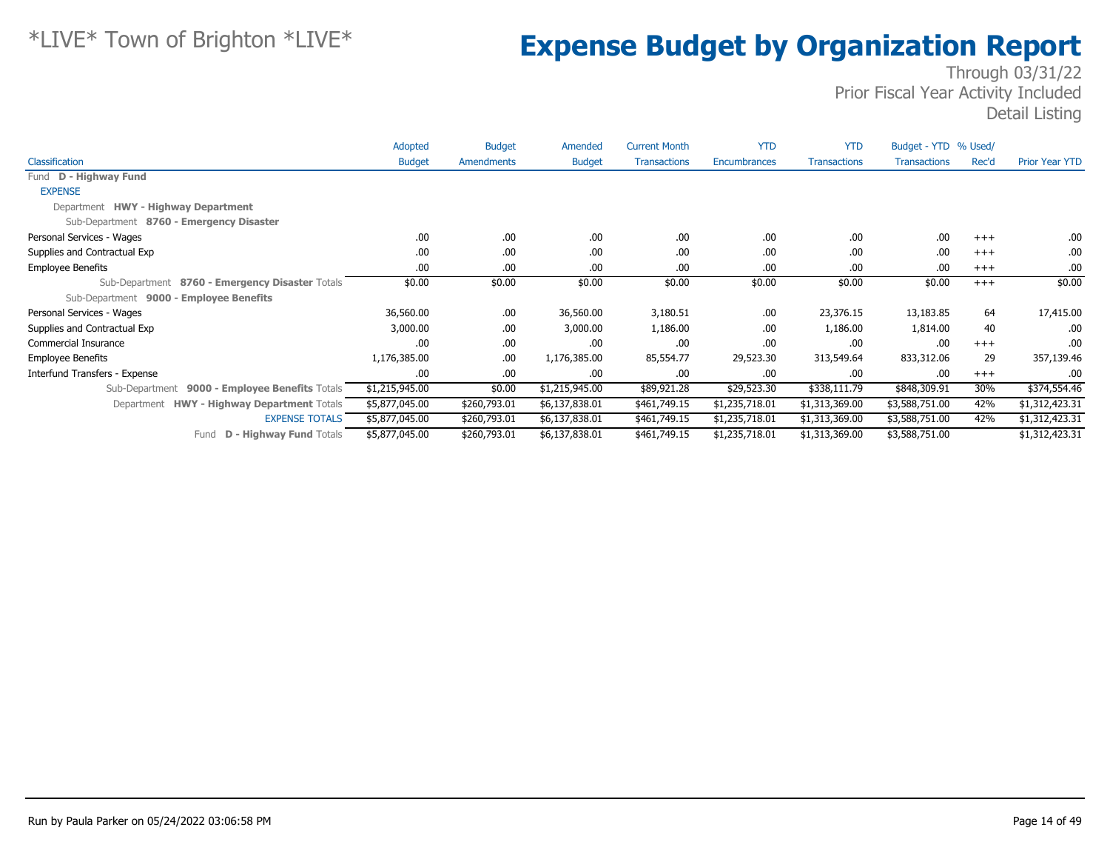|                                                   | Adopted        | <b>Budget</b> | Amended        | <b>Current Month</b> | <b>YTD</b>     | <b>YTD</b>          | Budget - YTD % Used/ |          |                       |
|---------------------------------------------------|----------------|---------------|----------------|----------------------|----------------|---------------------|----------------------|----------|-----------------------|
| Classification                                    | <b>Budget</b>  | Amendments    | <b>Budget</b>  | <b>Transactions</b>  | Encumbrances   | <b>Transactions</b> | <b>Transactions</b>  | Rec'd    | <b>Prior Year YTD</b> |
| Fund D - Highway Fund                             |                |               |                |                      |                |                     |                      |          |                       |
| <b>EXPENSE</b>                                    |                |               |                |                      |                |                     |                      |          |                       |
| Department HWY - Highway Department               |                |               |                |                      |                |                     |                      |          |                       |
| Sub-Department 8760 - Emergency Disaster          |                |               |                |                      |                |                     |                      |          |                       |
| Personal Services - Wages                         | .00.           | .00.          | .00.           | .00                  | .00            | .00                 | .00                  | $+++$    | .00.                  |
| Supplies and Contractual Exp                      | .00            | .00.          | .00            | .00                  | .00            | .00                 | .00                  | $+++$    | .00.                  |
| <b>Employee Benefits</b>                          | .00            | .00.          | .00.           | .00                  | .00            | .00                 | .00                  | $+++$    | .00.                  |
| Sub-Department 8760 - Emergency Disaster Totals   | \$0.00         | \$0.00        | \$0.00         | \$0.00               | \$0.00         | \$0.00              | \$0.00               | $+++$    | \$0.00                |
| Sub-Department 9000 - Employee Benefits           |                |               |                |                      |                |                     |                      |          |                       |
| Personal Services - Wages                         | 36,560.00      | .00.          | 36,560.00      | 3,180.51             | .00            | 23,376.15           | 13,183.85            | 64       | 17,415.00             |
| Supplies and Contractual Exp                      | 3,000.00       | .00.          | 3,000.00       | 1,186.00             | .00            | 1,186.00            | 1,814.00             | 40       | .00.                  |
| Commercial Insurance                              | .00            | .00.          | .00.           | .00                  | .00            | .00                 | .00                  | $+++$    | .00.                  |
| <b>Employee Benefits</b>                          | 1,176,385.00   | .00.          | 1,176,385.00   | 85,554.77            | 29,523.30      | 313,549.64          | 833,312.06           | 29       | 357,139.46            |
| Interfund Transfers - Expense                     | .00.           | .00.          | .00.           | .00                  | .00            | .00                 | .00                  | $^{+++}$ | .00.                  |
| 9000 - Employee Benefits Totals<br>Sub-Department | \$1,215,945.00 | \$0.00        | \$1,215,945.00 | \$89,921.28          | \$29,523.30    | \$338,111.79        | \$848,309.91         | 30%      | \$374,554.46          |
| Department HWY - Highway Department Totals        | \$5,877,045.00 | \$260,793.01  | \$6,137,838.01 | \$461,749.15         | \$1,235,718.01 | \$1,313,369.00      | \$3,588,751.00       | 42%      | \$1,312,423.31        |
| <b>EXPENSE TOTALS</b>                             | \$5,877,045.00 | \$260,793.01  | \$6,137,838.01 | \$461,749.15         | \$1,235,718.01 | \$1,313,369.00      | \$3,588,751.00       | 42%      | \$1,312,423.31        |
| <b>D - Highway Fund Totals</b><br>Fund            | \$5,877,045.00 | \$260,793.01  | \$6,137,838.01 | \$461,749.15         | \$1,235,718.01 | \$1,313,369.00      | \$3,588,751.00       |          | \$1,312,423.31        |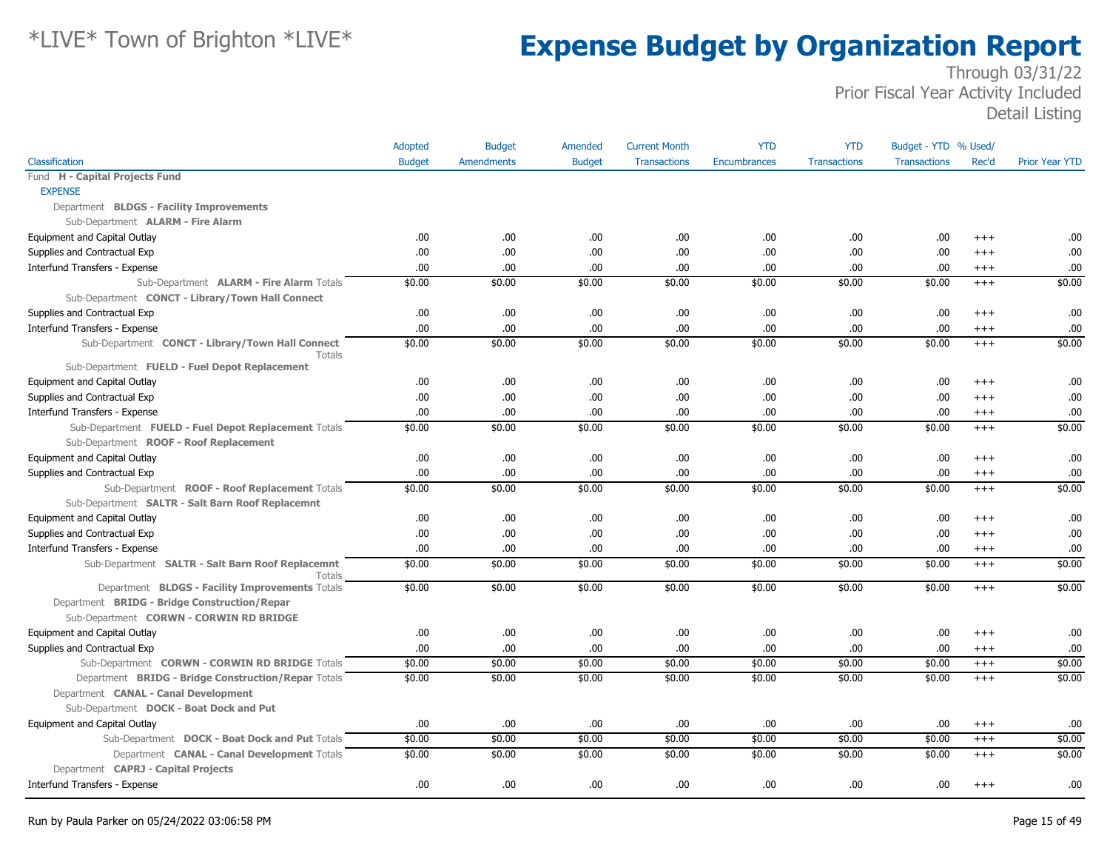|                                                            | Adopted       | <b>Budget</b>     | Amended       | <b>Current Month</b> | <b>YTD</b>          | <b>YTD</b>          | Budget - YTD % Used/ |          |                       |
|------------------------------------------------------------|---------------|-------------------|---------------|----------------------|---------------------|---------------------|----------------------|----------|-----------------------|
| Classification                                             | <b>Budget</b> | <b>Amendments</b> | <b>Budget</b> | <b>Transactions</b>  | <b>Encumbrances</b> | <b>Transactions</b> | <b>Transactions</b>  | Rec'd    | <b>Prior Year YTD</b> |
| Fund H - Capital Projects Fund                             |               |                   |               |                      |                     |                     |                      |          |                       |
| <b>EXPENSE</b>                                             |               |                   |               |                      |                     |                     |                      |          |                       |
| Department BLDGS - Facility Improvements                   |               |                   |               |                      |                     |                     |                      |          |                       |
| Sub-Department <b>ALARM - Fire Alarm</b>                   |               |                   |               |                      |                     |                     |                      |          |                       |
| Equipment and Capital Outlay                               | .00           | .00               | .00           | .00                  | .00                 | .00                 | .00                  | $^{++}$  | .00.                  |
| Supplies and Contractual Exp                               | .00           | .00.              | .00.          | .00                  | .00                 | .00                 | .00                  | $^{+++}$ | .00                   |
| Interfund Transfers - Expense                              | .00.          | .00.              | .00           | .00                  | .00                 | .00                 | .00                  | $^{+++}$ | .00                   |
| Sub-Department ALARM - Fire Alarm Totals                   | \$0.00        | \$0.00            | \$0.00        | \$0.00               | \$0.00              | \$0.00              | \$0.00               | $+++$    | \$0.00                |
| Sub-Department CONCT - Library/Town Hall Connect           |               |                   |               |                      |                     |                     |                      |          |                       |
| Supplies and Contractual Exp                               | .00.          | .00.              | .00.          | .00                  | .00                 | .00                 | .00                  | $^{+++}$ | .00.                  |
| Interfund Transfers - Expense                              | .00.          | .00.              | .00.          | .00.                 | .00                 | .00.                | .00                  | $^{++}$  | .00                   |
| Sub-Department CONCT - Library/Town Hall Connect<br>Totals | \$0.00        | \$0.00            | \$0.00        | \$0.00               | \$0.00              | \$0.00              | \$0.00               | $+++$    | \$0.00                |
| Sub-Department FUELD - Fuel Depot Replacement              |               |                   |               |                      |                     |                     |                      |          |                       |
| Equipment and Capital Outlay                               | .00           | .00.              | .00.          | .00.                 | .00.                | .00                 | .00                  | $^{++}$  | .00.                  |
| Supplies and Contractual Exp                               | .00           | .00.              | .00.          | .00                  | .00                 | .00                 | .00                  | $^{+++}$ | .00                   |
| Interfund Transfers - Expense                              | .00.          | .00.              | .00           | .00                  | .00                 | .00                 | .00                  | $^{++}$  | .00                   |
| Sub-Department FUELD - Fuel Depot Replacement Totals       | \$0.00        | \$0.00            | \$0.00        | \$0.00               | \$0.00              | \$0.00              | \$0.00               | $+++$    | \$0.00                |
| Sub-Department ROOF - Roof Replacement                     |               |                   |               |                      |                     |                     |                      |          |                       |
| Equipment and Capital Outlay                               | .00.          | .00.              | .00.          | .00                  | .00                 | .00                 | .00                  | $^{+++}$ | .00                   |
| Supplies and Contractual Exp                               | .00           | .00.              | .00.          | .00                  | .00                 | .00                 | .00                  | $+++$    | .00                   |
| Sub-Department ROOF - Roof Replacement Totals              | \$0.00        | \$0.00            | \$0.00        | \$0.00               | \$0.00              | \$0.00              | \$0.00               | $^{+++}$ | \$0.00                |
| Sub-Department SALTR - Salt Barn Roof Replacemnt           |               |                   |               |                      |                     |                     |                      |          |                       |
| Equipment and Capital Outlay                               | .00.          | .00.              | .00.          | .00                  | .00                 | .00                 | .00                  | $+++$    | .00                   |
| Supplies and Contractual Exp                               | .00.          | .00               | .00.          | .00                  | .00                 | .00                 | .00                  | $^{++}$  | .00                   |
| Interfund Transfers - Expense                              | .00.          | .00.              | .00.          | .00                  | .00                 | .00                 | .00                  | $^{++}$  | .00                   |
| Sub-Department SALTR - Salt Barn Roof Replacemnt<br>Totals | \$0.00        | \$0.00            | \$0.00        | \$0.00               | \$0.00              | \$0.00              | \$0.00               | $^{+++}$ | \$0.00                |
| Department BLDGS - Facility Improvements Totals            | \$0.00        | \$0.00            | \$0.00        | \$0.00               | \$0.00              | \$0.00              | \$0.00               | $+++$    | \$0.00                |
| Department BRIDG - Bridge Construction/Repar               |               |                   |               |                      |                     |                     |                      |          |                       |
| Sub-Department CORWN - CORWIN RD BRIDGE                    |               |                   |               |                      |                     |                     |                      |          |                       |
| Equipment and Capital Outlay                               | .00.          | .00.              | .00.          | .00                  | .00                 | .00                 | .00                  | $^{++}$  | .00                   |
| Supplies and Contractual Exp                               | .00.          | .00               | .00.          | .00                  | .00.                | .00.                | .00.                 | $^{+++}$ | .00.                  |
| Sub-Department CORWN - CORWIN RD BRIDGE Totals             | \$0.00        | \$0.00            | \$0.00        | \$0.00               | \$0.00              | \$0.00              | \$0.00               | $+++$    | \$0.00                |
| Department BRIDG - Bridge Construction/Repar Totals        | \$0.00        | \$0.00            | \$0.00        | \$0.00               | \$0.00              | \$0.00              | \$0.00               | $^{+++}$ | \$0.00                |
| Department CANAL - Canal Development                       |               |                   |               |                      |                     |                     |                      |          |                       |
| Sub-Department DOCK - Boat Dock and Put                    |               |                   |               |                      |                     |                     |                      |          |                       |
| Equipment and Capital Outlay                               | .00.          | .00.              | .00.          | .00                  | .00                 | .00                 | .00                  | $^{+++}$ | .00                   |
| Sub-Department DOCK - Boat Dock and Put Totals             | \$0.00        | \$0.00            | \$0.00        | \$0.00               | \$0.00              | \$0.00              | \$0.00               | $+++$    | \$0.00                |
| Department CANAL - Canal Development Totals                | \$0.00        | \$0.00            | \$0.00        | \$0.00               | \$0.00              | \$0.00              | \$0.00               | $+++$    | \$0.00                |
| Department CAPRJ - Capital Projects                        |               |                   |               |                      |                     |                     |                      |          |                       |
| Interfund Transfers - Expense                              | .00           | .00               | .00           | .00                  | .00                 | .00                 | .00                  | $^{++}$  | .00                   |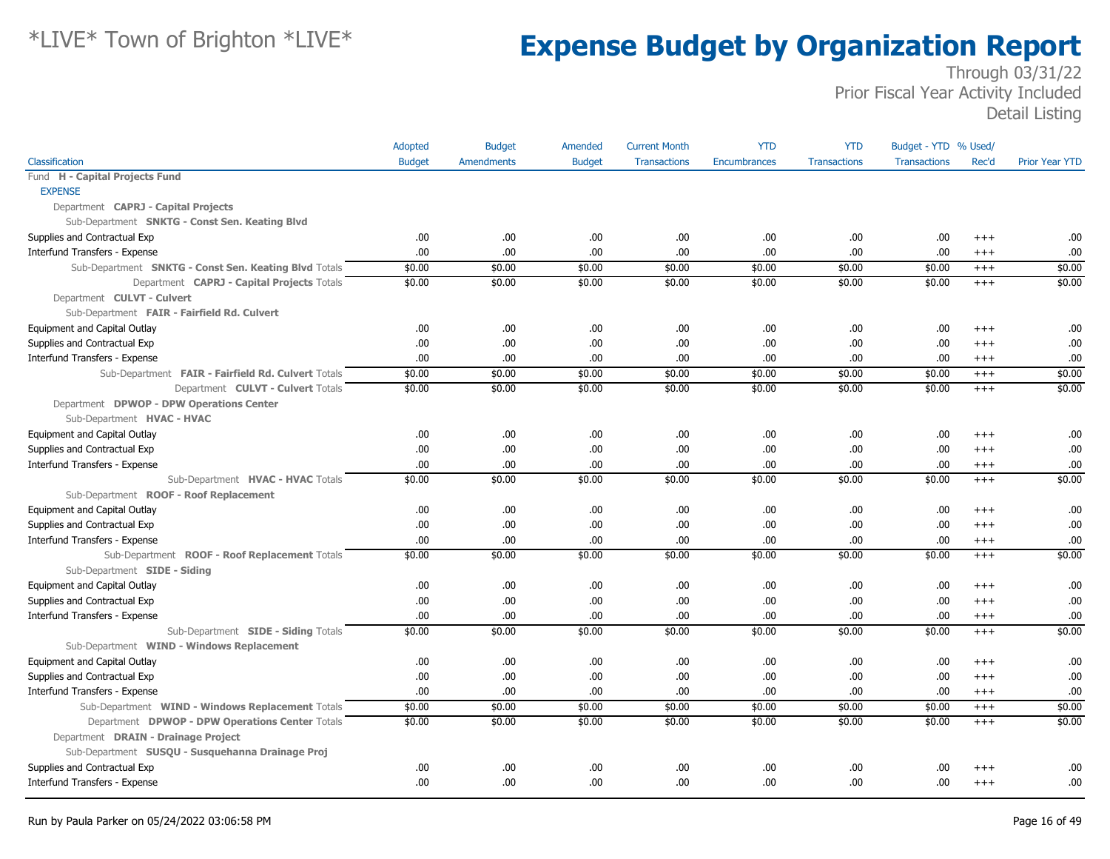|                                                       | Adopted       | <b>Budget</b>     | Amended       | <b>Current Month</b> | <b>YTD</b>          | <b>YTD</b>          | Budget - YTD % Used/ |          |                       |
|-------------------------------------------------------|---------------|-------------------|---------------|----------------------|---------------------|---------------------|----------------------|----------|-----------------------|
| Classification                                        | <b>Budget</b> | <b>Amendments</b> | <b>Budget</b> | <b>Transactions</b>  | <b>Encumbrances</b> | <b>Transactions</b> | <b>Transactions</b>  | Rec'd    | <b>Prior Year YTD</b> |
| Fund H - Capital Projects Fund                        |               |                   |               |                      |                     |                     |                      |          |                       |
| <b>EXPENSE</b>                                        |               |                   |               |                      |                     |                     |                      |          |                       |
| Department CAPRJ - Capital Projects                   |               |                   |               |                      |                     |                     |                      |          |                       |
| Sub-Department SNKTG - Const Sen. Keating Blvd        |               |                   |               |                      |                     |                     |                      |          |                       |
| Supplies and Contractual Exp                          | .00.          | .00.              | .00.          | .00                  | .00                 | .00.                | .00.                 | $+++$    | .00                   |
| Interfund Transfers - Expense                         | .00.          | .00               | .00.          | .00                  | .00                 | .00                 | .00.                 | $+++$    | .00                   |
| Sub-Department SNKTG - Const Sen. Keating Blvd Totals | \$0.00        | \$0.00            | \$0.00        | \$0.00               | \$0.00              | \$0.00              | \$0.00               | $+++$    | \$0.00                |
| Department CAPRJ - Capital Projects Totals            | \$0.00        | \$0.00            | \$0.00        | \$0.00               | \$0.00              | \$0.00              | \$0.00               | $^{+++}$ | \$0.00                |
| Department CULVT - Culvert                            |               |                   |               |                      |                     |                     |                      |          |                       |
| Sub-Department FAIR - Fairfield Rd. Culvert           |               |                   |               |                      |                     |                     |                      |          |                       |
| Equipment and Capital Outlay                          | .00.          | .00.              | .00.          | .00                  | .00                 | .00.                | .00.                 | $^{+++}$ | .00                   |
| Supplies and Contractual Exp                          | .00           | .00               | .00.          | .00                  | .00                 | .00                 | .00.                 | $^{+++}$ | .00                   |
| Interfund Transfers - Expense                         | .00.          | .00               | .00           | .00                  | .00                 | .00                 | .00.                 | $^{+++}$ | .00                   |
| Sub-Department FAIR - Fairfield Rd. Culvert Totals    | \$0.00        | \$0.00            | \$0.00        | \$0.00               | \$0.00              | \$0.00              | \$0.00               | $+++$    | \$0.00                |
| Department CULVT - Culvert Totals                     | \$0.00        | \$0.00            | \$0.00        | \$0.00               | \$0.00              | \$0.00              | \$0.00               | $^{+++}$ | \$0.00                |
| Department DPWOP - DPW Operations Center              |               |                   |               |                      |                     |                     |                      |          |                       |
| Sub-Department HVAC - HVAC                            |               |                   |               |                      |                     |                     |                      |          |                       |
| Equipment and Capital Outlay                          | .00.          | .00.              | .00.          | .00                  | .00                 | .00                 | .00.                 | $^{+++}$ | .00                   |
| Supplies and Contractual Exp                          | .00           | .00               | .00.          | .00                  | .00                 | .00                 | .00.                 | $+++$    | .00                   |
| Interfund Transfers - Expense                         | .00.          | .00.              | .00           | .00                  | .00                 | .00                 | .00.                 | $^{+++}$ | .00                   |
| Sub-Department HVAC - HVAC Totals                     | \$0.00        | \$0.00            | \$0.00        | \$0.00               | \$0.00              | \$0.00              | \$0.00               | $^{+++}$ | \$0.00                |
| Sub-Department ROOF - Roof Replacement                |               |                   |               |                      |                     |                     |                      |          |                       |
| Equipment and Capital Outlay                          | .00.          | .00.              | .00.          | .00                  | .00                 | .00.                | .00.                 | $+++$    | .00                   |
| Supplies and Contractual Exp                          | .00.          | .00               | .00.          | .00                  | .00                 | .00                 | .00.                 | $^{+++}$ | .00                   |
| Interfund Transfers - Expense                         | .00.          | .00.              | .00.          | .00                  | .00                 | .00.                | .00.                 | $^{+++}$ | .00                   |
| Sub-Department ROOF - Roof Replacement Totals         | \$0.00        | \$0.00            | \$0.00        | \$0.00               | \$0.00              | \$0.00              | \$0.00               | $+++$    | \$0.00                |
| Sub-Department SIDE - Siding                          |               |                   |               |                      |                     |                     |                      |          |                       |
| Equipment and Capital Outlay                          | .00           | .00               | .00.          | .00                  | .00                 | .00                 | .00.                 | $+++$    | .00                   |
| Supplies and Contractual Exp                          | .00           | .00.              | .00           | .00                  | .00                 | .00                 | .00.                 | $+++$    | .00                   |
| Interfund Transfers - Expense                         | .00           | .00.              | .00           | .00                  | .00                 | .00.                | .00.                 | $+++$    | .00                   |
| Sub-Department SIDE - Siding Totals                   | \$0.00        | \$0.00            | \$0.00        | \$0.00               | \$0.00              | \$0.00              | \$0.00               | $^{+++}$ | \$0.00                |
| Sub-Department WIND - Windows Replacement             |               |                   |               |                      |                     |                     |                      |          |                       |
| Equipment and Capital Outlay                          | .00.          | .00               | .00.          | .00                  | .00                 | .00.                | .00                  | $^{++}$  | .00                   |
| Supplies and Contractual Exp                          | .00.          | .00               | .00.          | .00                  | .00                 | .00                 | .00.                 | $^{+++}$ | .00                   |
| Interfund Transfers - Expense                         | .00.          | .00               | .00.          | .00                  | .00                 | .00                 | .00.                 | $^{+++}$ | .00                   |
| Sub-Department WIND - Windows Replacement Totals      | \$0.00        | \$0.00            | \$0.00        | \$0.00               | \$0.00              | \$0.00              | \$0.00               | $^{+++}$ | \$0.00                |
| Department DPWOP - DPW Operations Center Totals       | \$0.00        | \$0.00            | \$0.00        | \$0.00               | \$0.00              | \$0.00              | \$0.00               | $^{+++}$ | \$0.00                |
| Department DRAIN - Drainage Project                   |               |                   |               |                      |                     |                     |                      |          |                       |
| Sub-Department SUSQU - Susquehanna Drainage Proj      |               |                   |               |                      |                     |                     |                      |          |                       |
| Supplies and Contractual Exp                          | .00.          | .00               | .00.          | .00                  | .00                 | .00                 | .00                  | $+++$    | .00                   |
| Interfund Transfers - Expense                         | .00.          | .00               | .00           | .00                  | .00                 | .00.                | .00.                 | $^{+++}$ | .00                   |
|                                                       |               |                   |               |                      |                     |                     |                      |          |                       |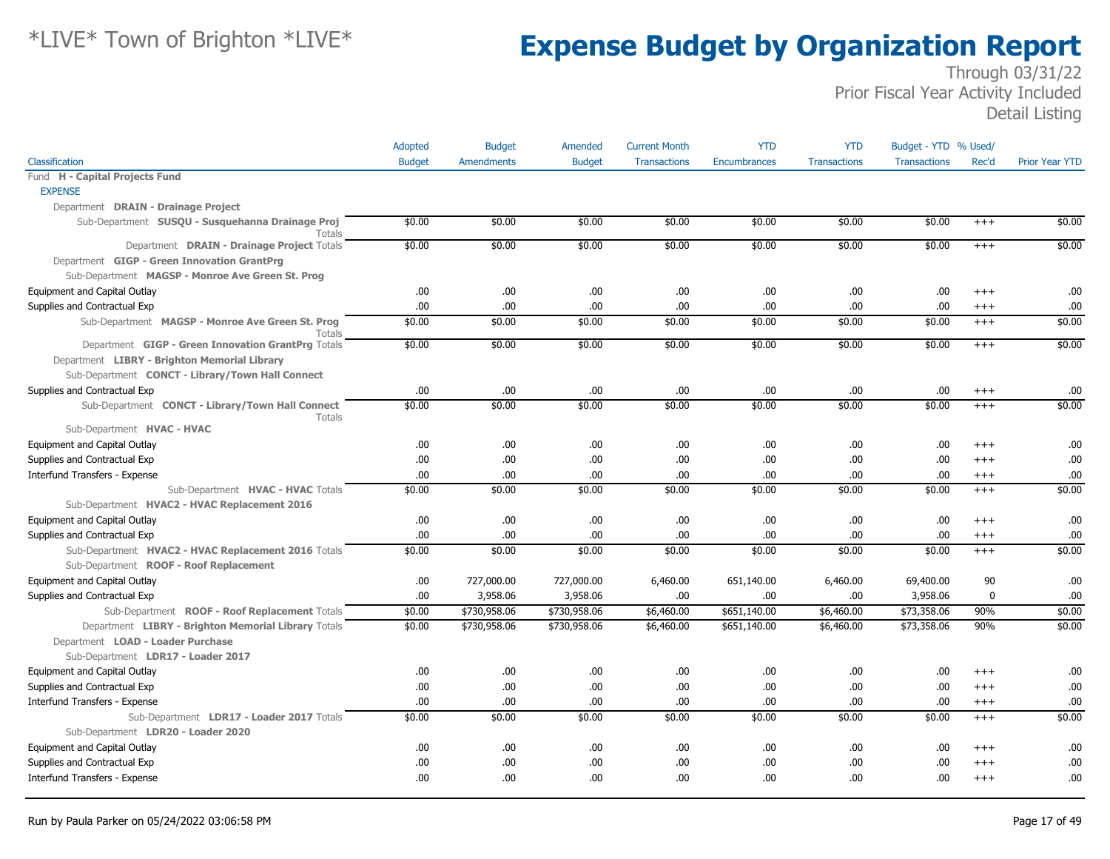|                                                                   | Adopted       | <b>Budget</b>     | Amended       | <b>Current Month</b> | <b>YTD</b>   | <b>YTD</b>          | Budget - YTD % Used/ |             |                       |
|-------------------------------------------------------------------|---------------|-------------------|---------------|----------------------|--------------|---------------------|----------------------|-------------|-----------------------|
| Classification                                                    | <b>Budget</b> | <b>Amendments</b> | <b>Budget</b> | <b>Transactions</b>  | Encumbrances | <b>Transactions</b> | <b>Transactions</b>  | Rec'd       | <b>Prior Year YTD</b> |
| Fund H - Capital Projects Fund                                    |               |                   |               |                      |              |                     |                      |             |                       |
| <b>EXPENSE</b>                                                    |               |                   |               |                      |              |                     |                      |             |                       |
| Department DRAIN - Drainage Project                               |               |                   |               |                      |              |                     |                      |             |                       |
| Sub-Department SUSQU - Susquehanna Drainage Proj<br><b>Totals</b> | \$0.00        | \$0.00            | \$0.00        | \$0.00               | \$0.00       | \$0.00              | \$0.00               | $^{+++}$    | \$0.00                |
| Department DRAIN - Drainage Project Totals                        | \$0.00        | \$0.00            | \$0.00        | \$0.00               | \$0.00       | \$0.00              | \$0.00               | $+++$       | \$0.00                |
| Department GIGP - Green Innovation GrantPrg                       |               |                   |               |                      |              |                     |                      |             |                       |
| Sub-Department MAGSP - Monroe Ave Green St. Prog                  |               |                   |               |                      |              |                     |                      |             |                       |
| Equipment and Capital Outlay                                      | .00.          | .00.              | .00           | .00.                 | .00          | .00                 | .00                  | $^{+++}$    | .00                   |
| Supplies and Contractual Exp                                      | .00           | .00.              | .00           | .00                  | .00          | .00                 | .00                  | $^{+++}$    | .00                   |
| Sub-Department MAGSP - Monroe Ave Green St. Prog<br>Totals        | \$0.00        | \$0.00            | \$0.00        | \$0.00               | \$0.00       | \$0.00              | \$0.00               | $+++$       | \$0.00                |
| Department GIGP - Green Innovation GrantPrg Totals                | \$0.00        | \$0.00            | \$0.00        | \$0.00               | \$0.00       | \$0.00              | \$0.00               | $+++$       | \$0.00                |
| Department LIBRY - Brighton Memorial Library                      |               |                   |               |                      |              |                     |                      |             |                       |
| Sub-Department CONCT - Library/Town Hall Connect                  |               |                   |               |                      |              |                     |                      |             |                       |
| Supplies and Contractual Exp                                      | .00           | .00.              | .00           | .00.                 | .00          | .00                 | .00                  | $^{+++}$    | .00                   |
| Sub-Department CONCT - Library/Town Hall Connect<br><b>Totals</b> | \$0.00        | \$0.00            | \$0.00        | \$0.00               | \$0.00       | \$0.00              | \$0.00               | $+++$       | \$0.00                |
| Sub-Department HVAC - HVAC                                        |               |                   |               |                      |              |                     |                      |             |                       |
| Equipment and Capital Outlay                                      | .00           | .00.              | .00           | .00.                 | .00          | .00                 | .00                  | $+++$       | .00                   |
| Supplies and Contractual Exp                                      | .00           | .00.              | .00           | .00.                 | .00          | .00                 | .00                  | $+++$       | .00                   |
| Interfund Transfers - Expense                                     | .00           | .00.              | .00           | .00                  | .00          | .00                 | .00                  | $^{+++}$    | .00                   |
| Sub-Department HVAC - HVAC Totals                                 | \$0.00        | \$0.00            | \$0.00        | \$0.00               | \$0.00       | \$0.00              | \$0.00               | $^{+++}$    | \$0.00                |
| Sub-Department HVAC2 - HVAC Replacement 2016                      |               |                   |               |                      |              |                     |                      |             |                       |
| Equipment and Capital Outlay                                      | .00           | .00.              | .00           | .00.                 | .00          | .00                 | .00                  | $+++$       | .00                   |
| Supplies and Contractual Exp                                      | .00           | .00.              | .00           | .00.                 | .00          | .00                 | .00                  | $^{+++}$    | .00                   |
| Sub-Department HVAC2 - HVAC Replacement 2016 Totals               | \$0.00        | \$0.00            | \$0.00        | \$0.00               | \$0.00       | \$0.00              | \$0.00               | $^{+++}$    | \$0.00                |
| Sub-Department ROOF - Roof Replacement                            |               |                   |               |                      |              |                     |                      |             |                       |
| Equipment and Capital Outlay                                      | .00.          | 727,000.00        | 727,000.00    | 6,460.00             | 651,140.00   | 6,460.00            | 69,400.00            | 90          | .00                   |
| Supplies and Contractual Exp                                      | .00           | 3,958.06          | 3,958.06      | .00.                 | .00          | .00                 | 3,958.06             | $\mathbf 0$ | .00                   |
| Sub-Department ROOF - Roof Replacement Totals                     | \$0.00        | \$730,958.06      | \$730,958.06  | \$6,460.00           | \$651,140.00 | \$6,460.00          | \$73,358.06          | 90%         | \$0.00                |
| Department LIBRY - Brighton Memorial Library Totals               | \$0.00        | \$730,958.06      | \$730,958.06  | \$6,460.00           | \$651,140.00 | \$6,460.00          | \$73,358.06          | 90%         | \$0.00                |
| Department LOAD - Loader Purchase                                 |               |                   |               |                      |              |                     |                      |             |                       |
| Sub-Department LDR17 - Loader 2017                                |               |                   |               |                      |              |                     |                      |             |                       |
| Equipment and Capital Outlay                                      | .00           | .00.              | .00           | .00.                 | .00          | .00                 | .00                  | $++++$      | .00                   |
| Supplies and Contractual Exp                                      | .00           | .00.              | .00.          | .00.                 | .00          | .00                 | .00                  | $++++$      | .00                   |
| Interfund Transfers - Expense                                     | .00           | .00.              | .00           | .00.                 | .00          | .00                 | .00                  | $+++$       | .00                   |
| Sub-Department LDR17 - Loader 2017 Totals                         | \$0.00        | \$0.00            | \$0.00        | \$0.00               | \$0.00       | \$0.00              | \$0.00               | $^{+++}$    | \$0.00                |
| Sub-Department LDR20 - Loader 2020                                |               |                   |               |                      |              |                     |                      |             |                       |
| Equipment and Capital Outlay                                      | .00           | .00.              | .00           | .00.                 | .00          | .00                 | .00                  | $+++$       | .00                   |
| Supplies and Contractual Exp                                      | .00           | .00.              | .00           | .00                  | .00          | .00                 | .00                  | $^{+++}$    | .00                   |
| Interfund Transfers - Expense                                     | .00.          | .00.              | .00.          | .00.                 | .00.         | .00                 | .00.                 | $+++$       | .00                   |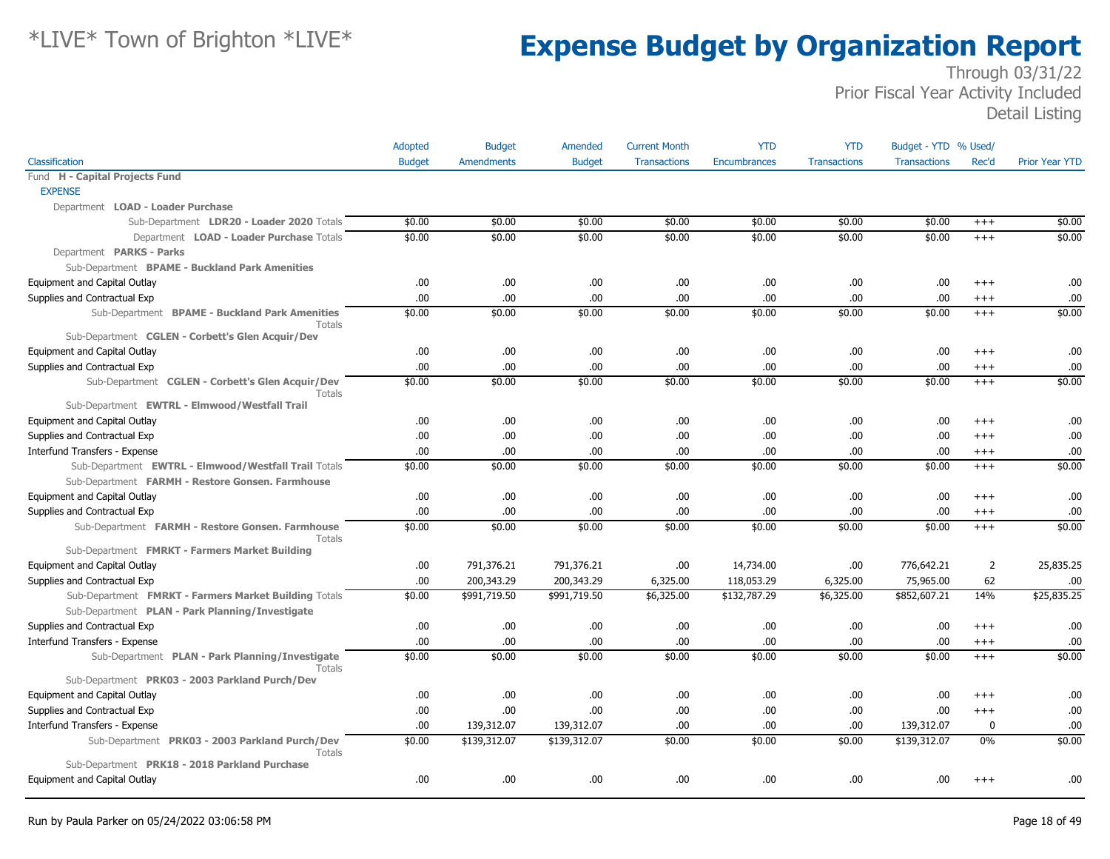|                                                                  | Adopted       | <b>Budget</b>     | Amended       | <b>Current Month</b> | <b>YTD</b>          | <b>YTD</b>          | Budget - YTD % Used/ |                |                       |
|------------------------------------------------------------------|---------------|-------------------|---------------|----------------------|---------------------|---------------------|----------------------|----------------|-----------------------|
| Classification                                                   | <b>Budget</b> | <b>Amendments</b> | <b>Budget</b> | <b>Transactions</b>  | <b>Encumbrances</b> | <b>Transactions</b> | <b>Transactions</b>  | Rec'd          | <b>Prior Year YTD</b> |
| Fund H - Capital Projects Fund                                   |               |                   |               |                      |                     |                     |                      |                |                       |
| <b>EXPENSE</b>                                                   |               |                   |               |                      |                     |                     |                      |                |                       |
| Department LOAD - Loader Purchase                                |               |                   |               |                      |                     |                     |                      |                |                       |
| Sub-Department LDR20 - Loader 2020 Totals                        | \$0.00        | \$0.00            | \$0.00        | \$0.00               | \$0.00              | \$0.00              | \$0.00               | $^{+++}$       | \$0.00                |
| Department LOAD - Loader Purchase Totals                         | \$0.00        | \$0.00            | \$0.00        | \$0.00               | \$0.00              | \$0.00              | \$0.00               | $+++$          | \$0.00                |
| Department PARKS - Parks                                         |               |                   |               |                      |                     |                     |                      |                |                       |
| Sub-Department BPAME - Buckland Park Amenities                   |               |                   |               |                      |                     |                     |                      |                |                       |
| Equipment and Capital Outlay                                     | .00.          | .00               | .00.          | .00                  | .00                 | .00                 | .00.                 | $^{++}$        | .00                   |
| Supplies and Contractual Exp                                     | .00           | .00               | .00.          | .00                  | .00                 | .00                 | .00.                 | $^{+++}$       | .00                   |
| Sub-Department BPAME - Buckland Park Amenities<br><b>Totals</b>  | \$0.00        | \$0.00            | \$0.00        | \$0.00               | \$0.00              | \$0.00              | \$0.00               | $^{+++}$       | \$0.00                |
| Sub-Department CGLEN - Corbett's Glen Acquir/Dev                 |               |                   |               |                      |                     |                     |                      |                |                       |
| Equipment and Capital Outlay                                     | .00.          | .00.              | .00.          | .00                  | .00                 | .00                 | .00.                 | $^{+++}$       | .00                   |
| Supplies and Contractual Exp                                     | .00           | .00               | .00.          | .00                  | .00                 | .00                 | .00                  | $^{+++}$       | .00                   |
| Sub-Department CGLEN - Corbett's Glen Acquir/Dev<br>Totals       | \$0.00        | \$0.00            | \$0.00        | \$0.00               | \$0.00              | \$0.00              | \$0.00               | $+++$          | \$0.00                |
| Sub-Department EWTRL - Elmwood/Westfall Trail                    |               |                   |               |                      |                     |                     |                      |                |                       |
| Equipment and Capital Outlay                                     | .00           | .00.              | .00           | .00                  | .00                 | .00                 | .00.                 | $^{+++}$       | .00                   |
| Supplies and Contractual Exp                                     | .00           | .00.              | .00.          | .00                  | .00.                | .00                 | .00                  | $^{++}$        | .00                   |
| Interfund Transfers - Expense                                    | .00           | .00               | .00.          | .00                  | .00                 | .00                 | .00.                 | $^{+++}$       | .00.                  |
| Sub-Department EWTRL - Elmwood/Westfall Trail Totals             | \$0.00        | \$0.00            | \$0.00        | \$0.00               | \$0.00              | \$0.00              | \$0.00               | $^{+++}$       | \$0.00                |
| Sub-Department FARMH - Restore Gonsen. Farmhouse                 |               |                   |               |                      |                     |                     |                      |                |                       |
| Equipment and Capital Outlay                                     | .00           | .00               | .00.          | .00                  | .00                 | .00                 | .00.                 | $+++$          | .00                   |
| Supplies and Contractual Exp                                     | .00.          | .00               | .00.          | .00                  | .00                 | .00                 | .00.                 | $^{+++}$       | .00                   |
| Sub-Department FARMH - Restore Gonsen. Farmhouse<br>Totals       | \$0.00        | \$0.00            | \$0.00        | \$0.00               | \$0.00              | \$0.00              | \$0.00               | $+++$          | \$0.00                |
| Sub-Department FMRKT - Farmers Market Building                   |               |                   |               |                      |                     |                     |                      |                |                       |
| Equipment and Capital Outlay                                     | .00.          | 791,376.21        | 791,376.21    | .00                  | 14,734.00           | .00                 | 776,642.21           | $\overline{2}$ | 25,835.25             |
| Supplies and Contractual Exp                                     | .00           | 200,343.29        | 200,343.29    | 6,325.00             | 118,053.29          | 6,325.00            | 75,965.00            | 62             | .00                   |
| Sub-Department FMRKT - Farmers Market Building Totals            | \$0.00        | \$991,719.50      | \$991,719.50  | \$6,325.00           | \$132,787.29        | \$6,325.00          | \$852,607.21         | 14%            | \$25,835.25           |
| Sub-Department PLAN - Park Planning/Investigate                  |               |                   |               |                      |                     |                     |                      |                |                       |
| Supplies and Contractual Exp                                     | .00           | .00               | .00.          | .00                  | .00.                | .00                 | .00.                 | $^{+++}$       | .00                   |
| Interfund Transfers - Expense                                    | .00           | .00               | .00.          | .00                  | .00                 | .00                 | .00.                 | $^{+++}$       | .00                   |
| Sub-Department PLAN - Park Planning/Investigate<br><b>Totals</b> | \$0.00        | \$0.00            | \$0.00        | \$0.00               | \$0.00              | \$0.00              | \$0.00               | $+++$          | \$0.00                |
| Sub-Department PRK03 - 2003 Parkland Purch/Dev                   |               |                   |               |                      |                     |                     |                      |                |                       |
| Equipment and Capital Outlay                                     | .00.          | .00               | .00.          | .00                  | .00.                | .00                 | .00.                 | $^{++}$        | .00                   |
| Supplies and Contractual Exp                                     | .00           | .00               | .00.          | .00                  | .00.                | .00                 | .00                  | $^{+++}$       | .00                   |
| Interfund Transfers - Expense                                    | .00.          | 139,312.07        | 139,312.07    | .00                  | .00                 | .00                 | 139,312.07           | 0              | .00                   |
| Sub-Department PRK03 - 2003 Parkland Purch/Dev<br>Totals         | \$0.00        | \$139,312.07      | \$139,312.07  | \$0.00               | \$0.00              | \$0.00              | \$139,312.07         | 0%             | \$0.00                |
| Sub-Department PRK18 - 2018 Parkland Purchase                    |               |                   |               |                      |                     |                     |                      |                |                       |
| Equipment and Capital Outlay                                     | .00.          | .00               | .00.          | .00                  | .00                 | .00                 | .00.                 | $^{++}$        | .00                   |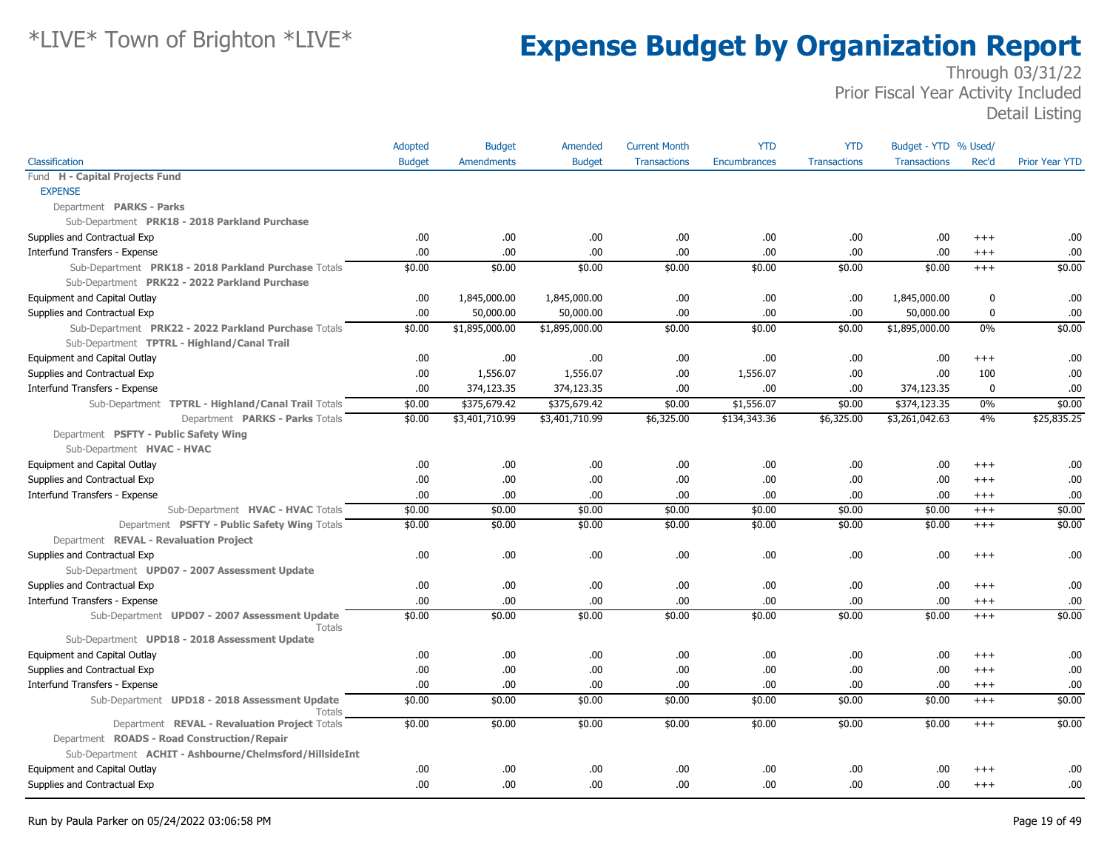|                                                         | Adopted       | <b>Budget</b>     | Amended        | <b>Current Month</b> | <b>YTD</b>   | <b>YTD</b>          | Budget - YTD % Used/ |             |                       |
|---------------------------------------------------------|---------------|-------------------|----------------|----------------------|--------------|---------------------|----------------------|-------------|-----------------------|
| Classification                                          | <b>Budget</b> | <b>Amendments</b> | <b>Budget</b>  | <b>Transactions</b>  | Encumbrances | <b>Transactions</b> | <b>Transactions</b>  | Rec'd       | <b>Prior Year YTD</b> |
| Fund H - Capital Projects Fund                          |               |                   |                |                      |              |                     |                      |             |                       |
| <b>EXPENSE</b>                                          |               |                   |                |                      |              |                     |                      |             |                       |
| Department PARKS - Parks                                |               |                   |                |                      |              |                     |                      |             |                       |
| Sub-Department PRK18 - 2018 Parkland Purchase           |               |                   |                |                      |              |                     |                      |             |                       |
| Supplies and Contractual Exp                            | .00.          | .00.              | .00            | .00.                 | .00          | .00                 | .00.                 | $^{+++}$    | .00                   |
| Interfund Transfers - Expense                           | .00.          | .00.              | .00            | .00.                 | .00          | .00                 | .00.                 | $^{+++}$    | .00                   |
| Sub-Department PRK18 - 2018 Parkland Purchase Totals    | \$0.00        | \$0.00            | \$0.00         | \$0.00               | \$0.00       | \$0.00              | \$0.00               | $+++$       | \$0.00                |
| Sub-Department PRK22 - 2022 Parkland Purchase           |               |                   |                |                      |              |                     |                      |             |                       |
| Equipment and Capital Outlay                            | .00.          | 1,845,000.00      | 1,845,000.00   | .00.                 | .00          | .00                 | 1,845,000.00         | 0           | .00                   |
| Supplies and Contractual Exp                            | .00.          | 50,000.00         | 50,000.00      | .00.                 | .00.         | .00                 | 50,000.00            | 0           | .00                   |
| Sub-Department PRK22 - 2022 Parkland Purchase Totals    | \$0.00        | \$1,895,000.00    | \$1,895,000.00 | \$0.00               | \$0.00       | \$0.00              | \$1,895,000.00       | $0\%$       | \$0.00                |
| Sub-Department TPTRL - Highland/Canal Trail             |               |                   |                |                      |              |                     |                      |             |                       |
| Equipment and Capital Outlay                            | .00           | .00.              | .00            | .00.                 | .00          | .00                 | .00.                 | $+++$       | .00                   |
| Supplies and Contractual Exp                            | .00.          | 1,556.07          | 1,556.07       | .00.                 | 1,556.07     | .00                 | .00.                 | 100         | .00                   |
| Interfund Transfers - Expense                           | .00           | 374,123.35        | 374,123.35     | .00.                 | .00          | .00                 | 374,123.35           | $\mathbf 0$ | .00                   |
| Sub-Department TPTRL - Highland/Canal Trail Totals      | \$0.00        | \$375,679.42      | \$375,679.42   | \$0.00               | \$1,556.07   | \$0.00              | \$374,123.35         | $0\%$       | \$0.00                |
| Department PARKS - Parks Totals                         | \$0.00        | \$3,401,710.99    | \$3,401,710.99 | \$6,325.00           | \$134,343.36 | \$6,325.00          | \$3,261,042.63       | 4%          | \$25,835.25           |
| Department PSFTY - Public Safety Wing                   |               |                   |                |                      |              |                     |                      |             |                       |
| Sub-Department HVAC - HVAC                              |               |                   |                |                      |              |                     |                      |             |                       |
| Equipment and Capital Outlay                            | .00.          | .00.              | .00.           | .00.                 | .00          | .00                 | .00.                 | $+++$       | .00                   |
| Supplies and Contractual Exp                            | .00           | .00.              | .00            | .00                  | .00          | .00                 | .00.                 | $^{+++}$    | .00                   |
| Interfund Transfers - Expense                           | .00.          | .00.              | .00            | .00.                 | .00          | .00                 | .00.                 | $^{+++}$    | .00                   |
| Sub-Department HVAC - HVAC Totals                       | \$0.00        | \$0.00            | \$0.00         | \$0.00               | \$0.00       | \$0.00              | \$0.00               | $^{+++}$    | \$0.00                |
| Department PSFTY - Public Safety Wing Totals            | \$0.00        | \$0.00            | \$0.00         | \$0.00               | \$0.00       | \$0.00              | \$0.00               | $^{+++}$    | \$0.00                |
| Department REVAL - Revaluation Project                  |               |                   |                |                      |              |                     |                      |             |                       |
| Supplies and Contractual Exp                            | .00           | .00.              | .00            | .00.                 | .00          | .00                 | .00.                 | $+++$       | .00                   |
| Sub-Department UPD07 - 2007 Assessment Update           |               |                   |                |                      |              |                     |                      |             |                       |
| Supplies and Contractual Exp                            | .00           | .00.              | .00            | .00.                 | .00          | .00                 | .00.                 | $^{+++}$    | .00                   |
| Interfund Transfers - Expense                           | .00           | .00.              | .00.           | .00.                 | .00          | .00                 | .00.                 | $^{+++}$    | .00                   |
| Sub-Department UPD07 - 2007 Assessment Update           | \$0.00        | \$0.00            | \$0.00         | \$0.00               | \$0.00       | \$0.00              | \$0.00               | $+++$       | \$0.00                |
| Totals<br>Sub-Department UPD18 - 2018 Assessment Update |               |                   |                |                      |              |                     |                      |             |                       |
| Equipment and Capital Outlay                            | .00           | .00.              | .00            | .00.                 | .00          | .00                 | .00.                 | $+++$       | .00                   |
| Supplies and Contractual Exp                            | .00           | .00.              | .00            | .00                  | .00          | .00                 | .00.                 | $^{+++}$    | .00                   |
| Interfund Transfers - Expense                           | .00           | .00.              | .00.           | .00.                 | .00.         | .00.                | .00.                 | $^{+++}$    | .00                   |
| Sub-Department UPD18 - 2018 Assessment Update           | \$0.00        | \$0.00            | \$0.00         | \$0.00               | \$0.00       | \$0.00              | \$0.00               | $+++$       | \$0.00                |
| Totals                                                  |               |                   |                |                      |              |                     |                      |             |                       |
| Department REVAL - Revaluation Project Totals           | \$0.00        | \$0.00            | \$0.00         | \$0.00               | \$0.00       | \$0.00              | \$0.00               | $+++$       | \$0.00                |
| Department ROADS - Road Construction/Repair             |               |                   |                |                      |              |                     |                      |             |                       |
| Sub-Department ACHIT - Ashbourne/Chelmsford/HillsideInt |               |                   |                |                      |              |                     |                      |             |                       |
| Equipment and Capital Outlay                            | .00.          | .00.              | .00            | .00                  | .00          | .00                 | .00.                 | $++++$      | .00                   |
| Supplies and Contractual Exp                            | .00.          | 00.               | .00.           | .00                  | .00.         | .00                 | .00.                 | $+++$       | .00                   |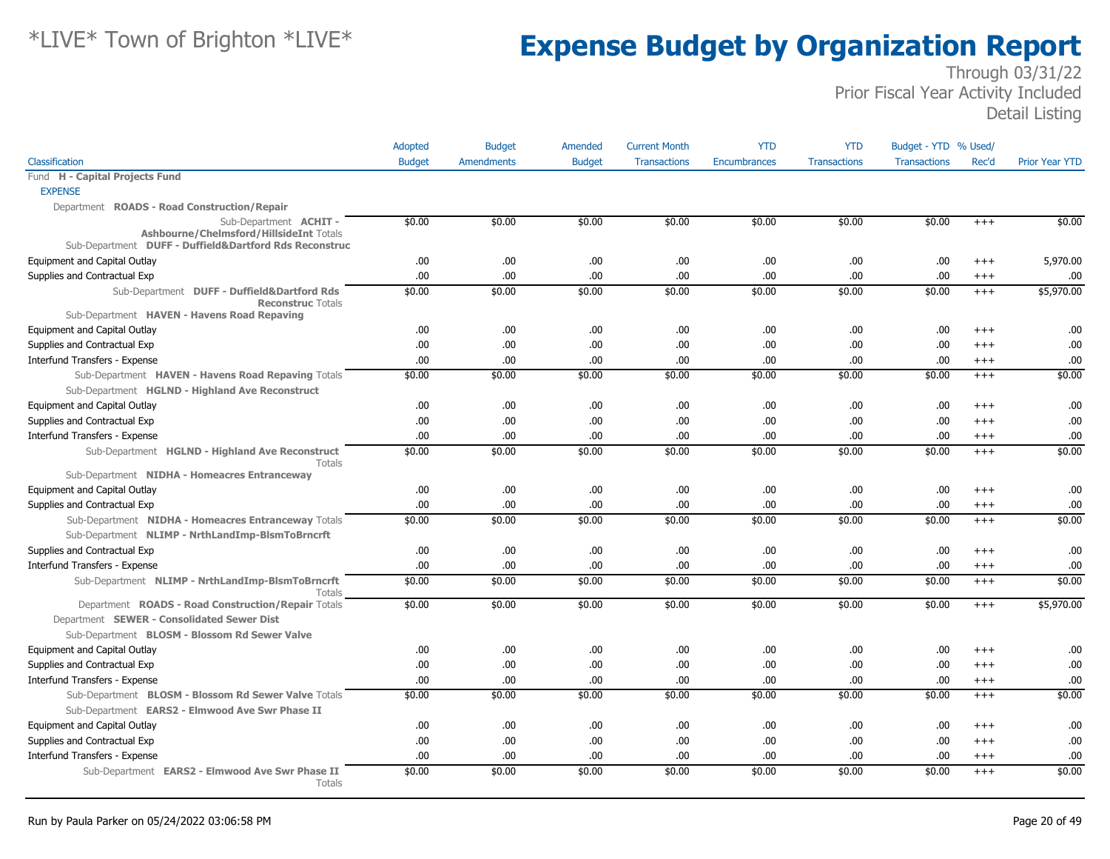|                                                                                                                                                   | Adopted       | <b>Budget</b>     | Amended       | <b>Current Month</b> | <b>YTD</b>          | <b>YTD</b>          | Budget - YTD % Used/ |          |                       |
|---------------------------------------------------------------------------------------------------------------------------------------------------|---------------|-------------------|---------------|----------------------|---------------------|---------------------|----------------------|----------|-----------------------|
| Classification                                                                                                                                    | <b>Budget</b> | <b>Amendments</b> | <b>Budget</b> | <b>Transactions</b>  | <b>Encumbrances</b> | <b>Transactions</b> | <b>Transactions</b>  | Rec'd    | <b>Prior Year YTD</b> |
| Fund H - Capital Projects Fund                                                                                                                    |               |                   |               |                      |                     |                     |                      |          |                       |
| <b>EXPENSE</b>                                                                                                                                    |               |                   |               |                      |                     |                     |                      |          |                       |
| Department ROADS - Road Construction/Repair                                                                                                       |               |                   |               |                      |                     |                     |                      |          |                       |
| Sub-Department <b>ACHIT -</b><br>Ashbourne/Chelmsford/HillsideInt Totals<br>Sub-Department DUFF - Duffield&Dartford Rds Reconstruc                | \$0.00        | \$0.00            | \$0.00        | \$0.00               | \$0.00              | \$0.00              | \$0.00               | $+++$    | \$0.00                |
| Equipment and Capital Outlay                                                                                                                      | .00           | .00               | .00.          | .00                  | .00                 | .00.                | .00.                 | $^{++}$  | 5,970.00              |
| Supplies and Contractual Exp                                                                                                                      | .00           | .00               | .00           | .00                  | .00                 | .00                 | .00.                 | $^{+++}$ | .00                   |
| Sub-Department DUFF - Duffield&Dartford Rds<br><b>Reconstruc Totals</b>                                                                           | \$0.00        | \$0.00            | \$0.00        | \$0.00               | \$0.00              | \$0.00              | \$0.00               | $+++$    | \$5,970.00            |
| Sub-Department HAVEN - Havens Road Repaving                                                                                                       |               |                   |               |                      |                     |                     |                      |          |                       |
| Equipment and Capital Outlay                                                                                                                      | .00           | .00.              | .00.          | .00                  | .00<br>.00          | .00.<br>.00.        | .00.<br>.00.         | $+++$    | .00                   |
| Supplies and Contractual Exp                                                                                                                      | .00.          | .00<br>.00        | .00.<br>.00   | .00                  | .00                 |                     |                      | $+++$    | .00<br>.00            |
| Interfund Transfers - Expense                                                                                                                     | .00<br>\$0.00 | \$0.00            | \$0.00        | .00                  | \$0.00              | .00<br>\$0.00       | .00.<br>\$0.00       | $^{+++}$ | \$0.00                |
| Sub-Department HAVEN - Havens Road Repaving Totals                                                                                                |               |                   |               | \$0.00               |                     |                     |                      | $^{+++}$ |                       |
| Sub-Department HGLND - Highland Ave Reconstruct<br>Equipment and Capital Outlay                                                                   | .00           | .00               | .00.          | .00                  | .00                 | .00                 | .00.                 | $+++$    | .00                   |
| Supplies and Contractual Exp                                                                                                                      | .00.          | .00               | .00           | .00                  | .00                 | .00                 | .00.                 | $+++$    | .00                   |
| Interfund Transfers - Expense                                                                                                                     | .00           | .00               | .00.          | .00                  | .00                 | .00                 | .00.                 | $^{+++}$ | .00                   |
| Sub-Department HGLND - Highland Ave Reconstruct                                                                                                   | \$0.00        | \$0.00            | \$0.00        | \$0.00               | \$0.00              | \$0.00              | \$0.00               | $+++$    | \$0.00                |
| Totals                                                                                                                                            |               |                   |               |                      |                     |                     |                      |          |                       |
| Sub-Department NIDHA - Homeacres Entranceway                                                                                                      | .00.          |                   |               |                      |                     | .00.                | .00.                 |          | .00                   |
| Equipment and Capital Outlay                                                                                                                      |               | .00               | .00.          | .00                  | .00                 |                     |                      | $+++$    |                       |
| Supplies and Contractual Exp                                                                                                                      | .00.          | .00               | .00.          | .00                  | .00                 | .00.                | .00.                 | $^{+++}$ | .00                   |
| Sub-Department NIDHA - Homeacres Entranceway Totals<br>Sub-Department NLIMP - NrthLandImp-BlsmToBrncrft                                           | \$0.00        | \$0.00            | \$0.00        | \$0.00               | \$0.00              | \$0.00              | \$0.00               | $^{+++}$ | \$0.00                |
| Supplies and Contractual Exp                                                                                                                      | .00.          | .00               | .00.          | .00                  | .00                 | .00.                | .00.                 | $^{+++}$ | .00                   |
| Interfund Transfers - Expense                                                                                                                     | .00           | .00.              | .00.          | .00                  | .00                 | .00.                | .00.                 | $^{+++}$ | .00                   |
| Sub-Department NLIMP - NrthLandImp-BlsmToBrncrft<br>Totals                                                                                        | \$0.00        | \$0.00            | \$0.00        | \$0.00               | \$0.00              | \$0.00              | \$0.00               | $^{+++}$ | \$0.00                |
| Department ROADS - Road Construction/Repair Totals<br>Department SEWER - Consolidated Sewer Dist<br>Sub-Department BLOSM - Blossom Rd Sewer Valve | \$0.00        | \$0.00            | \$0.00        | \$0.00               | \$0.00              | \$0.00              | \$0.00               | $+++$    | \$5,970.00            |
| <b>Equipment and Capital Outlay</b>                                                                                                               | .00.          | .00               | .00           | .00                  | .00                 | .00                 | .00.                 | $+++$    | .00                   |
| Supplies and Contractual Exp                                                                                                                      | .00.          | .00.              | .00           | .00                  | .00                 | .00                 | .00.                 | $^{+++}$ | .00                   |
| Interfund Transfers - Expense                                                                                                                     | .00           | .00               | .00           | .00                  | .00                 | .00                 | .00.                 | $+++$    | .00                   |
| Sub-Department BLOSM - Blossom Rd Sewer Valve Totals                                                                                              | \$0.00        | \$0.00            | \$0.00        | \$0.00               | \$0.00              | \$0.00              | \$0.00               | $^{+++}$ | \$0.00                |
| Sub-Department EARS2 - Elmwood Ave Swr Phase II                                                                                                   |               |                   |               |                      |                     |                     |                      |          |                       |
| <b>Equipment and Capital Outlay</b>                                                                                                               | .00.          | .00.              | .00           | .00                  | .00                 | .00                 | .00.                 | $+++$    | .00                   |
| Supplies and Contractual Exp                                                                                                                      | .00           | .00               | .00.          | .00                  | .00                 | .00                 | .00.                 | $++++$   | .00                   |
| Interfund Transfers - Expense                                                                                                                     | .00           | .00.              | .00           | .00                  | .00                 | .00.                | .00.                 | $+++$    | .00                   |
| Sub-Department EARS2 - Elmwood Ave Swr Phase II                                                                                                   | \$0.00        | \$0.00            | \$0.00        | \$0.00               | \$0.00              | \$0.00              | \$0.00               | $+++$    | \$0.00                |
| Totals                                                                                                                                            |               |                   |               |                      |                     |                     |                      |          |                       |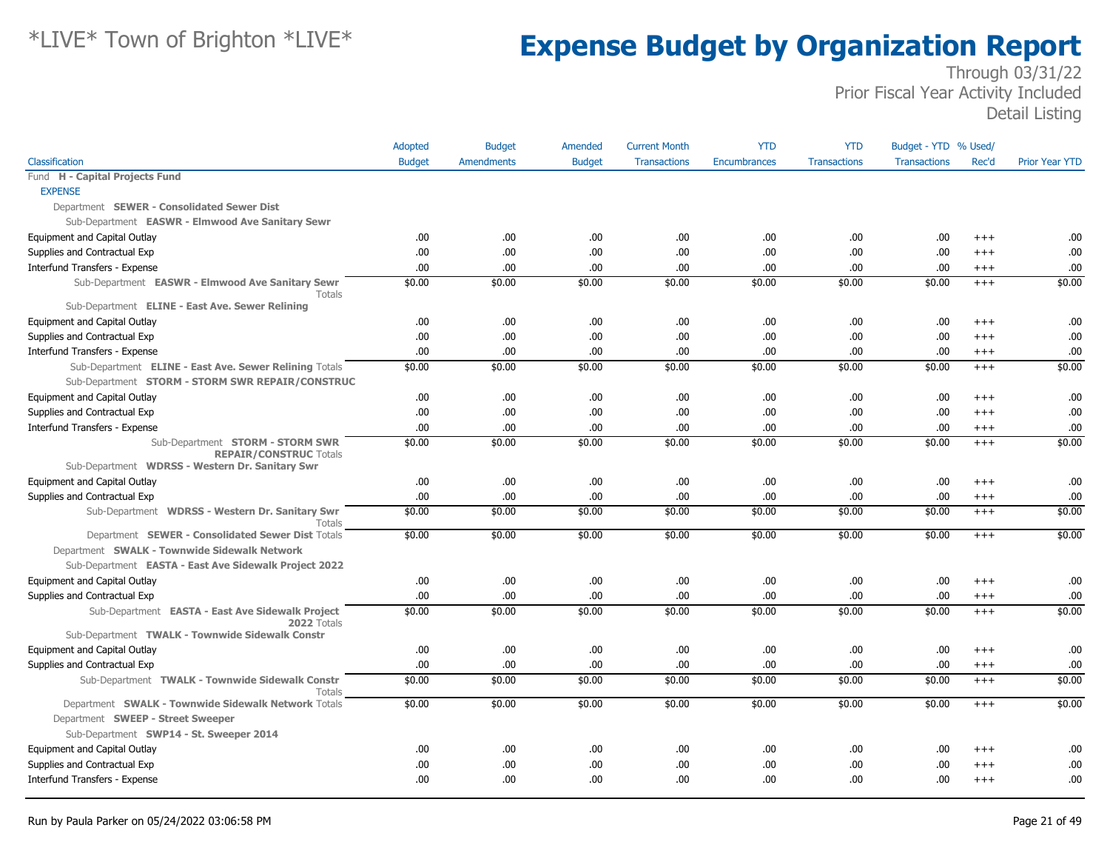|                                                                                                            | <b>Adopted</b> | <b>Budget</b>     | Amended       | <b>Current Month</b> | <b>YTD</b>          | <b>YTD</b>          | Budget - YTD % Used/ |          |                       |
|------------------------------------------------------------------------------------------------------------|----------------|-------------------|---------------|----------------------|---------------------|---------------------|----------------------|----------|-----------------------|
| Classification                                                                                             | <b>Budget</b>  | <b>Amendments</b> | <b>Budget</b> | <b>Transactions</b>  | <b>Encumbrances</b> | <b>Transactions</b> | <b>Transactions</b>  | Rec'd    | <b>Prior Year YTD</b> |
| Fund H - Capital Projects Fund                                                                             |                |                   |               |                      |                     |                     |                      |          |                       |
| <b>EXPENSE</b>                                                                                             |                |                   |               |                      |                     |                     |                      |          |                       |
| Department SEWER - Consolidated Sewer Dist                                                                 |                |                   |               |                      |                     |                     |                      |          |                       |
| Sub-Department EASWR - Elmwood Ave Sanitary Sewr                                                           |                |                   |               |                      |                     |                     |                      |          |                       |
| Equipment and Capital Outlay                                                                               | .00            | .00               | .00           | .00                  | .00.                | .00                 | .00.                 | $+++$    | .00                   |
| Supplies and Contractual Exp                                                                               | .00            | .00               | .00.          | .00                  | .00                 | .00                 | .00.                 | $+++$    | .00                   |
| Interfund Transfers - Expense                                                                              | 00.            | .00.              | .00.          | .00                  | .00.                | .00                 | .00.                 | $+++$    | .00                   |
| Sub-Department EASWR - Elmwood Ave Sanitary Sewr<br>Totals                                                 | \$0.00         | \$0.00            | \$0.00        | \$0.00               | \$0.00              | \$0.00              | \$0.00               | $^{+++}$ | \$0.00                |
| Sub-Department ELINE - East Ave. Sewer Relining                                                            |                |                   |               |                      |                     |                     |                      |          |                       |
| Equipment and Capital Outlay                                                                               | .00            | .00               | .00.          | .00                  | .00                 | .00                 | .00.                 | $+++$    | .00                   |
| Supplies and Contractual Exp                                                                               | .00            | .00               | .00.          | .00                  | .00.                | .00                 | .00.                 | $^{+++}$ | .00                   |
| Interfund Transfers - Expense                                                                              | .00            | .00               | .00.          | .00                  | .00.                | .00                 | .00.                 | $^{+++}$ | .00                   |
| Sub-Department ELINE - East Ave. Sewer Relining Totals<br>Sub-Department STORM - STORM SWR REPAIR/CONSTRUC | \$0.00         | \$0.00            | \$0.00        | \$0.00               | \$0.00              | \$0.00              | \$0.00               | $+++$    | \$0.00                |
| Equipment and Capital Outlay                                                                               | .00            | .00               | .00.          | .00                  | .00.                | .00                 | .00.                 | $+++$    | .00                   |
| Supplies and Contractual Exp                                                                               | .00.           | .00.              | .00.          | .00                  | .00.                | .00                 | .00.                 | $+++$    | .00                   |
| Interfund Transfers - Expense                                                                              | .00            | .00               | .00.          | .00                  | .00                 | .00                 | .00.                 | $+++$    | .00                   |
| Sub-Department STORM - STORM SWR<br><b>REPAIR/CONSTRUC Totals</b>                                          | \$0.00         | \$0.00            | \$0.00        | \$0.00               | \$0.00              | \$0.00              | \$0.00               | $+++$    | \$0.00                |
| Sub-Department WDRSS - Western Dr. Sanitary Swr                                                            |                |                   |               |                      |                     |                     |                      |          |                       |
| Equipment and Capital Outlay                                                                               | .00.<br>.00    | .00<br>.00        | .00.<br>.00.  | .00                  | .00.<br>.00.        | .00<br>.00          | .00.<br>.00.         | $+++$    | .00<br>.00            |
| Supplies and Contractual Exp                                                                               |                |                   |               | .00                  |                     |                     |                      | $+++$    |                       |
| Sub-Department WDRSS - Western Dr. Sanitary Swr<br>Totals                                                  | \$0.00         | \$0.00            | \$0.00        | \$0.00               | \$0.00              | \$0.00              | \$0.00               | $^{+++}$ | \$0.00                |
| Department SEWER - Consolidated Sewer Dist Totals                                                          | \$0.00         | \$0.00            | \$0.00        | \$0.00               | \$0.00              | \$0.00              | \$0.00               | $^{+++}$ | \$0.00                |
| Department SWALK - Townwide Sidewalk Network                                                               |                |                   |               |                      |                     |                     |                      |          |                       |
| Sub-Department EASTA - East Ave Sidewalk Project 2022                                                      |                |                   |               |                      |                     |                     |                      |          |                       |
| Equipment and Capital Outlay                                                                               | .00.           | .00               | .00.          | .00                  | .00                 | .00                 | .00.                 | $+++$    | .00                   |
| Supplies and Contractual Exp                                                                               | .00.           | .00               | .00.          | .00                  | .00.                | .00                 | .00.                 | $+++$    | .00                   |
| Sub-Department EASTA - East Ave Sidewalk Project<br>2022 Totals                                            | \$0.00         | \$0.00            | \$0.00        | \$0.00               | \$0.00              | \$0.00              | \$0.00               | $+++$    | \$0.00                |
| Sub-Department TWALK - Townwide Sidewalk Constr                                                            |                |                   |               |                      |                     |                     |                      |          |                       |
| Equipment and Capital Outlay                                                                               | .00            | .00.              | .00           | .00                  | .00.                | .00                 | .00                  | $+++$    | .00                   |
| Supplies and Contractual Exp                                                                               | .00            | .00               | .00.          | .00                  | .00.                | .00                 | .00.                 | $^{+++}$ | .00                   |
| Sub-Department TWALK - Townwide Sidewalk Constr<br>Totals                                                  | \$0.00         | \$0.00            | \$0.00        | \$0.00               | \$0.00              | \$0.00              | \$0.00               | $^{+++}$ | \$0.00                |
| Department SWALK - Townwide Sidewalk Network Totals<br>Department SWEEP - Street Sweeper                   | \$0.00         | \$0.00            | \$0.00        | \$0.00               | \$0.00              | \$0.00              | \$0.00               | $+++$    | \$0.00                |
| Sub-Department SWP14 - St. Sweeper 2014                                                                    |                |                   |               |                      |                     |                     |                      |          |                       |
| Equipment and Capital Outlay                                                                               | .00            | .00               | .00.          | .00                  | .00                 | .00                 | .00                  | $+++$    | .00                   |
| Supplies and Contractual Exp                                                                               | .00            | .00               | .00.          | .00                  | .00                 | .00                 | .00                  | $+++$    | .00                   |
| Interfund Transfers - Expense                                                                              | .00.           | .00               | .00.          | .00                  | .00.                | .00                 | .00                  | $^{+++}$ | .00                   |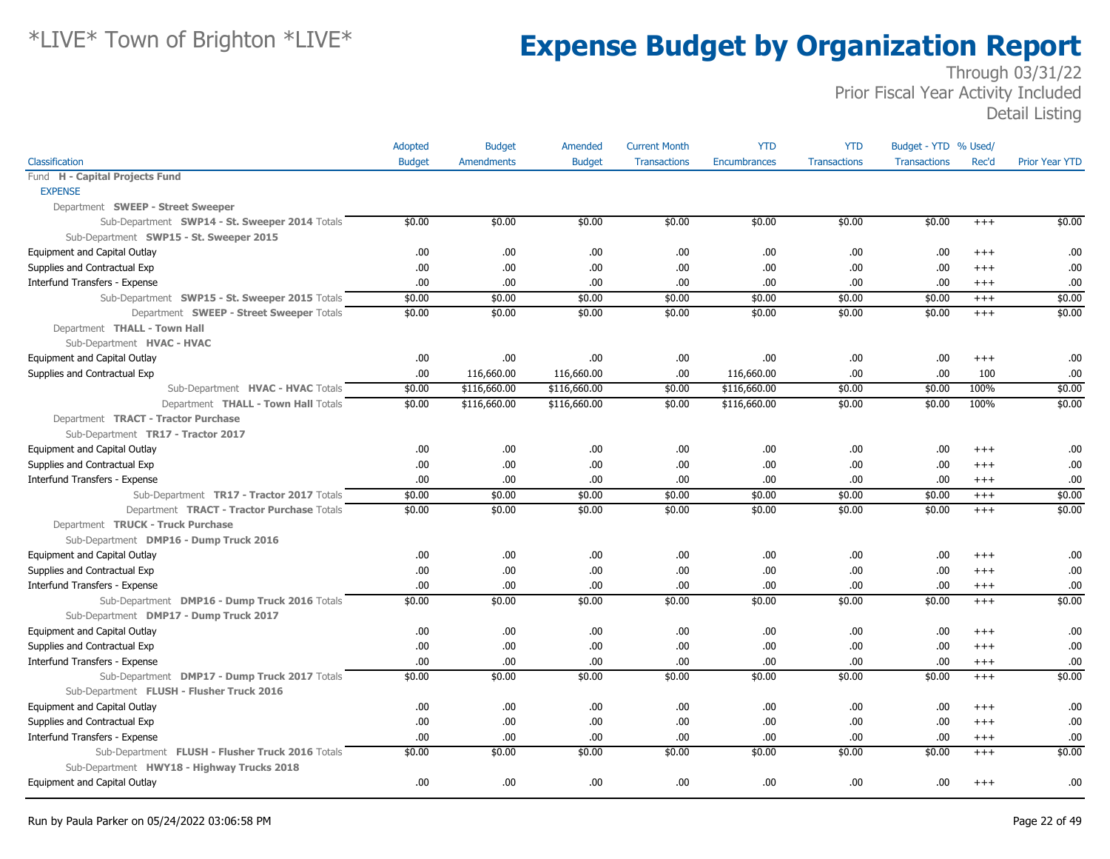|                                                  | Adopted       | <b>Budget</b>     | Amended       | <b>Current Month</b> | <b>YTD</b>          | <b>YTD</b>          | Budget - YTD % Used/ |          |                       |
|--------------------------------------------------|---------------|-------------------|---------------|----------------------|---------------------|---------------------|----------------------|----------|-----------------------|
| Classification                                   | <b>Budget</b> | <b>Amendments</b> | <b>Budget</b> | <b>Transactions</b>  | <b>Encumbrances</b> | <b>Transactions</b> | <b>Transactions</b>  | Rec'd    | <b>Prior Year YTD</b> |
| Fund H - Capital Projects Fund                   |               |                   |               |                      |                     |                     |                      |          |                       |
| <b>EXPENSE</b>                                   |               |                   |               |                      |                     |                     |                      |          |                       |
| Department SWEEP - Street Sweeper                |               |                   |               |                      |                     |                     |                      |          |                       |
| Sub-Department SWP14 - St. Sweeper 2014 Totals   | \$0.00        | \$0.00            | \$0.00        | \$0.00               | \$0.00              | \$0.00              | \$0.00               | $+++$    | \$0.00                |
| Sub-Department SWP15 - St. Sweeper 2015          |               |                   |               |                      |                     |                     |                      |          |                       |
| Equipment and Capital Outlay                     | .00.          | .00.              | .00.          | .00                  | .00                 | .00                 | .00                  | $^{+++}$ | .00                   |
| Supplies and Contractual Exp                     | .00.          | .00               | .00           | .00                  | .00.                | .00                 | .00                  | $+++$    | .00                   |
| Interfund Transfers - Expense                    | .00           | .00               | .00           | .00                  | .00                 | .00                 | .00                  | $^{+++}$ | .00                   |
| Sub-Department SWP15 - St. Sweeper 2015 Totals   | \$0.00        | \$0.00            | \$0.00        | \$0.00               | \$0.00              | \$0.00              | \$0.00               | $+++$    | \$0.00                |
| Department SWEEP - Street Sweeper Totals         | \$0.00        | \$0.00            | \$0.00        | \$0.00               | \$0.00              | \$0.00              | \$0.00               | $+++$    | \$0.00                |
| Department THALL - Town Hall                     |               |                   |               |                      |                     |                     |                      |          |                       |
| Sub-Department HVAC - HVAC                       |               |                   |               |                      |                     |                     |                      |          |                       |
| Equipment and Capital Outlay                     | .00.          | .00.              | .00           | .00                  | .00.                | .00                 | .00                  | $^{+++}$ | .00                   |
| Supplies and Contractual Exp                     | .00           | 116,660.00        | 116,660.00    | .00                  | 116,660.00          | .00                 | .00.                 | 100      | .00                   |
| Sub-Department HVAC - HVAC Totals                | \$0.00        | \$116,660.00      | \$116,660.00  | \$0.00               | \$116,660.00        | \$0.00              | \$0.00               | 100%     | \$0.00                |
| Department THALL - Town Hall Totals              | \$0.00        | \$116,660.00      | \$116,660.00  | \$0.00               | \$116,660.00        | \$0.00              | \$0.00               | 100%     | \$0.00                |
| Department TRACT - Tractor Purchase              |               |                   |               |                      |                     |                     |                      |          |                       |
| Sub-Department TR17 - Tractor 2017               |               |                   |               |                      |                     |                     |                      |          |                       |
| Equipment and Capital Outlay                     | .00.          | .00.              | .00           | .00                  | .00.                | .00                 | .00                  | $^{++}$  | .00                   |
| Supplies and Contractual Exp                     | .00           | .00.              | .00.          | .00                  | .00.                | .00                 | .00.                 | $+++$    | .00                   |
| Interfund Transfers - Expense                    | .00.          | .00               | .00           | .00                  | .00.                | .00                 | .00.                 | $+++$    | .00                   |
| Sub-Department TR17 - Tractor 2017 Totals        | \$0.00        | \$0.00            | \$0.00        | \$0.00               | \$0.00              | \$0.00              | \$0.00               | $+++$    | \$0.00                |
| Department TRACT - Tractor Purchase Totals       | \$0.00        | \$0.00            | \$0.00        | \$0.00               | \$0.00              | \$0.00              | \$0.00               | $+++$    | \$0.00                |
| Department TRUCK - Truck Purchase                |               |                   |               |                      |                     |                     |                      |          |                       |
| Sub-Department DMP16 - Dump Truck 2016           |               |                   |               |                      |                     |                     |                      |          |                       |
| Equipment and Capital Outlay                     | .00.          | .00.              | .00           | .00                  | .00.                | .00                 | .00.                 | $+++$    | .00                   |
| Supplies and Contractual Exp                     | .00           | .00               | .00.          | .00                  | .00.                | .00                 | .00.                 | $+++$    | .00                   |
| Interfund Transfers - Expense                    | .00.          | .00               | .00           | .00                  | .00.                | .00                 | .00.                 | $^{+++}$ | .00                   |
| Sub-Department DMP16 - Dump Truck 2016 Totals    | \$0.00        | \$0.00            | \$0.00        | \$0.00               | \$0.00              | \$0.00              | \$0.00               | $+++$    | \$0.00                |
| Sub-Department DMP17 - Dump Truck 2017           |               |                   |               |                      |                     |                     |                      |          |                       |
| Equipment and Capital Outlay                     | .00.          | .00.              | .00.          | .00                  | .00.                | .00                 | .00                  | $^{++}$  | .00                   |
| Supplies and Contractual Exp                     | .00.          | .00               | .00.          | .00                  | .00.                | .00                 | .00.                 | $+++$    | .00                   |
| Interfund Transfers - Expense                    | .00           | .00.              | .00           | .00                  | .00                 | .00                 | .00.                 | $^{+++}$ | .00                   |
| Sub-Department DMP17 - Dump Truck 2017 Totals    | \$0.00        | \$0.00            | \$0.00        | \$0.00               | \$0.00              | \$0.00              | \$0.00               | $+++$    | \$0.00                |
| Sub-Department FLUSH - Flusher Truck 2016        |               |                   |               |                      |                     |                     |                      |          |                       |
| Equipment and Capital Outlay                     | .00.          | .00.              | .00           | .00                  | .00                 | .00                 | .00.                 | $^{+++}$ | .00                   |
| Supplies and Contractual Exp                     | .00.          | .00               | .00           | .00                  | .00                 | .00                 | .00.                 | $+++$    | .00                   |
| Interfund Transfers - Expense                    | .00.          | .00.              | .00.          | .00                  | .00.                | .00                 | .00.                 | $^{+++}$ | .00                   |
| Sub-Department FLUSH - Flusher Truck 2016 Totals | \$0.00        | \$0.00            | \$0.00        | \$0.00               | \$0.00              | \$0.00              | \$0.00               | $+++$    | \$0.00                |
| Sub-Department HWY18 - Highway Trucks 2018       |               |                   |               |                      |                     |                     |                      |          |                       |
| Equipment and Capital Outlay                     | .00           | .00               | .00           | .00                  | .00                 | .00                 | .00.                 | $^{+++}$ | .00                   |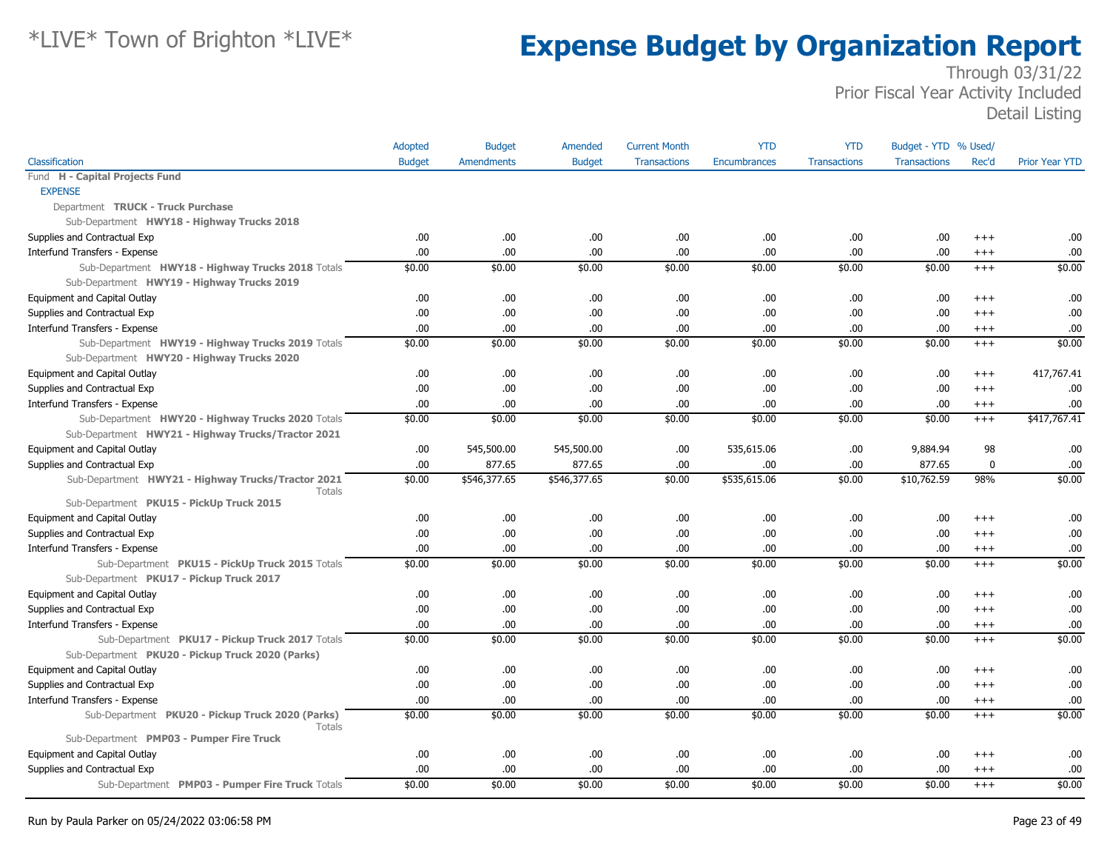|                                                                                             | Adopted       | <b>Budget</b>     | Amended       | <b>Current Month</b> | <b>YTD</b>          | <b>YTD</b>          | Budget - YTD % Used/ |          |                       |
|---------------------------------------------------------------------------------------------|---------------|-------------------|---------------|----------------------|---------------------|---------------------|----------------------|----------|-----------------------|
| Classification                                                                              | <b>Budget</b> | <b>Amendments</b> | <b>Budget</b> | <b>Transactions</b>  | <b>Encumbrances</b> | <b>Transactions</b> | <b>Transactions</b>  | Rec'd    | <b>Prior Year YTD</b> |
| Fund H - Capital Projects Fund                                                              |               |                   |               |                      |                     |                     |                      |          |                       |
| <b>EXPENSE</b>                                                                              |               |                   |               |                      |                     |                     |                      |          |                       |
| Department TRUCK - Truck Purchase                                                           |               |                   |               |                      |                     |                     |                      |          |                       |
| Sub-Department HWY18 - Highway Trucks 2018                                                  |               |                   |               |                      |                     |                     |                      |          |                       |
| Supplies and Contractual Exp                                                                | .00.          | .00.              | .00.          | .00                  | .00                 | .00.                | .00                  | $^{+++}$ | .00                   |
| Interfund Transfers - Expense                                                               | .00           | .00               | .00           | .00                  | .00                 | .00.                | .00                  | $+++$    | .00                   |
| Sub-Department HWY18 - Highway Trucks 2018 Totals                                           | \$0.00        | \$0.00            | \$0.00        | \$0.00               | \$0.00              | \$0.00              | \$0.00               | $^{+++}$ | \$0.00                |
| Sub-Department HWY19 - Highway Trucks 2019                                                  |               |                   |               |                      |                     |                     |                      |          |                       |
| Equipment and Capital Outlay                                                                | .00           | .00.              | .00.          | .00                  | .00                 | .00                 | .00                  | $^{+++}$ | .00                   |
| Supplies and Contractual Exp                                                                | .00           | .00               | .00.          | .00                  | .00                 | .00.                | .00                  | $^{+++}$ | .00                   |
| Interfund Transfers - Expense                                                               | .00           | .00.              | .00           | .00                  | .00.                | .00                 | .00                  | $^{++}$  | .00                   |
| Sub-Department HWY19 - Highway Trucks 2019 Totals                                           | \$0.00        | \$0.00            | \$0.00        | \$0.00               | \$0.00              | \$0.00              | \$0.00               | $^{+++}$ | \$0.00                |
| Sub-Department HWY20 - Highway Trucks 2020                                                  |               |                   |               |                      |                     |                     |                      |          |                       |
| Equipment and Capital Outlay                                                                | .00           | .00               | .00.          | .00                  | .00                 | .00.                | .00                  | $^{+++}$ | 417,767.41            |
| Supplies and Contractual Exp                                                                | .00.          | .00.              | .00.          | .00                  | .00                 | .00.                | .00                  | $+++$    | .00                   |
| Interfund Transfers - Expense                                                               | .00           | .00               | .00           | .00                  | .00                 | .00.                | .00                  | $^{+++}$ | .00                   |
| Sub-Department HWY20 - Highway Trucks 2020 Totals                                           | \$0.00        | \$0.00            | \$0.00        | \$0.00               | \$0.00              | \$0.00              | \$0.00               | $+++$    | \$417,767.41          |
| Sub-Department HWY21 - Highway Trucks/Tractor 2021                                          |               |                   |               |                      |                     |                     |                      |          |                       |
| Equipment and Capital Outlay                                                                | .00           | 545,500.00        | 545,500.00    | .00                  | 535,615.06          | .00.                | 9,884.94             | 98       | .00                   |
| Supplies and Contractual Exp                                                                | .00           | 877.65            | 877.65        | .00                  | .00                 | .00                 | 877.65               | 0        | .00                   |
| Sub-Department HWY21 - Highway Trucks/Tractor 2021<br>Totals                                | \$0.00        | \$546,377.65      | \$546,377.65  | \$0.00               | \$535,615.06        | \$0.00              | \$10,762.59          | 98%      | \$0.00                |
| Sub-Department PKU15 - PickUp Truck 2015                                                    |               |                   |               |                      |                     |                     |                      |          |                       |
| Equipment and Capital Outlay                                                                | .00.          | .00               | .00.          | .00                  | .00                 | .00.                | .00                  | $+++$    | .00                   |
| Supplies and Contractual Exp                                                                | .00           | .00               | .00.          | .00                  | .00                 | .00.                | .00                  | $^{+++}$ | .00                   |
| Interfund Transfers - Expense                                                               | .00           | .00               | .00           | .00                  | .00.                | .00.                | .00                  | $+++$    | .00                   |
| Sub-Department PKU15 - PickUp Truck 2015 Totals<br>Sub-Department PKU17 - Pickup Truck 2017 | \$0.00        | \$0.00            | \$0.00        | \$0.00               | \$0.00              | \$0.00              | \$0.00               | $+++$    | \$0.00                |
| Equipment and Capital Outlay                                                                | .00           | .00               | .00.          | .00                  | .00                 | .00.                | .00                  | $^{+++}$ | .00                   |
| Supplies and Contractual Exp                                                                | .00           | .00               | .00           | .00                  | .00                 | .00.                | .00                  | $^{++}$  | .00                   |
| Interfund Transfers - Expense                                                               | .00           | .00               | .00.          | .00                  | .00                 | .00.                | .00                  | $^{+++}$ | .00                   |
| Sub-Department PKU17 - Pickup Truck 2017 Totals                                             | \$0.00        | \$0.00            | \$0.00        | \$0.00               | \$0.00              | \$0.00              | \$0.00               | $^{+++}$ | \$0.00                |
| Sub-Department PKU20 - Pickup Truck 2020 (Parks)                                            |               |                   |               |                      |                     |                     |                      |          |                       |
| Equipment and Capital Outlay                                                                | .00           | .00               | .00           | .00                  | .00                 | .00.                | .00                  | $^{++}$  | .00                   |
| Supplies and Contractual Exp                                                                | .00.          | .00.              | .00.          | .00                  | .00                 | .00.                | .00                  | $^{+++}$ | .00                   |
| Interfund Transfers - Expense                                                               | .00           | .00               | .00.          | .00                  | .00                 | .00.                | .00                  | $^{+++}$ | .00                   |
| Sub-Department PKU20 - Pickup Truck 2020 (Parks)                                            | \$0.00        | \$0.00            | \$0.00        | \$0.00               | \$0.00              | \$0.00              | \$0.00               | $^{+++}$ | \$0.00                |
| <b>Totals</b><br>Sub-Department PMP03 - Pumper Fire Truck                                   |               |                   |               |                      |                     |                     |                      |          |                       |
| Equipment and Capital Outlay                                                                | .00.          | .00.              | .00           | .00                  | .00                 | .00.                | .00                  | $+++$    | .00                   |
| Supplies and Contractual Exp                                                                | .00           | .00               | .00.          | .00                  | .00                 | .00.                | .00                  | $^{+++}$ | .00                   |
| Sub-Department PMP03 - Pumper Fire Truck Totals                                             | \$0.00        | \$0.00            | \$0.00        | \$0.00               | \$0.00              | \$0.00              | \$0.00               | $+++$    | \$0.00                |
|                                                                                             |               |                   |               |                      |                     |                     |                      |          |                       |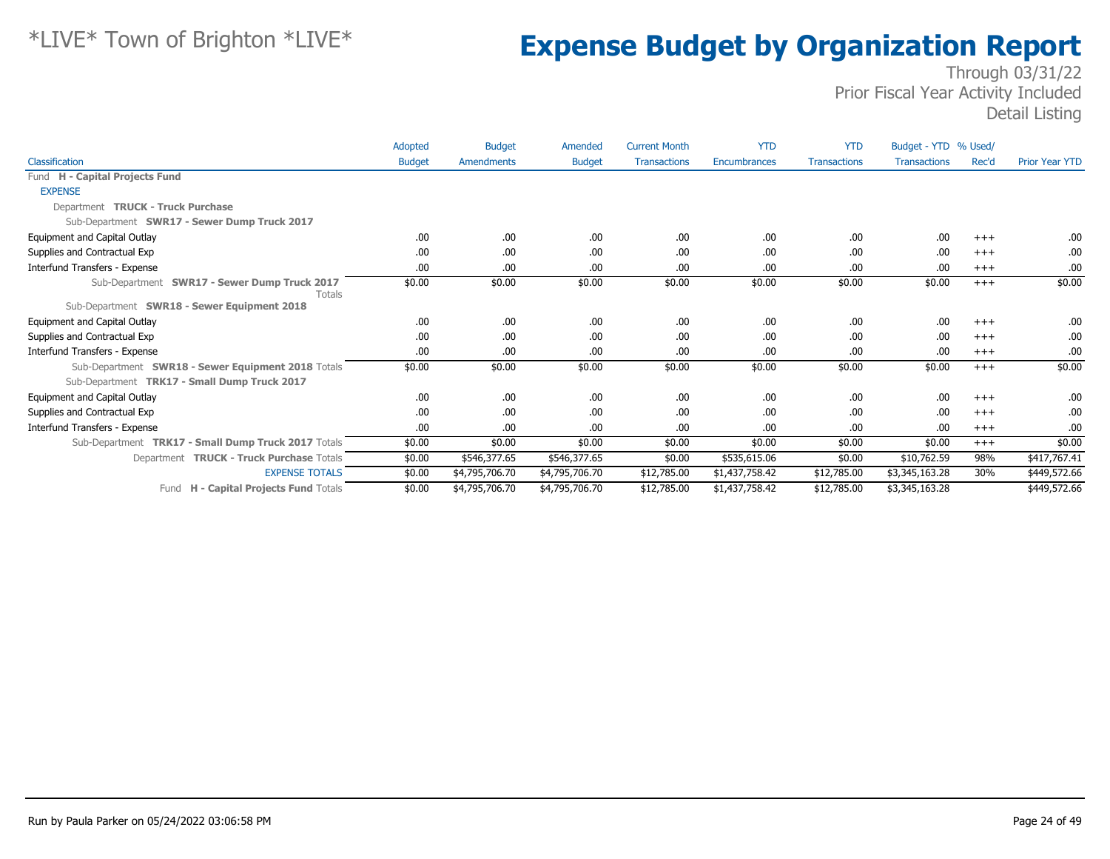|                                                                                                    | Adopted       | <b>Budget</b>  | Amended        | <b>Current Month</b> | <b>YTD</b>          | <b>YTD</b>          | Budget - YTD % Used/ |       |                       |
|----------------------------------------------------------------------------------------------------|---------------|----------------|----------------|----------------------|---------------------|---------------------|----------------------|-------|-----------------------|
| Classification                                                                                     | <b>Budget</b> | Amendments     | <b>Budget</b>  | <b>Transactions</b>  | <b>Encumbrances</b> | <b>Transactions</b> | <b>Transactions</b>  | Rec'd | <b>Prior Year YTD</b> |
| Fund H - Capital Projects Fund                                                                     |               |                |                |                      |                     |                     |                      |       |                       |
| <b>EXPENSE</b>                                                                                     |               |                |                |                      |                     |                     |                      |       |                       |
| Department TRUCK - Truck Purchase                                                                  |               |                |                |                      |                     |                     |                      |       |                       |
| Sub-Department SWR17 - Sewer Dump Truck 2017                                                       |               |                |                |                      |                     |                     |                      |       |                       |
| Equipment and Capital Outlay                                                                       | .00           | .00            | .00.           | .00                  | .00                 | .00                 | .00                  | $+++$ | .00.                  |
| Supplies and Contractual Exp                                                                       | .00           | .00            | .00            | .00                  | .00                 | .00                 | .00                  | $+++$ | .00                   |
| Interfund Transfers - Expense                                                                      | .00.          | .00            | .00            | .00                  | .00                 | .00                 | .00                  | $+++$ | .00                   |
| Sub-Department SWR17 - Sewer Dump Truck 2017<br><b>Totals</b>                                      | \$0.00        | \$0.00         | \$0.00         | \$0.00               | \$0.00              | \$0.00              | \$0.00               | $+++$ | \$0.00                |
| Sub-Department SWR18 - Sewer Equipment 2018                                                        |               |                |                |                      |                     |                     |                      |       |                       |
| Equipment and Capital Outlay                                                                       | .00.          | .00.           | .00.           | .00                  | .00                 | .00                 | .00                  | $+++$ | .00.                  |
| Supplies and Contractual Exp                                                                       | .00           | .00            | .00            | .00                  | .00                 | .00                 | .00                  | $+++$ | .00.                  |
| Interfund Transfers - Expense                                                                      | .00           | .00            | .00.           | .00                  | .00                 | .00                 | .00                  | $+++$ | .00.                  |
| Sub-Department SWR18 - Sewer Equipment 2018 Totals<br>Sub-Department TRK17 - Small Dump Truck 2017 | \$0.00        | \$0.00         | \$0.00         | \$0.00               | \$0.00              | \$0.00              | \$0.00               | $+++$ | \$0.00                |
| Equipment and Capital Outlay                                                                       | .00           | .00            | .00            | .00                  | .00                 | .00                 | .00                  | $+++$ | .00.                  |
| Supplies and Contractual Exp                                                                       | .00           | .00            | .00            | .00                  | .00                 | .00                 | .00                  | $+++$ | .00                   |
| Interfund Transfers - Expense                                                                      | .00.          | .00            | .00            | .00                  | .00                 | .00                 | .00                  | $+++$ | .00                   |
| Sub-Department TRK17 - Small Dump Truck 2017 Totals                                                | \$0.00        | \$0.00         | \$0.00         | \$0.00               | \$0.00              | \$0.00              | \$0.00               | $+++$ | \$0.00                |
| Department TRUCK - Truck Purchase Totals                                                           | \$0.00        | \$546,377.65   | \$546,377.65   | \$0.00               | \$535,615.06        | \$0.00              | \$10,762.59          | 98%   | \$417,767.41          |
| <b>EXPENSE TOTALS</b>                                                                              | \$0.00        | \$4,795,706.70 | \$4,795,706.70 | \$12,785.00          | \$1,437,758.42      | \$12,785.00         | \$3,345,163.28       | 30%   | \$449,572.66          |
| H - Capital Projects Fund Totals<br>Fund                                                           | \$0.00        | \$4,795,706.70 | \$4,795,706.70 | \$12,785.00          | \$1,437,758.42      | \$12,785.00         | \$3,345,163.28       |       | \$449,572.66          |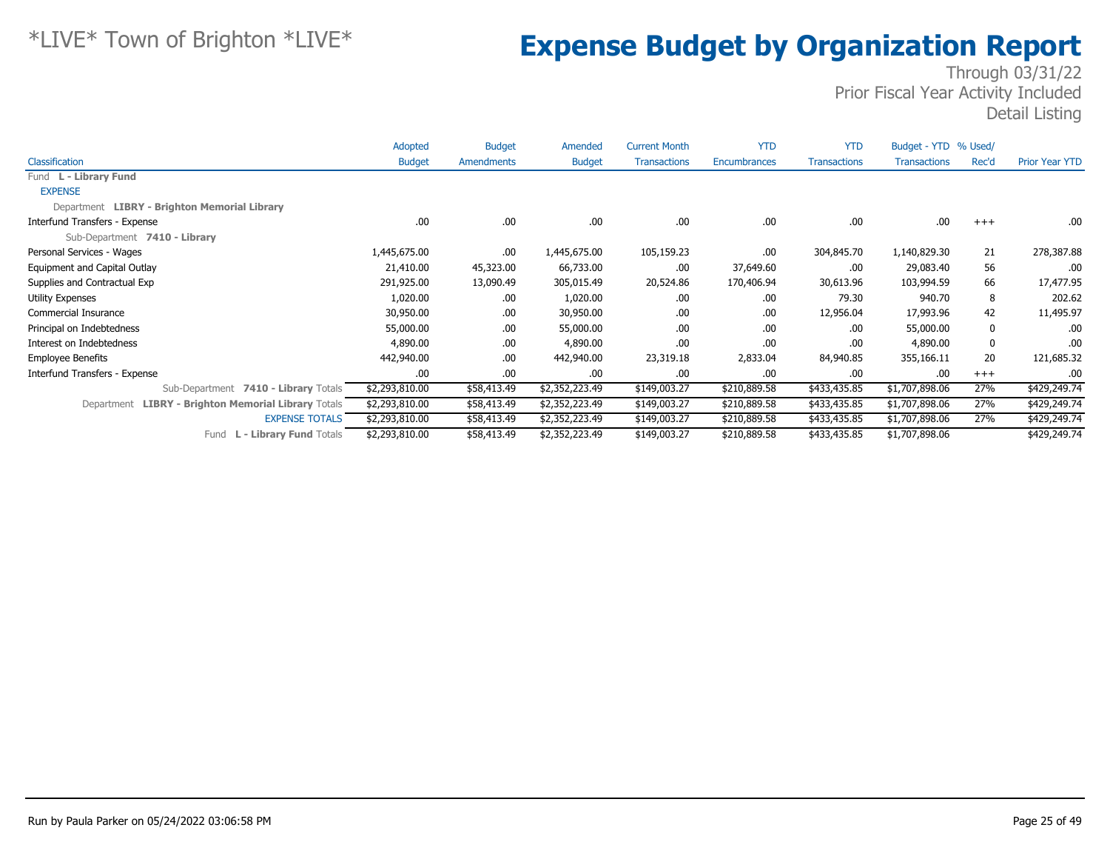|                                                     | Adopted        | <b>Budget</b> | Amended        | <b>Current Month</b> | <b>YTD</b>   | <b>YTD</b>          | Budget - YTD % Used/ |       |                       |
|-----------------------------------------------------|----------------|---------------|----------------|----------------------|--------------|---------------------|----------------------|-------|-----------------------|
| Classification                                      | <b>Budget</b>  | Amendments    | <b>Budget</b>  | <b>Transactions</b>  | Encumbrances | <b>Transactions</b> | <b>Transactions</b>  | Rec'd | <b>Prior Year YTD</b> |
| Fund L - Library Fund                               |                |               |                |                      |              |                     |                      |       |                       |
| <b>EXPENSE</b>                                      |                |               |                |                      |              |                     |                      |       |                       |
| Department LIBRY - Brighton Memorial Library        |                |               |                |                      |              |                     |                      |       |                       |
| Interfund Transfers - Expense                       | .00            | .00.          | .00.           | .00                  | .00.         | .00.                | .00                  | $+++$ | .00.                  |
| Sub-Department 7410 - Library                       |                |               |                |                      |              |                     |                      |       |                       |
| Personal Services - Wages                           | 1,445,675.00   | .00.          | 1,445,675.00   | 105,159.23           | .00          | 304,845.70          | 1,140,829.30         | 21    | 278,387.88            |
| Equipment and Capital Outlay                        | 21,410.00      | 45,323.00     | 66,733.00      | .00                  | 37,649.60    | .00                 | 29,083.40            | 56    | .00                   |
| Supplies and Contractual Exp                        | 291,925.00     | 13,090.49     | 305,015.49     | 20,524.86            | 170,406.94   | 30,613.96           | 103,994.59           | 66    | 17,477.95             |
| Utility Expenses                                    | 1,020.00       | .00.          | 1,020.00       | .00                  | .00.         | 79.30               | 940.70               | 8     | 202.62                |
| Commercial Insurance                                | 30,950.00      | .00.          | 30,950.00      | .00                  | .00.         | 12,956.04           | 17,993.96            | 42    | 11,495.97             |
| Principal on Indebtedness                           | 55,000.00      | .00.          | 55,000.00      | .00                  | .00.         | .00.                | 55,000.00            | 0     | .00.                  |
| Interest on Indebtedness                            | 4,890.00       | .00.          | 4,890.00       | .00                  | .00          | .00                 | 4,890.00             | 0     | .00.                  |
| <b>Employee Benefits</b>                            | 442,940.00     | .00.          | 442,940.00     | 23,319.18            | 2,833.04     | 84,940.85           | 355,166.11           | 20    | 121,685.32            |
| Interfund Transfers - Expense                       | .00            | .00.          | .00.           | .00                  | .00          | .00.                | .00                  | $+++$ | .00.                  |
| Sub-Department 7410 - Library Totals                | \$2,293,810.00 | \$58,413.49   | \$2,352,223.49 | \$149,003.27         | \$210,889.58 | \$433,435.85        | \$1,707,898.06       | 27%   | \$429,249.74          |
| Department LIBRY - Brighton Memorial Library Totals | \$2,293,810.00 | \$58,413.49   | \$2,352,223.49 | \$149,003.27         | \$210,889.58 | \$433,435.85        | \$1,707,898.06       | 27%   | \$429,249.74          |
| <b>EXPENSE TOTALS</b>                               | \$2,293,810.00 | \$58,413.49   | \$2,352,223.49 | \$149,003.27         | \$210,889.58 | \$433,435.85        | \$1,707,898.06       | 27%   | \$429,249.74          |
| L - Library Fund Totals<br>Fund                     | \$2,293,810.00 | \$58,413.49   | \$2,352,223.49 | \$149,003.27         | \$210,889.58 | \$433,435.85        | \$1,707,898.06       |       | \$429,249.74          |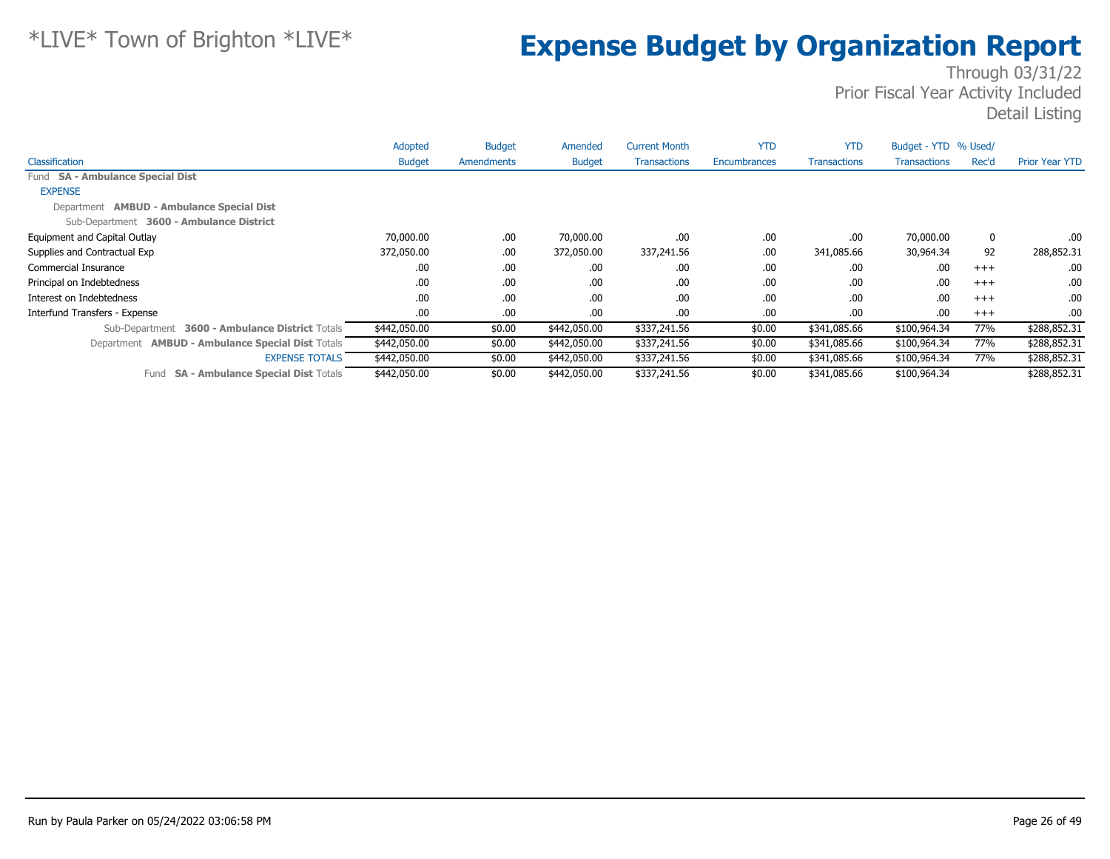|                                                         | Adopted       | <b>Budget</b>     | Amended       | <b>Current Month</b> | <b>YTD</b>   | <b>YTD</b>          | Budget - YTD % Used/ |       |                       |
|---------------------------------------------------------|---------------|-------------------|---------------|----------------------|--------------|---------------------|----------------------|-------|-----------------------|
| Classification                                          | <b>Budget</b> | <b>Amendments</b> | <b>Budget</b> | <b>Transactions</b>  | Encumbrances | <b>Transactions</b> | <b>Transactions</b>  | Rec'd | <b>Prior Year YTD</b> |
| Fund SA - Ambulance Special Dist                        |               |                   |               |                      |              |                     |                      |       |                       |
| <b>EXPENSE</b>                                          |               |                   |               |                      |              |                     |                      |       |                       |
| Department <b>AMBUD - Ambulance Special Dist</b>        |               |                   |               |                      |              |                     |                      |       |                       |
| Sub-Department 3600 - Ambulance District                |               |                   |               |                      |              |                     |                      |       |                       |
| Equipment and Capital Outlay                            | 70,000.00     | .00               | 70,000.00     | .00                  | .00          | .00.                | 70,000.00            | 0     | .00.                  |
| Supplies and Contractual Exp                            | 372,050.00    | .00               | 372,050.00    | 337,241.56           | .00          | 341,085.66          | 30,964.34            | 92    | 288,852.31            |
| Commercial Insurance                                    | .00           | .00               | .00.          | .00.                 | .00          | .00.                | .00                  | $+++$ | .00.                  |
| Principal on Indebtedness                               | .00           | .00               | .00           | .00                  | .00          | .00.                | .00                  | $+++$ | .00                   |
| Interest on Indebtedness                                | .00           | .00               | .00.          | .00                  | .00          | .00.                | .00                  | $+++$ | .00.                  |
| Interfund Transfers - Expense                           | .00           | .00               | .00.          | .00.                 | .00          | .00.                | .00                  | $+++$ | .00                   |
| 3600 - Ambulance District Totals<br>Sub-Department      | \$442,050.00  | \$0.00            | \$442,050.00  | \$337,241.56         | \$0.00       | \$341,085.66        | \$100,964.34         | 77%   | \$288,852.31          |
| Department <b>AMBUD - Ambulance Special Dist Totals</b> | \$442,050.00  | \$0.00            | \$442,050.00  | \$337,241.56         | \$0.00       | \$341,085.66        | \$100,964.34         | 77%   | \$288,852.31          |
| <b>EXPENSE TOTALS</b>                                   | \$442,050.00  | \$0.00            | \$442,050.00  | \$337,241.56         | \$0.00       | \$341,085.66        | \$100,964.34         | 77%   | \$288,852.31          |
| <b>SA - Ambulance Special Dist Totals</b><br>Fund       | \$442,050.00  | \$0.00            | \$442,050.00  | \$337,241.56         | \$0.00       | \$341,085.66        | \$100,964.34         |       | \$288,852.31          |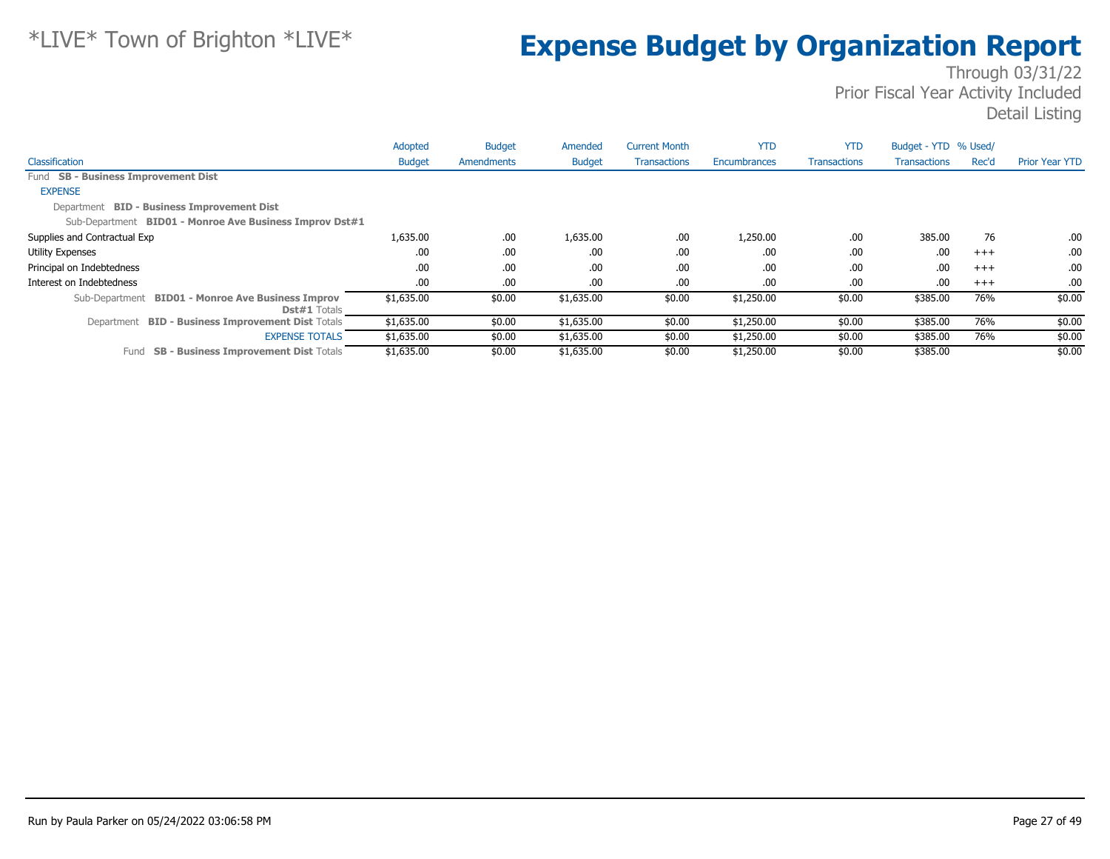|                                                                          | Adopted       | <b>Budget</b> | Amended       | <b>Current Month</b> | <b>YTD</b>   | <b>YTD</b>          | Budget - YTD % Used/ |       |                       |
|--------------------------------------------------------------------------|---------------|---------------|---------------|----------------------|--------------|---------------------|----------------------|-------|-----------------------|
| Classification                                                           | <b>Budget</b> | Amendments    | <b>Budget</b> | <b>Transactions</b>  | Encumbrances | <b>Transactions</b> | <b>Transactions</b>  | Rec'd | <b>Prior Year YTD</b> |
| Fund SB - Business Improvement Dist                                      |               |               |               |                      |              |                     |                      |       |                       |
| <b>EXPENSE</b>                                                           |               |               |               |                      |              |                     |                      |       |                       |
| Department BID - Business Improvement Dist                               |               |               |               |                      |              |                     |                      |       |                       |
| Sub-Department BID01 - Monroe Ave Business Improv Dst#1                  |               |               |               |                      |              |                     |                      |       |                       |
| Supplies and Contractual Exp                                             | 1,635.00      | .00           | 1,635.00      | .00.                 | 1,250.00     | .00.                | 385.00               | 76    | .00.                  |
| Utility Expenses                                                         | .00           | .00           | .00           | .00.                 | .00          | .00.                | .00                  | $+++$ | .00.                  |
| Principal on Indebtedness                                                | .00           | .00           | .00           | .00.                 | .00          | .00.                | .00                  | $+++$ | .00.                  |
| Interest on Indebtedness                                                 | .00           | .00           | .00           | .00.                 | .00          | .00.                | .00                  | $+++$ | .00.                  |
| Sub-Department BID01 - Monroe Ave Business Improv<br><b>Dst#1</b> Totals | \$1,635.00    | \$0.00        | \$1,635.00    | \$0.00               | \$1,250.00   | \$0.00              | \$385.00             | 76%   | \$0.00                |
| Department BID - Business Improvement Dist Totals                        | \$1,635.00    | \$0.00        | \$1,635.00    | \$0.00               | \$1,250.00   | \$0.00              | \$385.00             | 76%   | \$0.00                |
| <b>EXPENSE TOTALS</b>                                                    | \$1,635.00    | \$0.00        | \$1,635.00    | \$0.00               | \$1,250.00   | \$0.00              | \$385.00             | 76%   | \$0.00                |
| <b>SB - Business Improvement Dist Totals</b><br>Fund                     | \$1,635.00    | \$0.00        | \$1,635.00    | \$0.00               | \$1,250.00   | \$0.00              | \$385.00             |       | \$0.00                |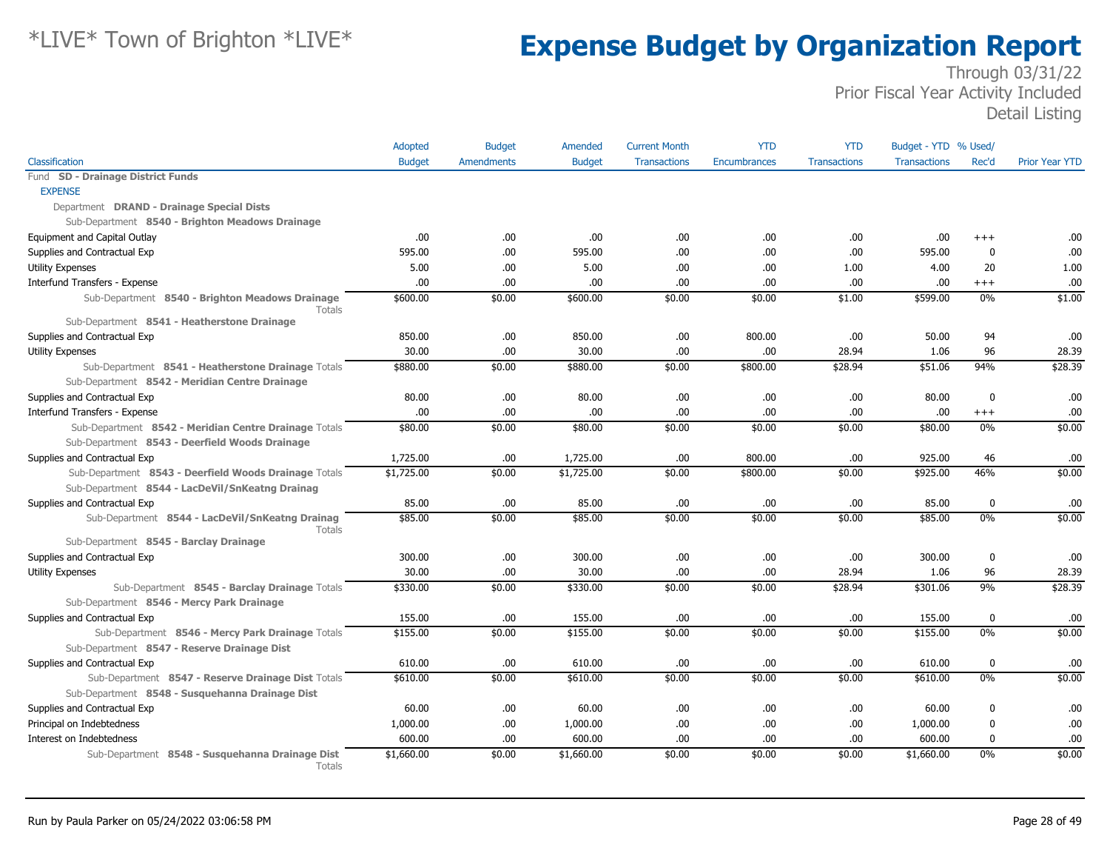|                                                                                                 | Adopted       | <b>Budget</b>     | Amended       | <b>Current Month</b> | <b>YTD</b>          | <b>YTD</b>          | Budget - YTD % Used/ |                  |                       |
|-------------------------------------------------------------------------------------------------|---------------|-------------------|---------------|----------------------|---------------------|---------------------|----------------------|------------------|-----------------------|
| Classification                                                                                  | <b>Budget</b> | <b>Amendments</b> | <b>Budget</b> | <b>Transactions</b>  | <b>Encumbrances</b> | <b>Transactions</b> | <b>Transactions</b>  | Rec'd            | <b>Prior Year YTD</b> |
| Fund SD - Drainage District Funds                                                               |               |                   |               |                      |                     |                     |                      |                  |                       |
| <b>EXPENSE</b>                                                                                  |               |                   |               |                      |                     |                     |                      |                  |                       |
| Department DRAND - Drainage Special Dists                                                       |               |                   |               |                      |                     |                     |                      |                  |                       |
| Sub-Department 8540 - Brighton Meadows Drainage                                                 |               |                   |               |                      |                     |                     |                      |                  |                       |
| Equipment and Capital Outlay                                                                    | .00.          | .00.              | .00.          | .00                  | .00                 | .00                 | .00                  | $^{++}$          | .00                   |
| Supplies and Contractual Exp                                                                    | 595.00        | .00.              | 595.00        | .00                  | .00                 | .00                 | 595.00               | $\mathbf 0$      | .00                   |
| <b>Utility Expenses</b>                                                                         | 5.00          | .00.              | 5.00          | .00                  | .00                 | 1.00                | 4.00                 | 20               | 1.00                  |
| Interfund Transfers - Expense                                                                   | .00.          | .00               | .00           | .00                  | .00                 | .00                 | .00                  | $+++$            | .00                   |
| Sub-Department 8540 - Brighton Meadows Drainage<br><b>Totals</b>                                | \$600.00      | \$0.00            | \$600.00      | \$0.00               | \$0.00              | \$1.00              | \$599.00             | 0%               | \$1.00                |
| Sub-Department 8541 - Heatherstone Drainage                                                     |               |                   |               |                      |                     |                     |                      |                  |                       |
| Supplies and Contractual Exp                                                                    | 850.00        | .00.              | 850.00        | .00                  | 800.00              | .00                 | 50.00                | 94               | .00                   |
| Utility Expenses                                                                                | 30.00         | .00               | 30.00         | .00                  | .00                 | 28.94               | 1.06                 | 96               | 28.39                 |
| Sub-Department 8541 - Heatherstone Drainage Totals                                              | \$880.00      | \$0.00            | \$880.00      | \$0.00               | \$800.00            | \$28.94             | \$51.06              | 94%              | \$28.39               |
| Sub-Department 8542 - Meridian Centre Drainage                                                  |               |                   |               |                      |                     |                     |                      |                  |                       |
| Supplies and Contractual Exp                                                                    | 80.00         | .00.              | 80.00         | .00                  | .00                 | .00                 | 80.00                | $\mathbf 0$      | .00                   |
| Interfund Transfers - Expense                                                                   | .00           | .00               | .00           | .00                  | .00                 | .00                 | .00                  | $^{+++}$         | .00                   |
| Sub-Department 8542 - Meridian Centre Drainage Totals                                           | \$80.00       | \$0.00            | \$80.00       | \$0.00               | \$0.00              | \$0.00              | \$80.00              | 0%               | \$0.00                |
| Sub-Department 8543 - Deerfield Woods Drainage                                                  |               |                   |               |                      |                     |                     |                      |                  |                       |
| Supplies and Contractual Exp                                                                    | 1,725.00      | .00.              | 1,725.00      | .00                  | 800.00              | .00                 | 925.00               | 46               | .00                   |
| Sub-Department 8543 - Deerfield Woods Drainage Totals                                           | \$1,725.00    | \$0.00            | \$1,725.00    | \$0.00               | \$800.00            | \$0.00              | \$925.00             | 46%              | \$0.00                |
| Sub-Department 8544 - LacDeVil/SnKeatng Drainag                                                 |               |                   |               |                      |                     |                     |                      |                  |                       |
| Supplies and Contractual Exp                                                                    | 85.00         | .00               | 85.00         | .00                  | .00                 | .00                 | 85.00                | $\mathbf 0$      | .00                   |
| Sub-Department 8544 - LacDeVil/SnKeatng Drainag<br>Totals                                       | \$85.00       | \$0.00            | \$85.00       | \$0.00               | \$0.00              | \$0.00              | \$85.00              | 0%               | \$0.00                |
| Sub-Department 8545 - Barclay Drainage                                                          |               |                   |               |                      |                     |                     |                      |                  |                       |
| Supplies and Contractual Exp                                                                    | 300.00        | .00               | 300.00        | .00                  | .00                 | .00                 | 300.00               | $\mathbf 0$      | .00                   |
| Utility Expenses                                                                                | 30.00         | .00               | 30.00         | .00                  | .00                 | 28.94               | 1.06                 | 96               | 28.39                 |
| Sub-Department 8545 - Barclay Drainage Totals                                                   | \$330.00      | \$0.00            | \$330.00      | \$0.00               | \$0.00              | \$28.94             | \$301.06             | 9%               | \$28.39               |
| Sub-Department 8546 - Mercy Park Drainage                                                       |               |                   |               |                      |                     |                     |                      |                  |                       |
| Supplies and Contractual Exp                                                                    | 155.00        | .00               | 155.00        | .00                  | .00                 | .00                 | 155.00               | $\mathbf 0$      | .00                   |
| Sub-Department 8546 - Mercy Park Drainage Totals<br>Sub-Department 8547 - Reserve Drainage Dist | \$155.00      | \$0.00            | \$155.00      | \$0.00               | \$0.00              | \$0.00              | \$155.00             | 0%               | \$0.00                |
| Supplies and Contractual Exp                                                                    | 610.00        | .00.              | 610.00        | .00                  | .00                 | .00                 | 610.00               | $\mathbf 0$      | .00.                  |
| Sub-Department 8547 - Reserve Drainage Dist Totals                                              | \$610.00      | \$0.00            | \$610.00      | \$0.00               | \$0.00              | \$0.00              | \$610.00             | 0%               | \$0.00                |
| Sub-Department 8548 - Susquehanna Drainage Dist                                                 |               |                   |               |                      |                     |                     |                      |                  |                       |
| Supplies and Contractual Exp                                                                    | 60.00         | .00.              | 60.00         | .00                  | .00                 | .00                 | 60.00                | $\boldsymbol{0}$ | .00                   |
| Principal on Indebtedness                                                                       | 1,000.00      | .00.              | 1,000.00      | .00                  | .00                 | .00                 | 1,000.00             | 0                | .00                   |
| Interest on Indebtedness                                                                        | 600.00        | .00               | 600.00        | .00.                 | .00                 | .00                 | 600.00               | $\mathbf 0$      | .00                   |
| Sub-Department 8548 - Susquehanna Drainage Dist<br>Totals                                       | \$1,660.00    | \$0.00            | \$1,660.00    | \$0.00               | \$0.00              | \$0.00              | \$1,660.00           | 0%               | \$0.00                |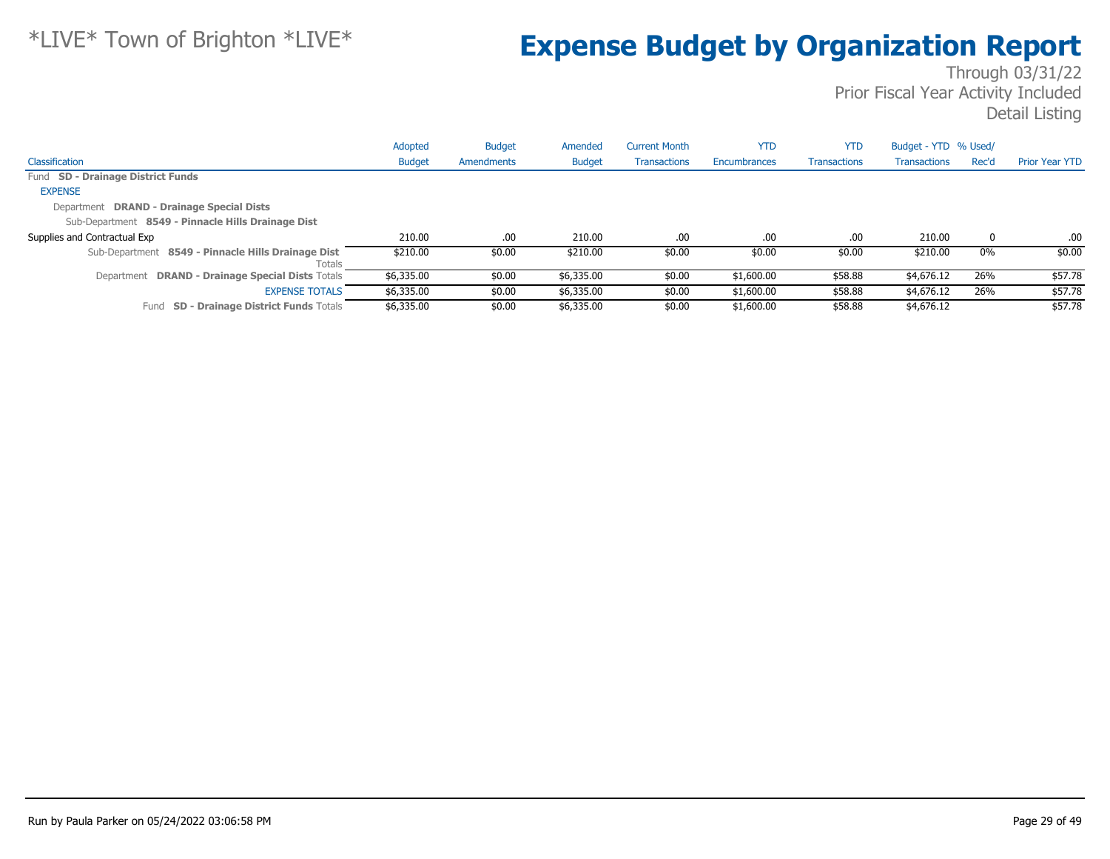|                                                              | Adopted       | <b>Budget</b> | Amended       | <b>Current Month</b> | <b>YTD</b>   | <b>YTD</b>          | Budget - YTD % Used/ |       |                       |
|--------------------------------------------------------------|---------------|---------------|---------------|----------------------|--------------|---------------------|----------------------|-------|-----------------------|
| Classification                                               | <b>Budget</b> | Amendments    | <b>Budget</b> | <b>Transactions</b>  | Encumbrances | <b>Transactions</b> | <b>Transactions</b>  | Rec'd | <b>Prior Year YTD</b> |
| Fund SD - Drainage District Funds                            |               |               |               |                      |              |                     |                      |       |                       |
| <b>EXPENSE</b>                                               |               |               |               |                      |              |                     |                      |       |                       |
| Department DRAND - Drainage Special Dists                    |               |               |               |                      |              |                     |                      |       |                       |
| Sub-Department 8549 - Pinnacle Hills Drainage Dist           |               |               |               |                      |              |                     |                      |       |                       |
| Supplies and Contractual Exp                                 | 210.00        | .00           | 210.00        | .00                  | .00          | .00.                | 210.00               | 0     | .00                   |
| Sub-Department 8549 - Pinnacle Hills Drainage Dist<br>Totals | \$210.00      | \$0.00        | \$210.00      | \$0.00               | \$0.00       | \$0.00              | \$210.00             | $0\%$ | \$0.00                |
| Department DRAND - Drainage Special Dists Totals             | \$6,335.00    | \$0.00        | \$6,335.00    | \$0.00               | \$1,600.00   | \$58.88             | \$4,676.12           | 26%   | \$57.78               |
| <b>EXPENSE TOTALS</b>                                        | \$6,335.00    | \$0.00        | \$6,335.00    | \$0.00               | \$1,600.00   | \$58.88             | \$4,676.12           | 26%   | \$57.78               |
| <b>SD - Drainage District Funds Totals</b><br>Fund           | \$6,335.00    | \$0.00        | \$6,335.00    | \$0.00               | \$1,600.00   | \$58.88             | \$4,676.12           |       | \$57.78               |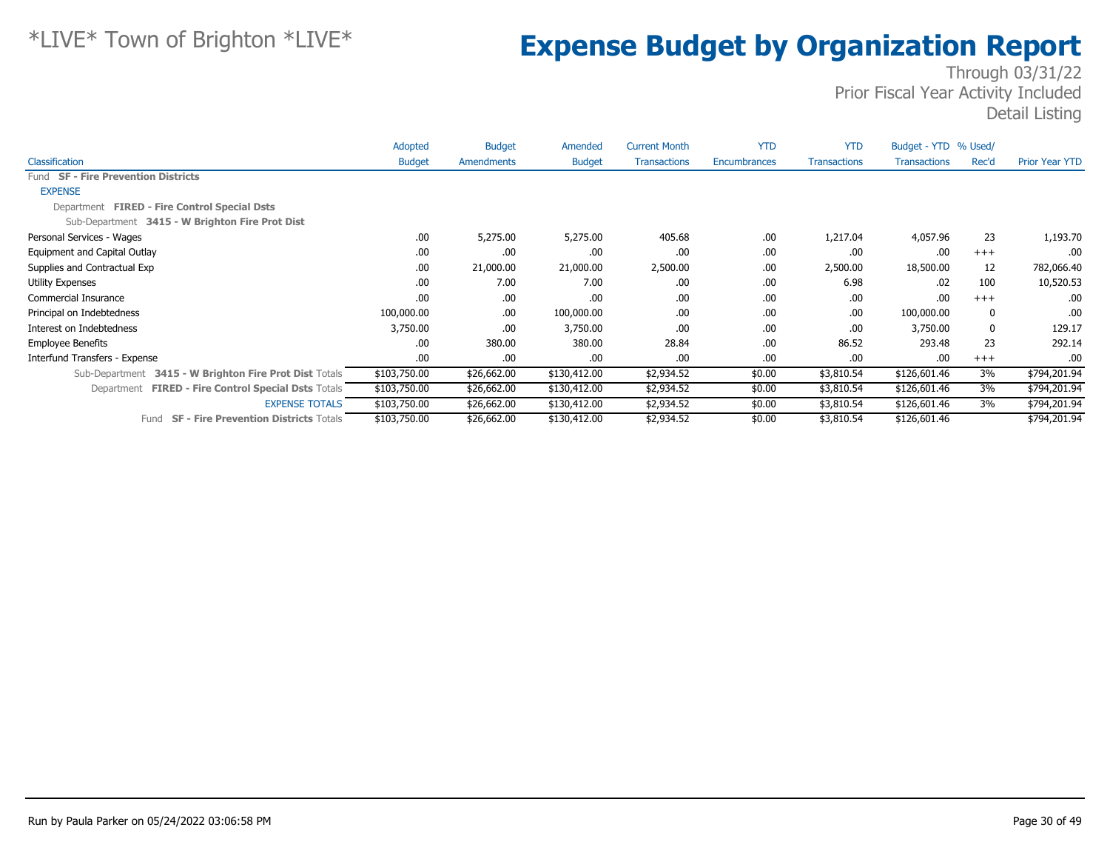|                                                               | Adopted       | <b>Budget</b> | Amended       | <b>Current Month</b> | <b>YTD</b>   | <b>YTD</b>          | Budget - YTD % Used/ |              |                       |
|---------------------------------------------------------------|---------------|---------------|---------------|----------------------|--------------|---------------------|----------------------|--------------|-----------------------|
| Classification                                                | <b>Budget</b> | Amendments    | <b>Budget</b> | <b>Transactions</b>  | Encumbrances | <b>Transactions</b> | <b>Transactions</b>  | Rec'd        | <b>Prior Year YTD</b> |
| Fund SF - Fire Prevention Districts                           |               |               |               |                      |              |                     |                      |              |                       |
| <b>EXPENSE</b>                                                |               |               |               |                      |              |                     |                      |              |                       |
| Department FIRED - Fire Control Special Dsts                  |               |               |               |                      |              |                     |                      |              |                       |
| Sub-Department 3415 - W Brighton Fire Prot Dist               |               |               |               |                      |              |                     |                      |              |                       |
| Personal Services - Wages                                     | .00           | 5,275.00      | 5,275.00      | 405.68               | .00          | 1,217.04            | 4,057.96             | 23           | 1,193.70              |
| Equipment and Capital Outlay                                  | .00           | .00.          | .00           | .00                  | .00          | .00                 | .00                  | $+++$        | .00                   |
| Supplies and Contractual Exp                                  | .00           | 21,000.00     | 21,000.00     | 2,500.00             | .00          | 2,500.00            | 18,500.00            | 12           | 782,066.40            |
| <b>Utility Expenses</b>                                       | .00           | 7.00          | 7.00          | .00                  | .00          | 6.98                | .02                  | 100          | 10,520.53             |
| Commercial Insurance                                          | .00           | .00.          | .00           | .00                  | .00          | .00                 | .00                  | $+++$        | .00                   |
| Principal on Indebtedness                                     | 100,000.00    | .00.          | 100,000.00    | .00                  | .00          | .00                 | 100,000.00           | 0            | .00                   |
| Interest on Indebtedness                                      | 3,750.00      | .00.          | 3,750.00      | .00                  | .00          | .00                 | 3,750.00             | $\mathbf{0}$ | 129.17                |
| <b>Employee Benefits</b>                                      | .00           | 380.00        | 380.00        | 28.84                | .00          | 86.52               | 293.48               | 23           | 292.14                |
| Interfund Transfers - Expense                                 | .00           | .00.          | .00           | .00                  | .00          | .00                 | .00                  | $+++$        | .00                   |
| Sub-Department<br>3415 - W Brighton Fire Prot Dist Totals     | \$103,750.00  | \$26,662.00   | \$130,412.00  | \$2,934.52           | \$0.00       | \$3,810.54          | \$126,601.46         | 3%           | \$794,201.94          |
| <b>FIRED - Fire Control Special Dsts Totals</b><br>Department | \$103,750.00  | \$26,662.00   | \$130,412.00  | \$2,934.52           | \$0.00       | \$3,810.54          | \$126,601.46         | 3%           | \$794,201.94          |
| <b>EXPENSE TOTALS</b>                                         | \$103,750.00  | \$26,662.00   | \$130,412.00  | \$2,934.52           | \$0.00       | \$3,810.54          | \$126,601.46         | 3%           | \$794,201.94          |
| <b>SF - Fire Prevention Districts Totals</b><br>Fund          | \$103,750.00  | \$26,662.00   | \$130,412.00  | \$2,934.52           | \$0.00       | \$3,810.54          | \$126,601.46         |              | \$794,201.94          |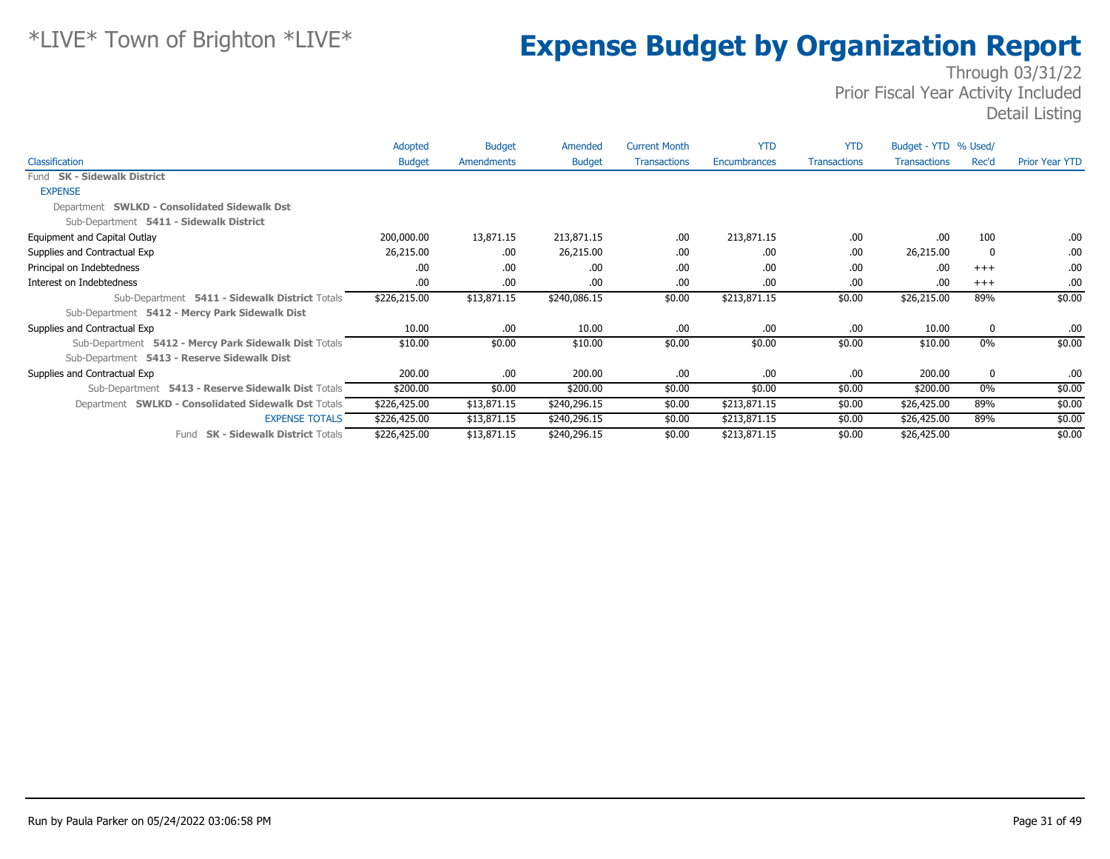|                                                       | Adopted       | <b>Budget</b> | Amended       | <b>Current Month</b> | <b>YTD</b>   | <b>YTD</b>          | Budget - YTD % Used/ |       |                       |
|-------------------------------------------------------|---------------|---------------|---------------|----------------------|--------------|---------------------|----------------------|-------|-----------------------|
| Classification                                        | <b>Budget</b> | Amendments    | <b>Budget</b> | <b>Transactions</b>  | Encumbrances | <b>Transactions</b> | Transactions         | Rec'd | <b>Prior Year YTD</b> |
| Fund SK - Sidewalk District                           |               |               |               |                      |              |                     |                      |       |                       |
| <b>EXPENSE</b>                                        |               |               |               |                      |              |                     |                      |       |                       |
| Department SWLKD - Consolidated Sidewalk Dst          |               |               |               |                      |              |                     |                      |       |                       |
| Sub-Department 5411 - Sidewalk District               |               |               |               |                      |              |                     |                      |       |                       |
| Equipment and Capital Outlay                          | 200,000.00    | 13,871.15     | 213,871.15    | .00.                 | 213,871.15   | .00.                | .00                  | 100   | .00.                  |
| Supplies and Contractual Exp                          | 26,215.00     | .00.          | 26,215.00     | .00                  | .00          | .00                 | 26,215.00            | 0     | .00                   |
| Principal on Indebtedness                             | .00.          | .00.          | .00.          | .00                  | .00          | .00                 | .00                  | $+++$ | .00.                  |
| Interest on Indebtedness                              | .00.          | .00.          | .00           | .00                  | .00.         | .00.                | .00                  | $+++$ | .00.                  |
| Sub-Department 5411 - Sidewalk District Totals        | \$226,215.00  | \$13,871.15   | \$240,086.15  | \$0.00               | \$213,871.15 | \$0.00              | \$26,215.00          | 89%   | \$0.00                |
| Sub-Department 5412 - Mercy Park Sidewalk Dist        |               |               |               |                      |              |                     |                      |       |                       |
| Supplies and Contractual Exp                          | 10.00         | .00.          | 10.00         | .00                  | .00.         | .00.                | 10.00                | 0     | .00.                  |
| Sub-Department 5412 - Mercy Park Sidewalk Dist Totals | \$10.00       | \$0.00        | \$10.00       | \$0.00               | \$0.00       | \$0.00              | \$10.00              | 0%    | \$0.00                |
| Sub-Department 5413 - Reserve Sidewalk Dist           |               |               |               |                      |              |                     |                      |       |                       |
| Supplies and Contractual Exp                          | 200.00        | .00.          | 200.00        | .00                  | .00.         | .00                 | 200.00               | 0     | .00                   |
| Sub-Department 5413 - Reserve Sidewalk Dist Totals    | \$200.00      | \$0.00        | \$200.00      | \$0.00               | \$0.00       | \$0.00              | \$200.00             | 0%    | \$0.00                |
| Department SWLKD - Consolidated Sidewalk Dst Totals   | \$226,425.00  | \$13,871.15   | \$240,296.15  | \$0.00               | \$213,871.15 | \$0.00              | \$26,425.00          | 89%   | \$0.00                |
| <b>EXPENSE TOTALS</b>                                 | \$226,425.00  | \$13,871.15   | \$240,296.15  | \$0.00               | \$213,871.15 | \$0.00              | \$26,425.00          | 89%   | \$0.00                |
| Fund SK - Sidewalk District Totals                    | \$226,425.00  | \$13,871.15   | \$240,296.15  | \$0.00               | \$213,871.15 | \$0.00              | \$26,425.00          |       | \$0.00                |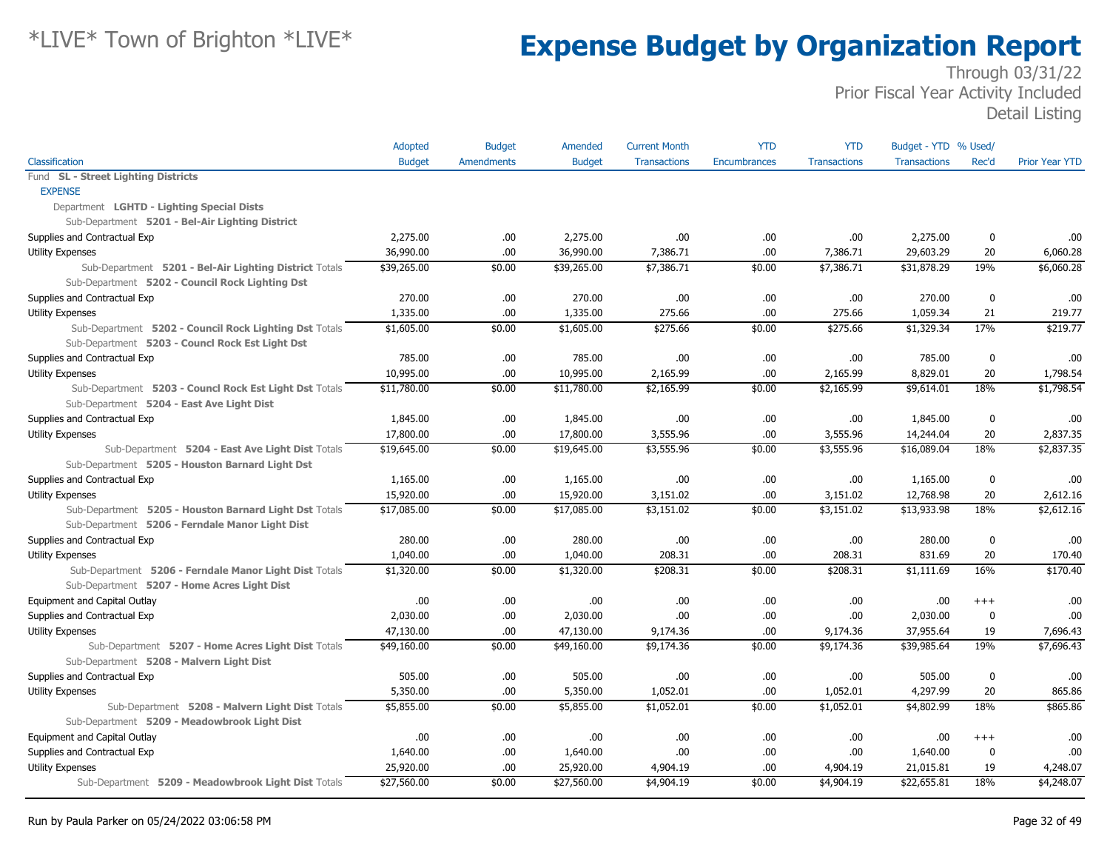|                                                        | Adopted       | <b>Budget</b>     | Amended       | <b>Current Month</b> | <b>YTD</b>   | <b>YTD</b>          | Budget - YTD % Used/ |             |                       |
|--------------------------------------------------------|---------------|-------------------|---------------|----------------------|--------------|---------------------|----------------------|-------------|-----------------------|
| Classification                                         | <b>Budget</b> | <b>Amendments</b> | <b>Budget</b> | <b>Transactions</b>  | Encumbrances | <b>Transactions</b> | <b>Transactions</b>  | Rec'd       | <b>Prior Year YTD</b> |
| Fund SL - Street Lighting Districts                    |               |                   |               |                      |              |                     |                      |             |                       |
| <b>EXPENSE</b>                                         |               |                   |               |                      |              |                     |                      |             |                       |
| Department LGHTD - Lighting Special Dists              |               |                   |               |                      |              |                     |                      |             |                       |
| Sub-Department 5201 - Bel-Air Lighting District        |               |                   |               |                      |              |                     |                      |             |                       |
| Supplies and Contractual Exp                           | 2,275.00      | .00               | 2,275.00      | .00                  | .00.         | .00.                | 2,275.00             | 0           | .00                   |
| <b>Utility Expenses</b>                                | 36,990.00     | .00               | 36,990.00     | 7,386.71             | .00.         | 7,386.71            | 29,603.29            | 20          | 6,060.28              |
| Sub-Department 5201 - Bel-Air Lighting District Totals | \$39,265.00   | \$0.00            | \$39,265.00   | \$7,386.71           | \$0.00       | $\sqrt{57,386.71}$  | \$31,878.29          | 19%         | \$6,060.28            |
| Sub-Department 5202 - Council Rock Lighting Dst        |               |                   |               |                      |              |                     |                      |             |                       |
| Supplies and Contractual Exp                           | 270.00        | .00               | 270.00        | .00                  | .00.         | .00                 | 270.00               | 0           | .00                   |
| Utility Expenses                                       | 1,335.00      | .00               | 1,335.00      | 275.66               | .00.         | 275.66              | 1,059.34             | 21          | 219.77                |
| Sub-Department 5202 - Council Rock Lighting Dst Totals | \$1,605.00    | \$0.00            | \$1,605.00    | \$275.66             | \$0.00       | \$275.66            | \$1,329.34           | 17%         | \$219.77              |
| Sub-Department 5203 - Councl Rock Est Light Dst        |               |                   |               |                      |              |                     |                      |             |                       |
| Supplies and Contractual Exp                           | 785.00        | .00               | 785.00        | .00                  | .00.         | .00                 | 785.00               | 0           | .00                   |
| <b>Utility Expenses</b>                                | 10,995.00     | .00               | 10,995.00     | 2,165.99             | .00.         | 2,165.99            | 8,829.01             | 20          | 1,798.54              |
| Sub-Department 5203 - Councl Rock Est Light Dst Totals | \$11,780.00   | \$0.00            | \$11,780.00   | \$2,165.99           | \$0.00       | \$2,165.99          | \$9,614.01           | 18%         | \$1,798.54            |
| Sub-Department 5204 - East Ave Light Dist              |               |                   |               |                      |              |                     |                      |             |                       |
| Supplies and Contractual Exp                           | 1,845.00      | .00               | 1,845.00      | .00                  | .00.         | .00                 | 1,845.00             | 0           | .00                   |
| <b>Utility Expenses</b>                                | 17,800.00     | .00.              | 17,800.00     | 3,555.96             | .00.         | 3,555.96            | 14,244.04            | 20          | 2,837.35              |
| Sub-Department 5204 - East Ave Light Dist Totals       | \$19,645.00   | \$0.00            | \$19,645.00   | \$3,555.96           | \$0.00       | \$3,555.96          | \$16,089.04          | 18%         | \$2,837.35            |
| Sub-Department 5205 - Houston Barnard Light Dst        |               |                   |               |                      |              |                     |                      |             |                       |
| Supplies and Contractual Exp                           | 1,165.00      | .00               | 1,165.00      | .00                  | .00.         | .00.                | 1,165.00             | 0           | .00                   |
| <b>Utility Expenses</b>                                | 15,920.00     | .00               | 15,920.00     | 3,151.02             | .00.         | 3,151.02            | 12,768.98            | 20          | 2,612.16              |
| Sub-Department 5205 - Houston Barnard Light Dst Totals | \$17,085.00   | \$0.00            | \$17,085.00   | \$3,151.02           | \$0.00       | \$3,151.02          | \$13,933.98          | 18%         | \$2,612.16            |
| Sub-Department 5206 - Ferndale Manor Light Dist        |               |                   |               |                      |              |                     |                      |             |                       |
| Supplies and Contractual Exp                           | 280.00        | .00               | 280.00        | .00                  | .00.         | .00.                | 280.00               | 0           | .00                   |
| <b>Utility Expenses</b>                                | 1,040.00      | .00               | 1,040.00      | 208.31               | .00.         | 208.31              | 831.69               | 20          | 170.40                |
| Sub-Department 5206 - Ferndale Manor Light Dist Totals | \$1,320.00    | \$0.00            | \$1,320.00    | \$208.31             | \$0.00       | \$208.31            | \$1,111.69           | 16%         | \$170.40              |
| Sub-Department 5207 - Home Acres Light Dist            |               |                   |               |                      |              |                     |                      |             |                       |
| Equipment and Capital Outlay                           | .00           | .00.              | .00           | .00                  | .00.         | .00                 | .00.                 | $^{+++}$    | .00                   |
| Supplies and Contractual Exp                           | 2,030.00      | .00               | 2,030.00      | .00                  | .00.         | .00                 | 2,030.00             | 0           | .00                   |
| Utility Expenses                                       | 47,130.00     | .00               | 47,130.00     | 9,174.36             | .00.         | 9,174.36            | 37,955.64            | 19          | 7,696.43              |
| Sub-Department 5207 - Home Acres Light Dist Totals     | \$49,160.00   | \$0.00            | \$49,160.00   | \$9,174.36           | \$0.00       | \$9,174.36          | \$39,985.64          | 19%         | \$7,696.43            |
| Sub-Department 5208 - Malvern Light Dist               |               |                   |               |                      |              |                     |                      |             |                       |
| Supplies and Contractual Exp                           | 505.00        | .00               | 505.00        | .00                  | .00.         | .00                 | 505.00               | $\mathbf 0$ | .00                   |
| Utility Expenses                                       | 5,350.00      | .00               | 5,350.00      | 1,052.01             | .00.         | 1,052.01            | 4,297.99             | 20          | 865.86                |
| Sub-Department 5208 - Malvern Light Dist Totals        | \$5,855.00    | \$0.00            | \$5,855.00    | \$1,052.01           | \$0.00       | \$1,052.01          | \$4,802.99           | 18%         | \$865.86              |
| Sub-Department 5209 - Meadowbrook Light Dist           |               |                   |               |                      |              |                     |                      |             |                       |
| Equipment and Capital Outlay                           | .00           | .00.              | .00           | .00                  | .00.         | .00.                | .00.                 | $^{+++}$    | .00                   |
| Supplies and Contractual Exp                           | 1,640.00      | .00               | 1,640.00      | .00                  | .00.         | .00.                | 1,640.00             | 0           | .00                   |
| <b>Utility Expenses</b>                                | 25,920.00     | .00               | 25,920.00     | 4,904.19             | .00.         | 4,904.19            | 21,015.81            | 19          | 4,248.07              |
| Sub-Department 5209 - Meadowbrook Light Dist Totals    | \$27,560.00   | \$0.00            | \$27,560.00   | \$4,904.19           | \$0.00       | \$4,904.19          | \$22,655.81          | 18%         | $\sqrt{4,248.07}$     |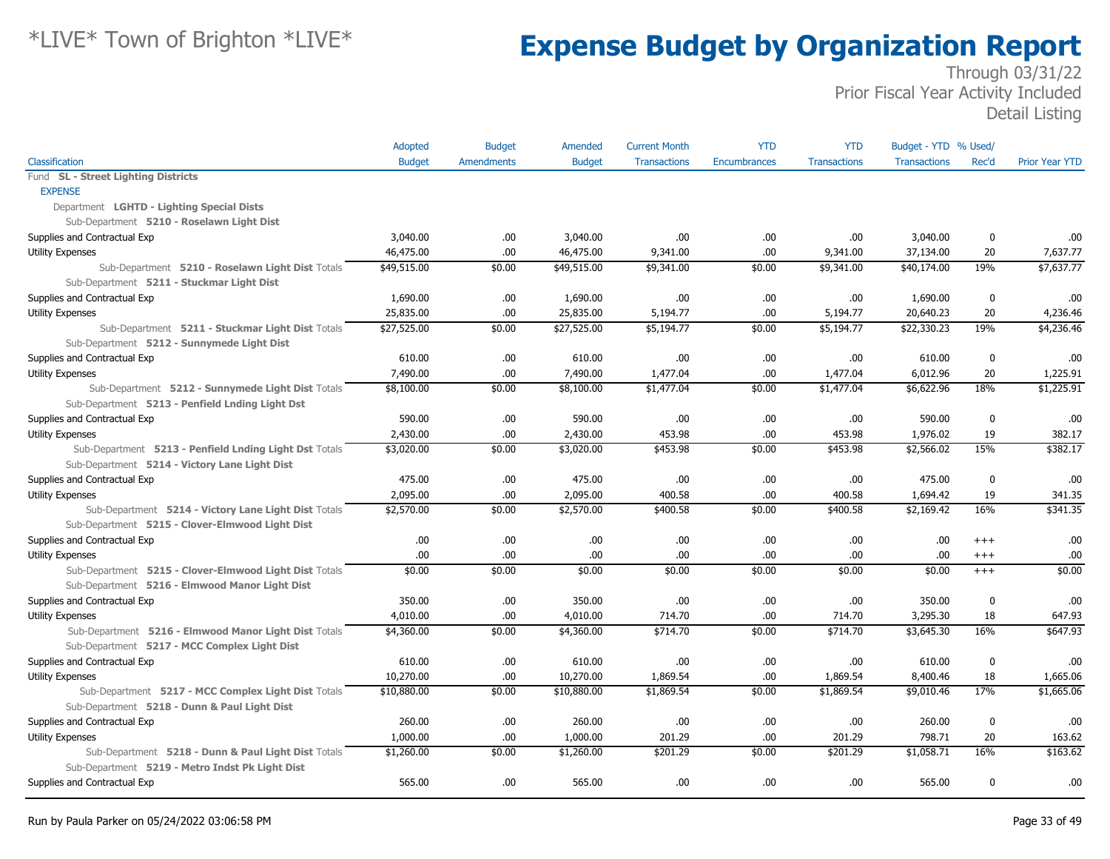|                                                        | Adopted       | <b>Budget</b>     | Amended       | <b>Current Month</b> | <b>YTD</b>   | <b>YTD</b>          | Budget - YTD % Used/ |          |                       |
|--------------------------------------------------------|---------------|-------------------|---------------|----------------------|--------------|---------------------|----------------------|----------|-----------------------|
| Classification                                         | <b>Budget</b> | <b>Amendments</b> | <b>Budget</b> | <b>Transactions</b>  | Encumbrances | <b>Transactions</b> | <b>Transactions</b>  | Rec'd    | <b>Prior Year YTD</b> |
| Fund SL - Street Lighting Districts                    |               |                   |               |                      |              |                     |                      |          |                       |
| <b>EXPENSE</b>                                         |               |                   |               |                      |              |                     |                      |          |                       |
| Department LGHTD - Lighting Special Dists              |               |                   |               |                      |              |                     |                      |          |                       |
| Sub-Department 5210 - Roselawn Light Dist              |               |                   |               |                      |              |                     |                      |          |                       |
| Supplies and Contractual Exp                           | 3,040.00      | .00               | 3,040.00      | .00                  | .00.         | .00                 | 3,040.00             | 0        | .00                   |
| <b>Utility Expenses</b>                                | 46,475.00     | .00               | 46,475.00     | 9,341.00             | .00.         | 9,341.00            | 37,134.00            | 20       | 7,637.77              |
| Sub-Department 5210 - Roselawn Light Dist Totals       | \$49,515.00   | \$0.00            | \$49,515.00   | \$9,341.00           | \$0.00       | \$9,341.00          | \$40,174.00          | 19%      | \$7,637.77            |
| Sub-Department 5211 - Stuckmar Light Dist              |               |                   |               |                      |              |                     |                      |          |                       |
| Supplies and Contractual Exp                           | 1,690.00      | .00               | 1,690.00      | .00                  | .00.         | .00                 | 1,690.00             | $\bf{0}$ | .00                   |
| Utility Expenses                                       | 25,835.00     | .00               | 25,835.00     | 5,194.77             | .00          | 5,194.77            | 20,640.23            | 20       | 4,236.46              |
| Sub-Department 5211 - Stuckmar Light Dist Totals       | \$27,525.00   | \$0.00            | \$27,525.00   | \$5,194.77           | \$0.00       | \$5,194.77          | \$22,330.23          | 19%      | \$4,236.46            |
| Sub-Department 5212 - Sunnymede Light Dist             |               |                   |               |                      |              |                     |                      |          |                       |
| Supplies and Contractual Exp                           | 610.00        | .00               | 610.00        | .00                  | .00.         | .00                 | 610.00               | 0        | .00                   |
| <b>Utility Expenses</b>                                | 7,490.00      | .00               | 7,490.00      | 1,477.04             | .00.         | 1,477.04            | 6,012.96             | 20       | 1,225.91              |
| Sub-Department 5212 - Sunnymede Light Dist Totals      | \$8,100.00    | \$0.00            | \$8,100.00    | \$1,477.04           | \$0.00       | \$1,477.04          | \$6,622.96           | 18%      | \$1,225.91            |
| Sub-Department 5213 - Penfield Lnding Light Dst        |               |                   |               |                      |              |                     |                      |          |                       |
| Supplies and Contractual Exp                           | 590.00        | .00               | 590.00        | .00                  | .00.         | .00                 | 590.00               | 0        | .00                   |
| <b>Utility Expenses</b>                                | 2,430.00      | .00               | 2,430.00      | 453.98               | .00.         | 453.98              | 1,976.02             | 19       | 382.17                |
| Sub-Department 5213 - Penfield Lnding Light Dst Totals | \$3,020.00    | \$0.00            | \$3,020.00    | \$453.98             | \$0.00       | \$453.98            | \$2,566.02           | 15%      | \$382.17              |
| Sub-Department 5214 - Victory Lane Light Dist          |               |                   |               |                      |              |                     |                      |          |                       |
| Supplies and Contractual Exp                           | 475.00        | .00               | 475.00        | .00                  | .00.         | .00                 | 475.00               | 0        | .00                   |
| Utility Expenses                                       | 2,095.00      | .00               | 2,095.00      | 400.58               | .00.         | 400.58              | 1,694.42             | 19       | 341.35                |
| Sub-Department 5214 - Victory Lane Light Dist Totals   | \$2,570.00    | \$0.00            | \$2,570.00    | \$400.58             | \$0.00       | \$400.58            | \$2,169.42           | 16%      | \$341.35              |
| Sub-Department 5215 - Clover-Elmwood Light Dist        |               |                   |               |                      |              |                     |                      |          |                       |
| Supplies and Contractual Exp                           | .00           | .00               | .00.          | .00                  | .00.         | .00                 | .00                  | $^{++}$  | .00                   |
| <b>Utility Expenses</b>                                | .00.          | .00               | .00.          | .00                  | .00.         | .00                 | .00.                 | $^{+++}$ | .00                   |
| Sub-Department 5215 - Clover-Elmwood Light Dist Totals | \$0.00        | \$0.00            | \$0.00        | \$0.00               | \$0.00       | \$0.00              | \$0.00               | $+++$    | \$0.00                |
| Sub-Department 5216 - Elmwood Manor Light Dist         |               |                   |               |                      |              |                     |                      |          |                       |
| Supplies and Contractual Exp                           | 350.00        | .00               | 350.00        | .00                  | .00.         | .00                 | 350.00               | $\bf{0}$ | .00                   |
| <b>Utility Expenses</b>                                | 4,010.00      | .00               | 4,010.00      | 714.70               | .00.         | 714.70              | 3,295.30             | 18       | 647.93                |
| Sub-Department 5216 - Elmwood Manor Light Dist Totals  | \$4,360.00    | \$0.00            | \$4,360.00    | \$714.70             | \$0.00       | \$714.70            | \$3,645.30           | 16%      | \$647.93              |
| Sub-Department 5217 - MCC Complex Light Dist           |               |                   |               |                      |              |                     |                      |          |                       |
| Supplies and Contractual Exp                           | 610.00        | .00               | 610.00        | .00                  | .00.         | .00                 | 610.00               | 0        | .00                   |
| Utility Expenses                                       | 10,270.00     | .00               | 10,270.00     | 1,869.54             | .00.         | 1,869.54            | 8,400.46             | 18       | 1,665.06              |
| Sub-Department 5217 - MCC Complex Light Dist Totals    | \$10,880.00   | \$0.00            | \$10,880.00   | \$1,869.54           | \$0.00       | \$1,869.54          | \$9,010.46           | 17%      | \$1,665.06            |
| Sub-Department 5218 - Dunn & Paul Light Dist           |               |                   |               |                      |              |                     |                      |          |                       |
| Supplies and Contractual Exp                           | 260.00        | .00               | 260.00        | .00                  | .00.         | .00                 | 260.00               | 0        | .00                   |
| <b>Utility Expenses</b>                                | 1,000.00      | .00               | 1,000.00      | 201.29               | .00.         | 201.29              | 798.71               | 20       | 163.62                |
| Sub-Department 5218 - Dunn & Paul Light Dist Totals    | \$1,260.00    | \$0.00            | \$1,260.00    | \$201.29             | \$0.00       | \$201.29            | \$1,058.71           | 16%      | \$163.62              |
| Sub-Department 5219 - Metro Indst Pk Light Dist        |               |                   |               |                      |              |                     |                      |          |                       |
| Supplies and Contractual Exp                           | 565.00        | .00               | 565.00        | .00                  | .00.         | .00                 | 565.00               | 0        | .00                   |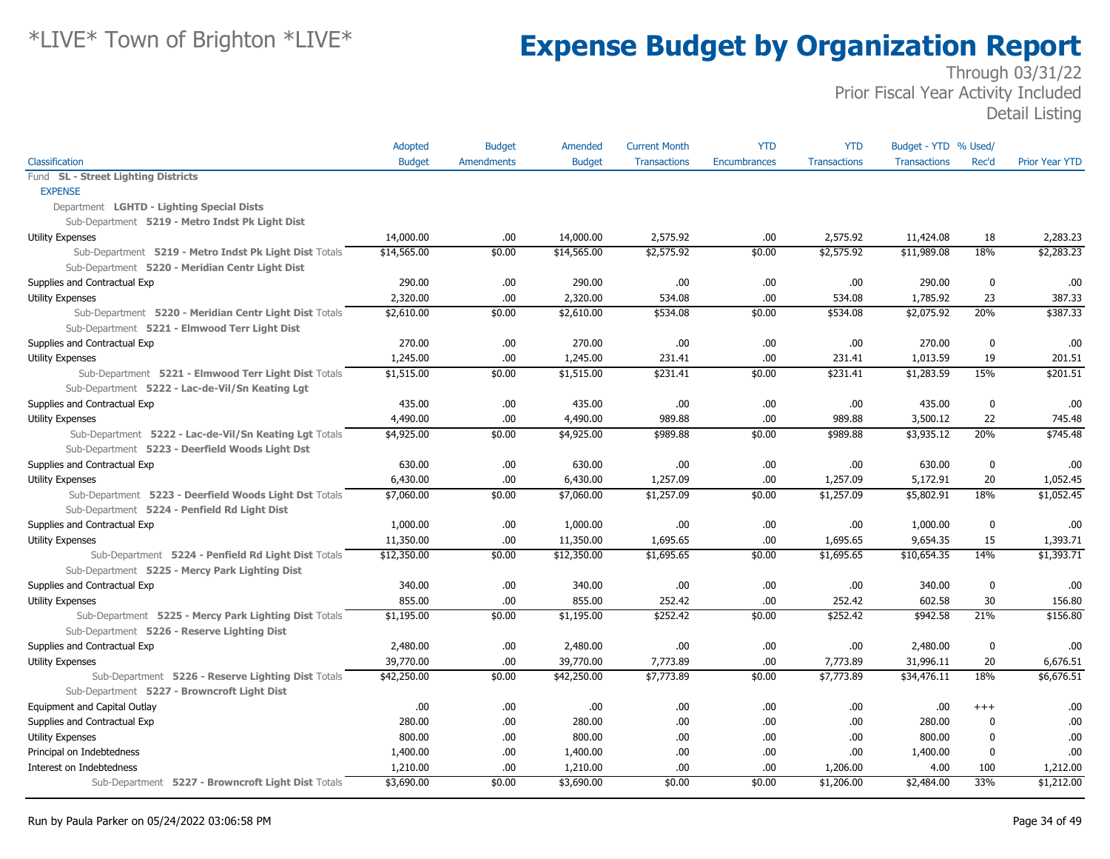|                                                        | Adopted       | <b>Budget</b>     | Amended       | <b>Current Month</b> | <b>YTD</b>   | <b>YTD</b>          | Budget - YTD % Used/ |             |                       |
|--------------------------------------------------------|---------------|-------------------|---------------|----------------------|--------------|---------------------|----------------------|-------------|-----------------------|
| Classification                                         | <b>Budget</b> | <b>Amendments</b> | <b>Budget</b> | <b>Transactions</b>  | Encumbrances | <b>Transactions</b> | <b>Transactions</b>  | Rec'd       | <b>Prior Year YTD</b> |
| Fund SL - Street Lighting Districts                    |               |                   |               |                      |              |                     |                      |             |                       |
| <b>EXPENSE</b>                                         |               |                   |               |                      |              |                     |                      |             |                       |
| Department LGHTD - Lighting Special Dists              |               |                   |               |                      |              |                     |                      |             |                       |
| Sub-Department 5219 - Metro Indst Pk Light Dist        |               |                   |               |                      |              |                     |                      |             |                       |
| <b>Utility Expenses</b>                                | 14,000.00     | .00               | 14,000.00     | 2,575.92             | .00          | 2,575.92            | 11,424.08            | 18          | 2,283.23              |
| Sub-Department 5219 - Metro Indst Pk Light Dist Totals | \$14,565.00   | \$0.00            | \$14,565.00   | \$2,575.92           | \$0.00       | \$2,575.92          | \$11,989.08          | 18%         | $\sqrt{2,283.23}$     |
| Sub-Department 5220 - Meridian Centr Light Dist        |               |                   |               |                      |              |                     |                      |             |                       |
| Supplies and Contractual Exp                           | 290.00        | .00.              | 290.00        | .00                  | .00.         | .00.                | 290.00               | 0           | .00                   |
| <b>Utility Expenses</b>                                | 2,320.00      | .00               | 2,320.00      | 534.08               | .00.         | 534.08              | 1,785.92             | 23          | 387.33                |
| Sub-Department 5220 - Meridian Centr Light Dist Totals | \$2,610.00    | \$0.00            | \$2,610.00    | \$534.08             | \$0.00       | \$534.08            | \$2,075.92           | 20%         | \$387.33              |
| Sub-Department 5221 - Elmwood Terr Light Dist          |               |                   |               |                      |              |                     |                      |             |                       |
| Supplies and Contractual Exp                           | 270.00        | .00.              | 270.00        | .00                  | .00.         | .00.                | 270.00               | 0           | .00                   |
| <b>Utility Expenses</b>                                | 1,245.00      | .00               | 1,245.00      | 231.41               | .00.         | 231.41              | 1,013.59             | 19          | 201.51                |
| Sub-Department 5221 - Elmwood Terr Light Dist Totals   | \$1,515.00    | \$0.00            | \$1,515.00    | \$231.41             | \$0.00       | \$231.41            | \$1,283.59           | 15%         | \$201.51              |
| Sub-Department 5222 - Lac-de-Vil/Sn Keating Lgt        |               |                   |               |                      |              |                     |                      |             |                       |
| Supplies and Contractual Exp                           | 435.00        | .00.              | 435.00        | .00                  | .00.         | .00                 | 435.00               | 0           | .00                   |
| <b>Utility Expenses</b>                                | 4,490.00      | .00               | 4,490.00      | 989.88               | .00.         | 989.88              | 3,500.12             | 22          | 745.48                |
| Sub-Department 5222 - Lac-de-Vil/Sn Keating Lgt Totals | \$4,925.00    | \$0.00            | \$4,925.00    | \$989.88             | \$0.00       | \$989.88            | \$3,935.12           | 20%         | \$745.48              |
| Sub-Department 5223 - Deerfield Woods Light Dst        |               |                   |               |                      |              |                     |                      |             |                       |
| Supplies and Contractual Exp                           | 630.00        | .00.              | 630.00        | .00                  | .00.         | .00.                | 630.00               | 0           | .00                   |
| <b>Utility Expenses</b>                                | 6,430.00      | .00               | 6,430.00      | 1,257.09             | .00.         | 1,257.09            | 5,172.91             | 20          | 1,052.45              |
| Sub-Department 5223 - Deerfield Woods Light Dst Totals | \$7,060.00    | \$0.00            | \$7,060.00    | \$1,257.09           | \$0.00       | \$1,257.09          | \$5,802.91           | 18%         | \$1,052.45            |
| Sub-Department 5224 - Penfield Rd Light Dist           |               |                   |               |                      |              |                     |                      |             |                       |
| Supplies and Contractual Exp                           | 1,000.00      | .00               | 1,000.00      | .00                  | .00.         | .00                 | 1,000.00             | 0           | .00                   |
| Utility Expenses                                       | 11,350.00     | .00               | 11,350.00     | 1,695.65             | .00.         | 1,695.65            | 9,654.35             | 15          | 1,393.71              |
| Sub-Department 5224 - Penfield Rd Light Dist Totals    | \$12,350.00   | \$0.00            | \$12,350.00   | \$1,695.65           | \$0.00       | \$1,695.65          | \$10,654.35          | 14%         | \$1,393.71            |
| Sub-Department 5225 - Mercy Park Lighting Dist         |               |                   |               |                      |              |                     |                      |             |                       |
| Supplies and Contractual Exp                           | 340.00        | .00.              | 340.00        | .00                  | .00.         | .00                 | 340.00               | $\mathbf 0$ | .00                   |
| Utility Expenses                                       | 855.00        | .00               | 855.00        | 252.42               | .00.         | 252.42              | 602.58               | 30          | 156.80                |
| Sub-Department 5225 - Mercy Park Lighting Dist Totals  | \$1,195.00    | \$0.00            | \$1,195.00    | \$252.42             | \$0.00       | \$252.42            | \$942.58             | 21%         | \$156.80              |
| Sub-Department 5226 - Reserve Lighting Dist            |               |                   |               |                      |              |                     |                      |             |                       |
| Supplies and Contractual Exp                           | 2,480.00      | .00               | 2,480.00      | .00                  | .00.         | .00                 | 2,480.00             | $\mathbf 0$ | .00                   |
| Utility Expenses                                       | 39,770.00     | .00               | 39,770.00     | 7,773.89             | .00.         | 7,773.89            | 31,996.11            | 20          | 6,676.51              |
| Sub-Department 5226 - Reserve Lighting Dist Totals     | \$42,250.00   | \$0.00            | \$42,250.00   | \$7,773.89           | \$0.00       | \$7,773.89          | \$34,476.11          | 18%         | \$6,676.51            |
| Sub-Department 5227 - Browncroft Light Dist            |               |                   |               |                      |              |                     |                      |             |                       |
| Equipment and Capital Outlay                           | .00           | .00.              | .00           | .00                  | .00.         | .00.                | .00                  | $++++$      | .00                   |
| Supplies and Contractual Exp                           | 280.00        | .00               | 280.00        | .00                  | .00.         | .00                 | 280.00               | 0           | .00                   |
| <b>Utility Expenses</b>                                | 800.00        | .00               | 800.00        | .00                  | .00.         | .00                 | 800.00               | $\mathbf 0$ | .00                   |
| Principal on Indebtedness                              | 1,400.00      | .00               | 1,400.00      | .00                  | .00.         | .00                 | 1,400.00             | 0           | .00                   |
| Interest on Indebtedness                               | 1,210.00      | .00               | 1,210.00      | .00                  | .00.         | 1,206.00            | 4.00                 | 100         | 1,212.00              |
| Sub-Department 5227 - Browncroft Light Dist Totals     | \$3,690.00    | \$0.00            | \$3,690.00    | \$0.00               | \$0.00       | \$1,206.00          | \$2,484.00           | 33%         | \$1,212.00            |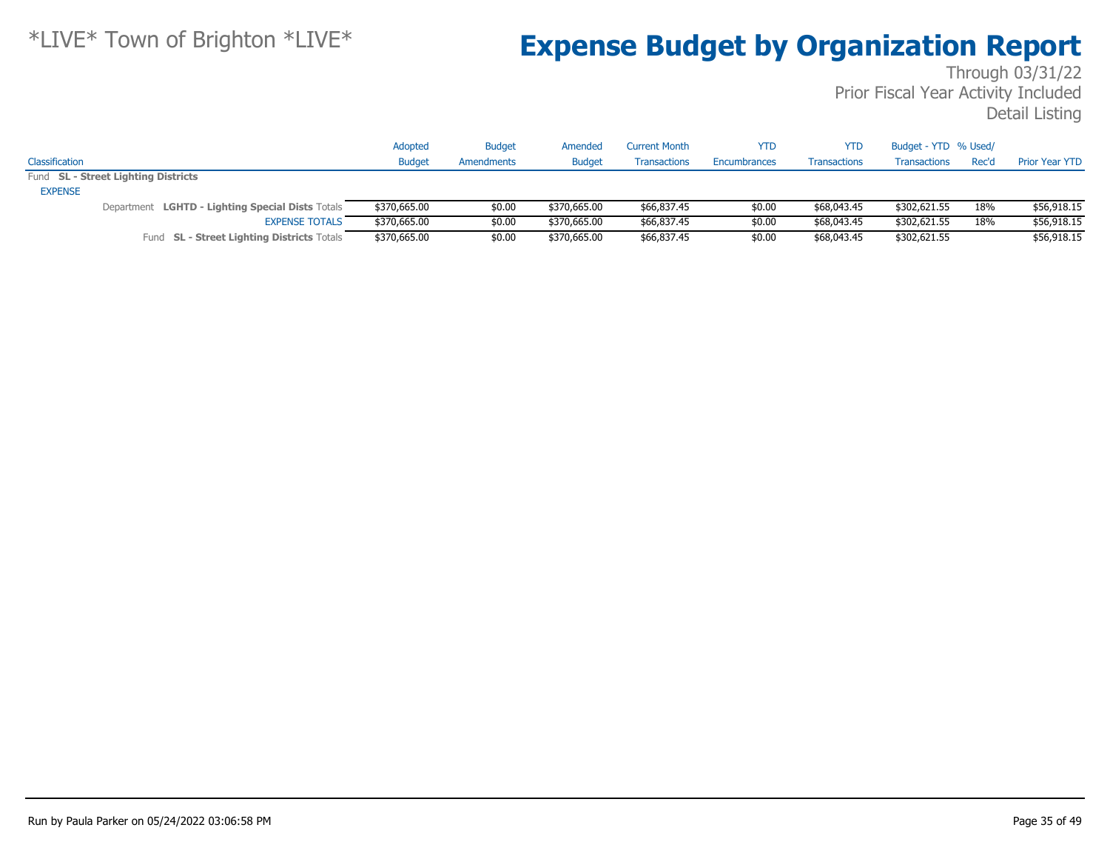|                |                                                  | Adopted       | <b>Budget</b> | Amended       | <b>Current Month</b> | YTD          | YTD                 | Budget - YTD % Used/ |       |                       |
|----------------|--------------------------------------------------|---------------|---------------|---------------|----------------------|--------------|---------------------|----------------------|-------|-----------------------|
| Classification |                                                  | <b>Budget</b> | Amendments    | <b>Budget</b> | <b>Transactions</b>  | Encumbrances | <b>Transactions</b> | <b>Transactions</b>  | Rec'd | <b>Prior Year YTD</b> |
|                | Fund SL - Street Lighting Districts              |               |               |               |                      |              |                     |                      |       |                       |
| <b>EXPENSE</b> |                                                  |               |               |               |                      |              |                     |                      |       |                       |
|                | Department LGHTD - Lighting Special Dists Totals | \$370,665.00  | \$0.00        | \$370,665.00  | \$66,837.45          | \$0.00       | \$68,043.45         | \$302,621.55         | 18%   | \$56,918.15           |
|                | <b>EXPENSE TOTALS</b>                            | \$370,665.00  | \$0.00        | \$370,665.00  | \$66,837.45          | \$0.00       | \$68,043.45         | \$302,621.55         | 18%   | \$56,918.15           |
|                | Fund SL - Street Lighting Districts Totals       | \$370,665.00  | \$0.00        | \$370,665.00  | \$66,837.45          | \$0.00       | \$68,043.45         | \$302,621.55         |       | \$56,918.15           |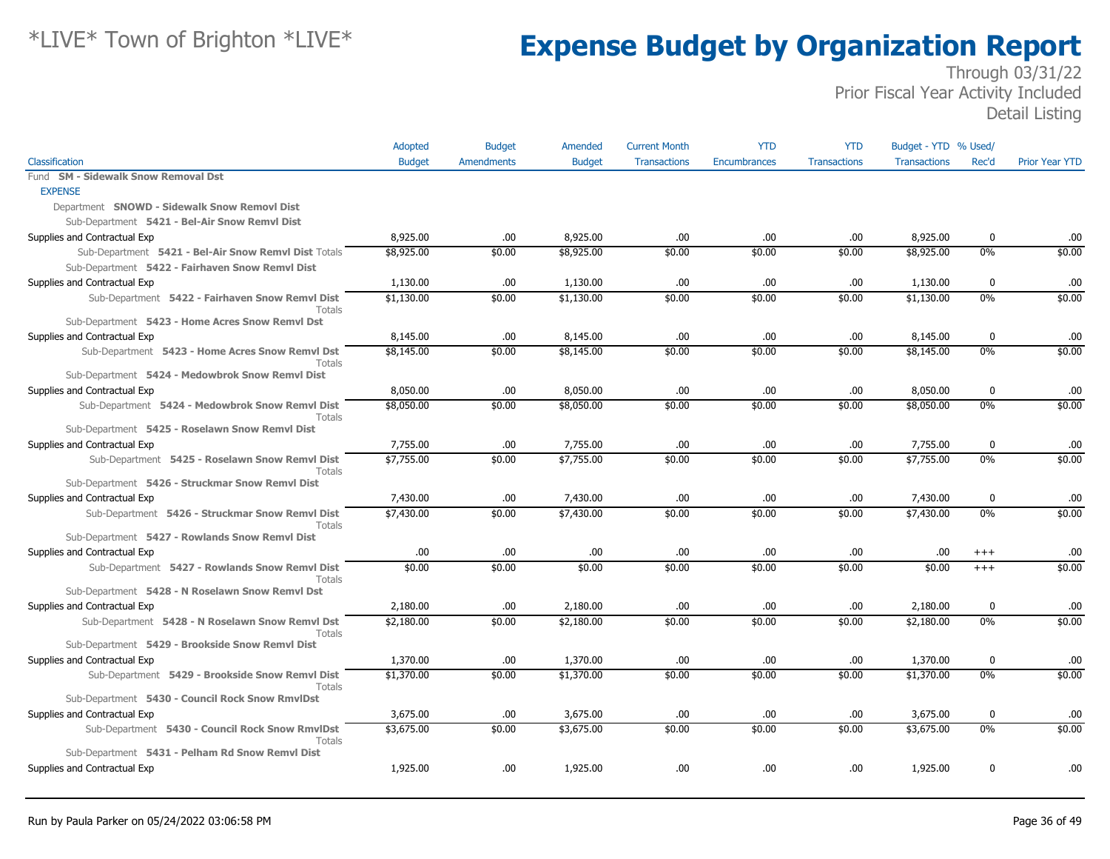|                                                           | Adopted       | <b>Budget</b>     | Amended       | <b>Current Month</b> | <b>YTD</b>          | <b>YTD</b>          | Budget - YTD % Used/ |             |                       |
|-----------------------------------------------------------|---------------|-------------------|---------------|----------------------|---------------------|---------------------|----------------------|-------------|-----------------------|
| Classification                                            | <b>Budget</b> | <b>Amendments</b> | <b>Budget</b> | <b>Transactions</b>  | <b>Encumbrances</b> | <b>Transactions</b> | <b>Transactions</b>  | Rec'd       | <b>Prior Year YTD</b> |
| Fund SM - Sidewalk Snow Removal Dst                       |               |                   |               |                      |                     |                     |                      |             |                       |
| <b>EXPENSE</b>                                            |               |                   |               |                      |                     |                     |                      |             |                       |
| Department SNOWD - Sidewalk Snow Removl Dist              |               |                   |               |                      |                     |                     |                      |             |                       |
| Sub-Department 5421 - Bel-Air Snow Remvl Dist             |               |                   |               |                      |                     |                     |                      |             |                       |
| Supplies and Contractual Exp                              | 8,925.00      | .00               | 8,925.00      | .00                  | .00                 | .00                 | 8,925.00             | 0           | .00                   |
| Sub-Department 5421 - Bel-Air Snow Remvl Dist Totals      | \$8,925.00    | \$0.00            | \$8,925.00    | \$0.00               | \$0.00              | \$0.00              | \$8,925.00           | $0\%$       | \$0.00                |
| Sub-Department 5422 - Fairhaven Snow Remvl Dist           |               |                   |               |                      |                     |                     |                      |             |                       |
| Supplies and Contractual Exp                              | 1,130.00      | .00.              | 1,130.00      | .00.                 | .00.                | .00.                | 1,130.00             | $\mathbf 0$ | .00                   |
| Sub-Department 5422 - Fairhaven Snow Remvl Dist<br>Totals | \$1,130.00    | \$0.00            | \$1,130.00    | \$0.00               | \$0.00              | \$0.00              | \$1,130.00           | $0\%$       | \$0.00                |
| Sub-Department 5423 - Home Acres Snow Remvl Dst           |               |                   |               |                      |                     |                     |                      |             |                       |
| Supplies and Contractual Exp                              | 8,145.00      | .00.              | 8,145.00      | .00.                 | .00.                | .00.                | 8,145.00             | $\mathbf 0$ | .00                   |
| Sub-Department 5423 - Home Acres Snow Remvl Dst<br>Totals | \$8,145.00    | \$0.00            | \$8,145.00    | \$0.00               | \$0.00              | \$0.00              | \$8,145.00           | $0\%$       | \$0.00                |
| Sub-Department 5424 - Medowbrok Snow Remvl Dist           |               |                   |               |                      |                     |                     |                      |             |                       |
| Supplies and Contractual Exp                              | 8,050.00      | .00.              | 8,050.00      | .00                  | .00                 | .00                 | 8,050.00             | $\mathbf 0$ | .00                   |
| Sub-Department 5424 - Medowbrok Snow Remvl Dist<br>Totals | \$8,050.00    | \$0.00            | \$8,050.00    | \$0.00               | \$0.00              | \$0.00              | \$8,050.00           | 0%          | \$0.00                |
| Sub-Department 5425 - Roselawn Snow Remvl Dist            |               |                   |               |                      |                     |                     |                      |             |                       |
| Supplies and Contractual Exp                              | 7,755.00      | .00               | 7,755.00      | .00                  | .00                 | .00.                | 7,755.00             | $\mathbf 0$ | .00                   |
| Sub-Department 5425 - Roselawn Snow Remvl Dist<br>Totals  | \$7,755.00    | \$0.00            | \$7,755.00    | \$0.00               | \$0.00              | \$0.00              | \$7,755.00           | $0\%$       | \$0.00                |
| Sub-Department 5426 - Struckmar Snow Remvl Dist           |               |                   |               |                      |                     |                     |                      |             |                       |
| Supplies and Contractual Exp                              | 7,430.00      | .00               | 7,430.00      | .00.                 | .00.                | .00.                | 7,430.00             | $\mathbf 0$ | .00                   |
| Sub-Department 5426 - Struckmar Snow Remvl Dist<br>Totals | \$7,430.00    | \$0.00            | \$7,430.00    | \$0.00               | \$0.00              | \$0.00              | \$7,430.00           | 0%          | \$0.00                |
| Sub-Department 5427 - Rowlands Snow Remvl Dist            |               |                   |               |                      |                     |                     |                      |             |                       |
| Supplies and Contractual Exp                              | .00.          | .00               | .00           | .00.                 | .00.                | .00.                | .00                  | $^{+++}$    | .00                   |
| Sub-Department 5427 - Rowlands Snow Remvl Dist<br>Totals  | \$0.00        | \$0.00            | \$0.00        | \$0.00               | \$0.00              | \$0.00              | \$0.00               | $+++$       | \$0.00                |
| Sub-Department 5428 - N Roselawn Snow Remvl Dst           |               |                   |               |                      |                     |                     |                      |             |                       |
| Supplies and Contractual Exp                              | 2,180.00      | .00               | 2,180.00      | .00.                 | .00.                | .00.                | 2,180.00             | $\mathbf 0$ | .00.                  |
| Sub-Department 5428 - N Roselawn Snow Remvl Dst<br>Totals | \$2,180.00    | \$0.00            | \$2,180.00    | \$0.00               | \$0.00              | \$0.00              | \$2,180.00           | $0\%$       | \$0.00                |
| Sub-Department 5429 - Brookside Snow Remvl Dist           |               |                   |               |                      |                     |                     |                      |             |                       |
| Supplies and Contractual Exp                              | 1,370.00      | .00.              | 1,370.00      | .00.                 | .00.                | .00                 | 1,370.00             | $\bf{0}$    | .00                   |
| Sub-Department 5429 - Brookside Snow Remvl Dist<br>Totals | \$1,370.00    | \$0.00            | \$1,370.00    | \$0.00               | \$0.00              | \$0.00              | \$1,370.00           | $0\%$       | \$0.00                |
| Sub-Department 5430 - Council Rock Snow RmvlDst           |               |                   |               |                      |                     |                     |                      |             |                       |
| Supplies and Contractual Exp                              | 3,675.00      | .00.              | 3,675.00      | .00.                 | .00.                | .00.                | 3,675.00             | $\mathbf 0$ | .00                   |
| Sub-Department 5430 - Council Rock Snow RmvlDst<br>Totals | \$3,675.00    | \$0.00            | \$3,675.00    | \$0.00               | \$0.00              | \$0.00              | \$3,675.00           | 0%          | \$0.00                |
| Sub-Department 5431 - Pelham Rd Snow Remvl Dist           |               |                   |               |                      |                     |                     |                      |             |                       |
| Supplies and Contractual Exp                              | 1,925.00      | .00.              | 1,925.00      | .00.                 | .00                 | .00                 | 1,925.00             | $\mathbf 0$ | .00                   |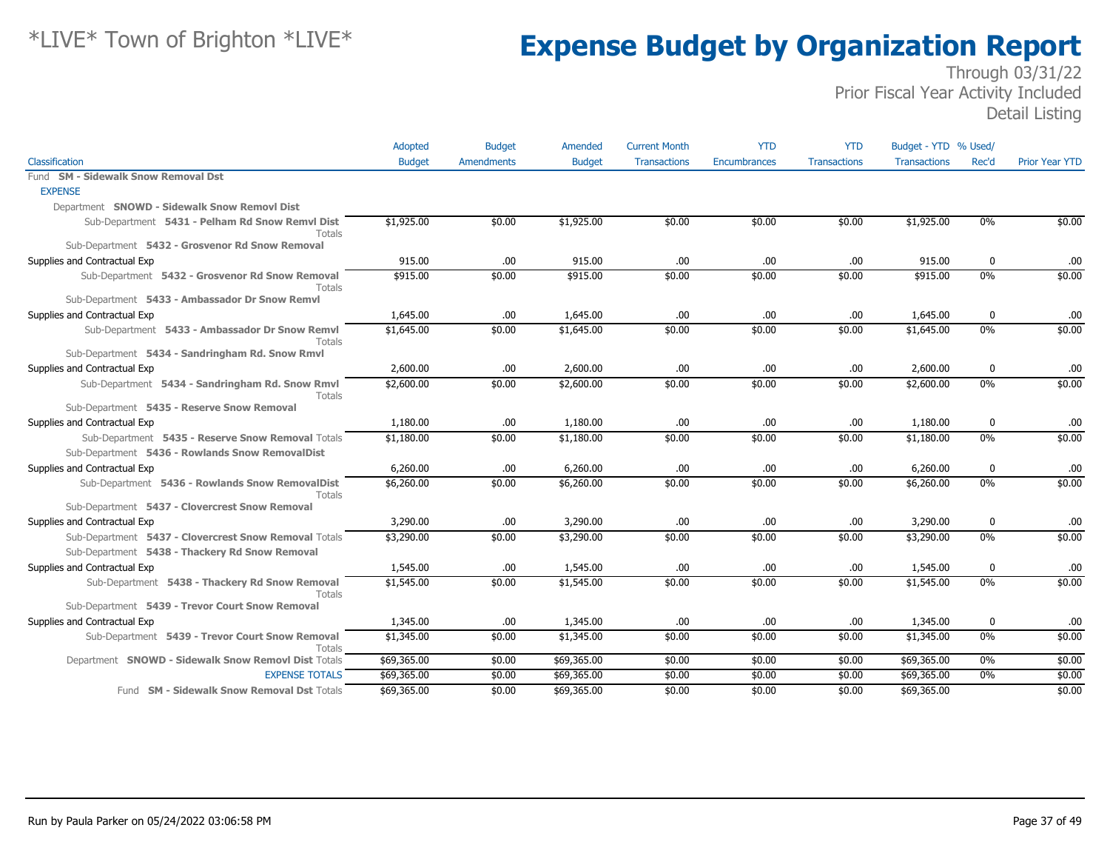|                                                                 | Adopted       | <b>Budget</b> | Amended       | <b>Current Month</b> | <b>YTD</b>          | <b>YTD</b>          | Budget - YTD % Used/ |          |                       |
|-----------------------------------------------------------------|---------------|---------------|---------------|----------------------|---------------------|---------------------|----------------------|----------|-----------------------|
| Classification                                                  | <b>Budget</b> | Amendments    | <b>Budget</b> | <b>Transactions</b>  | <b>Encumbrances</b> | <b>Transactions</b> | <b>Transactions</b>  | Rec'd    | <b>Prior Year YTD</b> |
| Fund SM - Sidewalk Snow Removal Dst                             |               |               |               |                      |                     |                     |                      |          |                       |
| <b>EXPENSE</b>                                                  |               |               |               |                      |                     |                     |                      |          |                       |
| Department SNOWD - Sidewalk Snow Removl Dist                    |               |               |               |                      |                     |                     |                      |          |                       |
| Sub-Department 5431 - Pelham Rd Snow Remvl Dist<br>Totals       | \$1,925.00    | \$0.00        | \$1,925.00    | \$0.00               | \$0.00              | \$0.00              | \$1,925.00           | 0%       | \$0.00                |
| Sub-Department 5432 - Grosvenor Rd Snow Removal                 |               |               |               |                      |                     |                     |                      |          |                       |
| Supplies and Contractual Exp                                    | 915.00        | .00           | 915.00        | .00                  | .00.                | .00                 | 915.00               | 0        | .00                   |
| Sub-Department 5432 - Grosvenor Rd Snow Removal<br>Totals       | \$915.00      | \$0.00        | \$915.00      | \$0.00               | \$0.00              | \$0.00              | \$915.00             | 0%       | \$0.00                |
| Sub-Department 5433 - Ambassador Dr Snow Remvl                  |               |               |               |                      |                     |                     |                      |          |                       |
| Supplies and Contractual Exp                                    | 1,645.00      | .00.          | 1,645.00      | .00                  | .00                 | .00                 | 1,645.00             | 0        | .00                   |
| Sub-Department 5433 - Ambassador Dr Snow Remvl<br>Totals        | \$1,645.00    | \$0.00        | \$1,645.00    | \$0.00               | \$0.00              | \$0.00              | \$1,645.00           | $0\%$    | \$0.00                |
| Sub-Department 5434 - Sandringham Rd. Snow Rmvl                 |               |               |               |                      |                     |                     |                      |          |                       |
| Supplies and Contractual Exp                                    | 2,600.00      | .00.          | 2,600.00      | .00.                 | .00                 | .00                 | 2,600.00             | $\bf{0}$ | .00                   |
| Sub-Department 5434 - Sandringham Rd. Snow Rmvl<br>Totals       | \$2,600.00    | \$0.00        | \$2,600.00    | \$0.00               | \$0.00              | \$0.00              | \$2,600.00           | 0%       | \$0.00                |
| Sub-Department 5435 - Reserve Snow Removal                      |               |               |               |                      |                     |                     |                      |          |                       |
| Supplies and Contractual Exp                                    | 1,180.00      | .00.          | 1,180.00      | .00                  | .00.                | .00                 | 1,180.00             | 0        | .00                   |
| Sub-Department 5435 - Reserve Snow Removal Totals               | \$1,180.00    | \$0.00        | \$1,180.00    | \$0.00               | \$0.00              | \$0.00              | \$1,180.00           | 0%       | \$0.00                |
| Sub-Department 5436 - Rowlands Snow RemovalDist                 |               |               |               |                      |                     |                     |                      |          |                       |
| Supplies and Contractual Exp                                    | 6,260.00      | .00.          | 6,260.00      | .00                  | .00                 | .00                 | 6,260.00             | 0        | .00                   |
| Sub-Department 5436 - Rowlands Snow RemovalDist<br>Totals       | \$6,260.00    | \$0.00        | \$6,260.00    | \$0.00               | \$0.00              | \$0.00              | \$6,260.00           | $0\%$    | \$0.00                |
| Sub-Department 5437 - Clovercrest Snow Removal                  |               |               |               |                      |                     |                     |                      |          |                       |
| Supplies and Contractual Exp                                    | 3,290.00      | .00           | 3,290.00      | .00                  | .00                 | .00                 | 3,290.00             | $\bf{0}$ | .00                   |
| Sub-Department 5437 - Clovercrest Snow Removal Totals           | \$3,290.00    | \$0.00        | \$3,290.00    | \$0.00               | \$0.00              | \$0.00              | \$3,290.00           | $0\%$    | \$0.00                |
| Sub-Department 5438 - Thackery Rd Snow Removal                  |               |               |               |                      |                     |                     |                      |          |                       |
| Supplies and Contractual Exp                                    | 1,545.00      | .00           | 1,545.00      | .00                  | .00                 | .00                 | 1,545.00             | 0        | .00                   |
| Sub-Department 5438 - Thackery Rd Snow Removal<br><b>Totals</b> | \$1,545.00    | \$0.00        | \$1,545.00    | \$0.00               | \$0.00              | \$0.00              | \$1,545.00           | $0\%$    | \$0.00                |
| Sub-Department 5439 - Trevor Court Snow Removal                 |               |               |               |                      |                     |                     |                      |          |                       |
| Supplies and Contractual Exp                                    | 1,345.00      | .00.          | 1,345.00      | .00                  | .00.                | .00                 | 1,345.00             | 0        | .00                   |
| Sub-Department 5439 - Trevor Court Snow Removal<br>Totals       | \$1,345.00    | \$0.00        | \$1,345.00    | \$0.00               | \$0.00              | \$0.00              | \$1,345.00           | $0\%$    | \$0.00                |
| Department SNOWD - Sidewalk Snow Removl Dist Totals             | \$69,365.00   | \$0.00        | \$69,365.00   | \$0.00               | \$0.00              | \$0.00              | \$69,365.00          | 0%       | \$0.00                |
| <b>EXPENSE TOTALS</b>                                           | \$69,365.00   | \$0.00        | \$69,365.00   | \$0.00               | \$0.00              | \$0.00              | \$69,365.00          | $0\%$    | \$0.00                |
| Fund SM - Sidewalk Snow Removal Dst Totals                      | \$69,365.00   | \$0.00        | \$69,365.00   | \$0.00               | \$0.00              | \$0.00              | \$69,365.00          |          | \$0.00                |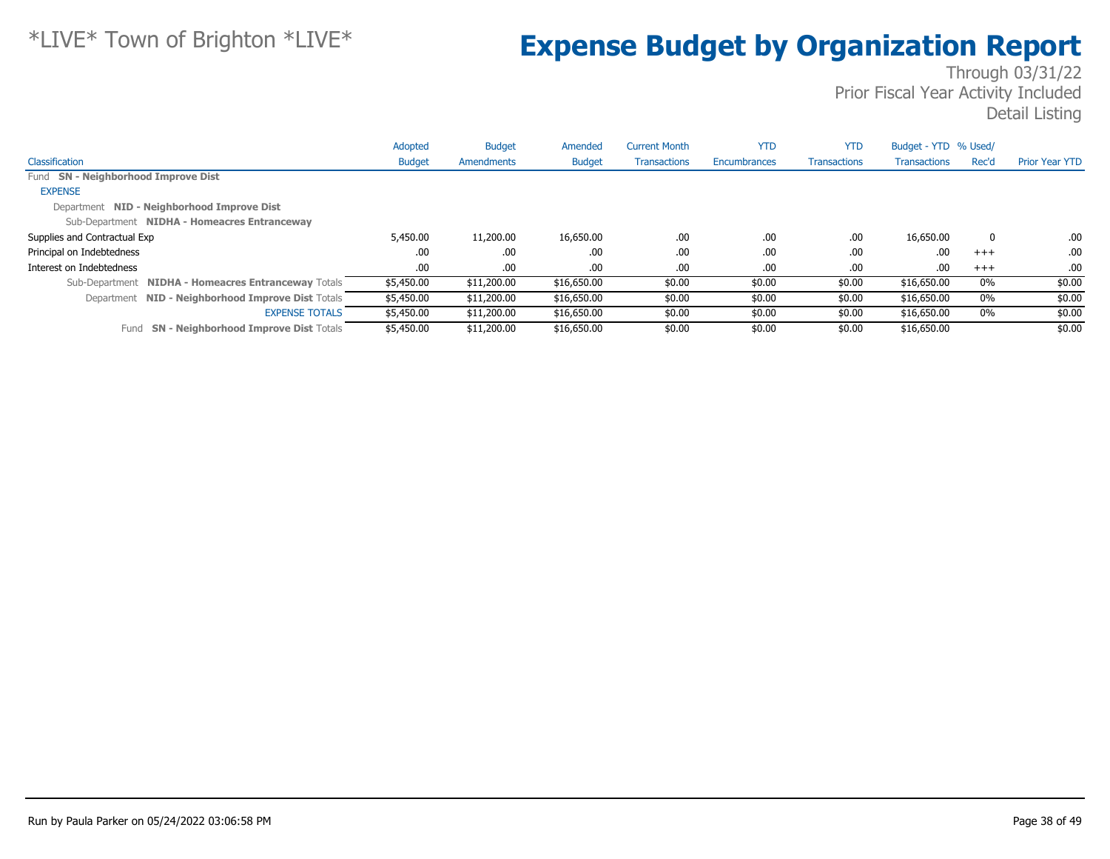|                                                      | Adopted       | <b>Budget</b> | Amended       | <b>Current Month</b> | <b>YTD</b>   | <b>YTD</b>          | Budget - YTD % Used/ |       |                       |
|------------------------------------------------------|---------------|---------------|---------------|----------------------|--------------|---------------------|----------------------|-------|-----------------------|
| Classification                                       | <b>Budget</b> | Amendments    | <b>Budget</b> | <b>Transactions</b>  | Encumbrances | <b>Transactions</b> | <b>Transactions</b>  | Rec'd | <b>Prior Year YTD</b> |
| Fund SN - Neighborhood Improve Dist                  |               |               |               |                      |              |                     |                      |       |                       |
| <b>EXPENSE</b>                                       |               |               |               |                      |              |                     |                      |       |                       |
| Department NID - Neighborhood Improve Dist           |               |               |               |                      |              |                     |                      |       |                       |
| Sub-Department NIDHA - Homeacres Entranceway         |               |               |               |                      |              |                     |                      |       |                       |
| Supplies and Contractual Exp                         | 5,450.00      | 11,200.00     | 16,650.00     | .00.                 | .00          | .00                 | 16,650.00            | 0     | .00                   |
| Principal on Indebtedness                            | .00.          | .00           | .00           | .00.                 | .00          | .00                 | .00.                 | $+++$ | .00                   |
| Interest on Indebtedness                             | .00.          | .00.          | .00.          | .00.                 | .00          | .00                 | .00.                 | $+++$ | .00                   |
| Sub-Department NIDHA - Homeacres Entranceway Totals  | \$5,450.00    | \$11,200.00   | \$16,650.00   | \$0.00               | \$0.00       | \$0.00              | \$16,650.00          | $0\%$ | \$0.00                |
| Department NID - Neighborhood Improve Dist Totals    | \$5,450.00    | \$11,200.00   | \$16,650.00   | \$0.00               | \$0.00       | \$0.00              | \$16,650.00          | 0%    | \$0.00                |
| <b>EXPENSE TOTALS</b>                                | \$5,450.00    | \$11,200.00   | \$16,650.00   | \$0.00               | \$0.00       | \$0.00              | \$16,650.00          | $0\%$ | \$0.00                |
| <b>SN - Neighborhood Improve Dist Totals</b><br>Fund | \$5,450.00    | \$11,200.00   | \$16,650.00   | \$0.00               | \$0.00       | \$0.00              | \$16,650.00          |       | \$0.00                |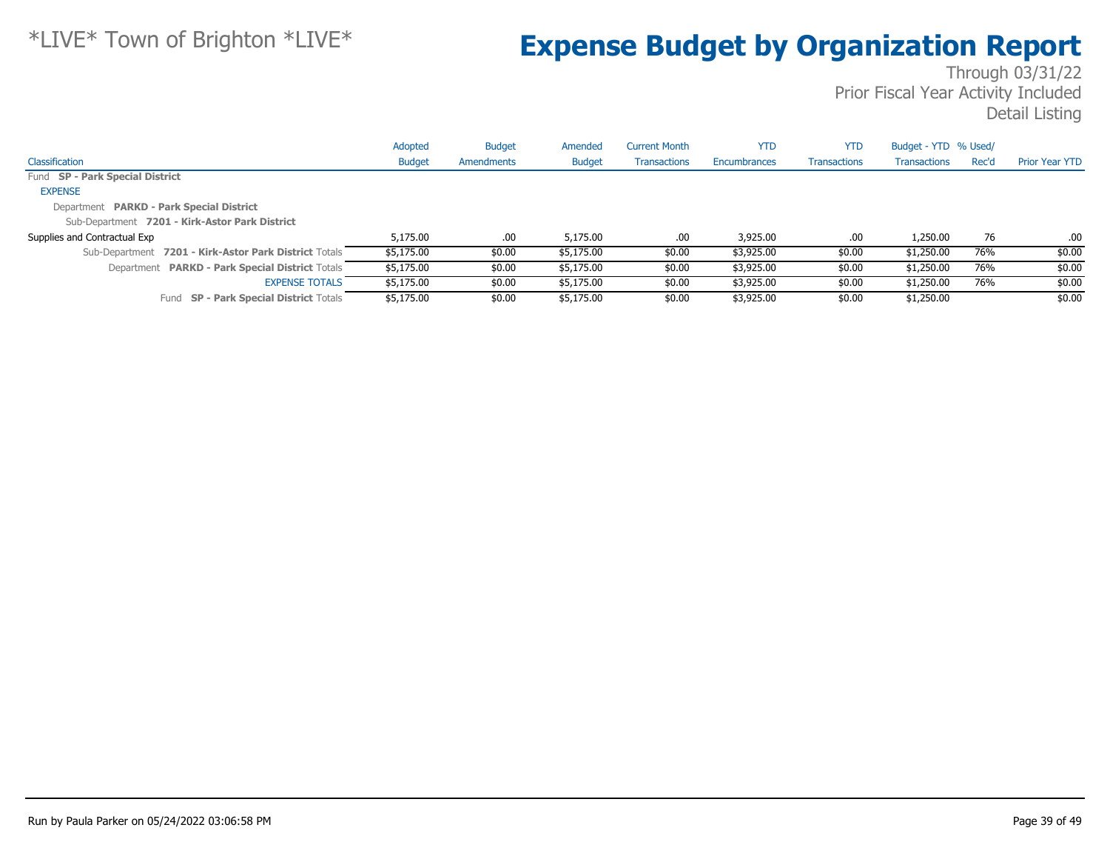|                                                       | Adopted       | <b>Budget</b> | Amended       | <b>Current Month</b> | <b>YTD</b>   | <b>YTD</b>          | Budget - YTD % Used/ |       |                       |
|-------------------------------------------------------|---------------|---------------|---------------|----------------------|--------------|---------------------|----------------------|-------|-----------------------|
| Classification                                        | <b>Budget</b> | Amendments    | <b>Budget</b> | <b>Transactions</b>  | Encumbrances | <b>Transactions</b> | <b>Transactions</b>  | Rec'd | <b>Prior Year YTD</b> |
| Fund SP - Park Special District                       |               |               |               |                      |              |                     |                      |       |                       |
| <b>EXPENSE</b>                                        |               |               |               |                      |              |                     |                      |       |                       |
| Department PARKD - Park Special District              |               |               |               |                      |              |                     |                      |       |                       |
| Sub-Department 7201 - Kirk-Astor Park District        |               |               |               |                      |              |                     |                      |       |                       |
| Supplies and Contractual Exp                          | 5,175,00      | .00.          | 5,175,00      | .00.                 | 3,925.00     | .00                 | 1,250.00             | 76    | .00                   |
| Sub-Department 7201 - Kirk-Astor Park District Totals | \$5,175.00    | \$0.00        | \$5,175.00    | \$0.00               | \$3,925.00   | \$0.00              | \$1,250.00           | 76%   | \$0.00                |
| Department PARKD - Park Special District Totals       | \$5,175.00    | \$0.00        | \$5,175.00    | \$0.00               | \$3,925.00   | \$0.00              | \$1,250.00           | 76%   | \$0.00                |
| <b>EXPENSE TOTALS</b>                                 | \$5,175.00    | \$0.00        | \$5,175.00    | \$0.00               | \$3,925.00   | \$0.00              | \$1,250.00           | 76%   | \$0.00                |
| <b>SP - Park Special District Totals</b><br>Fund      | \$5,175.00    | \$0.00        | \$5,175.00    | \$0.00               | \$3,925.00   | \$0.00              | \$1,250.00           |       | \$0.00                |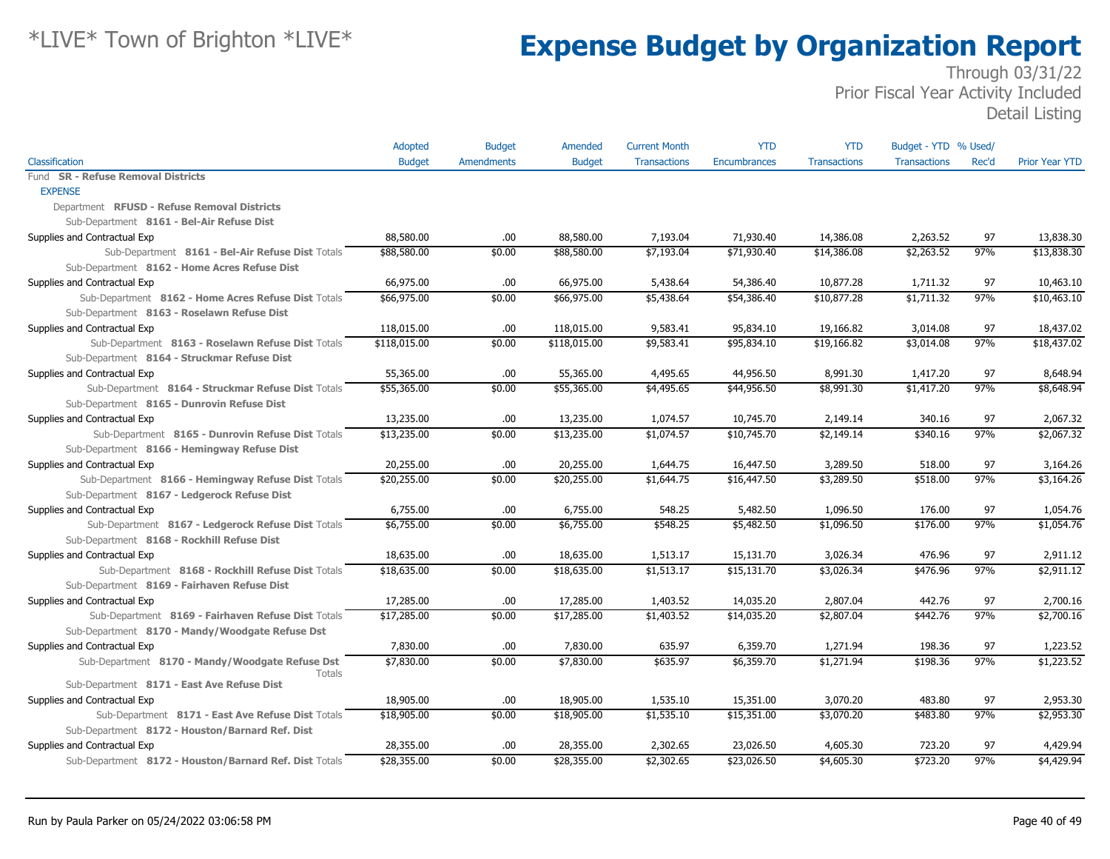|                                                        | Adopted       | <b>Budget</b>     | Amended       | <b>Current Month</b> | <b>YTD</b>          | <b>YTD</b>          | Budget - YTD % Used/ |       |                       |
|--------------------------------------------------------|---------------|-------------------|---------------|----------------------|---------------------|---------------------|----------------------|-------|-----------------------|
| Classification                                         | <b>Budget</b> | <b>Amendments</b> | <b>Budget</b> | <b>Transactions</b>  | <b>Encumbrances</b> | <b>Transactions</b> | <b>Transactions</b>  | Rec'd | <b>Prior Year YTD</b> |
| Fund SR - Refuse Removal Districts                     |               |                   |               |                      |                     |                     |                      |       |                       |
| <b>EXPENSE</b>                                         |               |                   |               |                      |                     |                     |                      |       |                       |
| Department RFUSD - Refuse Removal Districts            |               |                   |               |                      |                     |                     |                      |       |                       |
| Sub-Department 8161 - Bel-Air Refuse Dist              |               |                   |               |                      |                     |                     |                      |       |                       |
| Supplies and Contractual Exp                           | 88,580.00     | .00.              | 88,580.00     | 7,193.04             | 71,930.40           | 14,386.08           | 2,263.52             | 97    | 13,838.30             |
| Sub-Department 8161 - Bel-Air Refuse Dist Totals       | \$88,580.00   | \$0.00            | \$88,580.00   | \$7,193.04           | \$71,930,40         | \$14,386.08         | \$2,263,52           | 97%   | \$13,838.30           |
| Sub-Department 8162 - Home Acres Refuse Dist           |               |                   |               |                      |                     |                     |                      |       |                       |
| Supplies and Contractual Exp                           | 66,975.00     | .00               | 66,975.00     | 5,438.64             | 54,386.40           | 10,877.28           | 1,711.32             | 97    | 10,463.10             |
| Sub-Department 8162 - Home Acres Refuse Dist Totals    | \$66,975.00   | \$0.00            | \$66,975.00   | \$5,438.64           | \$54,386.40         | \$10,877.28         | \$1,711.32           | 97%   | \$10,463.10           |
| Sub-Department 8163 - Roselawn Refuse Dist             |               |                   |               |                      |                     |                     |                      |       |                       |
| Supplies and Contractual Exp                           | 118,015.00    | .00               | 118,015.00    | 9,583.41             | 95,834.10           | 19,166.82           | 3,014.08             | 97    | 18,437.02             |
| Sub-Department 8163 - Roselawn Refuse Dist Totals      | \$118,015.00  | \$0.00            | \$118,015.00  | \$9,583.41           | \$95,834.10         | \$19,166.82         | \$3,014.08           | 97%   | \$18,437.02           |
| Sub-Department 8164 - Struckmar Refuse Dist            |               |                   |               |                      |                     |                     |                      |       |                       |
| Supplies and Contractual Exp                           | 55,365.00     | .00               | 55,365.00     | 4,495.65             | 44,956.50           | 8,991.30            | 1,417.20             | 97    | 8,648.94              |
| Sub-Department 8164 - Struckmar Refuse Dist Totals     | \$55,365.00   | \$0.00            | \$55,365.00   | \$4,495.65           | \$44,956.50         | \$8,991.30          | \$1,417.20           | 97%   | \$8,648.94            |
| Sub-Department 8165 - Dunrovin Refuse Dist             |               |                   |               |                      |                     |                     |                      |       |                       |
| Supplies and Contractual Exp                           | 13,235.00     | .00               | 13,235.00     | 1,074.57             | 10,745.70           | 2,149.14            | 340.16               | 97    | 2,067.32              |
| Sub-Department 8165 - Dunrovin Refuse Dist Totals      | \$13,235.00   | \$0.00            | \$13,235.00   | \$1,074.57           | \$10,745.70         | \$2,149.14          | \$340.16             | 97%   | \$2,067.32            |
| Sub-Department 8166 - Hemingway Refuse Dist            |               |                   |               |                      |                     |                     |                      |       |                       |
| Supplies and Contractual Exp                           | 20,255.00     | .00               | 20,255.00     | 1,644.75             | 16,447.50           | 3,289.50            | 518.00               | 97    | 3,164.26              |
| Sub-Department 8166 - Hemingway Refuse Dist Totals     | \$20,255.00   | \$0.00            | \$20,255.00   | \$1,644.75           | \$16,447.50         | \$3,289.50          | \$518.00             | 97%   | \$3,164.26            |
| Sub-Department 8167 - Ledgerock Refuse Dist            |               |                   |               |                      |                     |                     |                      |       |                       |
| Supplies and Contractual Exp                           | 6,755.00      | .00.              | 6,755.00      | 548.25               | 5,482.50            | 1,096.50            | 176.00               | 97    | 1,054.76              |
| Sub-Department 8167 - Ledgerock Refuse Dist Totals     | \$6,755.00    | \$0.00            | \$6,755.00    | \$548.25             | \$5,482.50          | \$1,096.50          | \$176.00             | 97%   | \$1,054.76            |
| Sub-Department 8168 - Rockhill Refuse Dist             |               |                   |               |                      |                     |                     |                      |       |                       |
| Supplies and Contractual Exp                           | 18,635.00     | .00               | 18,635.00     | 1,513.17             | 15,131.70           | 3,026.34            | 476.96               | 97    | 2,911.12              |
| Sub-Department 8168 - Rockhill Refuse Dist Totals      | \$18,635.00   | \$0.00            | \$18,635.00   | \$1,513.17           | \$15,131.70         | \$3,026.34          | \$476.96             | 97%   | \$2,911.12            |
| Sub-Department 8169 - Fairhaven Refuse Dist            |               |                   |               |                      |                     |                     |                      |       |                       |
| Supplies and Contractual Exp                           | 17,285.00     | .00.              | 17,285.00     | 1,403.52             | 14,035.20           | 2,807.04            | 442.76               | 97    | 2,700.16              |
| Sub-Department 8169 - Fairhaven Refuse Dist Totals     | \$17,285.00   | \$0.00            | \$17,285.00   | \$1,403.52           | \$14,035.20         | \$2,807.04          | \$442.76             | 97%   | \$2,700.16            |
| Sub-Department 8170 - Mandy/Woodgate Refuse Dst        |               |                   |               |                      |                     |                     |                      |       |                       |
| Supplies and Contractual Exp                           | 7,830.00      | .00.              | 7,830.00      | 635.97               | 6,359.70            | 1,271.94            | 198.36               | 97    | 1,223.52              |
| Sub-Department 8170 - Mandy/Woodgate Refuse Dst        | \$7,830.00    | \$0.00            | \$7,830.00    | \$635.97             | \$6,359.70          | \$1,271.94          | \$198.36             | 97%   | \$1,223.52            |
| Totals                                                 |               |                   |               |                      |                     |                     |                      |       |                       |
| Sub-Department 8171 - East Ave Refuse Dist             |               |                   |               |                      |                     |                     |                      |       |                       |
| Supplies and Contractual Exp                           | 18,905.00     | .00               | 18,905.00     | 1,535.10             | 15,351.00           | 3,070.20            | 483.80               | 97    | 2,953.30              |
| Sub-Department 8171 - East Ave Refuse Dist Totals      | \$18,905.00   | \$0.00            | \$18,905.00   | \$1,535.10           | \$15,351.00         | \$3,070.20          | \$483.80             | 97%   | \$2,953.30            |
| Sub-Department 8172 - Houston/Barnard Ref. Dist        |               |                   |               |                      |                     |                     |                      |       |                       |
| Supplies and Contractual Exp                           | 28,355.00     | .00               | 28,355.00     | 2,302.65             | 23,026.50           | 4,605.30            | 723.20               | 97    | 4,429.94              |
| Sub-Department 8172 - Houston/Barnard Ref. Dist Totals | \$28,355.00   | \$0.00            | \$28,355.00   | \$2,302.65           | \$23,026.50         | \$4,605.30          | \$723.20             | 97%   | \$4,429.94            |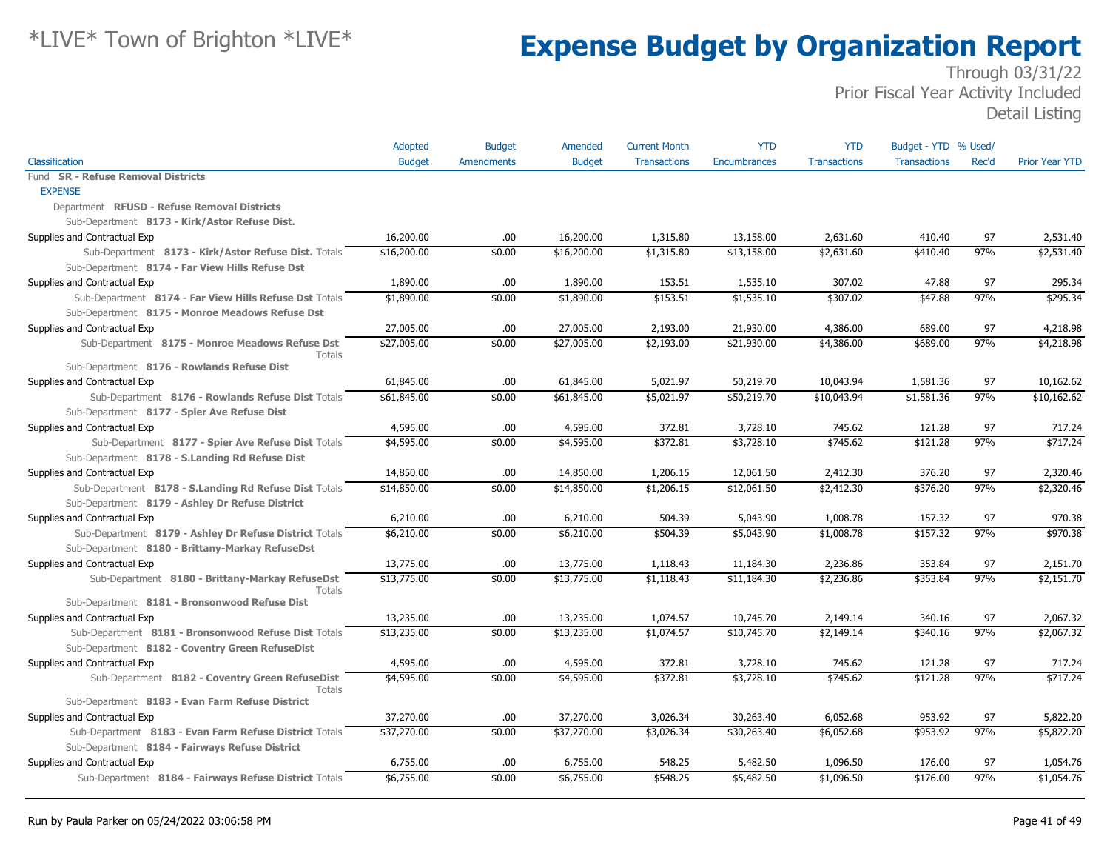|                                                           | Adopted       | <b>Budget</b>     | Amended       | <b>Current Month</b> | <b>YTD</b>   | <b>YTD</b>          | Budget - YTD % Used/ |       |                        |
|-----------------------------------------------------------|---------------|-------------------|---------------|----------------------|--------------|---------------------|----------------------|-------|------------------------|
| Classification                                            | <b>Budget</b> | <b>Amendments</b> | <b>Budget</b> | <b>Transactions</b>  | Encumbrances | <b>Transactions</b> | <b>Transactions</b>  | Rec'd | <b>Prior Year YTD</b>  |
| Fund SR - Refuse Removal Districts                        |               |                   |               |                      |              |                     |                      |       |                        |
| <b>EXPENSE</b>                                            |               |                   |               |                      |              |                     |                      |       |                        |
| Department RFUSD - Refuse Removal Districts               |               |                   |               |                      |              |                     |                      |       |                        |
| Sub-Department 8173 - Kirk/Astor Refuse Dist.             |               |                   |               |                      |              |                     |                      |       |                        |
| Supplies and Contractual Exp                              | 16,200.00     | .00.              | 16,200.00     | 1,315.80             | 13,158.00    | 2,631.60            | 410.40               | 97    | 2,531.40               |
| Sub-Department 8173 - Kirk/Astor Refuse Dist. Totals      | \$16,200.00   | \$0.00            | \$16,200.00   | \$1,315.80           | \$13,158.00  | \$2,631.60          | \$410.40             | 97%   | \$2,531.40             |
| Sub-Department 8174 - Far View Hills Refuse Dst           |               |                   |               |                      |              |                     |                      |       |                        |
| Supplies and Contractual Exp                              | 1,890.00      | .00.              | 1,890.00      | 153.51               | 1,535.10     | 307.02              | 47.88                | 97    | 295.34                 |
| Sub-Department 8174 - Far View Hills Refuse Dst Totals    | \$1,890.00    | \$0.00            | \$1,890.00    | \$153.51             | \$1,535.10   | \$307.02            | \$47.88              | 97%   | \$295.34               |
| Sub-Department 8175 - Monroe Meadows Refuse Dst           |               |                   |               |                      |              |                     |                      |       |                        |
| Supplies and Contractual Exp                              | 27,005.00     | .00.              | 27,005.00     | 2,193.00             | 21,930.00    | 4,386.00            | 689.00               | 97    | 4,218.98               |
| Sub-Department 8175 - Monroe Meadows Refuse Dst<br>Totals | \$27,005.00   | \$0.00            | \$27,005.00   | \$2,193.00           | \$21,930.00  | \$4,386.00          | \$689.00             | 97%   | \$4,218.98             |
| Sub-Department 8176 - Rowlands Refuse Dist                |               |                   |               |                      |              |                     |                      |       |                        |
| Supplies and Contractual Exp                              | 61,845.00     | .00.              | 61,845.00     | 5,021.97             | 50,219.70    | 10,043.94           | 1,581.36             | 97    | 10,162.62              |
| Sub-Department 8176 - Rowlands Refuse Dist Totals         | \$61,845.00   | \$0.00            | \$61,845.00   | \$5,021.97           | \$50,219.70  | \$10,043.94         | \$1,581.36           | 97%   | \$10,162.62            |
| Sub-Department 8177 - Spier Ave Refuse Dist               |               |                   |               |                      |              |                     |                      |       |                        |
| Supplies and Contractual Exp                              | 4,595.00      | .00.              | 4,595.00      | 372.81               | 3,728.10     | 745.62              | 121.28               | 97    | 717.24                 |
| Sub-Department 8177 - Spier Ave Refuse Dist Totals        | \$4,595.00    | \$0.00            | \$4,595.00    | \$372.81             | \$3,728.10   | \$745.62            | \$121.28             | 97%   | \$717.24               |
| Sub-Department 8178 - S.Landing Rd Refuse Dist            |               |                   |               |                      |              |                     |                      |       |                        |
| Supplies and Contractual Exp                              | 14,850.00     | .00.              | 14,850.00     | 1,206.15             | 12,061.50    | 2,412.30            | 376.20               | 97    | 2,320.46               |
| Sub-Department 8178 - S.Landing Rd Refuse Dist Totals     | \$14,850.00   | \$0.00            | \$14,850.00   | \$1,206.15           | \$12,061.50  | \$2,412.30          | \$376.20             | 97%   | \$2,320.46             |
| Sub-Department 8179 - Ashley Dr Refuse District           |               |                   |               |                      |              |                     |                      |       |                        |
| Supplies and Contractual Exp                              | 6,210.00      | .00.              | 6,210.00      | 504.39               | 5,043.90     | 1,008.78            | 157.32               | 97    | 970.38                 |
| Sub-Department 8179 - Ashley Dr Refuse District Totals    | \$6,210.00    | \$0.00            | \$6,210.00    | \$504.39             | \$5,043.90   | \$1,008.78          | \$157.32             | 97%   | \$970.38               |
| Sub-Department 8180 - Brittany-Markay RefuseDst           |               |                   |               |                      |              |                     |                      |       |                        |
| Supplies and Contractual Exp                              | 13,775.00     | .00.              | 13,775.00     | 1,118.43             | 11,184.30    | 2,236.86            | 353.84               | 97    | 2,151.70               |
| Sub-Department 8180 - Brittany-Markay RefuseDst           | \$13,775.00   | \$0.00            | \$13,775.00   | \$1,118.43           | \$11,184.30  | \$2,236.86          | \$353.84             | 97%   | $\sqrt{2,151.70}$      |
| Totals                                                    |               |                   |               |                      |              |                     |                      |       |                        |
| Sub-Department 8181 - Bronsonwood Refuse Dist             |               |                   |               |                      |              |                     |                      |       |                        |
| Supplies and Contractual Exp                              | 13,235.00     | .00.              | 13,235.00     | 1,074.57             | 10,745.70    | 2,149.14            | 340.16               | 97    | 2,067.32               |
| Sub-Department 8181 - Bronsonwood Refuse Dist Totals      | \$13,235.00   | \$0.00            | \$13,235.00   | \$1,074.57           | \$10,745.70  | \$2,149.14          | \$340.16             | 97%   | \$2,067.32             |
| Sub-Department 8182 - Coventry Green RefuseDist           |               |                   |               |                      |              |                     |                      |       |                        |
| Supplies and Contractual Exp                              | 4,595.00      | .00.              | 4,595.00      | 372.81               | 3,728.10     | 745.62              | 121.28               | 97    | 717.24                 |
| Sub-Department 8182 - Coventry Green RefuseDist<br>Totals | \$4,595.00    | \$0.00            | \$4,595.00    | \$372.81             | \$3,728.10   | \$745.62            | \$121.28             | 97%   | \$717.24               |
| Sub-Department 8183 - Evan Farm Refuse District           |               |                   |               |                      |              |                     |                      |       |                        |
| Supplies and Contractual Exp                              | 37,270.00     | .00.              | 37,270.00     | 3,026.34             | 30,263.40    | 6,052.68            | 953.92               | 97    | 5,822.20               |
| Sub-Department 8183 - Evan Farm Refuse District Totals    | \$37,270.00   | \$0.00            | \$37,270.00   | \$3,026.34           | \$30,263.40  | \$6,052.68          | \$953.92             | 97%   | \$5,822.20             |
| Sub-Department 8184 - Fairways Refuse District            |               |                   |               |                      |              |                     |                      |       |                        |
| Supplies and Contractual Exp                              | 6,755.00      | .00.              | 6,755.00      | 548.25               | 5,482.50     | 1,096.50            | 176.00               | 97    | 1,054.76               |
| Sub-Department 8184 - Fairways Refuse District Totals     | \$6,755.00    | \$0.00            | \$6,755.00    | \$548.25             | \$5,482.50   | \$1,096.50          | \$176.00             | 97%   | $$1,054.\overline{76}$ |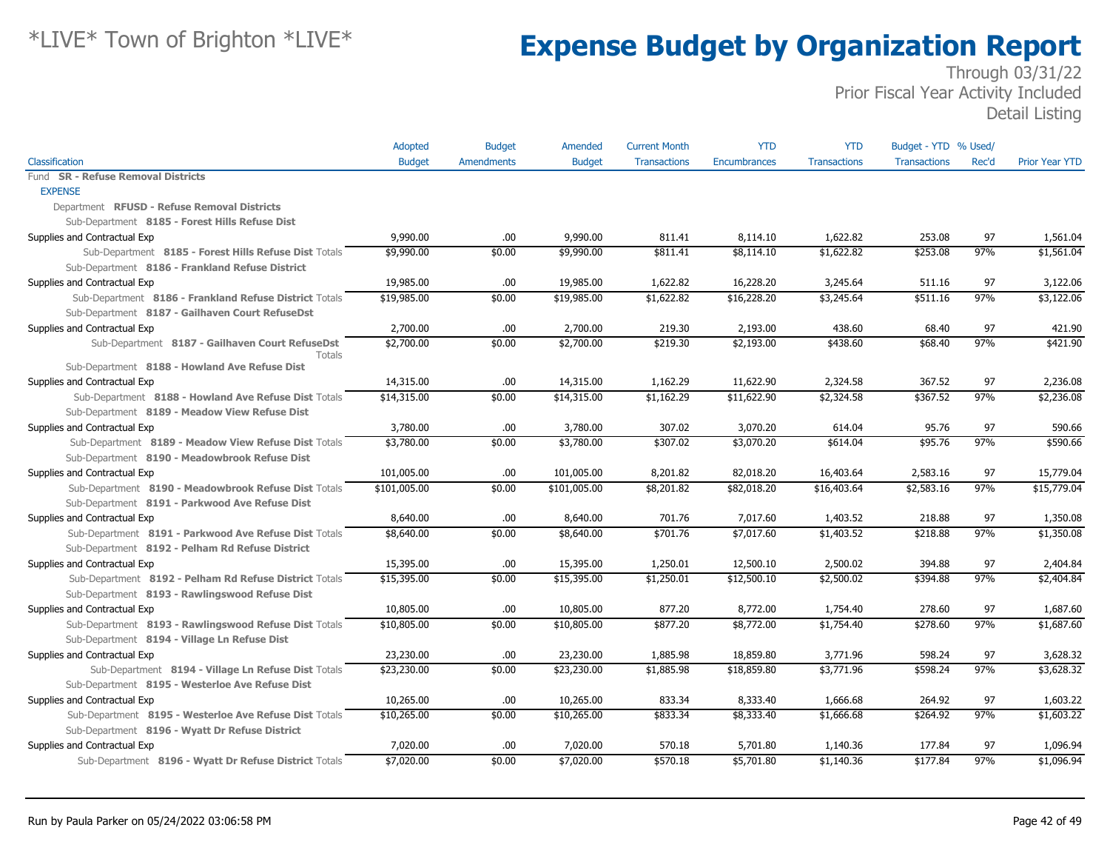|                                                           | Adopted       | <b>Budget</b>     | Amended       | <b>Current Month</b> | <b>YTD</b>   | <b>YTD</b>          | Budget - YTD % Used/ |       |                       |
|-----------------------------------------------------------|---------------|-------------------|---------------|----------------------|--------------|---------------------|----------------------|-------|-----------------------|
| Classification                                            | <b>Budget</b> | <b>Amendments</b> | <b>Budget</b> | <b>Transactions</b>  | Encumbrances | <b>Transactions</b> | <b>Transactions</b>  | Rec'd | <b>Prior Year YTD</b> |
| Fund SR - Refuse Removal Districts                        |               |                   |               |                      |              |                     |                      |       |                       |
| <b>EXPENSE</b>                                            |               |                   |               |                      |              |                     |                      |       |                       |
| Department RFUSD - Refuse Removal Districts               |               |                   |               |                      |              |                     |                      |       |                       |
| Sub-Department 8185 - Forest Hills Refuse Dist            |               |                   |               |                      |              |                     |                      |       |                       |
| Supplies and Contractual Exp                              | 9,990.00      | .00.              | 9,990.00      | 811.41               | 8,114.10     | 1,622.82            | 253.08               | 97    | 1,561.04              |
| Sub-Department 8185 - Forest Hills Refuse Dist Totals     | \$9,990.00    | \$0.00            | \$9,990.00    | \$811.41             | \$8,114.10   | \$1,622.82          | \$253.08             | 97%   | \$1,561.04            |
| Sub-Department 8186 - Frankland Refuse District           |               |                   |               |                      |              |                     |                      |       |                       |
| Supplies and Contractual Exp                              | 19,985.00     | .00.              | 19,985.00     | 1,622.82             | 16,228.20    | 3,245.64            | 511.16               | 97    | 3,122.06              |
| Sub-Department 8186 - Frankland Refuse District Totals    | \$19,985.00   | \$0.00            | \$19,985.00   | \$1,622.82           | \$16,228.20  | \$3,245.64          | \$511.16             | 97%   | \$3,122.06            |
| Sub-Department 8187 - Gailhaven Court RefuseDst           |               |                   |               |                      |              |                     |                      |       |                       |
| Supplies and Contractual Exp                              | 2,700.00      | .00.              | 2,700.00      | 219.30               | 2,193,00     | 438.60              | 68.40                | 97    | 421.90                |
| Sub-Department 8187 - Gailhaven Court RefuseDst<br>Totals | \$2,700.00    | \$0.00            | \$2,700.00    | \$219.30             | \$2,193.00   | \$438.60            | \$68.40              | 97%   | \$421.90              |
| Sub-Department 8188 - Howland Ave Refuse Dist             |               |                   |               |                      |              |                     |                      |       |                       |
| Supplies and Contractual Exp                              | 14,315.00     | .00.              | 14,315.00     | 1,162.29             | 11,622.90    | 2,324.58            | 367.52               | 97    | 2,236.08              |
| Sub-Department 8188 - Howland Ave Refuse Dist Totals      | \$14,315.00   | \$0.00            | \$14,315.00   | \$1,162.29           | \$11,622.90  | \$2,324.58          | \$367.52             | 97%   | \$2,236.08            |
| Sub-Department 8189 - Meadow View Refuse Dist             |               |                   |               |                      |              |                     |                      |       |                       |
| Supplies and Contractual Exp                              | 3,780.00      | .00.              | 3,780.00      | 307.02               | 3,070.20     | 614.04              | 95.76                | 97    | 590.66                |
| Sub-Department 8189 - Meadow View Refuse Dist Totals      | \$3,780.00    | \$0.00            | \$3,780.00    | \$307.02             | \$3,070.20   | \$614.04            | \$95.76              | 97%   | \$590.66              |
| Sub-Department 8190 - Meadowbrook Refuse Dist             |               |                   |               |                      |              |                     |                      |       |                       |
| Supplies and Contractual Exp                              | 101,005.00    | .00.              | 101,005.00    | 8,201.82             | 82,018.20    | 16,403.64           | 2,583.16             | 97    | 15,779.04             |
| Sub-Department 8190 - Meadowbrook Refuse Dist Totals      | \$101,005.00  | \$0.00            | \$101,005.00  | \$8,201.82           | \$82,018.20  | \$16,403.64         | \$2,583.16           | 97%   | \$15,779.04           |
| Sub-Department 8191 - Parkwood Ave Refuse Dist            |               |                   |               |                      |              |                     |                      |       |                       |
| Supplies and Contractual Exp                              | 8,640.00      | .00.              | 8,640.00      | 701.76               | 7.017.60     | 1,403.52            | 218.88               | 97    | 1,350.08              |
| Sub-Department 8191 - Parkwood Ave Refuse Dist Totals     | \$8,640.00    | \$0.00            | \$8,640.00    | \$701.76             | \$7,017.60   | \$1,403.52          | \$218.88             | 97%   | \$1,350.08            |
| Sub-Department 8192 - Pelham Rd Refuse District           |               |                   |               |                      |              |                     |                      |       |                       |
| Supplies and Contractual Exp                              | 15,395.00     | .00.              | 15,395.00     | 1,250.01             | 12,500.10    | 2,500.02            | 394.88               | 97    | 2,404.84              |
| Sub-Department 8192 - Pelham Rd Refuse District Totals    | \$15,395.00   | \$0.00            | \$15,395.00   | \$1,250.01           | \$12,500.10  | \$2,500.02          | \$394.88             | 97%   | \$2,404.84            |
| Sub-Department 8193 - Rawlingswood Refuse Dist            |               |                   |               |                      |              |                     |                      |       |                       |
| Supplies and Contractual Exp                              | 10,805.00     | .00.              | 10,805.00     | 877.20               | 8,772.00     | 1,754.40            | 278.60               | 97    | 1,687.60              |
| Sub-Department 8193 - Rawlingswood Refuse Dist Totals     | \$10,805.00   | \$0.00            | \$10,805.00   | \$877.20             | \$8,772.00   | \$1,754.40          | \$278.60             | 97%   | \$1,687.60            |
| Sub-Department 8194 - Village Ln Refuse Dist              |               |                   |               |                      |              |                     |                      |       |                       |
| Supplies and Contractual Exp                              | 23,230.00     | .00.              | 23,230.00     | 1,885.98             | 18,859.80    | 3,771.96            | 598.24               | 97    | 3,628.32              |
| Sub-Department 8194 - Village Ln Refuse Dist Totals       | \$23,230.00   | \$0.00            | \$23,230.00   | \$1,885.98           | \$18,859.80  | \$3,771.96          | \$598.24             | 97%   | \$3,628.32            |
| Sub-Department 8195 - Westerloe Ave Refuse Dist           |               |                   |               |                      |              |                     |                      |       |                       |
| Supplies and Contractual Exp                              | 10,265.00     | .00.              | 10,265.00     | 833.34               | 8,333.40     | 1,666.68            | 264.92               | 97    | 1,603.22              |
| Sub-Department 8195 - Westerloe Ave Refuse Dist Totals    | \$10,265.00   | \$0.00            | \$10,265.00   | \$833.34             | \$8,333.40   | \$1,666.68          | \$264.92             | 97%   | \$1,603.22            |
| Sub-Department 8196 - Wyatt Dr Refuse District            |               |                   |               |                      |              |                     |                      |       |                       |
| Supplies and Contractual Exp                              | 7,020.00      | .00.              | 7,020.00      | 570.18               | 5,701.80     | 1,140.36            | 177.84               | 97    | 1,096.94              |
| Sub-Department 8196 - Wyatt Dr Refuse District Totals     | \$7,020.00    | \$0.00            | \$7,020.00    | \$570.18             | \$5,701.80   | \$1,140.36          | \$177.84             | 97%   | \$1,096.94            |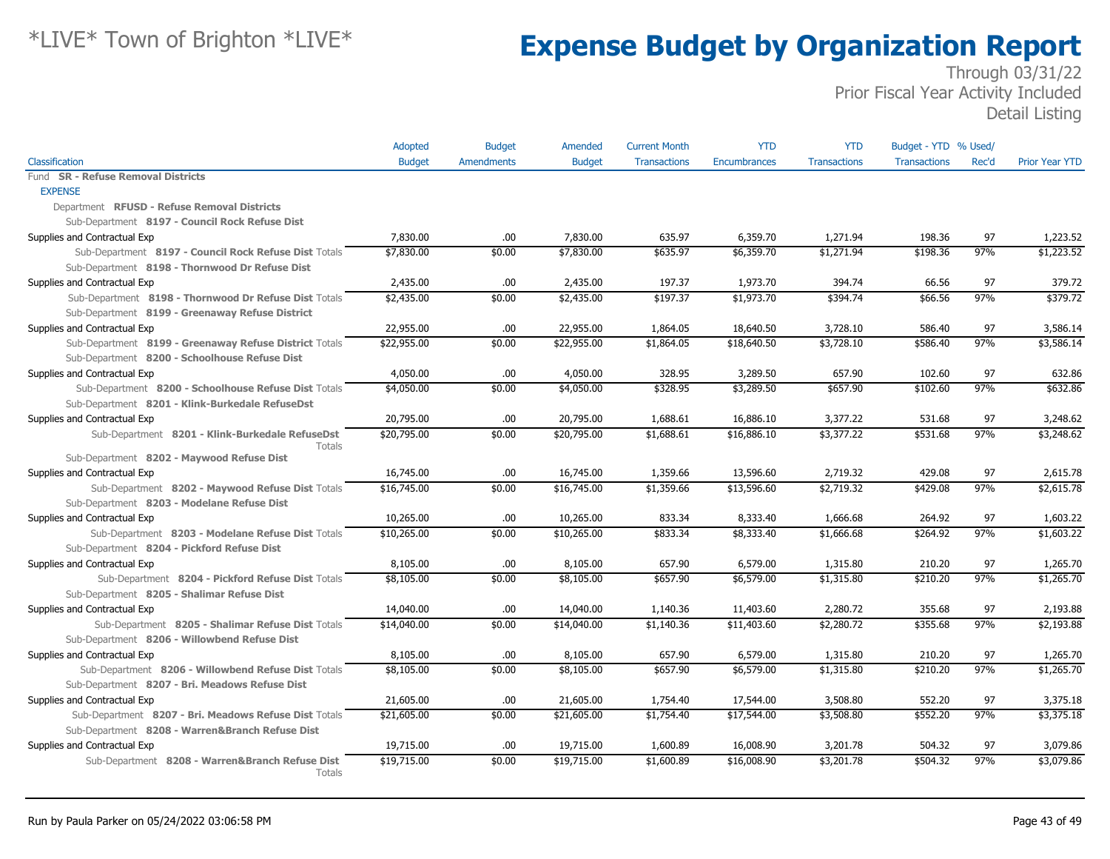|                                                           | Adopted       | <b>Budget</b>     | Amended       | <b>Current Month</b> | <b>YTD</b>   | <b>YTD</b>          | Budget - YTD % Used/ |       |                       |
|-----------------------------------------------------------|---------------|-------------------|---------------|----------------------|--------------|---------------------|----------------------|-------|-----------------------|
| Classification                                            | <b>Budget</b> | <b>Amendments</b> | <b>Budget</b> | <b>Transactions</b>  | Encumbrances | <b>Transactions</b> | <b>Transactions</b>  | Rec'd | <b>Prior Year YTD</b> |
| <b>SR - Refuse Removal Districts</b><br>Fund              |               |                   |               |                      |              |                     |                      |       |                       |
| <b>EXPENSE</b>                                            |               |                   |               |                      |              |                     |                      |       |                       |
| Department RFUSD - Refuse Removal Districts               |               |                   |               |                      |              |                     |                      |       |                       |
| Sub-Department 8197 - Council Rock Refuse Dist            |               |                   |               |                      |              |                     |                      |       |                       |
| Supplies and Contractual Exp                              | 7,830.00      | .00               | 7,830.00      | 635.97               | 6,359.70     | 1,271.94            | 198.36               | 97    | 1,223.52              |
| Sub-Department 8197 - Council Rock Refuse Dist Totals     | \$7,830.00    | \$0.00            | \$7,830.00    | \$635.97             | \$6,359.70   | \$1,271.94          | \$198.36             | 97%   | \$1,223.52            |
| Sub-Department 8198 - Thornwood Dr Refuse Dist            |               |                   |               |                      |              |                     |                      |       |                       |
| Supplies and Contractual Exp                              | 2,435.00      | .00.              | 2,435.00      | 197.37               | 1,973.70     | 394.74              | 66.56                | 97    | 379.72                |
| Sub-Department 8198 - Thornwood Dr Refuse Dist Totals     | \$2,435.00    | \$0.00            | \$2,435.00    | \$197.37             | \$1,973.70   | \$394.74            | \$66.56              | 97%   | \$379.72              |
| Sub-Department 8199 - Greenaway Refuse District           |               |                   |               |                      |              |                     |                      |       |                       |
| Supplies and Contractual Exp                              | 22,955.00     | .00.              | 22,955.00     | 1,864.05             | 18,640.50    | 3,728.10            | 586.40               | 97    | 3,586.14              |
| Sub-Department 8199 - Greenaway Refuse District Totals    | \$22,955.00   | \$0.00            | \$22,955.00   | \$1,864.05           | \$18,640.50  | \$3,728.10          | \$586.40             | 97%   | \$3,586.14            |
| Sub-Department 8200 - Schoolhouse Refuse Dist             |               |                   |               |                      |              |                     |                      |       |                       |
| Supplies and Contractual Exp                              | 4,050.00      | .00.              | 4,050.00      | 328.95               | 3,289.50     | 657.90              | 102.60               | 97    | 632.86                |
| Sub-Department 8200 - Schoolhouse Refuse Dist Totals      | \$4,050.00    | \$0.00            | \$4,050.00    | \$328.95             | \$3,289.50   | \$657.90            | \$102.60             | 97%   | \$632.86              |
| Sub-Department 8201 - Klink-Burkedale RefuseDst           |               |                   |               |                      |              |                     |                      |       |                       |
| Supplies and Contractual Exp                              | 20,795.00     | .00.              | 20,795.00     | 1,688.61             | 16,886.10    | 3,377.22            | 531.68               | 97    | 3,248.62              |
| Sub-Department 8201 - Klink-Burkedale RefuseDst<br>Totals | \$20,795.00   | \$0.00            | \$20,795.00   | \$1,688.61           | \$16,886.10  | \$3,377.22          | \$531.68             | 97%   | \$3,248.62            |
| Sub-Department 8202 - Maywood Refuse Dist                 |               |                   |               |                      |              |                     |                      |       |                       |
| Supplies and Contractual Exp                              | 16,745.00     | .00.              | 16,745.00     | 1,359.66             | 13,596.60    | 2,719.32            | 429.08               | 97    | 2,615.78              |
| Sub-Department 8202 - Maywood Refuse Dist Totals          | \$16,745.00   | \$0.00            | \$16,745.00   | \$1,359.66           | \$13,596.60  | \$2,719.32          | \$429.08             | 97%   | \$2,615.78            |
| Sub-Department 8203 - Modelane Refuse Dist                |               |                   |               |                      |              |                     |                      |       |                       |
| Supplies and Contractual Exp                              | 10,265.00     | .00               | 10,265.00     | 833.34               | 8,333.40     | 1,666.68            | 264.92               | 97    | 1,603.22              |
| Sub-Department 8203 - Modelane Refuse Dist Totals         | \$10,265.00   | \$0.00            | \$10,265.00   | \$833.34             | \$8,333.40   | \$1,666.68          | \$264.92             | 97%   | \$1,603.22            |
| Sub-Department 8204 - Pickford Refuse Dist                |               |                   |               |                      |              |                     |                      |       |                       |
| Supplies and Contractual Exp                              | 8,105.00      | .00               | 8,105.00      | 657.90               | 6,579.00     | 1,315.80            | 210.20               | 97    | 1,265.70              |
| Sub-Department 8204 - Pickford Refuse Dist Totals         | \$8,105.00    | \$0.00            | \$8,105.00    | \$657.90             | \$6,579.00   | \$1,315.80          | \$210.20             | 97%   | \$1,265.70            |
| Sub-Department 8205 - Shalimar Refuse Dist                |               |                   |               |                      |              |                     |                      |       |                       |
| Supplies and Contractual Exp                              | 14,040.00     | .00.              | 14,040.00     | 1,140.36             | 11,403.60    | 2,280.72            | 355.68               | 97    | 2,193.88              |
| Sub-Department 8205 - Shalimar Refuse Dist Totals         | \$14,040.00   | \$0.00            | \$14,040.00   | \$1,140.36           | \$11,403.60  | \$2,280.72          | \$355.68             | 97%   | \$2,193.88            |
| Sub-Department 8206 - Willowbend Refuse Dist              |               |                   |               |                      |              |                     |                      |       |                       |
| Supplies and Contractual Exp                              | 8,105.00      | .00.              | 8,105.00      | 657.90               | 6,579.00     | 1,315.80            | 210.20               | 97    | 1,265.70              |
| Sub-Department 8206 - Willowbend Refuse Dist Totals       | \$8,105.00    | \$0.00            | \$8,105.00    | \$657.90             | \$6,579.00   | \$1,315.80          | \$210.20             | 97%   | \$1,265.70            |
| Sub-Department 8207 - Bri. Meadows Refuse Dist            |               |                   |               |                      |              |                     |                      |       |                       |
| Supplies and Contractual Exp                              | 21,605.00     | .00.              | 21,605.00     | 1,754.40             | 17,544.00    | 3,508.80            | 552.20               | 97    | 3,375.18              |
| Sub-Department 8207 - Bri. Meadows Refuse Dist Totals     | \$21,605.00   | \$0.00            | \$21,605.00   | \$1,754.40           | \$17,544.00  | \$3,508.80          | \$552.20             | 97%   | \$3,375.18            |
| Sub-Department 8208 - Warren&Branch Refuse Dist           |               |                   |               |                      |              |                     |                      |       |                       |
| Supplies and Contractual Exp                              | 19,715.00     | .00               | 19,715.00     | 1,600.89             | 16,008.90    | 3,201.78            | 504.32               | 97    | 3,079.86              |
| Sub-Department 8208 - Warren&Branch Refuse Dist<br>Totals | \$19,715.00   | \$0.00            | \$19,715.00   | \$1,600.89           | \$16,008.90  | \$3,201.78          | \$504.32             | 97%   | \$3,079.86            |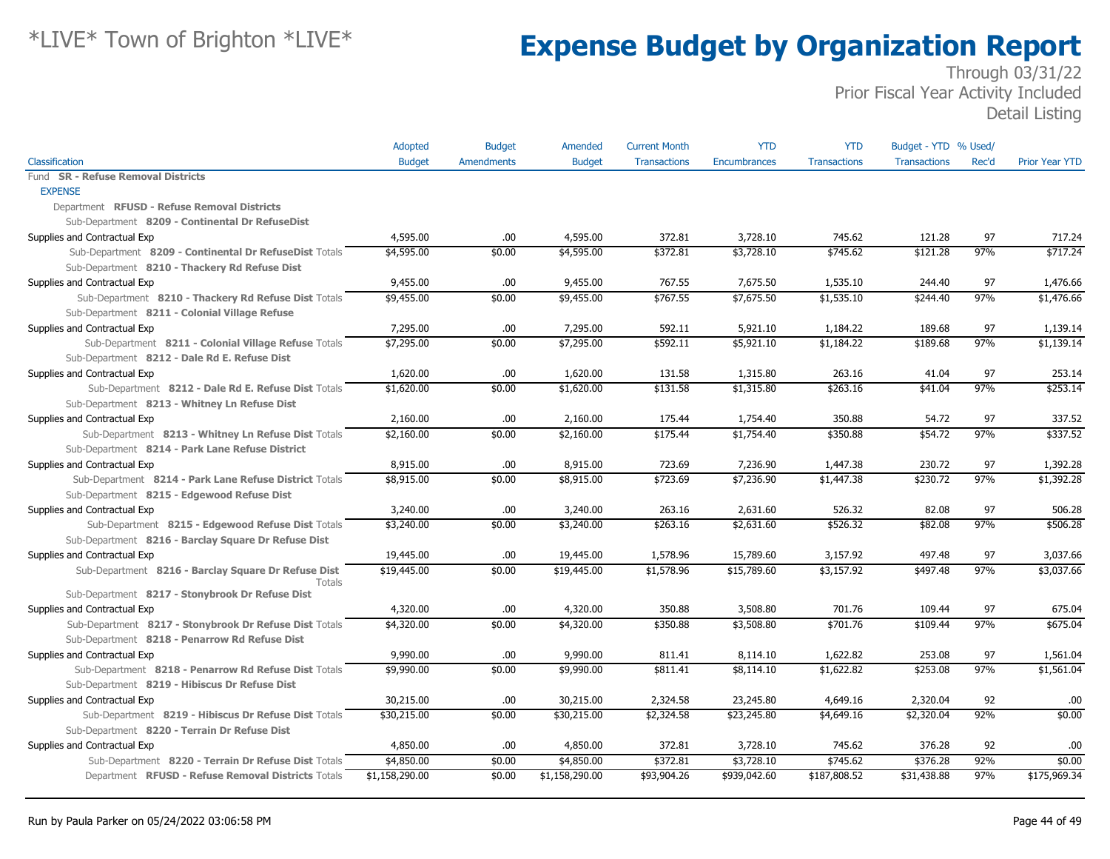|                                                               | Adopted        | <b>Budget</b>     | Amended        | <b>Current Month</b> | <b>YTD</b>   | <b>YTD</b>          | Budget - YTD % Used/ |       |                       |
|---------------------------------------------------------------|----------------|-------------------|----------------|----------------------|--------------|---------------------|----------------------|-------|-----------------------|
| Classification                                                | <b>Budget</b>  | <b>Amendments</b> | <b>Budget</b>  | <b>Transactions</b>  | Encumbrances | <b>Transactions</b> | <b>Transactions</b>  | Rec'd | <b>Prior Year YTD</b> |
| Fund SR - Refuse Removal Districts                            |                |                   |                |                      |              |                     |                      |       |                       |
| <b>EXPENSE</b>                                                |                |                   |                |                      |              |                     |                      |       |                       |
| Department RFUSD - Refuse Removal Districts                   |                |                   |                |                      |              |                     |                      |       |                       |
| Sub-Department 8209 - Continental Dr RefuseDist               |                |                   |                |                      |              |                     |                      |       |                       |
| Supplies and Contractual Exp                                  | 4,595.00       | .00               | 4,595.00       | 372.81               | 3,728.10     | 745.62              | 121.28               | 97    | 717.24                |
| Sub-Department 8209 - Continental Dr RefuseDist Totals        | \$4,595.00     | \$0.00            | \$4,595.00     | \$372.81             | \$3,728.10   | \$745.62            | \$121.28             | 97%   | \$717.24              |
| Sub-Department 8210 - Thackery Rd Refuse Dist                 |                |                   |                |                      |              |                     |                      |       |                       |
| Supplies and Contractual Exp                                  | 9,455.00       | .00               | 9,455.00       | 767.55               | 7,675.50     | 1,535.10            | 244.40               | 97    | 1,476.66              |
| Sub-Department 8210 - Thackery Rd Refuse Dist Totals          | \$9,455.00     | \$0.00            | \$9,455.00     | \$767.55             | \$7,675.50   | \$1,535.10          | \$244.40             | 97%   | \$1,476.66            |
| Sub-Department 8211 - Colonial Village Refuse                 |                |                   |                |                      |              |                     |                      |       |                       |
| Supplies and Contractual Exp                                  | 7,295.00       | .00               | 7,295.00       | 592.11               | 5,921.10     | 1,184.22            | 189.68               | 97    | 1,139.14              |
| Sub-Department 8211 - Colonial Village Refuse Totals          | \$7,295.00     | \$0.00            | \$7,295.00     | \$592.11             | \$5,921.10   | \$1,184.22          | \$189.68             | 97%   | \$1,139.14            |
| Sub-Department 8212 - Dale Rd E. Refuse Dist                  |                |                   |                |                      |              |                     |                      |       |                       |
| Supplies and Contractual Exp                                  | 1,620.00       | .00               | 1,620.00       | 131.58               | 1,315.80     | 263.16              | 41.04                | 97    | 253.14                |
| Sub-Department 8212 - Dale Rd E. Refuse Dist Totals           | \$1,620.00     | \$0.00            | \$1,620.00     | \$131.58             | \$1,315.80   | \$263.16            | \$41.04              | 97%   | \$253.14              |
| Sub-Department 8213 - Whitney Ln Refuse Dist                  |                |                   |                |                      |              |                     |                      |       |                       |
| Supplies and Contractual Exp                                  | 2,160.00       | .00               | 2,160.00       | 175.44               | 1,754.40     | 350.88              | 54.72                | 97    | 337.52                |
| Sub-Department 8213 - Whitney Ln Refuse Dist Totals           | \$2,160.00     | \$0.00            | \$2,160.00     | \$175.44             | \$1,754.40   | \$350.88            | \$54.72              | 97%   | \$337.52              |
| Sub-Department 8214 - Park Lane Refuse District               |                |                   |                |                      |              |                     |                      |       |                       |
| Supplies and Contractual Exp                                  | 8,915.00       | .00               | 8,915.00       | 723.69               | 7,236.90     | 1,447.38            | 230.72               | 97    | 1,392.28              |
| Sub-Department 8214 - Park Lane Refuse District Totals        | \$8,915.00     | \$0.00            | \$8,915.00     | \$723.69             | \$7,236.90   | \$1,447.38          | \$230.72             | 97%   | \$1,392.28            |
| Sub-Department 8215 - Edgewood Refuse Dist                    |                |                   |                |                      |              |                     |                      |       |                       |
| Supplies and Contractual Exp                                  | 3,240.00       | .00               | 3,240.00       | 263.16               | 2,631.60     | 526.32              | 82.08                | 97    | 506.28                |
| Sub-Department 8215 - Edgewood Refuse Dist Totals             | \$3,240.00     | \$0.00            | \$3,240.00     | \$263.16             | \$2,631.60   | \$526.32            | \$82.08              | 97%   | \$506.28              |
| Sub-Department 8216 - Barclay Square Dr Refuse Dist           |                |                   |                |                      |              |                     |                      |       |                       |
| Supplies and Contractual Exp                                  | 19,445.00      | .00.              | 19,445.00      | 1,578.96             | 15,789.60    | 3,157.92            | 497.48               | 97    | 3,037.66              |
| Sub-Department 8216 - Barclay Square Dr Refuse Dist<br>Totals | \$19,445.00    | \$0.00            | \$19,445.00    | \$1,578.96           | \$15,789.60  | \$3,157.92          | \$497.48             | 97%   | \$3,037.66            |
| Sub-Department 8217 - Stonybrook Dr Refuse Dist               |                |                   |                |                      |              |                     |                      |       |                       |
| Supplies and Contractual Exp                                  | 4,320.00       | .00               | 4,320.00       | 350.88               | 3,508.80     | 701.76              | 109.44               | 97    | 675.04                |
| Sub-Department 8217 - Stonybrook Dr Refuse Dist Totals        | \$4,320.00     | \$0.00            | \$4,320.00     | \$350.88             | \$3,508.80   | \$701.76            | \$109.44             | 97%   | \$675.04              |
| Sub-Department 8218 - Penarrow Rd Refuse Dist                 |                |                   |                |                      |              |                     |                      |       |                       |
| Supplies and Contractual Exp                                  | 9,990.00       | .00               | 9,990.00       | 811.41               | 8,114.10     | 1,622.82            | 253.08               | 97    | 1,561.04              |
| Sub-Department 8218 - Penarrow Rd Refuse Dist Totals          | \$9,990.00     | \$0.00            | \$9,990.00     | \$811.41             | \$8,114.10   | \$1,622.82          | \$253.08             | 97%   | \$1,561.04            |
| Sub-Department 8219 - Hibiscus Dr Refuse Dist                 |                |                   |                |                      |              |                     |                      |       |                       |
| Supplies and Contractual Exp                                  | 30,215.00      | .00               | 30,215.00      | 2,324.58             | 23,245.80    | 4,649.16            | 2,320.04             | 92    | .00                   |
| Sub-Department 8219 - Hibiscus Dr Refuse Dist Totals          | \$30,215.00    | \$0.00            | \$30,215.00    | \$2,324.58           | \$23,245.80  | \$4,649.16          | \$2,320.04           | 92%   | \$0.00                |
| Sub-Department 8220 - Terrain Dr Refuse Dist                  |                |                   |                |                      |              |                     |                      |       |                       |
| Supplies and Contractual Exp                                  | 4,850.00       | .00.              | 4,850.00       | 372.81               | 3,728.10     | 745.62              | 376.28               | 92    | .00                   |
| Sub-Department 8220 - Terrain Dr Refuse Dist Totals           | \$4,850.00     | \$0.00            | \$4,850.00     | \$372.81             | \$3,728.10   | \$745.62            | \$376.28             | 92%   | \$0.00                |
| Department RFUSD - Refuse Removal Districts Totals            | \$1,158,290.00 | \$0.00            | \$1,158,290.00 | \$93,904.26          | \$939,042.60 | \$187,808.52        | \$31,438.88          | 97%   | \$175,969.34          |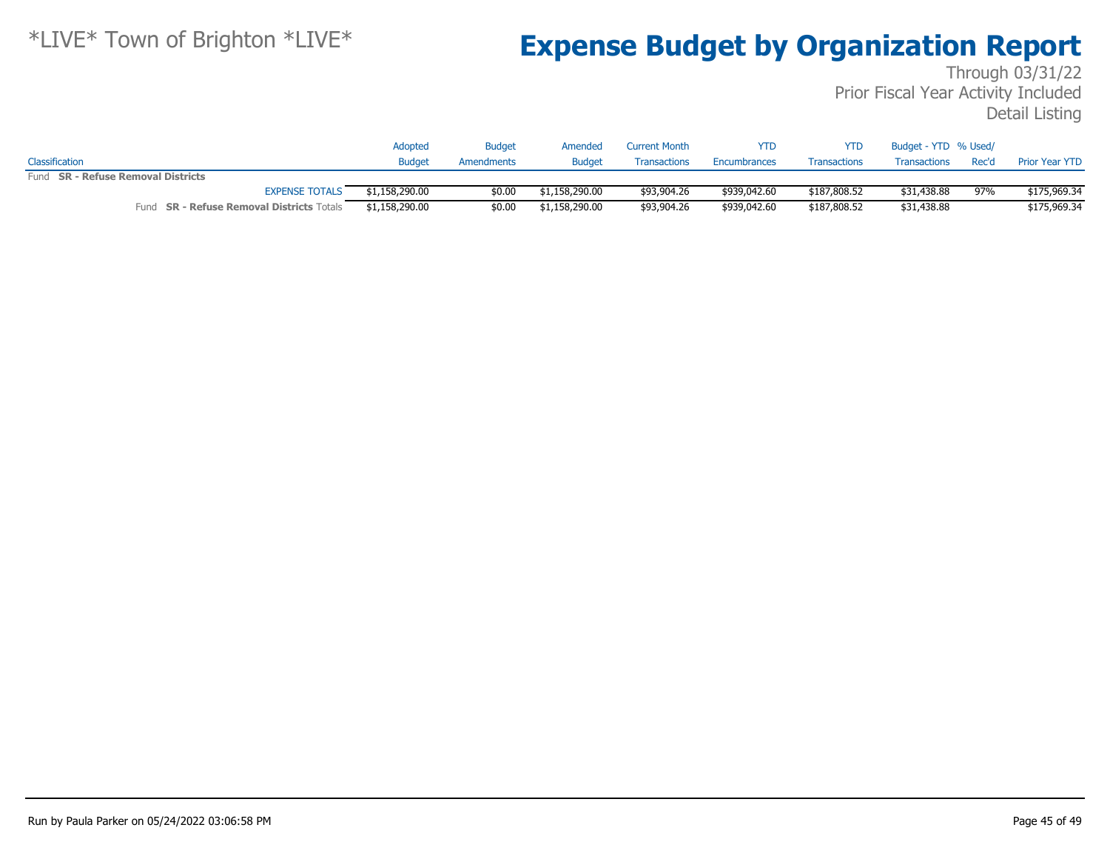|                                           | Adopted        | <b>Budget</b> | Amended        | <b>Current Month</b> | <b>YTD</b>   | YTD                 | Budget - YTD % Used/ |       |                |
|-------------------------------------------|----------------|---------------|----------------|----------------------|--------------|---------------------|----------------------|-------|----------------|
| Classification                            | <b>Budget</b>  | Amendments    | <b>Budget</b>  | <b>Transactions</b>  | Encumbrances | <b>Transactions</b> | Transactions         | Rec'd | Prior Year YTD |
| Fund SR - Refuse Removal Districts        |                |               |                |                      |              |                     |                      |       |                |
| <b>EXPENSE TOTALS</b>                     | \$1,158,290.00 | \$0.00        | \$1,158,290.00 | \$93,904.26          | \$939,042,60 | \$187,808.52        | \$31,438.88          | 97%   | \$175,969.34   |
| Fund SR - Refuse Removal Districts Totals | \$1,158,290.00 | \$0.00        | \$1,158,290.00 | \$93,904.26          | \$939,042,60 | \$187,808.52        | \$31,438.88          |       | \$175,969.34   |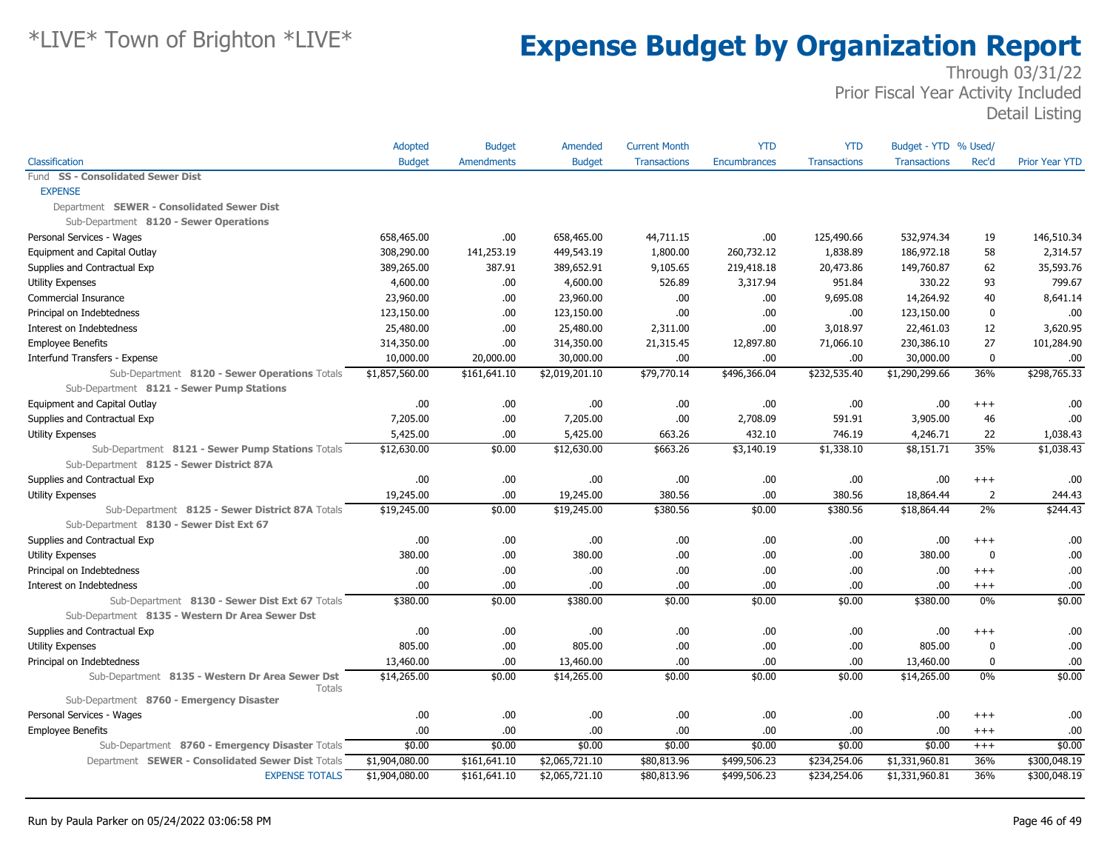|                                                           | Adopted        | <b>Budget</b>     | Amended        | <b>Current Month</b> | <b>YTD</b>          | <b>YTD</b>          | Budget - YTD % Used/ |              |                       |
|-----------------------------------------------------------|----------------|-------------------|----------------|----------------------|---------------------|---------------------|----------------------|--------------|-----------------------|
| Classification                                            | <b>Budget</b>  | <b>Amendments</b> | <b>Budget</b>  | <b>Transactions</b>  | <b>Encumbrances</b> | <b>Transactions</b> | <b>Transactions</b>  | Rec'd        | <b>Prior Year YTD</b> |
| <b>SS - Consolidated Sewer Dist</b><br>Fund               |                |                   |                |                      |                     |                     |                      |              |                       |
| <b>EXPENSE</b>                                            |                |                   |                |                      |                     |                     |                      |              |                       |
| Department SEWER - Consolidated Sewer Dist                |                |                   |                |                      |                     |                     |                      |              |                       |
| Sub-Department 8120 - Sewer Operations                    |                |                   |                |                      |                     |                     |                      |              |                       |
| Personal Services - Wages                                 | 658,465.00     | .00               | 658,465.00     | 44,711.15            | .00                 | 125,490.66          | 532,974.34           | 19           | 146,510.34            |
| Equipment and Capital Outlay                              | 308,290.00     | 141,253.19        | 449,543.19     | 1,800.00             | 260,732.12          | 1,838.89            | 186,972.18           | 58           | 2,314.57              |
| Supplies and Contractual Exp                              | 389,265.00     | 387.91            | 389,652.91     | 9,105.65             | 219,418.18          | 20,473.86           | 149,760.87           | 62           | 35,593.76             |
| Utility Expenses                                          | 4,600.00       | .00.              | 4,600.00       | 526.89               | 3,317.94            | 951.84              | 330.22               | 93           | 799.67                |
| Commercial Insurance                                      | 23,960.00      | .00               | 23,960.00      | .00                  | .00                 | 9,695.08            | 14,264.92            | 40           | 8,641.14              |
| Principal on Indebtedness                                 | 123,150.00     | .00.              | 123,150.00     | .00                  | .00                 | .00                 | 123,150.00           | $\mathbf 0$  | .00                   |
| Interest on Indebtedness                                  | 25,480.00      | .00.              | 25,480.00      | 2,311.00             | .00                 | 3,018.97            | 22,461.03            | 12           | 3,620.95              |
| <b>Employee Benefits</b>                                  | 314,350.00     | .00.              | 314,350.00     | 21,315.45            | 12,897.80           | 71,066.10           | 230,386.10           | 27           | 101,284.90            |
| Interfund Transfers - Expense                             | 10,000.00      | 20,000.00         | 30,000.00      | .00                  | .00                 | .00                 | 30,000.00            | $\mathbf 0$  | .00                   |
| Sub-Department 8120 - Sewer Operations Totals             | \$1,857,560.00 | \$161,641.10      | \$2,019,201.10 | \$79,770.14          | \$496,366.04        | \$232,535.40        | \$1,290,299.66       | 36%          | \$298,765.33          |
| Sub-Department 8121 - Sewer Pump Stations                 |                |                   |                |                      |                     |                     |                      |              |                       |
| Equipment and Capital Outlay                              | .00.           | .00.              | .00            | .00                  | .00                 | .00                 | .00.                 | $^{+++}$     | .00                   |
| Supplies and Contractual Exp                              | 7,205.00       | .00.              | 7,205.00       | .00                  | 2,708.09            | 591.91              | 3,905.00             | 46           | .00                   |
| <b>Utility Expenses</b>                                   | 5,425.00       | .00               | 5,425.00       | 663.26               | 432.10              | 746.19              | 4,246.71             | 22           | 1,038.43              |
| Sub-Department 8121 - Sewer Pump Stations Totals          | \$12,630.00    | \$0.00            | \$12,630.00    | \$663.26             | \$3,140.19          | \$1,338.10          | \$8,151.71           | 35%          | \$1,038.43            |
| Sub-Department 8125 - Sewer District 87A                  |                |                   |                |                      |                     |                     |                      |              |                       |
| Supplies and Contractual Exp                              | .00.           | .00               | .00            | .00                  | .00                 | .00                 | .00                  | $^{++}$      | .00                   |
| Utility Expenses                                          | 19,245.00      | .00               | 19,245.00      | 380.56               | .00                 | 380.56              | 18,864.44            | 2            | 244.43                |
| Sub-Department 8125 - Sewer District 87A Totals           | \$19,245.00    | \$0.00            | \$19,245.00    | \$380.56             | \$0.00              | \$380.56            | \$18,864.44          | 2%           | \$244.43              |
| Sub-Department 8130 - Sewer Dist Ext 67                   |                |                   |                |                      |                     |                     |                      |              |                       |
| Supplies and Contractual Exp                              | .00            | .00.              | .00            | .00                  | .00                 | .00                 | .00                  | $^{+++}$     | .00                   |
| <b>Utility Expenses</b>                                   | 380.00         | .00.              | 380.00         | .00                  | .00                 | .00                 | 380.00               | $\mathbf 0$  | .00                   |
| Principal on Indebtedness                                 | .00            | .00               | .00            | .00                  | .00                 | .00                 | .00                  | $^{++}$      | .00                   |
| Interest on Indebtedness                                  | .00            | .00               | .00            | .00                  | .00                 | .00.                | .00                  | $^{++}$      | .00                   |
| Sub-Department 8130 - Sewer Dist Ext 67 Totals            | \$380.00       | \$0.00            | \$380.00       | \$0.00               | \$0.00              | \$0.00              | \$380.00             | $0\%$        | \$0.00                |
| Sub-Department 8135 - Western Dr Area Sewer Dst           |                |                   |                |                      |                     |                     |                      |              |                       |
| Supplies and Contractual Exp                              | .00.           | .00               | .00.           | .00                  | .00                 | .00                 | .00                  | $^{+++}$     | .00.                  |
| <b>Utility Expenses</b>                                   | 805.00         | .00               | 805.00         | .00                  | .00                 | .00                 | 805.00               | $\mathbf{0}$ | .00                   |
| Principal on Indebtedness                                 | 13,460.00      | .00               | 13,460.00      | .00                  | .00                 | .00                 | 13,460.00            | $\mathbf 0$  | .00                   |
| Sub-Department 8135 - Western Dr Area Sewer Dst<br>Totals | \$14,265.00    | \$0.00            | \$14,265.00    | \$0.00               | \$0.00              | \$0.00              | \$14,265.00          | 0%           | \$0.00                |
| Sub-Department 8760 - Emergency Disaster                  |                |                   |                |                      |                     |                     |                      |              |                       |
| Personal Services - Wages                                 | .00            | .00.              | .00.           | .00                  | .00                 | .00                 | .00                  | $^{++}$      | .00                   |
| <b>Employee Benefits</b>                                  | .00            | .00               | .00            | .00                  | .00                 | .00.                | .00                  | $^{++}$      | .00                   |
| Sub-Department 8760 - Emergency Disaster Totals           | \$0.00         | \$0.00            | \$0.00         | \$0.00               | \$0.00              | \$0.00              | \$0.00               | $+++$        | \$0.00                |
| Department SEWER - Consolidated Sewer Dist Totals         | \$1,904,080.00 | \$161,641.10      | \$2,065,721.10 | \$80,813.96          | \$499,506.23        | \$234,254.06        | \$1,331,960.81       | 36%          | \$300,048.19          |
| <b>EXPENSE TOTALS</b>                                     | \$1,904,080.00 | \$161,641.10      | \$2,065,721.10 | \$80,813.96          | \$499,506.23        | \$234,254.06        | \$1,331,960.81       | 36%          | \$300,048.19          |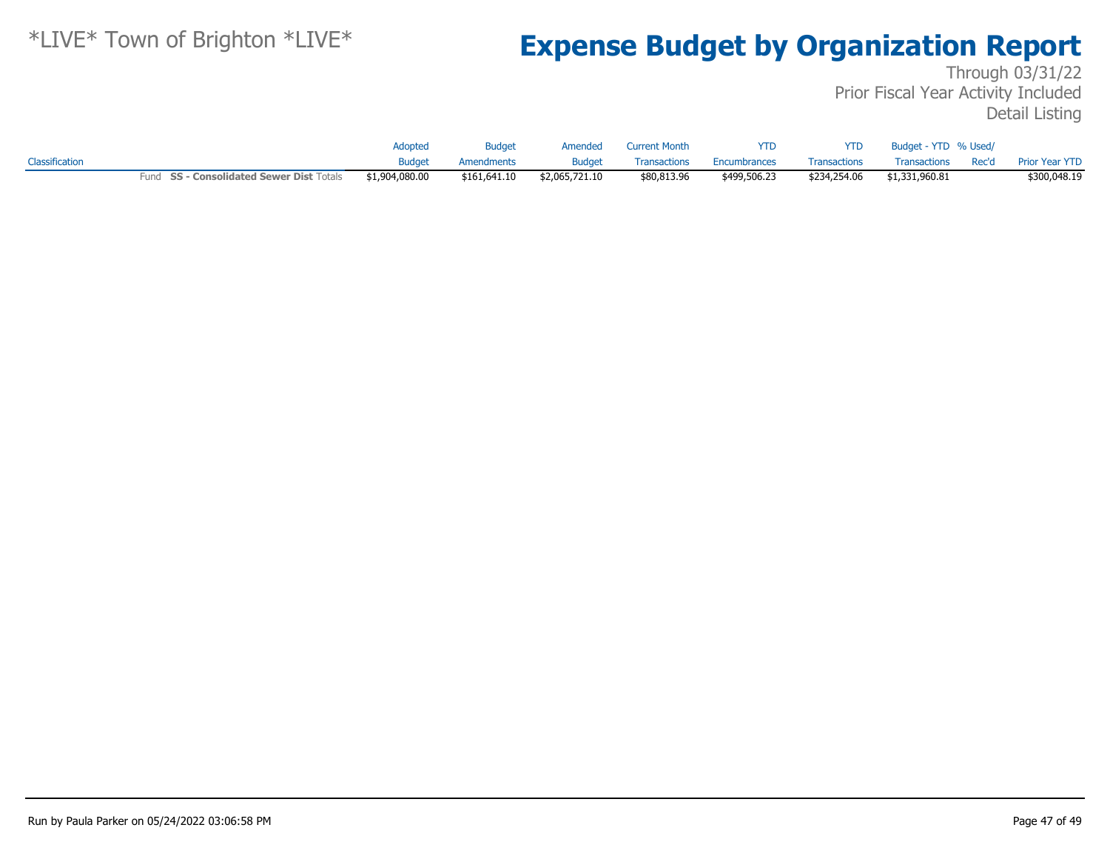|                |                                          | <b>Adopted</b> | <b>Budget</b> | Amended        | <b>Current Month</b> | <b>YTD</b>   | <b>YTD</b>   | Budget - YTD % Used/ |                      |
|----------------|------------------------------------------|----------------|---------------|----------------|----------------------|--------------|--------------|----------------------|----------------------|
| Classification |                                          | <b>Budget</b>  | Amendments    | <b>Budget</b>  | <b>Transactions</b>  | Encumbrances | Transactions | Transactions         | Rec'd Prior Year YTD |
|                | Fund SS - Consolidated Sewer Dist Totals | \$1,904,080.00 | \$161,641.10  | \$2,065,721.10 | \$80,813.96          | \$499,506.23 | \$234,254.06 | \$1,331,960.81       | \$300,048.19         |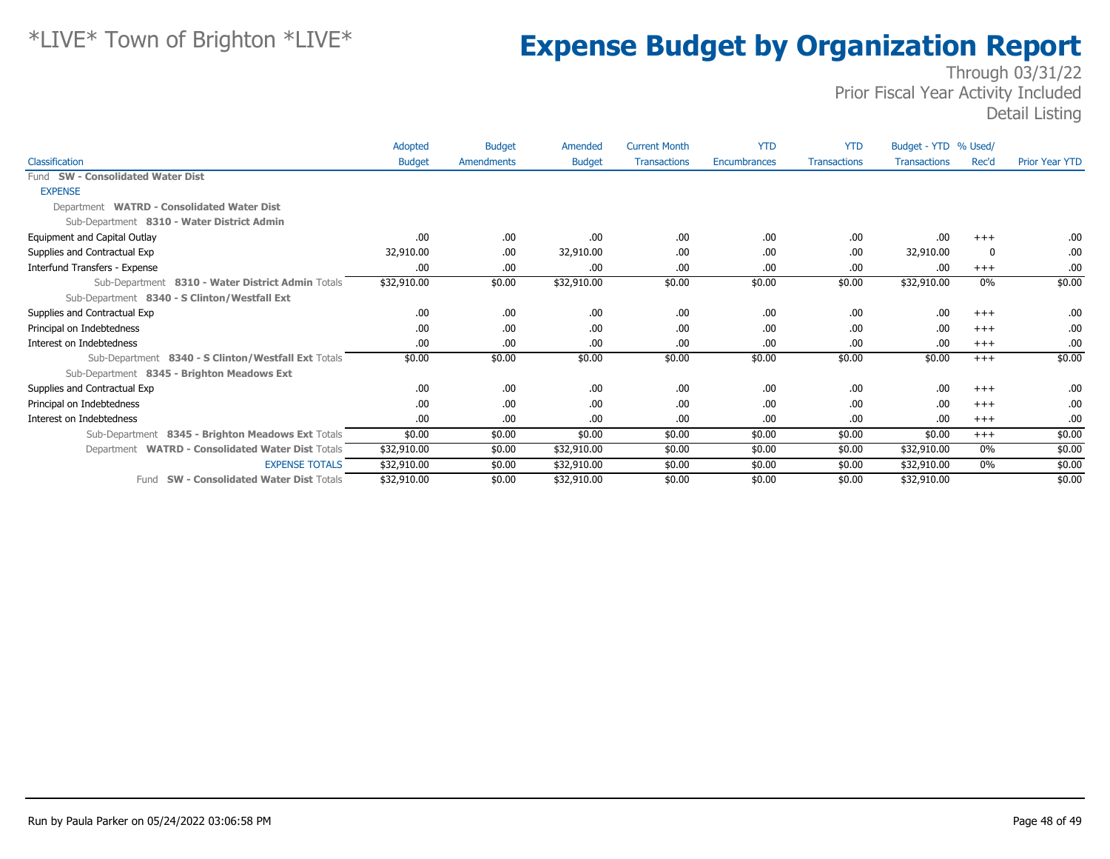|                                                     | Adopted       | <b>Budget</b> | Amended       | <b>Current Month</b> | <b>YTD</b>   | <b>YTD</b>          | Budget - YTD % Used/ |       |                       |
|-----------------------------------------------------|---------------|---------------|---------------|----------------------|--------------|---------------------|----------------------|-------|-----------------------|
| Classification                                      | <b>Budget</b> | Amendments    | <b>Budget</b> | <b>Transactions</b>  | Encumbrances | <b>Transactions</b> | <b>Transactions</b>  | Rec'd | <b>Prior Year YTD</b> |
| Fund SW - Consolidated Water Dist                   |               |               |               |                      |              |                     |                      |       |                       |
| <b>EXPENSE</b>                                      |               |               |               |                      |              |                     |                      |       |                       |
| Department WATRD - Consolidated Water Dist          |               |               |               |                      |              |                     |                      |       |                       |
| Sub-Department 8310 - Water District Admin          |               |               |               |                      |              |                     |                      |       |                       |
| Equipment and Capital Outlay                        | .00           | .00.          | .00           | .00                  | .00          | .00                 | .00                  | $+++$ | .00.                  |
| Supplies and Contractual Exp                        | 32,910.00     | .00.          | 32,910.00     | .00                  | .00          | .00                 | 32,910.00            | 0     | .00.                  |
| Interfund Transfers - Expense                       | .00           | .00.          | .00           | .00                  | .00          | .00                 | .00                  | $+++$ | .00                   |
| Sub-Department 8310 - Water District Admin Totals   | \$32,910.00   | \$0.00        | \$32,910.00   | \$0.00               | \$0.00       | \$0.00              | \$32,910.00          | 0%    | \$0.00                |
| Sub-Department 8340 - S Clinton/Westfall Ext        |               |               |               |                      |              |                     |                      |       |                       |
| Supplies and Contractual Exp                        | .00           | .00.          | .00.          | .00                  | .00          | .00                 | .00                  | $+++$ | .00.                  |
| Principal on Indebtedness                           | .00           | .00.          | .00           | .00                  | .00          | .00                 | .00                  | $+++$ | .00.                  |
| Interest on Indebtedness                            | .00           | .00.          | .00           | .00                  | .00          | .00                 | .00                  | $+++$ | .00.                  |
| Sub-Department 8340 - S Clinton/Westfall Ext Totals | \$0.00        | \$0.00        | \$0.00        | \$0.00               | \$0.00       | \$0.00              | \$0.00               | $+++$ | \$0.00                |
| Sub-Department 8345 - Brighton Meadows Ext          |               |               |               |                      |              |                     |                      |       |                       |
| Supplies and Contractual Exp                        | .00           | .00.          | .00           | .00                  | .00          | .00                 | .00                  | $+++$ | .00.                  |
| Principal on Indebtedness                           | .00           | .00.          | .00           | .00                  | .00          | .00                 | .00                  | $+++$ | .00                   |
| Interest on Indebtedness                            | .00           | .00           | .00           | .00                  | .00          | .00                 | .00                  | $+++$ | .00.                  |
| Sub-Department 8345 - Brighton Meadows Ext Totals   | \$0.00        | \$0.00        | \$0.00        | \$0.00               | \$0.00       | \$0.00              | \$0.00               | $+++$ | \$0.00                |
| Department WATRD - Consolidated Water Dist Totals   | \$32,910.00   | \$0.00        | \$32,910.00   | \$0.00               | \$0.00       | \$0.00              | \$32,910.00          | 0%    | \$0.00                |
| <b>EXPENSE TOTALS</b>                               | \$32,910.00   | \$0.00        | \$32,910.00   | \$0.00               | \$0.00       | \$0.00              | \$32,910.00          | $0\%$ | \$0.00                |
| Fund SW - Consolidated Water Dist Totals            | \$32,910.00   | \$0.00        | \$32,910.00   | \$0.00               | \$0.00       | \$0.00              | \$32,910.00          |       | \$0.00                |